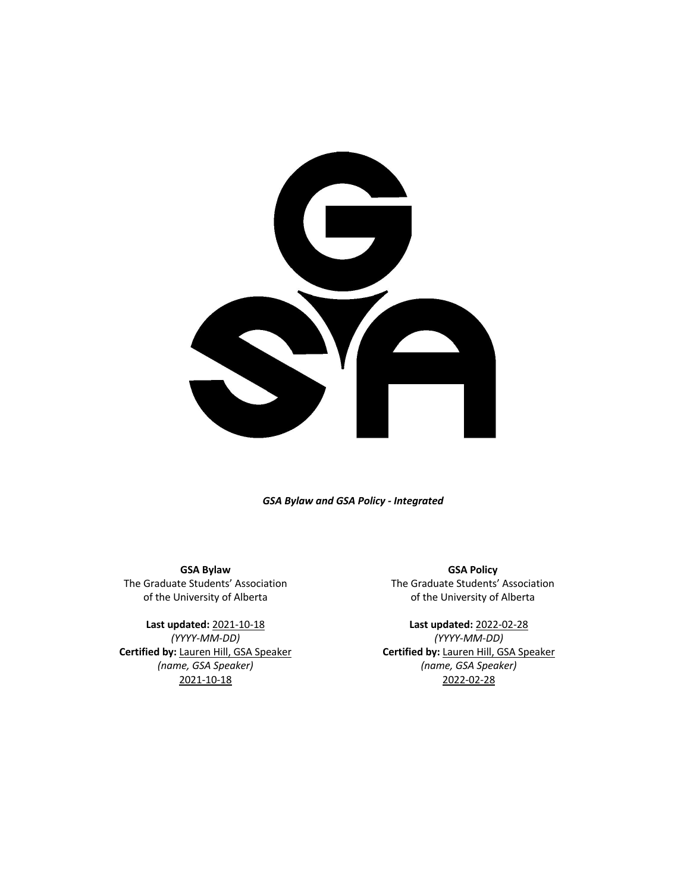

*GSA Bylaw and GSA Policy - Integrated*

**GSA Bylaw** The Graduate Students' Association of the University of Alberta

**Last updated:** 2021-10-18 *(YYYY-MM-DD)* **Certified by:** Lauren Hill, GSA Speaker *(name, GSA Speaker)* 2021-10-18

**GSA Policy** The Graduate Students' Association of the University of Alberta

**Last updated:** 2022-02-28 *(YYYY-MM-DD)* **Certified by:** Lauren Hill, GSA Speaker *(name, GSA Speaker)* 2022-02-28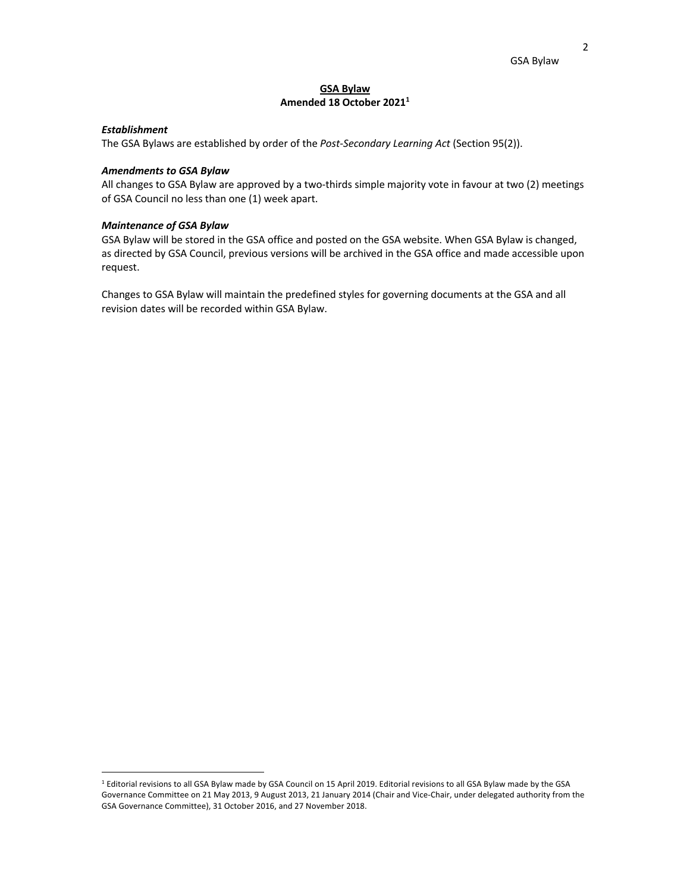## **GSA Bylaw Amended 18 October 20211**

## *Establishment*

The GSA Bylaws are established by order of the *Post-Secondary Learning Act* (Section 95(2)).

#### *Amendments to GSA Bylaw*

All changes to GSA Bylaw are approved by a two-thirds simple majority vote in favour at two (2) meetings of GSA Council no less than one (1) week apart.

## *Maintenance of GSA Bylaw*

GSA Bylaw will be stored in the GSA office and posted on the GSA website. When GSA Bylaw is changed, as directed by GSA Council, previous versions will be archived in the GSA office and made accessible upon request.

Changes to GSA Bylaw will maintain the predefined styles for governing documents at the GSA and all revision dates will be recorded within GSA Bylaw.

<sup>1</sup> Editorial revisions to all GSA Bylaw made by GSA Council on 15 April 2019. Editorial revisions to all GSA Bylaw made by the GSA Governance Committee on 21 May 2013, 9 August 2013, 21 January 2014 (Chair and Vice-Chair, under delegated authority from the GSA Governance Committee), 31 October 2016, and 27 November 2018.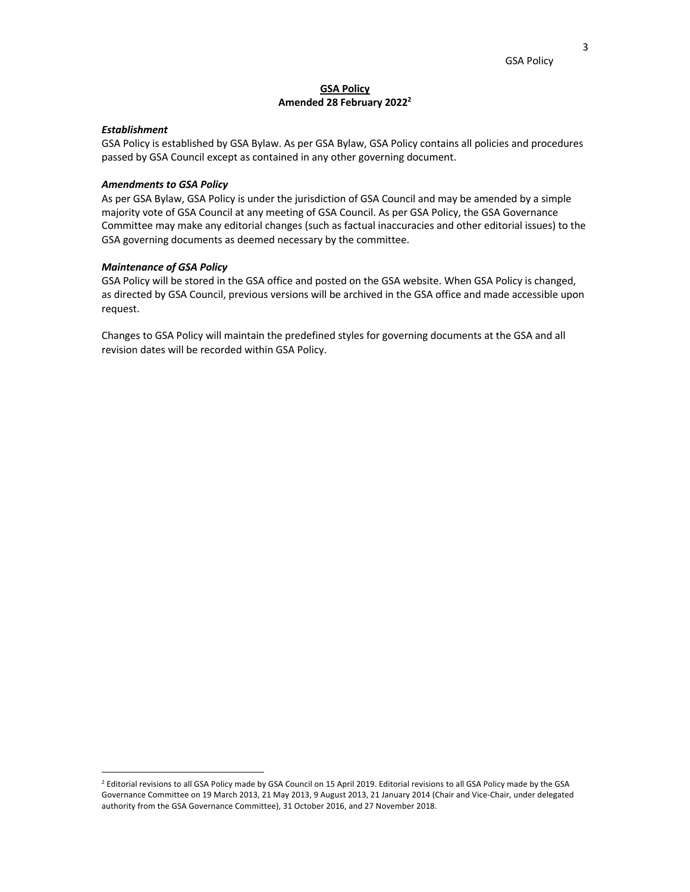## **GSA Policy Amended 28 February 20222**

### *Establishment*

GSA Policy is established by GSA Bylaw. As per GSA Bylaw, GSA Policy contains all policies and procedures passed by GSA Council except as contained in any other governing document.

### *Amendments to GSA Policy*

As per GSA Bylaw, GSA Policy is under the jurisdiction of GSA Council and may be amended by a simple majority vote of GSA Council at any meeting of GSA Council. As per GSA Policy, the GSA Governance Committee may make any editorial changes (such as factual inaccuracies and other editorial issues) to the GSA governing documents as deemed necessary by the committee.

#### *Maintenance of GSA Policy*

GSA Policy will be stored in the GSA office and posted on the GSA website. When GSA Policy is changed, as directed by GSA Council, previous versions will be archived in the GSA office and made accessible upon request.

Changes to GSA Policy will maintain the predefined styles for governing documents at the GSA and all revision dates will be recorded within GSA Policy.

<sup>2</sup> Editorial revisions to all GSA Policy made by GSA Council on 15 April 2019. Editorial revisions to all GSA Policy made by the GSA Governance Committee on 19 March 2013, 21 May 2013, 9 August 2013, 21 January 2014 (Chair and Vice-Chair, under delegated authority from the GSA Governance Committee), 31 October 2016, and 27 November 2018.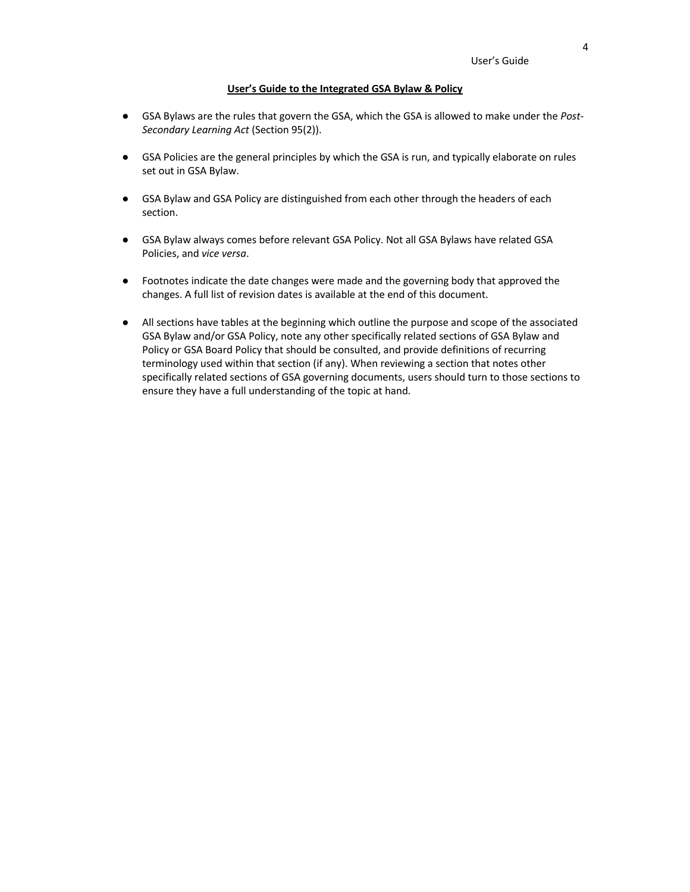#### **User's Guide to the Integrated GSA Bylaw & Policy**

- GSA Bylaws are the rules that govern the GSA, which the GSA is allowed to make under the *Post-Secondary Learning Act* (Section 95(2)).
- GSA Policies are the general principles by which the GSA is run, and typically elaborate on rules set out in GSA Bylaw.
- GSA Bylaw and GSA Policy are distinguished from each other through the headers of each section.
- GSA Bylaw always comes before relevant GSA Policy. Not all GSA Bylaws have related GSA Policies, and *vice versa*.
- Footnotes indicate the date changes were made and the governing body that approved the changes. A full list of revision dates is available at the end of this document.
- All sections have tables at the beginning which outline the purpose and scope of the associated GSA Bylaw and/or GSA Policy, note any other specifically related sections of GSA Bylaw and Policy or GSA Board Policy that should be consulted, and provide definitions of recurring terminology used within that section (if any). When reviewing a section that notes other specifically related sections of GSA governing documents, users should turn to those sections to ensure they have a full understanding of the topic at hand.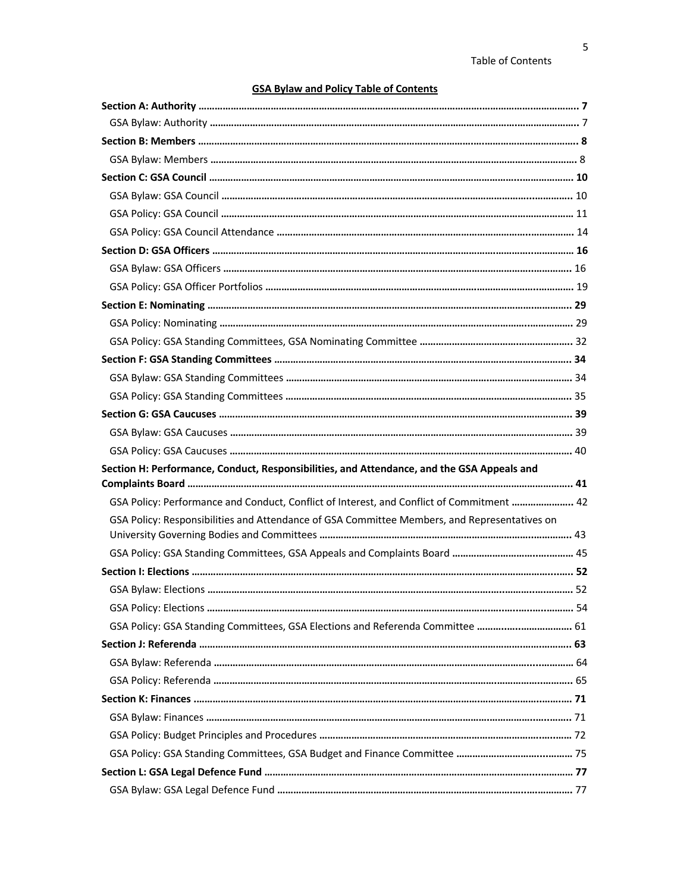# **GSA Bylaw and Policy Table of Contents**

| Section H: Performance, Conduct, Responsibilities, and Attendance, and the GSA Appeals and   |  |
|----------------------------------------------------------------------------------------------|--|
|                                                                                              |  |
| GSA Policy: Performance and Conduct, Conflict of Interest, and Conflict of Commitment  42    |  |
| GSA Policy: Responsibilities and Attendance of GSA Committee Members, and Representatives on |  |
|                                                                                              |  |
|                                                                                              |  |
|                                                                                              |  |
|                                                                                              |  |
|                                                                                              |  |
| GSA Policy: GSA Standing Committees, GSA Elections and Referenda Committee  61               |  |
|                                                                                              |  |
|                                                                                              |  |
|                                                                                              |  |
|                                                                                              |  |
|                                                                                              |  |
|                                                                                              |  |
|                                                                                              |  |
|                                                                                              |  |
|                                                                                              |  |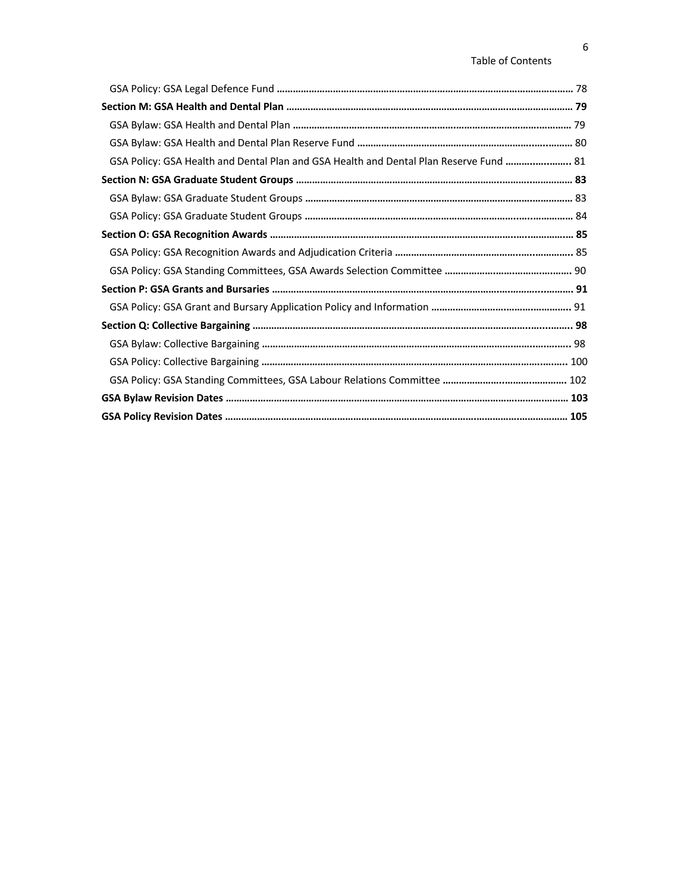## Table of Contents

| GSA Policy: GSA Health and Dental Plan and GSA Health and Dental Plan Reserve Fund  81 |  |
|----------------------------------------------------------------------------------------|--|
|                                                                                        |  |
|                                                                                        |  |
|                                                                                        |  |
|                                                                                        |  |
|                                                                                        |  |
|                                                                                        |  |
|                                                                                        |  |
|                                                                                        |  |
|                                                                                        |  |
|                                                                                        |  |
|                                                                                        |  |
|                                                                                        |  |
|                                                                                        |  |
|                                                                                        |  |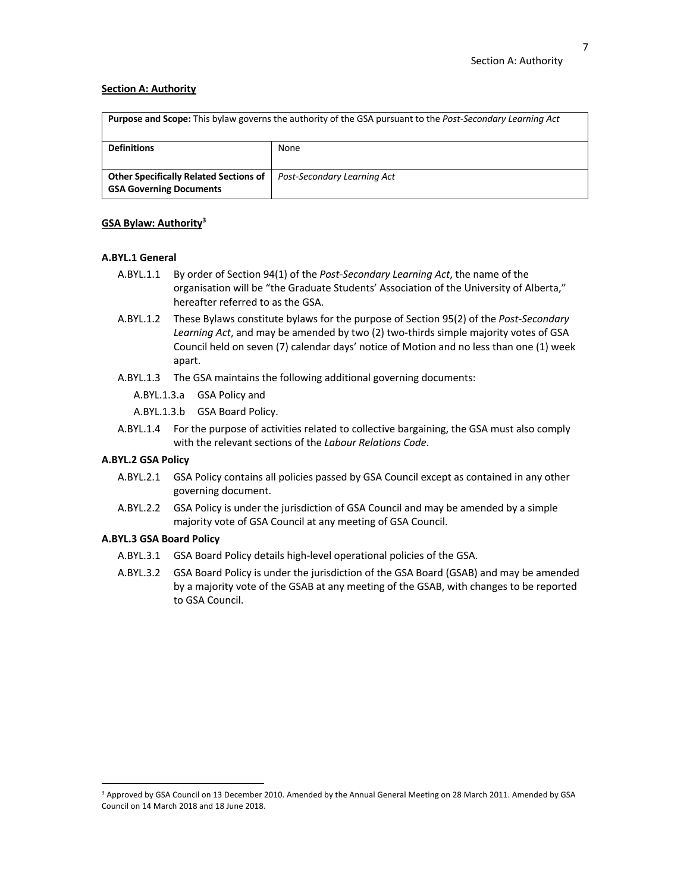## **Section A: Authority**

| <b>Purpose and Scope:</b> This bylaw governs the authority of the GSA pursuant to the <i>Post-Secondary Learning Act</i> |                             |  |
|--------------------------------------------------------------------------------------------------------------------------|-----------------------------|--|
| <b>Definitions</b>                                                                                                       | None                        |  |
|                                                                                                                          |                             |  |
| <b>Other Specifically Related Sections of</b>                                                                            | Post-Secondary Learning Act |  |
| <b>GSA Governing Documents</b>                                                                                           |                             |  |

## **GSA Bylaw: Authority3**

## **A.BYL.1 General**

- A.BYL.1.1 By order of Section 94(1) of the *Post-Secondary Learning Act*, the name of the organisation will be "the Graduate Students' Association of the University of Alberta," hereafter referred to as the GSA.
- A.BYL.1.2 These Bylaws constitute bylaws for the purpose of Section 95(2) of the *Post-Secondary Learning Act*, and may be amended by two (2) two-thirds simple majority votes of GSA Council held on seven (7) calendar days' notice of Motion and no less than one (1) week apart.
- A.BYL.1.3 The GSA maintains the following additional governing documents:
	- A.BYL.1.3.a GSA Policy and
	- A.BYL.1.3.b GSA Board Policy.
- A.BYL.1.4 For the purpose of activities related to collective bargaining, the GSA must also comply with the relevant sections of the *Labour Relations Code*.

### **A.BYL.2 GSA Policy**

- A.BYL.2.1 GSA Policy contains all policies passed by GSA Council except as contained in any other governing document.
- A.BYL.2.2 GSA Policy is under the jurisdiction of GSA Council and may be amended by a simple majority vote of GSA Council at any meeting of GSA Council.

### **A.BYL.3 GSA Board Policy**

- A.BYL.3.1 GSA Board Policy details high-level operational policies of the GSA.
- A.BYL.3.2 GSA Board Policy is under the jurisdiction of the GSA Board (GSAB) and may be amended by a majority vote of the GSAB at any meeting of the GSAB, with changes to be reported to GSA Council.

<sup>&</sup>lt;sup>3</sup> Approved by GSA Council on 13 December 2010. Amended by the Annual General Meeting on 28 March 2011. Amended by GSA Council on 14 March 2018 and 18 June 2018.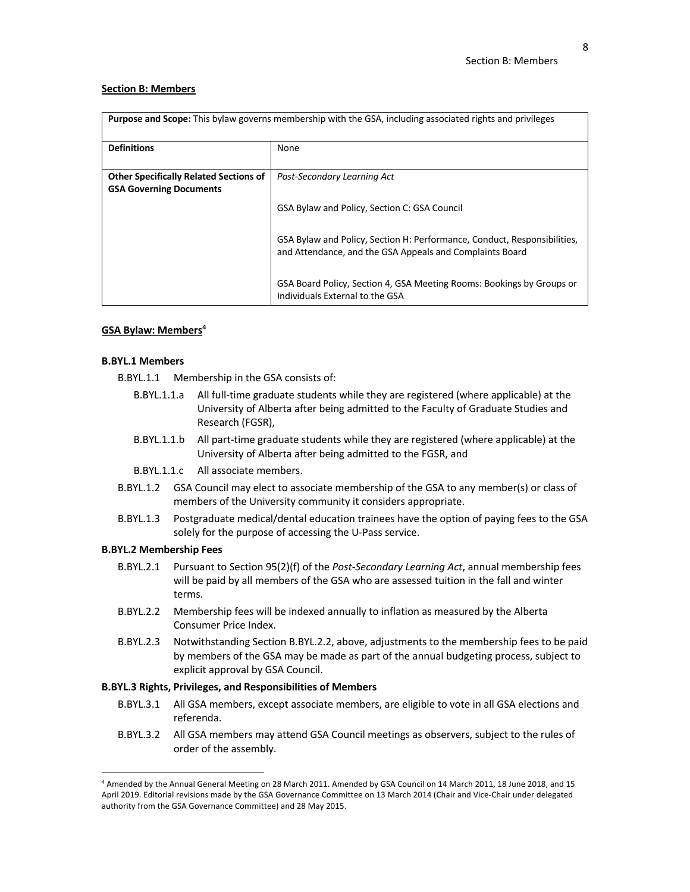#### **Section B: Members**

| <b>Purpose and Scope:</b> This bylaw governs membership with the GSA, including associated rights and privileges |                                                                                                                                      |
|------------------------------------------------------------------------------------------------------------------|--------------------------------------------------------------------------------------------------------------------------------------|
| <b>Definitions</b>                                                                                               | None                                                                                                                                 |
| <b>Other Specifically Related Sections of</b><br><b>GSA Governing Documents</b>                                  | Post-Secondary Learning Act                                                                                                          |
|                                                                                                                  | GSA Bylaw and Policy, Section C: GSA Council                                                                                         |
|                                                                                                                  | GSA Bylaw and Policy, Section H: Performance, Conduct, Responsibilities,<br>and Attendance, and the GSA Appeals and Complaints Board |
|                                                                                                                  | GSA Board Policy, Section 4, GSA Meeting Rooms: Bookings by Groups or<br>Individuals External to the GSA                             |

#### **GSA Bylaw: Members4**

#### **B.BYL.1 Members**

- B.BYL.1.1 Membership in the GSA consists of:
	- B.BYL.1.1.a All full-time graduate students while they are registered (where applicable) at the University of Alberta after being admitted to the Faculty of Graduate Studies and Research (FGSR),
	- B.BYL.1.1.b All part-time graduate students while they are registered (where applicable) at the University of Alberta after being admitted to the FGSR, and
	- B.BYL.1.1.c All associate members.
- B.BYL.1.2 GSA Council may elect to associate membership of the GSA to any member(s) or class of members of the University community it considers appropriate.
- B.BYL.1.3 Postgraduate medical/dental education trainees have the option of paying fees to the GSA solely for the purpose of accessing the U-Pass service.

#### **B.BYL.2 Membership Fees**

- B.BYL.2.1 Pursuant to Section 95(2)(f) of the *Post-Secondary Learning Act*, annual membership fees will be paid by all members of the GSA who are assessed tuition in the fall and winter terms.
- B.BYL.2.2 Membership fees will be indexed annually to inflation as measured by the Alberta Consumer Price Index.
- B.BYL.2.3 Notwithstanding Section B.BYL.2.2, above, adjustments to the membership fees to be paid by members of the GSA may be made as part of the annual budgeting process, subject to explicit approval by GSA Council.

## **B.BYL.3 Rights, Privileges, and Responsibilities of Members**

- B.BYL.3.1 All GSA members, except associate members, are eligible to vote in all GSA elections and referenda.
- B.BYL.3.2 All GSA members may attend GSA Council meetings as observers, subject to the rules of order of the assembly.

<sup>4</sup> Amended by the Annual General Meeting on 28 March 2011. Amended by GSA Council on 14 March 2011, 18 June 2018, and 15 April 2019. Editorial revisions made by the GSA Governance Committee on 13 March 2014 (Chair and Vice-Chair under delegated authority from the GSA Governance Committee) and 28 May 2015.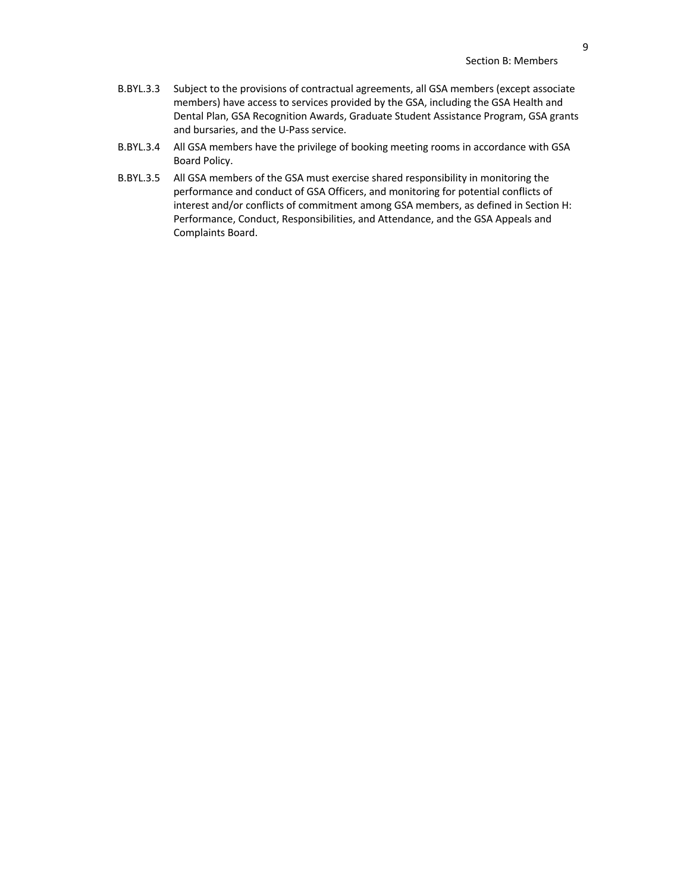- B.BYL.3.3 Subject to the provisions of contractual agreements, all GSA members (except associate members) have access to services provided by the GSA, including the GSA Health and Dental Plan, GSA Recognition Awards, Graduate Student Assistance Program, GSA grants and bursaries, and the U-Pass service.
- B.BYL.3.4 All GSA members have the privilege of booking meeting rooms in accordance with GSA Board Policy.
- B.BYL.3.5 All GSA members of the GSA must exercise shared responsibility in monitoring the performance and conduct of GSA Officers, and monitoring for potential conflicts of interest and/or conflicts of commitment among GSA members, as defined in Section H: Performance, Conduct, Responsibilities, and Attendance, and the GSA Appeals and Complaints Board.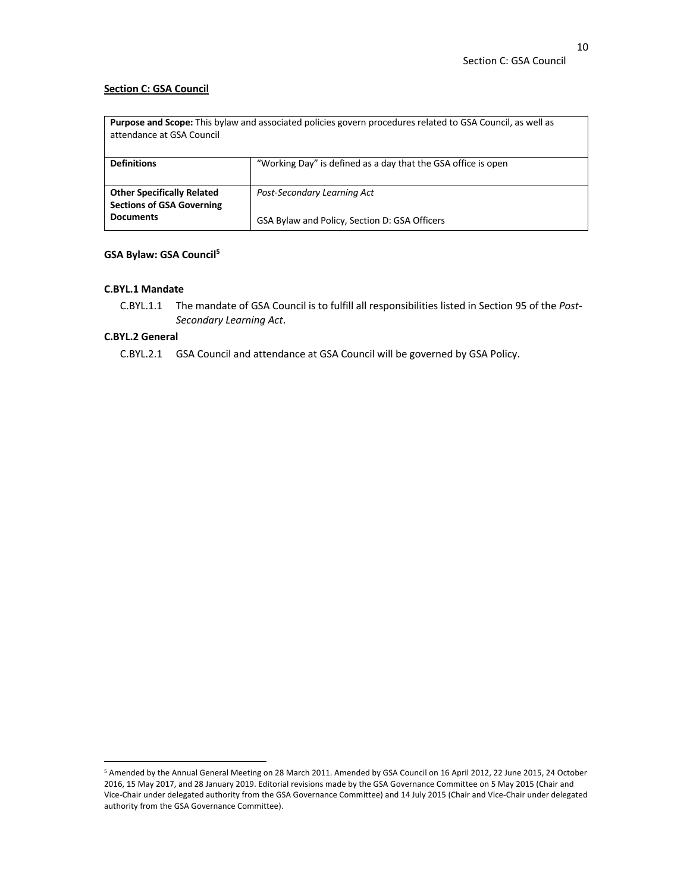## **Section C: GSA Council**

| <b>Purpose and Scope:</b> This bylaw and associated policies govern procedures related to GSA Council, as well as<br>attendance at GSA Council |                                                                              |  |
|------------------------------------------------------------------------------------------------------------------------------------------------|------------------------------------------------------------------------------|--|
| <b>Definitions</b>                                                                                                                             | "Working Day" is defined as a day that the GSA office is open                |  |
| <b>Other Specifically Related</b><br><b>Sections of GSA Governing</b><br><b>Documents</b>                                                      | Post-Secondary Learning Act<br>GSA Bylaw and Policy, Section D: GSA Officers |  |

## **GSA Bylaw: GSA Council5**

## **C.BYL.1 Mandate**

C.BYL.1.1 The mandate of GSA Council is to fulfill all responsibilities listed in Section 95 of the *Post-Secondary Learning Act*.

## **C.BYL.2 General**

C.BYL.2.1 GSA Council and attendance at GSA Council will be governed by GSA Policy.

<sup>5</sup> Amended by the Annual General Meeting on 28 March 2011. Amended by GSA Council on 16 April 2012, 22 June 2015, 24 October 2016, 15 May 2017, and 28 January 2019. Editorial revisions made by the GSA Governance Committee on 5 May 2015 (Chair and Vice-Chair under delegated authority from the GSA Governance Committee) and 14 July 2015 (Chair and Vice-Chair under delegated authority from the GSA Governance Committee).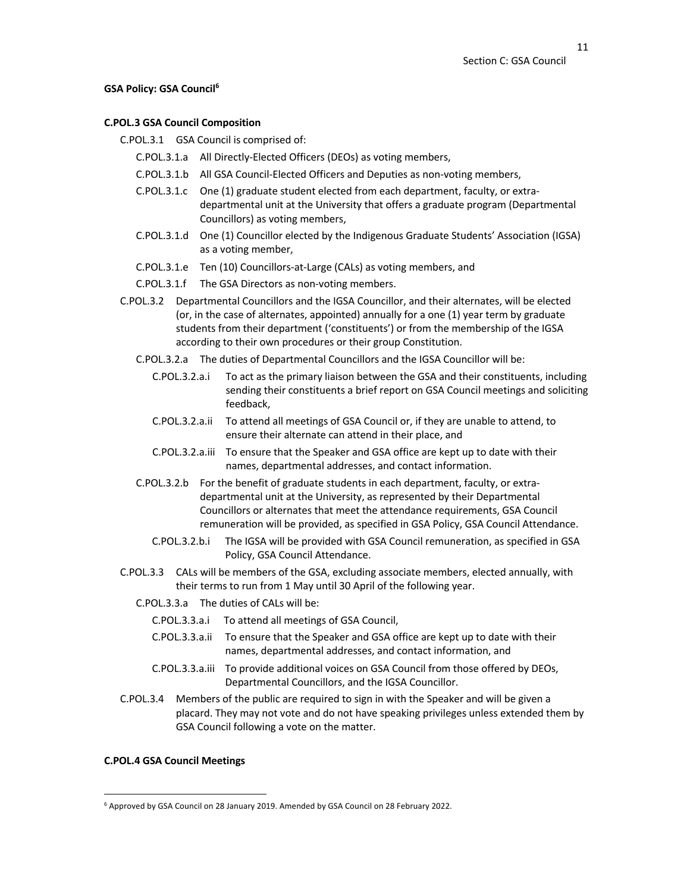## **GSA Policy: GSA Council6**

## **C.POL.3 GSA Council Composition**

C.POL.3.1 GSA Council is comprised of:

- C.POL.3.1.a All Directly-Elected Officers (DEOs) as voting members,
- C.POL.3.1.b All GSA Council-Elected Officers and Deputies as non-voting members,
- C.POL.3.1.c One (1) graduate student elected from each department, faculty, or extradepartmental unit at the University that offers a graduate program (Departmental Councillors) as voting members,
- C.POL.3.1.d One (1) Councillor elected by the Indigenous Graduate Students' Association (IGSA) as a voting member,
- C.POL.3.1.e Ten (10) Councillors-at-Large (CALs) as voting members, and
- C.POL.3.1.f The GSA Directors as non-voting members.
- C.POL.3.2 Departmental Councillors and the IGSA Councillor, and their alternates, will be elected (or, in the case of alternates, appointed) annually for a one (1) year term by graduate students from their department ('constituents') or from the membership of the IGSA according to their own procedures or their group Constitution.
	- C.POL.3.2.a The duties of Departmental Councillors and the IGSA Councillor will be:
		- C.POL.3.2.a.i To act as the primary liaison between the GSA and their constituents, including sending their constituents a brief report on GSA Council meetings and soliciting feedback,
		- C.POL.3.2.a.ii To attend all meetings of GSA Council or, if they are unable to attend, to ensure their alternate can attend in their place, and
		- C.POL.3.2.a.iii To ensure that the Speaker and GSA office are kept up to date with their names, departmental addresses, and contact information.
	- C.POL.3.2.b For the benefit of graduate students in each department, faculty, or extradepartmental unit at the University, as represented by their Departmental Councillors or alternates that meet the attendance requirements, GSA Council remuneration will be provided, as specified in GSA Policy, GSA Council Attendance.
		- C.POL.3.2.b.i The IGSA will be provided with GSA Council remuneration, as specified in GSA Policy, GSA Council Attendance.
- C.POL.3.3 CALs will be members of the GSA, excluding associate members, elected annually, with their terms to run from 1 May until 30 April of the following year.
	- C.POL.3.3.a The duties of CALs will be:
		- C.POL.3.3.a.i To attend all meetings of GSA Council,
		- C.POL.3.3.a.ii To ensure that the Speaker and GSA office are kept up to date with their names, departmental addresses, and contact information, and
		- C.POL.3.3.a.iii To provide additional voices on GSA Council from those offered by DEOs, Departmental Councillors, and the IGSA Councillor.
- C.POL.3.4 Members of the public are required to sign in with the Speaker and will be given a placard. They may not vote and do not have speaking privileges unless extended them by GSA Council following a vote on the matter.

## **C.POL.4 GSA Council Meetings**

<sup>6</sup> Approved by GSA Council on 28 January 2019. Amended by GSA Council on 28 February 2022.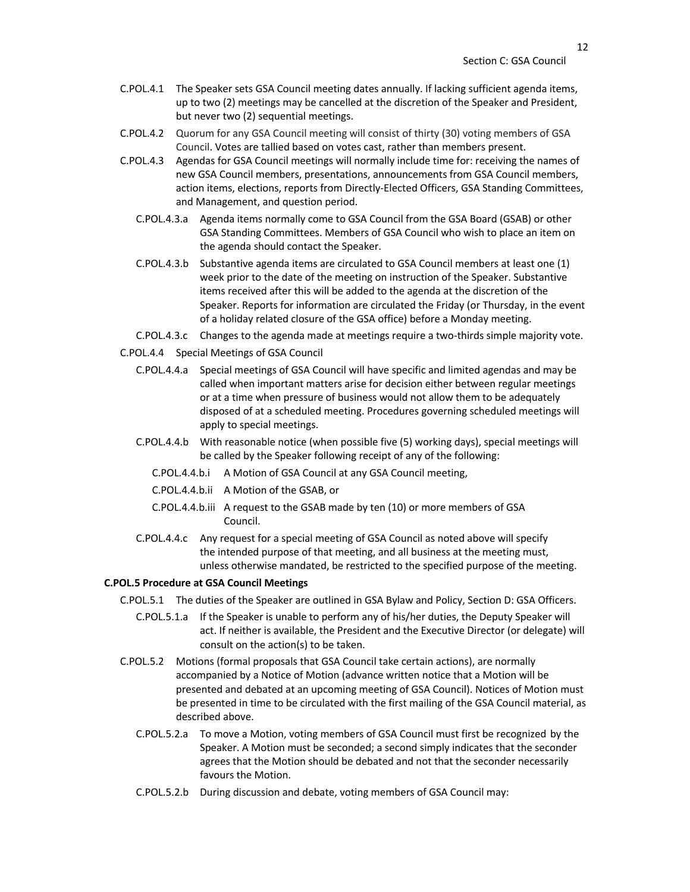- C.POL.4.1 The Speaker sets GSA Council meeting dates annually. If lacking sufficient agenda items, up to two (2) meetings may be cancelled at the discretion of the Speaker and President, but never two (2) sequential meetings.
- C.POL.4.2 Quorum for any GSA Council meeting will consist of thirty (30) voting members of GSA Council. Votes are tallied based on votes cast, rather than members present.
- C.POL.4.3 Agendas for GSA Council meetings will normally include time for: receiving the names of new GSA Council members, presentations, announcements from GSA Council members, action items, elections, reports from Directly-Elected Officers, GSA Standing Committees, and Management, and question period.
	- C.POL.4.3.a Agenda items normally come to GSA Council from the GSA Board (GSAB) or other GSA Standing Committees. Members of GSA Council who wish to place an item on the agenda should contact the Speaker.
	- C.POL.4.3.b Substantive agenda items are circulated to GSA Council members at least one (1) week prior to the date of the meeting on instruction of the Speaker. Substantive items received after this will be added to the agenda at the discretion of the Speaker. Reports for information are circulated the Friday (or Thursday, in the event of a holiday related closure of the GSA office) before a Monday meeting.
	- C.POL.4.3.c Changes to the agenda made at meetings require a two-thirds simple majority vote.
- C.POL.4.4 Special Meetings of GSA Council
	- C.POL.4.4.a Special meetings of GSA Council will have specific and limited agendas and may be called when important matters arise for decision either between regular meetings or at a time when pressure of business would not allow them to be adequately disposed of at a scheduled meeting. Procedures governing scheduled meetings will apply to special meetings.
	- C.POL.4.4.b With reasonable notice (when possible five (5) working days), special meetings will be called by the Speaker following receipt of any of the following:
		- C.POL.4.4.b.i A Motion of GSA Council at any GSA Council meeting,
		- C.POL.4.4.b.ii A Motion of the GSAB, or
		- C.POL.4.4.b.iii A request to the GSAB made by ten (10) or more members of GSA Council.
	- C.POL.4.4.c Any request for a special meeting of GSA Council as noted above will specify the intended purpose of that meeting, and all business at the meeting must, unless otherwise mandated, be restricted to the specified purpose of the meeting.

## **C.POL.5 Procedure at GSA Council Meetings**

- C.POL.5.1 The duties of the Speaker are outlined in GSA Bylaw and Policy, Section D: GSA Officers.
	- C.POL.5.1.a If the Speaker is unable to perform any of his/her duties, the Deputy Speaker will act. If neither is available, the President and the Executive Director (or delegate) will consult on the action(s) to be taken.
- C.POL.5.2 Motions (formal proposals that GSA Council take certain actions), are normally accompanied by a Notice of Motion (advance written notice that a Motion will be presented and debated at an upcoming meeting of GSA Council). Notices of Motion must be presented in time to be circulated with the first mailing of the GSA Council material, as described above.
	- C.POL.5.2.a To move a Motion, voting members of GSA Council must first be recognized by the Speaker. A Motion must be seconded; a second simply indicates that the seconder agrees that the Motion should be debated and not that the seconder necessarily favours the Motion.
	- C.POL.5.2.b During discussion and debate, voting members of GSA Council may: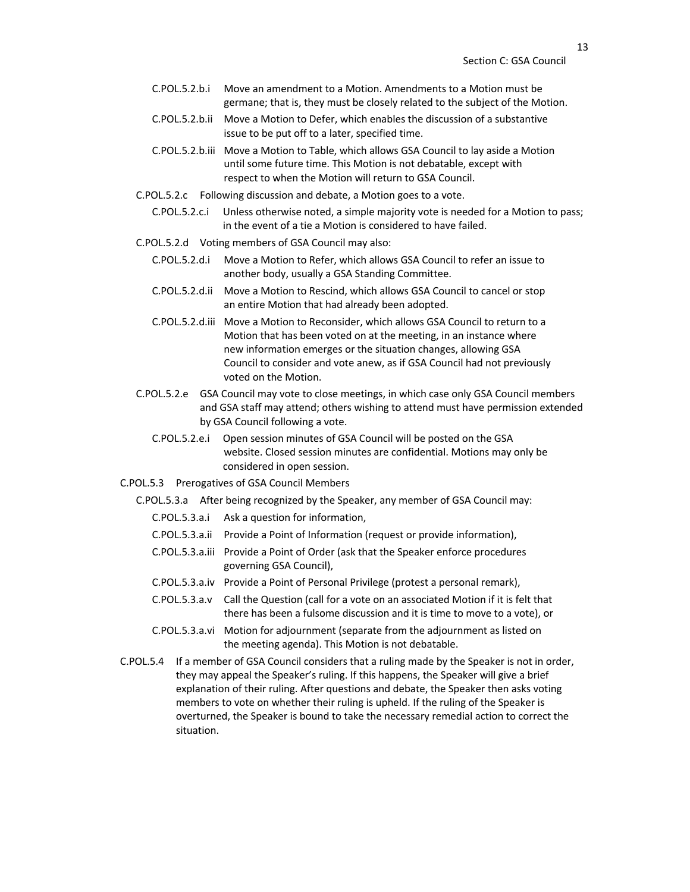- C.POL.5.2.b.i Move an amendment to a Motion. Amendments to a Motion must be germane; that is, they must be closely related to the subject of the Motion.
- C.POL.5.2.b.ii Move a Motion to Defer, which enables the discussion of a substantive issue to be put off to a later, specified time.
- C.POL.5.2.b.iii Move a Motion to Table, which allows GSA Council to lay aside a Motion until some future time. This Motion is not debatable, except with respect to when the Motion will return to GSA Council.
- C.POL.5.2.c Following discussion and debate, a Motion goes to a vote.
	- C.POL.5.2.c.i Unless otherwise noted, a simple majority vote is needed for a Motion to pass; in the event of a tie a Motion is considered to have failed.
- C.POL.5.2.d Voting members of GSA Council may also:
	- C.POL.5.2.d.i Move a Motion to Refer, which allows GSA Council to refer an issue to another body, usually a GSA Standing Committee.
	- C.POL.5.2.d.ii Move a Motion to Rescind, which allows GSA Council to cancel or stop an entire Motion that had already been adopted.
	- C.POL.5.2.d.iii Move a Motion to Reconsider, which allows GSA Council to return to a Motion that has been voted on at the meeting, in an instance where new information emerges or the situation changes, allowing GSA Council to consider and vote anew, as if GSA Council had not previously voted on the Motion.
- C.POL.5.2.e GSA Council may vote to close meetings, in which case only GSA Council members and GSA staff may attend; others wishing to attend must have permission extended by GSA Council following a vote.
	- C.POL.5.2.e.i Open session minutes of GSA Council will be posted on the GSA website. Closed session minutes are confidential. Motions may only be considered in open session.
- C.POL.5.3 Prerogatives of GSA Council Members
	- C.POL.5.3.a After being recognized by the Speaker, any member of GSA Council may:
		- C.POL.5.3.a.i Ask a question for information,
		- C.POL.5.3.a.ii Provide a Point of Information (request or provide information),
		- C.POL.5.3.a.iii Provide a Point of Order (ask that the Speaker enforce procedures governing GSA Council),
		- C.POL.5.3.a.iv Provide a Point of Personal Privilege (protest a personal remark),
		- C.POL.5.3.a.v Call the Question (call for a vote on an associated Motion if it is felt that there has been a fulsome discussion and it is time to move to a vote), or
		- C.POL.5.3.a.vi Motion for adjournment (separate from the adjournment as listed on the meeting agenda). This Motion is not debatable.
- C.POL.5.4 If a member of GSA Council considers that a ruling made by the Speaker is not in order, they may appeal the Speaker's ruling. If this happens, the Speaker will give a brief explanation of their ruling. After questions and debate, the Speaker then asks voting members to vote on whether their ruling is upheld. If the ruling of the Speaker is overturned, the Speaker is bound to take the necessary remedial action to correct the situation.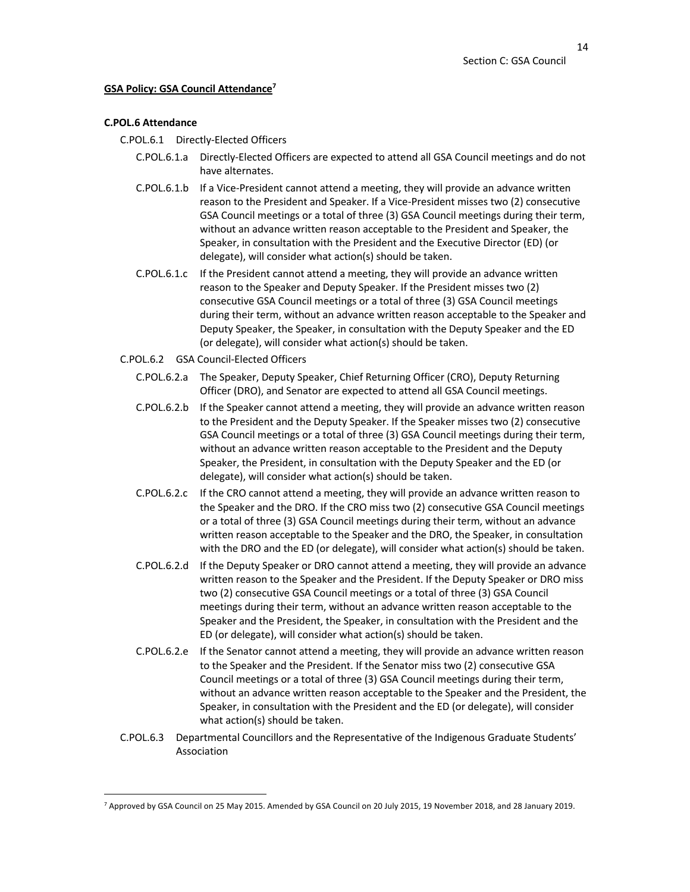## **GSA Policy: GSA Council Attendance7**

## **C.POL.6 Attendance**

C.POL.6.1 Directly-Elected Officers

- C.POL.6.1.a Directly-Elected Officers are expected to attend all GSA Council meetings and do not have alternates.
- C.POL.6.1.b If a Vice-President cannot attend a meeting, they will provide an advance written reason to the President and Speaker. If a Vice-President misses two (2) consecutive GSA Council meetings or a total of three (3) GSA Council meetings during their term, without an advance written reason acceptable to the President and Speaker, the Speaker, in consultation with the President and the Executive Director (ED) (or delegate), will consider what action(s) should be taken.
- C.POL.6.1.c If the President cannot attend a meeting, they will provide an advance written reason to the Speaker and Deputy Speaker. If the President misses two (2) consecutive GSA Council meetings or a total of three (3) GSA Council meetings during their term, without an advance written reason acceptable to the Speaker and Deputy Speaker, the Speaker, in consultation with the Deputy Speaker and the ED (or delegate), will consider what action(s) should be taken.
- C.POL.6.2 GSA Council-Elected Officers
	- C.POL.6.2.a The Speaker, Deputy Speaker, Chief Returning Officer (CRO), Deputy Returning Officer (DRO), and Senator are expected to attend all GSA Council meetings.
	- C.POL.6.2.b If the Speaker cannot attend a meeting, they will provide an advance written reason to the President and the Deputy Speaker. If the Speaker misses two (2) consecutive GSA Council meetings or a total of three (3) GSA Council meetings during their term, without an advance written reason acceptable to the President and the Deputy Speaker, the President, in consultation with the Deputy Speaker and the ED (or delegate), will consider what action(s) should be taken.
	- C.POL.6.2.c If the CRO cannot attend a meeting, they will provide an advance written reason to the Speaker and the DRO. If the CRO miss two (2) consecutive GSA Council meetings or a total of three (3) GSA Council meetings during their term, without an advance written reason acceptable to the Speaker and the DRO, the Speaker, in consultation with the DRO and the ED (or delegate), will consider what action(s) should be taken.
	- C.POL.6.2.d If the Deputy Speaker or DRO cannot attend a meeting, they will provide an advance written reason to the Speaker and the President. If the Deputy Speaker or DRO miss two (2) consecutive GSA Council meetings or a total of three (3) GSA Council meetings during their term, without an advance written reason acceptable to the Speaker and the President, the Speaker, in consultation with the President and the ED (or delegate), will consider what action(s) should be taken.
	- C.POL.6.2.e If the Senator cannot attend a meeting, they will provide an advance written reason to the Speaker and the President. If the Senator miss two (2) consecutive GSA Council meetings or a total of three (3) GSA Council meetings during their term, without an advance written reason acceptable to the Speaker and the President, the Speaker, in consultation with the President and the ED (or delegate), will consider what action(s) should be taken.
- C.POL.6.3 Departmental Councillors and the Representative of the Indigenous Graduate Students' Association

<sup>7</sup> Approved by GSA Council on 25 May 2015. Amended by GSA Council on 20 July 2015, 19 November 2018, and 28 January 2019.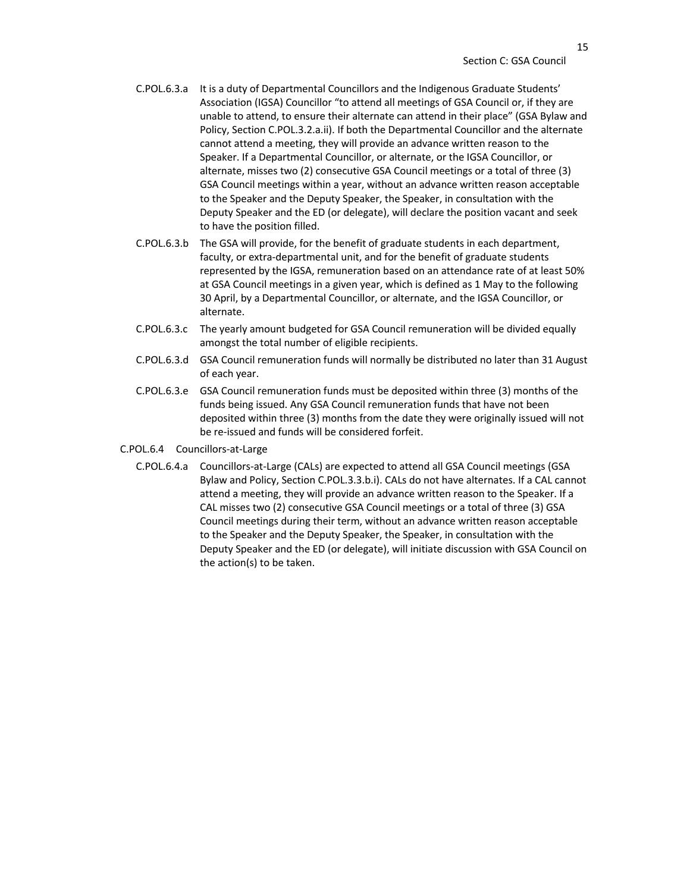- C.POL.6.3.a It is a duty of Departmental Councillors and the Indigenous Graduate Students' Association (IGSA) Councillor "to attend all meetings of GSA Council or, if they are unable to attend, to ensure their alternate can attend in their place" (GSA Bylaw and Policy, Section C.POL.3.2.a.ii). If both the Departmental Councillor and the alternate cannot attend a meeting, they will provide an advance written reason to the Speaker. If a Departmental Councillor, or alternate, or the IGSA Councillor, or alternate, misses two (2) consecutive GSA Council meetings or a total of three (3) GSA Council meetings within a year, without an advance written reason acceptable to the Speaker and the Deputy Speaker, the Speaker, in consultation with the Deputy Speaker and the ED (or delegate), will declare the position vacant and seek to have the position filled.
- C.POL.6.3.b The GSA will provide, for the benefit of graduate students in each department, faculty, or extra-departmental unit, and for the benefit of graduate students represented by the IGSA, remuneration based on an attendance rate of at least 50% at GSA Council meetings in a given year, which is defined as 1 May to the following 30 April, by a Departmental Councillor, or alternate, and the IGSA Councillor, or alternate.
- C.POL.6.3.c The yearly amount budgeted for GSA Council remuneration will be divided equally amongst the total number of eligible recipients.
- C.POL.6.3.d GSA Council remuneration funds will normally be distributed no later than 31 August of each year.
- C.POL.6.3.e GSA Council remuneration funds must be deposited within three (3) months of the funds being issued. Any GSA Council remuneration funds that have not been deposited within three (3) months from the date they were originally issued will not be re-issued and funds will be considered forfeit.
- C.POL.6.4 Councillors-at-Large
	- C.POL.6.4.a Councillors-at-Large (CALs) are expected to attend all GSA Council meetings (GSA Bylaw and Policy, Section C.POL.3.3.b.i). CALs do not have alternates. If a CAL cannot attend a meeting, they will provide an advance written reason to the Speaker. If a CAL misses two (2) consecutive GSA Council meetings or a total of three (3) GSA Council meetings during their term, without an advance written reason acceptable to the Speaker and the Deputy Speaker, the Speaker, in consultation with the Deputy Speaker and the ED (or delegate), will initiate discussion with GSA Council on the action(s) to be taken.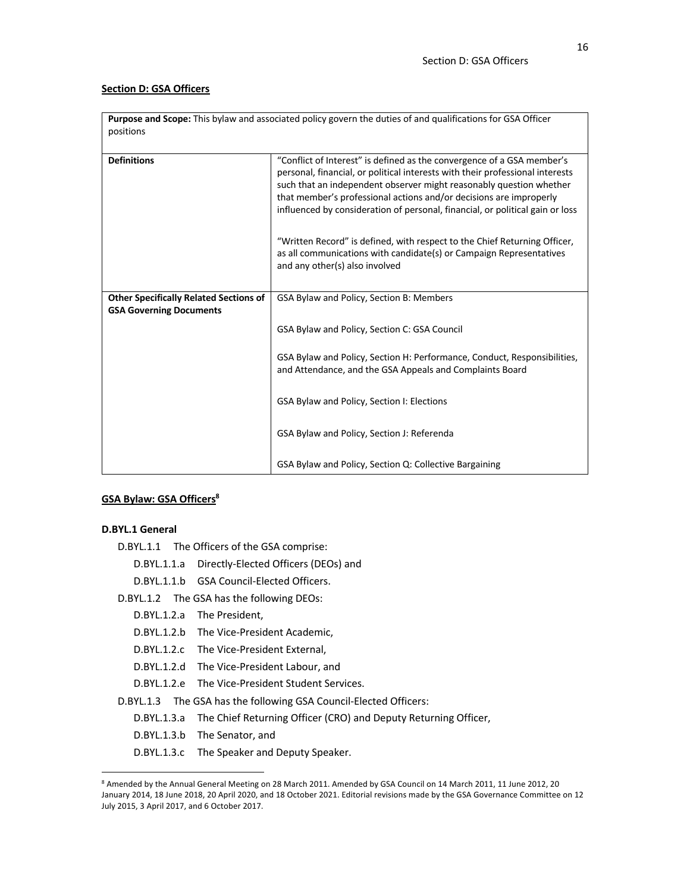### **Section D: GSA Officers**

| positions                                                                       | Purpose and Scope: This bylaw and associated policy govern the duties of and qualifications for GSA Officer                                                                                                                                                                                                                                                                           |
|---------------------------------------------------------------------------------|---------------------------------------------------------------------------------------------------------------------------------------------------------------------------------------------------------------------------------------------------------------------------------------------------------------------------------------------------------------------------------------|
| <b>Definitions</b>                                                              | "Conflict of Interest" is defined as the convergence of a GSA member's<br>personal, financial, or political interests with their professional interests<br>such that an independent observer might reasonably question whether<br>that member's professional actions and/or decisions are improperly<br>influenced by consideration of personal, financial, or political gain or loss |
|                                                                                 | "Written Record" is defined, with respect to the Chief Returning Officer,<br>as all communications with candidate(s) or Campaign Representatives<br>and any other(s) also involved                                                                                                                                                                                                    |
| <b>Other Specifically Related Sections of</b><br><b>GSA Governing Documents</b> | GSA Bylaw and Policy, Section B: Members                                                                                                                                                                                                                                                                                                                                              |
|                                                                                 | GSA Bylaw and Policy, Section C: GSA Council                                                                                                                                                                                                                                                                                                                                          |
|                                                                                 | GSA Bylaw and Policy, Section H: Performance, Conduct, Responsibilities,<br>and Attendance, and the GSA Appeals and Complaints Board                                                                                                                                                                                                                                                  |
|                                                                                 | GSA Bylaw and Policy, Section I: Elections                                                                                                                                                                                                                                                                                                                                            |
|                                                                                 | GSA Bylaw and Policy, Section J: Referenda                                                                                                                                                                                                                                                                                                                                            |
|                                                                                 | GSA Bylaw and Policy, Section Q: Collective Bargaining                                                                                                                                                                                                                                                                                                                                |

## **GSA Bylaw: GSA Officers8**

## **D.BYL.1 General**

- D.BYL.1.1.a Directly-Elected Officers (DEOs) and
- D.BYL.1.1.b GSA Council-Elected Officers.
- D.BYL.1.2 The GSA has the following DEOs:
	- D.BYL.1.2.a The President,
	- D.BYL.1.2.b The Vice-President Academic,
	- D.BYL.1.2.c The Vice-President External,
	- D.BYL.1.2.d The Vice-President Labour, and
	- D.BYL.1.2.e The Vice-President Student Services.

D.BYL.1.3 The GSA has the following GSA Council-Elected Officers:

- D.BYL.1.3.a The Chief Returning Officer (CRO) and Deputy Returning Officer,
- D.BYL.1.3.b The Senator, and
- D.BYL.1.3.c The Speaker and Deputy Speaker.

D.BYL.1.1 The Officers of the GSA comprise:

<sup>8</sup> Amended by the Annual General Meeting on 28 March 2011. Amended by GSA Council on 14 March 2011, 11 June 2012, 20 January 2014, 18 June 2018, 20 April 2020, and 18 October 2021. Editorial revisions made by the GSA Governance Committee on 12 July 2015, 3 April 2017, and 6 October 2017.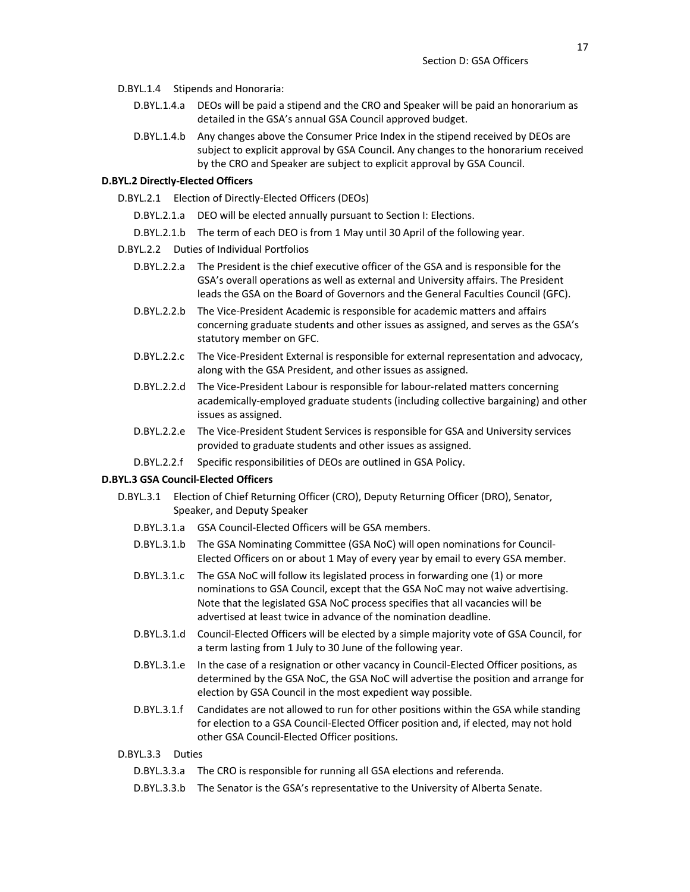- D.BYL.1.4 Stipends and Honoraria:
	- D.BYL.1.4.a DEOs will be paid a stipend and the CRO and Speaker will be paid an honorarium as detailed in the GSA's annual GSA Council approved budget.
	- D.BYL.1.4.b Any changes above the Consumer Price Index in the stipend received by DEOs are subject to explicit approval by GSA Council. Any changes to the honorarium received by the CRO and Speaker are subject to explicit approval by GSA Council.

#### **D.BYL.2 Directly-Elected Officers**

- D.BYL.2.1 Election of Directly-Elected Officers (DEOs)
	- D.BYL.2.1.a DEO will be elected annually pursuant to Section I: Elections.
	- D.BYL.2.1.b The term of each DEO is from 1 May until 30 April of the following year.
- D.BYL.2.2 Duties of Individual Portfolios
	- D.BYL.2.2.a The President is the chief executive officer of the GSA and is responsible for the GSA's overall operations as well as external and University affairs. The President leads the GSA on the Board of Governors and the General Faculties Council (GFC).
	- D.BYL.2.2.b The Vice-President Academic is responsible for academic matters and affairs concerning graduate students and other issues as assigned, and serves as the GSA's statutory member on GFC.
	- D.BYL.2.2.c The Vice-President External is responsible for external representation and advocacy, along with the GSA President, and other issues as assigned.
	- D.BYL.2.2.d The Vice-President Labour is responsible for labour-related matters concerning academically-employed graduate students (including collective bargaining) and other issues as assigned.
	- D.BYL.2.2.e The Vice-President Student Services is responsible for GSA and University services provided to graduate students and other issues as assigned.
	- D.BYL.2.2.f Specific responsibilities of DEOs are outlined in GSA Policy.

#### **D.BYL.3 GSA Council-Elected Officers**

- D.BYL.3.1 Election of Chief Returning Officer (CRO), Deputy Returning Officer (DRO), Senator, Speaker, and Deputy Speaker
	- D.BYL.3.1.a GSA Council-Elected Officers will be GSA members.
	- D.BYL.3.1.b The GSA Nominating Committee (GSA NoC) will open nominations for Council-Elected Officers on or about 1 May of every year by email to every GSA member.
	- D.BYL.3.1.c The GSA NoC will follow its legislated process in forwarding one (1) or more nominations to GSA Council, except that the GSA NoC may not waive advertising. Note that the legislated GSA NoC process specifies that all vacancies will be advertised at least twice in advance of the nomination deadline.
	- D.BYL.3.1.d Council-Elected Officers will be elected by a simple majority vote of GSA Council, for a term lasting from 1 July to 30 June of the following year.
	- D.BYL.3.1.e In the case of a resignation or other vacancy in Council-Elected Officer positions, as determined by the GSA NoC, the GSA NoC will advertise the position and arrange for election by GSA Council in the most expedient way possible.
	- D.BYL.3.1.f Candidates are not allowed to run for other positions within the GSA while standing for election to a GSA Council-Elected Officer position and, if elected, may not hold other GSA Council-Elected Officer positions.

#### D.BYL.3.3 Duties

D.BYL.3.3.a The CRO is responsible for running all GSA elections and referenda.

D.BYL.3.3.b The Senator is the GSA's representative to the University of Alberta Senate.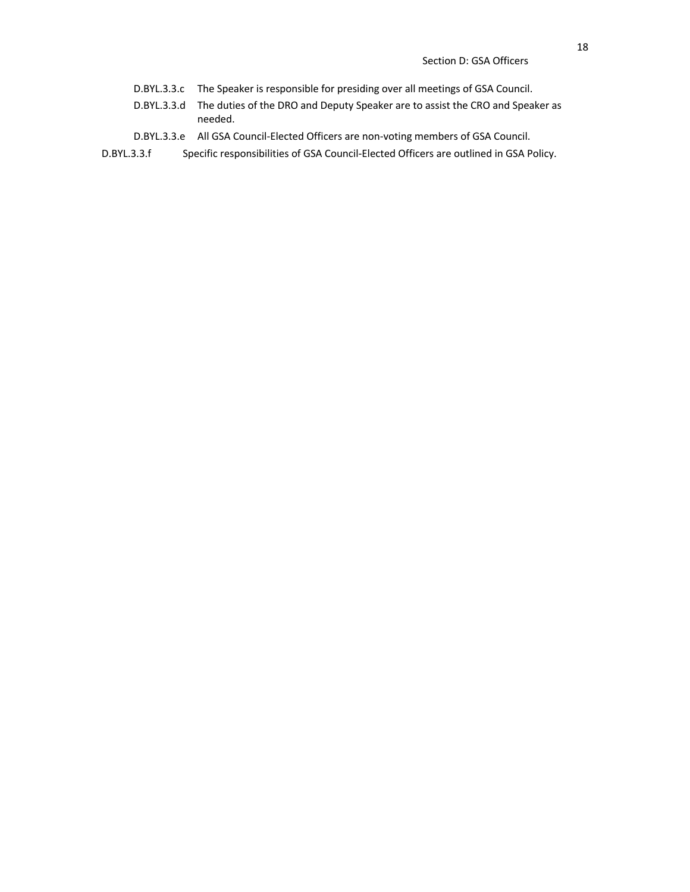- D.BYL.3.3.c The Speaker is responsible for presiding over all meetings of GSA Council.
- D.BYL.3.3.d The duties of the DRO and Deputy Speaker are to assist the CRO and Speaker as needed.
- D.BYL.3.3.e All GSA Council-Elected Officers are non-voting members of GSA Council.
- D.BYL.3.3.f Specific responsibilities of GSA Council-Elected Officers are outlined in GSA Policy.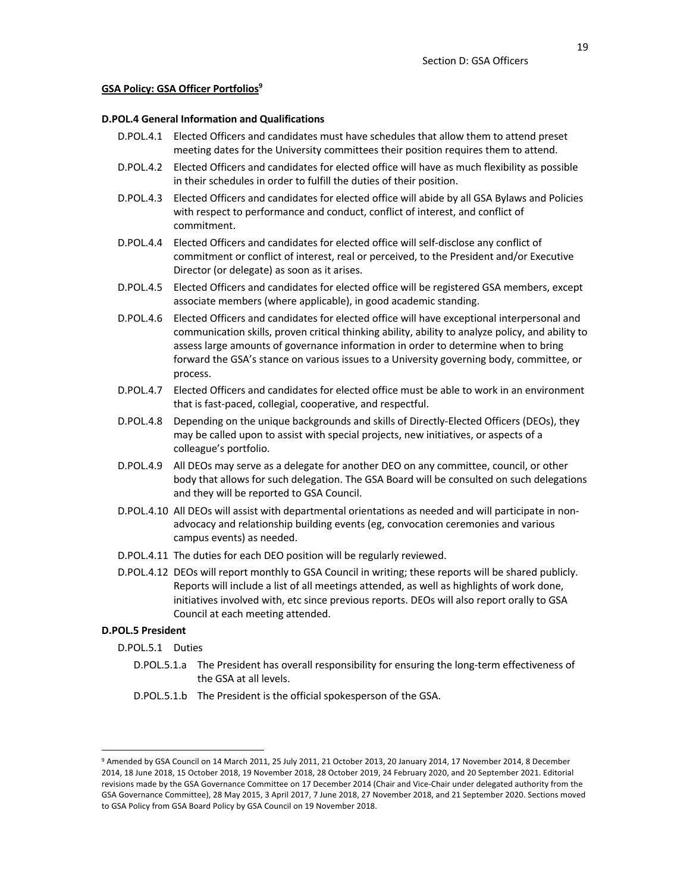#### **GSA Policy: GSA Officer Portfolios9**

#### **D.POL.4 General Information and Qualifications**

- D.POL.4.1 Elected Officers and candidates must have schedules that allow them to attend preset meeting dates for the University committees their position requires them to attend.
- D.POL.4.2 Elected Officers and candidates for elected office will have as much flexibility as possible in their schedules in order to fulfill the duties of their position.
- D.POL.4.3 Elected Officers and candidates for elected office will abide by all GSA Bylaws and Policies with respect to performance and conduct, conflict of interest, and conflict of commitment.
- D.POL.4.4 Elected Officers and candidates for elected office will self-disclose any conflict of commitment or conflict of interest, real or perceived, to the President and/or Executive Director (or delegate) as soon as it arises.
- D.POL.4.5 Elected Officers and candidates for elected office will be registered GSA members, except associate members (where applicable), in good academic standing.
- D.POL.4.6 Elected Officers and candidates for elected office will have exceptional interpersonal and communication skills, proven critical thinking ability, ability to analyze policy, and ability to assess large amounts of governance information in order to determine when to bring forward the GSA's stance on various issues to a University governing body, committee, or process.
- D.POL.4.7 Elected Officers and candidates for elected office must be able to work in an environment that is fast-paced, collegial, cooperative, and respectful.
- D.POL.4.8 Depending on the unique backgrounds and skills of Directly-Elected Officers (DEOs), they may be called upon to assist with special projects, new initiatives, or aspects of a colleague's portfolio.
- D.POL.4.9 All DEOs may serve as a delegate for another DEO on any committee, council, or other body that allows for such delegation. The GSA Board will be consulted on such delegations and they will be reported to GSA Council.
- D.POL.4.10 All DEOs will assist with departmental orientations as needed and will participate in nonadvocacy and relationship building events (eg, convocation ceremonies and various campus events) as needed.
- D.POL.4.11 The duties for each DEO position will be regularly reviewed.
- D.POL.4.12 DEOs will report monthly to GSA Council in writing; these reports will be shared publicly. Reports will include a list of all meetings attended, as well as highlights of work done, initiatives involved with, etc since previous reports. DEOs will also report orally to GSA Council at each meeting attended.

#### **D.POL.5 President**

- D.POL.5.1 Duties
	- D.POL.5.1.a The President has overall responsibility for ensuring the long-term effectiveness of the GSA at all levels.
	- D.POL.5.1.b The President is the official spokesperson of the GSA.

<sup>9</sup> Amended by GSA Council on 14 March 2011, 25 July 2011, 21 October 2013, 20 January 2014, 17 November 2014, 8 December 2014, 18 June 2018, 15 October 2018, 19 November 2018, 28 October 2019, 24 February 2020, and 20 September 2021. Editorial revisions made by the GSA Governance Committee on 17 December 2014 (Chair and Vice-Chair under delegated authority from the GSA Governance Committee), 28 May 2015, 3 April 2017, 7 June 2018, 27 November 2018, and 21 September 2020. Sections moved to GSA Policy from GSA Board Policy by GSA Council on 19 November 2018.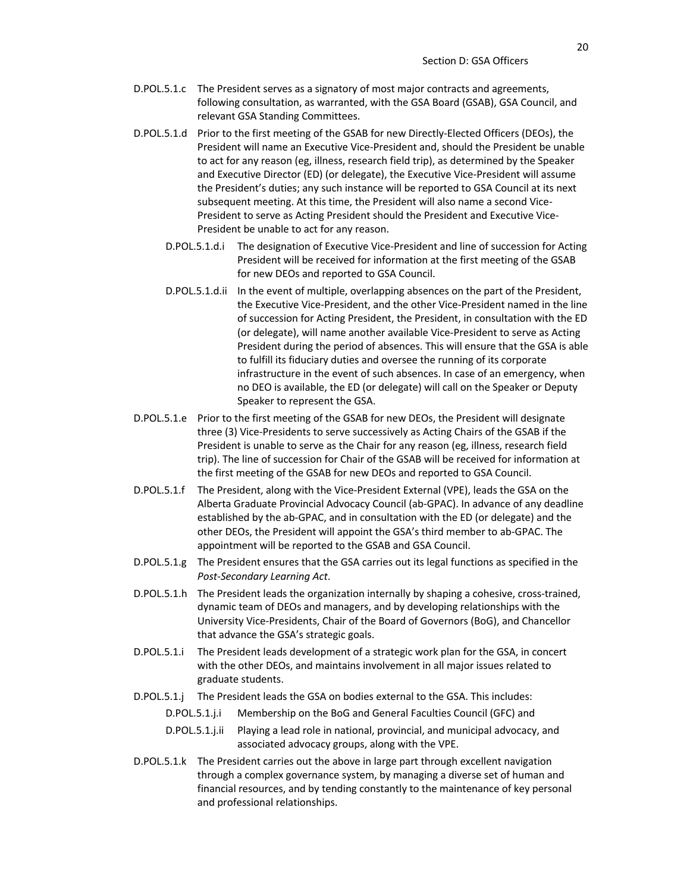- D.POL.5.1.c The President serves as a signatory of most major contracts and agreements, following consultation, as warranted, with the GSA Board (GSAB), GSA Council, and relevant GSA Standing Committees.
- D.POL.5.1.d Prior to the first meeting of the GSAB for new Directly-Elected Officers (DEOs), the President will name an Executive Vice-President and, should the President be unable to act for any reason (eg, illness, research field trip), as determined by the Speaker and Executive Director (ED) (or delegate), the Executive Vice-President will assume the President's duties; any such instance will be reported to GSA Council at its next subsequent meeting. At this time, the President will also name a second Vice-President to serve as Acting President should the President and Executive Vice-President be unable to act for any reason.
	- D.POL.5.1.d.i The designation of Executive Vice-President and line of succession for Acting President will be received for information at the first meeting of the GSAB for new DEOs and reported to GSA Council.
	- D.POL.5.1.d.ii In the event of multiple, overlapping absences on the part of the President, the Executive Vice-President, and the other Vice-President named in the line of succession for Acting President, the President, in consultation with the ED (or delegate), will name another available Vice-President to serve as Acting President during the period of absences. This will ensure that the GSA is able to fulfill its fiduciary duties and oversee the running of its corporate infrastructure in the event of such absences. In case of an emergency, when no DEO is available, the ED (or delegate) will call on the Speaker or Deputy Speaker to represent the GSA.
- D.POL.5.1.e Prior to the first meeting of the GSAB for new DEOs, the President will designate three (3) Vice-Presidents to serve successively as Acting Chairs of the GSAB if the President is unable to serve as the Chair for any reason (eg, illness, research field trip). The line of succession for Chair of the GSAB will be received for information at the first meeting of the GSAB for new DEOs and reported to GSA Council.
- D.POL.5.1.f The President, along with the Vice-President External (VPE), leads the GSA on the Alberta Graduate Provincial Advocacy Council (ab-GPAC). In advance of any deadline established by the ab-GPAC, and in consultation with the ED (or delegate) and the other DEOs, the President will appoint the GSA's third member to ab-GPAC. The appointment will be reported to the GSAB and GSA Council.
- D.POL.5.1.g The President ensures that the GSA carries out its legal functions as specified in the *Post-Secondary Learning Act*.
- D.POL.5.1.h The President leads the organization internally by shaping a cohesive, cross-trained, dynamic team of DEOs and managers, and by developing relationships with the University Vice-Presidents, Chair of the Board of Governors (BoG), and Chancellor that advance the GSA's strategic goals.
- D.POL.5.1.i The President leads development of a strategic work plan for the GSA, in concert with the other DEOs, and maintains involvement in all major issues related to graduate students.
- D.POL.5.1.j The President leads the GSA on bodies external to the GSA. This includes:
	- D.POL.5.1.j.i Membership on the BoG and General Faculties Council (GFC) and
	- D.POL.5.1.j.ii Playing a lead role in national, provincial, and municipal advocacy, and associated advocacy groups, along with the VPE.
- D.POL.5.1.k The President carries out the above in large part through excellent navigation through a complex governance system, by managing a diverse set of human and financial resources, and by tending constantly to the maintenance of key personal and professional relationships.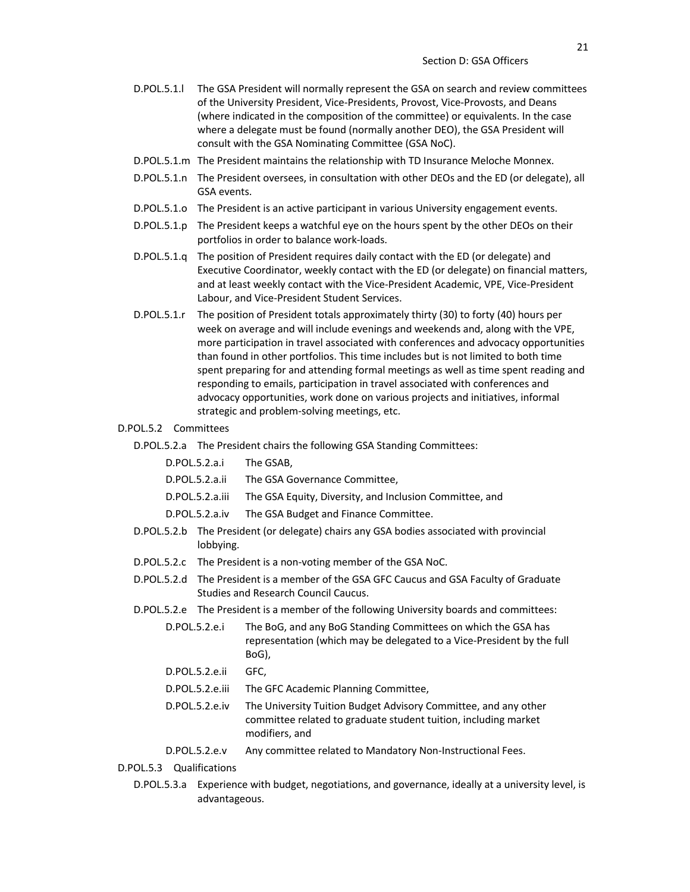- D.POL.5.1.l The GSA President will normally represent the GSA on search and review committees of the University President, Vice-Presidents, Provost, Vice-Provosts, and Deans (where indicated in the composition of the committee) or equivalents. In the case where a delegate must be found (normally another DEO), the GSA President will consult with the GSA Nominating Committee (GSA NoC).
- D.POL.5.1.m The President maintains the relationship with TD Insurance Meloche Monnex.
- D.POL.5.1.n The President oversees, in consultation with other DEOs and the ED (or delegate), all GSA events.
- D.POL.5.1.o The President is an active participant in various University engagement events.
- D.POL.5.1.p The President keeps a watchful eye on the hours spent by the other DEOs on their portfolios in order to balance work-loads.
- D.POL.5.1.q The position of President requires daily contact with the ED (or delegate) and Executive Coordinator, weekly contact with the ED (or delegate) on financial matters, and at least weekly contact with the Vice-President Academic, VPE, Vice-President Labour, and Vice-President Student Services.
- D.POL.5.1.r The position of President totals approximately thirty (30) to forty (40) hours per week on average and will include evenings and weekends and, along with the VPE, more participation in travel associated with conferences and advocacy opportunities than found in other portfolios. This time includes but is not limited to both time spent preparing for and attending formal meetings as well as time spent reading and responding to emails, participation in travel associated with conferences and advocacy opportunities, work done on various projects and initiatives, informal strategic and problem-solving meetings, etc.

#### D.POL.5.2 Committees

- D.POL.5.2.a The President chairs the following GSA Standing Committees:
	- D.POL.5.2.a.i The GSAB,
	- D.POL.5.2.a.ii The GSA Governance Committee,
	- D.POL.5.2.a.iii The GSA Equity, Diversity, and Inclusion Committee, and
	- D.POL.5.2.a.iv The GSA Budget and Finance Committee.
- D.POL.5.2.b The President (or delegate) chairs any GSA bodies associated with provincial lobbying.
- D.POL.5.2.c The President is a non-voting member of the GSA NoC.
- D.POL.5.2.d The President is a member of the GSA GFC Caucus and GSA Faculty of Graduate Studies and Research Council Caucus.
- D.POL.5.2.e The President is a member of the following University boards and committees:
	- D.POL.5.2.e.i The BoG, and any BoG Standing Committees on which the GSA has representation (which may be delegated to a Vice-President by the full BoG),
	- D.POL.5.2.e.ii GFC,
	- D.POL.5.2.e.iii The GFC Academic Planning Committee,
	- D.POL.5.2.e.iv The University Tuition Budget Advisory Committee, and any other committee related to graduate student tuition, including market modifiers, and
	- D.POL.5.2.e.v Any committee related to Mandatory Non-Instructional Fees.
- D.POL.5.3 Qualifications
	- D.POL.5.3.a Experience with budget, negotiations, and governance, ideally at a university level, is advantageous.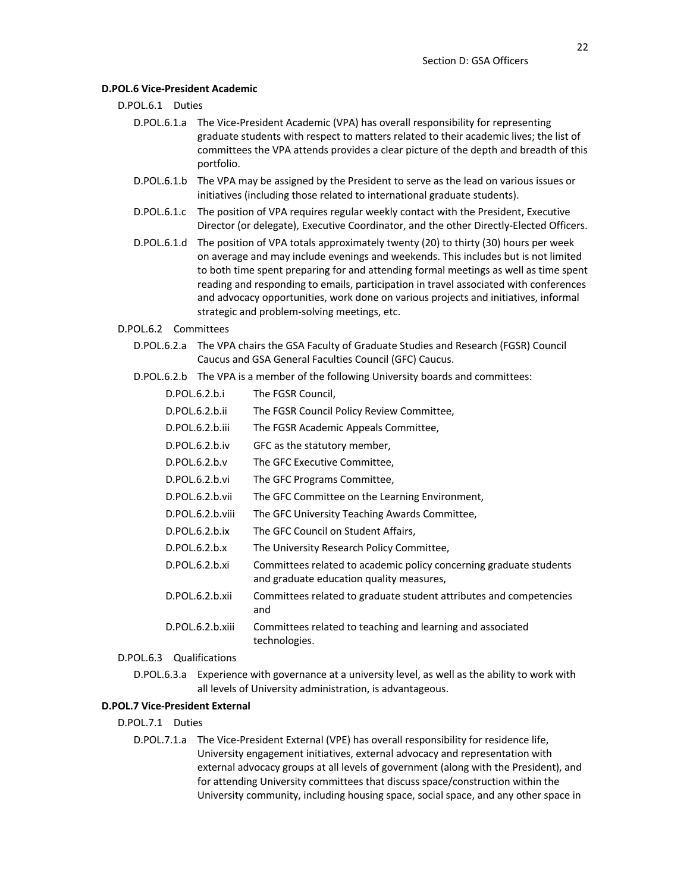#### **D.POL.6 Vice-President Academic**

## D.POL.6.1 Duties

- D.POL.6.1.a The Vice-President Academic (VPA) has overall responsibility for representing graduate students with respect to matters related to their academic lives; the list of committees the VPA attends provides a clear picture of the depth and breadth of this portfolio.
- D.POL.6.1.b The VPA may be assigned by the President to serve as the lead on various issues or initiatives (including those related to international graduate students).
- D.POL.6.1.c The position of VPA requires regular weekly contact with the President, Executive Director (or delegate), Executive Coordinator, and the other Directly-Elected Officers.
- D.POL.6.1.d The position of VPA totals approximately twenty (20) to thirty (30) hours per week on average and may include evenings and weekends. This includes but is not limited to both time spent preparing for and attending formal meetings as well as time spent reading and responding to emails, participation in travel associated with conferences and advocacy opportunities, work done on various projects and initiatives, informal strategic and problem-solving meetings, etc.

#### D.POL.6.2 Committees

- D.POL.6.2.a The VPA chairs the GSA Faculty of Graduate Studies and Research (FGSR) Council Caucus and GSA General Faculties Council (GFC) Caucus.
- D.POL.6.2.b The VPA is a member of the following University boards and committees:

| D.POL.6.2.b.i    | The FGSR Council,                                                                                              |
|------------------|----------------------------------------------------------------------------------------------------------------|
| D.POL.6.2.b.ii   | The FGSR Council Policy Review Committee,                                                                      |
| D.POL.6.2.b.iii  | The FGSR Academic Appeals Committee,                                                                           |
| D.POL.6.2.b.iv   | GFC as the statutory member,                                                                                   |
| D.POL.6.2.b.v    | The GFC Executive Committee,                                                                                   |
| D.POL.6.2.b.vi   | The GFC Programs Committee,                                                                                    |
| D.POL.6.2.b.vii  | The GFC Committee on the Learning Environment,                                                                 |
| D.POL.6.2.b.viii | The GFC University Teaching Awards Committee,                                                                  |
| D.POL.6.2.b.ix   | The GFC Council on Student Affairs,                                                                            |
| D.POL.6.2.b.x    | The University Research Policy Committee,                                                                      |
| D.POL.6.2.b.xi   | Committees related to academic policy concerning graduate students<br>and graduate education quality measures, |
| D.POL.6.2.b.xii  | Committees related to graduate student attributes and competencies<br>and                                      |
| D.POL.6.2.b.xiii | Committees related to teaching and learning and associated<br>technologies.                                    |

### D.POL.6.3 Qualifications

D.POL.6.3.a Experience with governance at a university level, as well as the ability to work with all levels of University administration, is advantageous.

### **D.POL.7 Vice-President External**

- D.POL.7.1 Duties
	- D.POL.7.1.a The Vice-President External (VPE) has overall responsibility for residence life, University engagement initiatives, external advocacy and representation with external advocacy groups at all levels of government (along with the President), and for attending University committees that discuss space/construction within the University community, including housing space, social space, and any other space in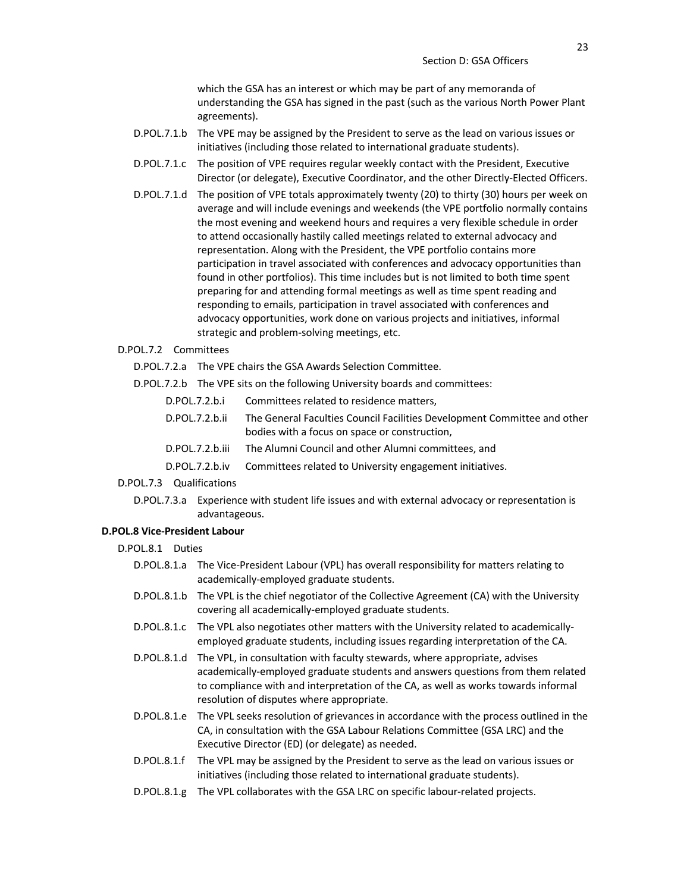which the GSA has an interest or which may be part of any memoranda of understanding the GSA has signed in the past (such as the various North Power Plant agreements).

- D.POL.7.1.b The VPE may be assigned by the President to serve as the lead on various issues or initiatives (including those related to international graduate students).
- D.POL.7.1.c The position of VPE requires regular weekly contact with the President, Executive Director (or delegate), Executive Coordinator, and the other Directly-Elected Officers.
- D.POL.7.1.d The position of VPE totals approximately twenty (20) to thirty (30) hours per week on average and will include evenings and weekends (the VPE portfolio normally contains the most evening and weekend hours and requires a very flexible schedule in order to attend occasionally hastily called meetings related to external advocacy and representation. Along with the President, the VPE portfolio contains more participation in travel associated with conferences and advocacy opportunities than found in other portfolios). This time includes but is not limited to both time spent preparing for and attending formal meetings as well as time spent reading and responding to emails, participation in travel associated with conferences and advocacy opportunities, work done on various projects and initiatives, informal strategic and problem-solving meetings, etc.

### D.POL.7.2 Committees

- D.POL.7.2.a The VPE chairs the GSA Awards Selection Committee.
- D.POL.7.2.b The VPE sits on the following University boards and committees:

| D.POL.7.2.b.i | Committees related to residence matters, |  |
|---------------|------------------------------------------|--|
|               |                                          |  |

- D.POL.7.2.b.ii The General Faculties Council Facilities Development Committee and other bodies with a focus on space or construction,
- D.POL.7.2.b.iii The Alumni Council and other Alumni committees, and
- D.POL.7.2.b.iv Committees related to University engagement initiatives.

## D.POL.7.3 Qualifications

D.POL.7.3.a Experience with student life issues and with external advocacy or representation is advantageous.

#### **D.POL.8 Vice-President Labour**

- D.POL.8.1 Duties
	- D.POL.8.1.a The Vice-President Labour (VPL) has overall responsibility for matters relating to academically-employed graduate students.
	- D.POL.8.1.b The VPL is the chief negotiator of the Collective Agreement (CA) with the University covering all academically-employed graduate students.
	- D.POL.8.1.c The VPL also negotiates other matters with the University related to academicallyemployed graduate students, including issues regarding interpretation of the CA.
	- D.POL.8.1.d The VPL, in consultation with faculty stewards, where appropriate, advises academically-employed graduate students and answers questions from them related to compliance with and interpretation of the CA, as well as works towards informal resolution of disputes where appropriate.
	- D.POL.8.1.e The VPL seeks resolution of grievances in accordance with the process outlined in the CA, in consultation with the GSA Labour Relations Committee (GSA LRC) and the Executive Director (ED) (or delegate) as needed.
	- D.POL.8.1.f The VPL may be assigned by the President to serve as the lead on various issues or initiatives (including those related to international graduate students).
	- D.POL.8.1.g The VPL collaborates with the GSA LRC on specific labour-related projects.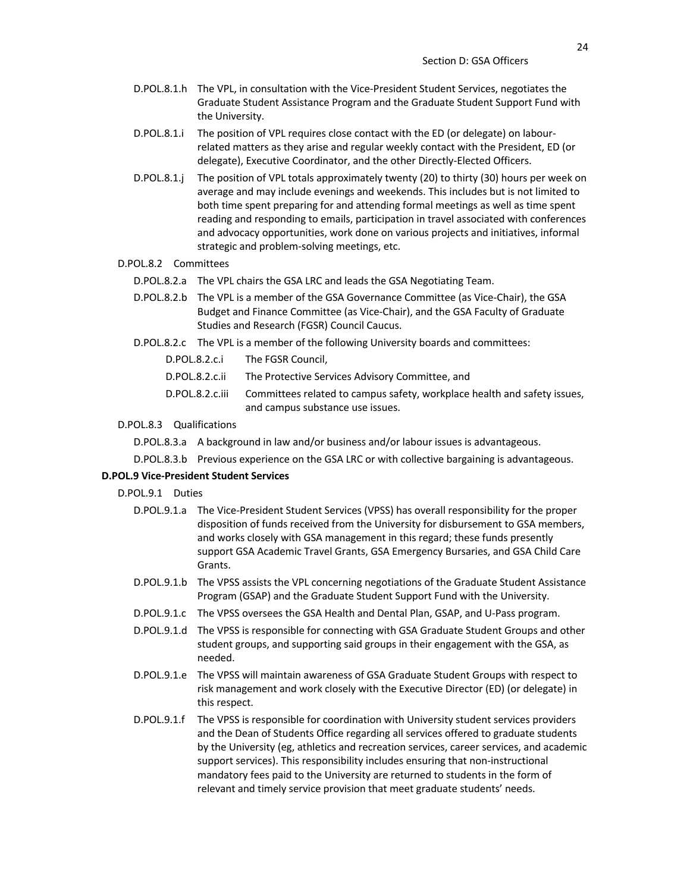- D.POL.8.1.h The VPL, in consultation with the Vice-President Student Services, negotiates the Graduate Student Assistance Program and the Graduate Student Support Fund with the University.
- D.POL.8.1.i The position of VPL requires close contact with the ED (or delegate) on labourrelated matters as they arise and regular weekly contact with the President, ED (or delegate), Executive Coordinator, and the other Directly-Elected Officers.
- D.POL.8.1.j The position of VPL totals approximately twenty (20) to thirty (30) hours per week on average and may include evenings and weekends. This includes but is not limited to both time spent preparing for and attending formal meetings as well as time spent reading and responding to emails, participation in travel associated with conferences and advocacy opportunities, work done on various projects and initiatives, informal strategic and problem-solving meetings, etc.

#### D.POL.8.2 Committees

- D.POL.8.2.a The VPL chairs the GSA LRC and leads the GSA Negotiating Team.
- D.POL.8.2.b The VPL is a member of the GSA Governance Committee (as Vice-Chair), the GSA Budget and Finance Committee (as Vice-Chair), and the GSA Faculty of Graduate Studies and Research (FGSR) Council Caucus.
- D.POL.8.2.c The VPL is a member of the following University boards and committees:
	- D.POL.8.2.c.i The FGSR Council,
	- D.POL.8.2.c.ii The Protective Services Advisory Committee, and
	- D.POL.8.2.c.iii Committees related to campus safety, workplace health and safety issues, and campus substance use issues.

#### D.POL.8.3 Qualifications

- D.POL.8.3.a A background in law and/or business and/or labour issues is advantageous.
- D.POL.8.3.b Previous experience on the GSA LRC or with collective bargaining is advantageous.

## **D.POL.9 Vice-President Student Services**

- D.POL.9.1 Duties
	- D.POL.9.1.a The Vice-President Student Services (VPSS) has overall responsibility for the proper disposition of funds received from the University for disbursement to GSA members, and works closely with GSA management in this regard; these funds presently support GSA Academic Travel Grants, GSA Emergency Bursaries, and GSA Child Care Grants.
	- D.POL.9.1.b The VPSS assists the VPL concerning negotiations of the Graduate Student Assistance Program (GSAP) and the Graduate Student Support Fund with the University.
	- D.POL.9.1.c The VPSS oversees the GSA Health and Dental Plan, GSAP, and U-Pass program.
	- D.POL.9.1.d The VPSS is responsible for connecting with GSA Graduate Student Groups and other student groups, and supporting said groups in their engagement with the GSA, as needed.
	- D.POL.9.1.e The VPSS will maintain awareness of GSA Graduate Student Groups with respect to risk management and work closely with the Executive Director (ED) (or delegate) in this respect.
	- D.POL.9.1.f The VPSS is responsible for coordination with University student services providers and the Dean of Students Office regarding all services offered to graduate students by the University (eg, athletics and recreation services, career services, and academic support services). This responsibility includes ensuring that non-instructional mandatory fees paid to the University are returned to students in the form of relevant and timely service provision that meet graduate students' needs.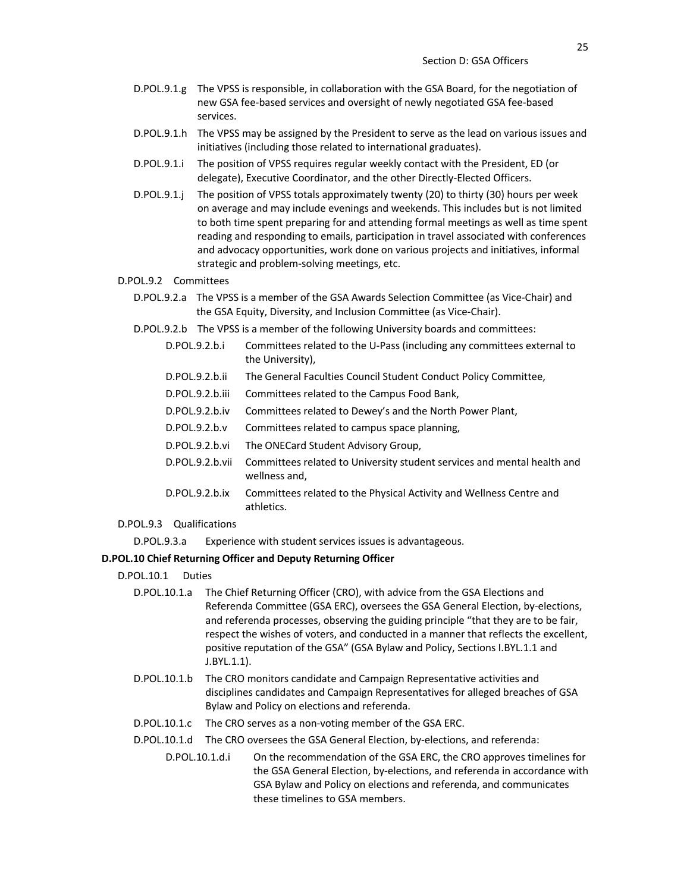- D.POL.9.1.g The VPSS is responsible, in collaboration with the GSA Board, for the negotiation of new GSA fee-based services and oversight of newly negotiated GSA fee-based services.
- D.POL.9.1.h The VPSS may be assigned by the President to serve as the lead on various issues and initiatives (including those related to international graduates).
- D.POL.9.1.i The position of VPSS requires regular weekly contact with the President, ED (or delegate), Executive Coordinator, and the other Directly-Elected Officers.
- D.POL.9.1.j The position of VPSS totals approximately twenty (20) to thirty (30) hours per week on average and may include evenings and weekends. This includes but is not limited to both time spent preparing for and attending formal meetings as well as time spent reading and responding to emails, participation in travel associated with conferences and advocacy opportunities, work done on various projects and initiatives, informal strategic and problem-solving meetings, etc.
- D.POL.9.2 Committees
	- D.POL.9.2.a The VPSS is a member of the GSA Awards Selection Committee (as Vice-Chair) and the GSA Equity, Diversity, and Inclusion Committee (as Vice-Chair).
	- D.POL.9.2.b The VPSS is a member of the following University boards and committees:
		- D.POL.9.2.b.i Committees related to the U-Pass (including any committees external to the University),
		- D.POL.9.2.b.ii The General Faculties Council Student Conduct Policy Committee,
		- D.POL.9.2.b.iii Committees related to the Campus Food Bank,
		- D.POL.9.2.b.iv Committees related to Dewey's and the North Power Plant,
		- D.POL.9.2.b.v Committees related to campus space planning,
		- D.POL.9.2.b.vi The ONECard Student Advisory Group,
		- D.POL.9.2.b.vii Committees related to University student services and mental health and wellness and,
		- D.POL.9.2.b.ix Committees related to the Physical Activity and Wellness Centre and athletics.
- D.POL.9.3 Qualifications

D.POL.9.3.a Experience with student services issues is advantageous.

#### **D.POL.10 Chief Returning Officer and Deputy Returning Officer**

- D.POL.10.1 Duties
	- D.POL.10.1.a The Chief Returning Officer (CRO), with advice from the GSA Elections and Referenda Committee (GSA ERC), oversees the GSA General Election, by-elections, and referenda processes, observing the guiding principle "that they are to be fair, respect the wishes of voters, and conducted in a manner that reflects the excellent, positive reputation of the GSA" (GSA Bylaw and Policy, Sections I.BYL.1.1 and J.BYL.1.1).
	- D.POL.10.1.b The CRO monitors candidate and Campaign Representative activities and disciplines candidates and Campaign Representatives for alleged breaches of GSA Bylaw and Policy on elections and referenda.
	- D.POL.10.1.c The CRO serves as a non-voting member of the GSA ERC.
	- D.POL.10.1.d The CRO oversees the GSA General Election, by-elections, and referenda:
		- D.POL.10.1.d.i On the recommendation of the GSA ERC, the CRO approves timelines for the GSA General Election, by-elections, and referenda in accordance with GSA Bylaw and Policy on elections and referenda, and communicates these timelines to GSA members.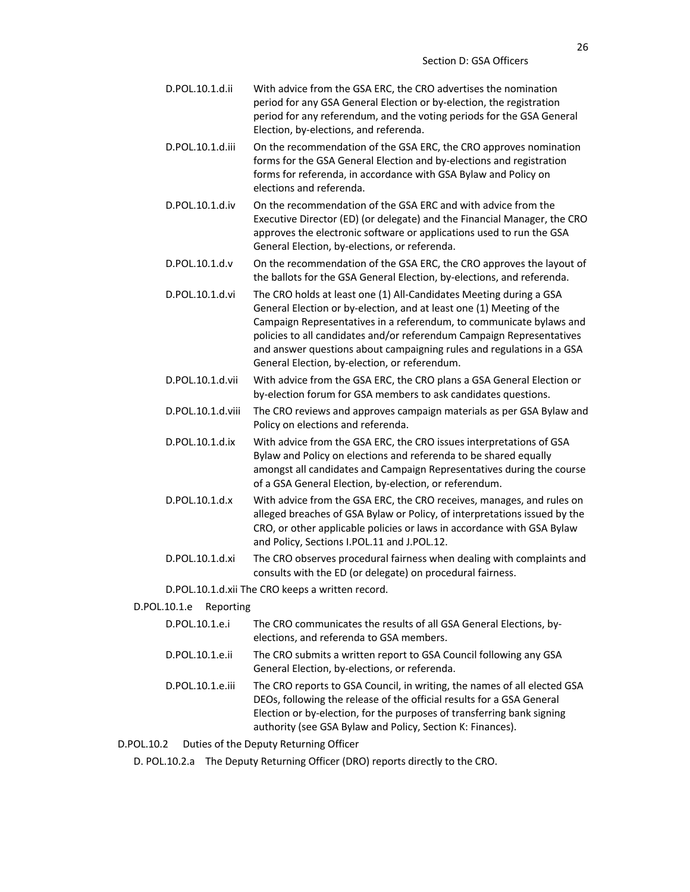| D.POL.10.1.d.ii                                  | With advice from the GSA ERC, the CRO advertises the nomination<br>period for any GSA General Election or by-election, the registration<br>period for any referendum, and the voting periods for the GSA General<br>Election, by-elections, and referenda.                                                                                                                                                           |  |
|--------------------------------------------------|----------------------------------------------------------------------------------------------------------------------------------------------------------------------------------------------------------------------------------------------------------------------------------------------------------------------------------------------------------------------------------------------------------------------|--|
| D.POL.10.1.d.iii                                 | On the recommendation of the GSA ERC, the CRO approves nomination<br>forms for the GSA General Election and by-elections and registration<br>forms for referenda, in accordance with GSA Bylaw and Policy on<br>elections and referenda.                                                                                                                                                                             |  |
| D.POL.10.1.d.iv                                  | On the recommendation of the GSA ERC and with advice from the<br>Executive Director (ED) (or delegate) and the Financial Manager, the CRO<br>approves the electronic software or applications used to run the GSA<br>General Election, by-elections, or referenda.                                                                                                                                                   |  |
| D.POL.10.1.d.v                                   | On the recommendation of the GSA ERC, the CRO approves the layout of<br>the ballots for the GSA General Election, by-elections, and referenda.                                                                                                                                                                                                                                                                       |  |
| D.POL.10.1.d.vi                                  | The CRO holds at least one (1) All-Candidates Meeting during a GSA<br>General Election or by-election, and at least one (1) Meeting of the<br>Campaign Representatives in a referendum, to communicate bylaws and<br>policies to all candidates and/or referendum Campaign Representatives<br>and answer questions about campaigning rules and regulations in a GSA<br>General Election, by-election, or referendum. |  |
| D.POL.10.1.d.vii                                 | With advice from the GSA ERC, the CRO plans a GSA General Election or<br>by-election forum for GSA members to ask candidates questions.                                                                                                                                                                                                                                                                              |  |
| D.POL.10.1.d.viii                                | The CRO reviews and approves campaign materials as per GSA Bylaw and<br>Policy on elections and referenda.                                                                                                                                                                                                                                                                                                           |  |
| D.POL.10.1.d.ix                                  | With advice from the GSA ERC, the CRO issues interpretations of GSA<br>Bylaw and Policy on elections and referenda to be shared equally<br>amongst all candidates and Campaign Representatives during the course<br>of a GSA General Election, by-election, or referendum.                                                                                                                                           |  |
| D.POL.10.1.d.x                                   | With advice from the GSA ERC, the CRO receives, manages, and rules on<br>alleged breaches of GSA Bylaw or Policy, of interpretations issued by the<br>CRO, or other applicable policies or laws in accordance with GSA Bylaw<br>and Policy, Sections I.POL.11 and J.POL.12.                                                                                                                                          |  |
| D.POL.10.1.d.xi                                  | The CRO observes procedural fairness when dealing with complaints and<br>consults with the ED (or delegate) on procedural fairness.                                                                                                                                                                                                                                                                                  |  |
| D.POL.10.1.d.xii The CRO keeps a written record. |                                                                                                                                                                                                                                                                                                                                                                                                                      |  |

## D.POL.10.1.e Reporting

| D.POL.10.1.e.i   | The CRO communicates the results of all GSA General Elections, by-<br>elections, and referenda to GSA members.                                                                                                                                                                            |
|------------------|-------------------------------------------------------------------------------------------------------------------------------------------------------------------------------------------------------------------------------------------------------------------------------------------|
| D.POL.10.1.e.ii  | The CRO submits a written report to GSA Council following any GSA<br>General Election, by-elections, or referenda.                                                                                                                                                                        |
| D.POL.10.1.e.iii | The CRO reports to GSA Council, in writing, the names of all elected GSA<br>DEOs, following the release of the official results for a GSA General<br>Election or by-election, for the purposes of transferring bank signing<br>authority (see GSA Bylaw and Policy, Section K: Finances). |

D.POL.10.2 Duties of the Deputy Returning Officer

D. POL.10.2.a The Deputy Returning Officer (DRO) reports directly to the CRO.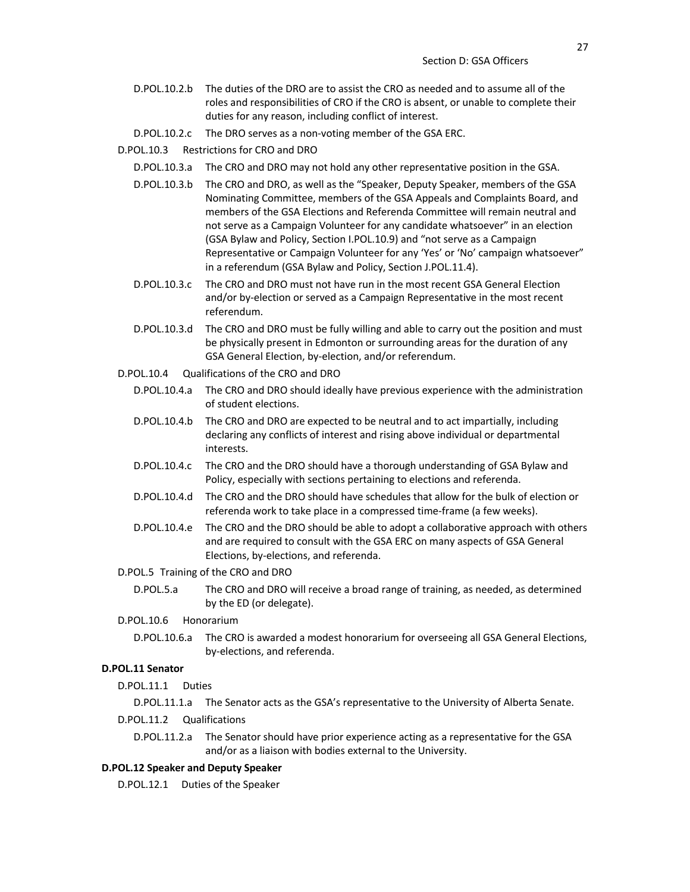- D.POL.10.2.b The duties of the DRO are to assist the CRO as needed and to assume all of the roles and responsibilities of CRO if the CRO is absent, or unable to complete their duties for any reason, including conflict of interest.
- D.POL.10.2.c The DRO serves as a non-voting member of the GSA ERC.

## D.POL.10.3 Restrictions for CRO and DRO

- D.POL.10.3.a The CRO and DRO may not hold any other representative position in the GSA.
- D.POL.10.3.b The CRO and DRO, as well as the "Speaker, Deputy Speaker, members of the GSA Nominating Committee, members of the GSA Appeals and Complaints Board, and members of the GSA Elections and Referenda Committee will remain neutral and not serve as a Campaign Volunteer for any candidate whatsoever" in an election (GSA Bylaw and Policy, Section I.POL.10.9) and "not serve as a Campaign Representative or Campaign Volunteer for any 'Yes' or 'No' campaign whatsoever" in a referendum (GSA Bylaw and Policy, Section J.POL.11.4).
- D.POL.10.3.c The CRO and DRO must not have run in the most recent GSA General Election and/or by-election or served as a Campaign Representative in the most recent referendum.
- D.POL.10.3.d The CRO and DRO must be fully willing and able to carry out the position and must be physically present in Edmonton or surrounding areas for the duration of any GSA General Election, by-election, and/or referendum.
- D.POL.10.4 Qualifications of the CRO and DRO
	- D.POL.10.4.a The CRO and DRO should ideally have previous experience with the administration of student elections.
	- D.POL.10.4.b The CRO and DRO are expected to be neutral and to act impartially, including declaring any conflicts of interest and rising above individual or departmental interests.
	- D.POL.10.4.c The CRO and the DRO should have a thorough understanding of GSA Bylaw and Policy, especially with sections pertaining to elections and referenda.
	- D.POL.10.4.d The CRO and the DRO should have schedules that allow for the bulk of election or referenda work to take place in a compressed time-frame (a few weeks).
	- D.POL.10.4.e The CRO and the DRO should be able to adopt a collaborative approach with others and are required to consult with the GSA ERC on many aspects of GSA General Elections, by-elections, and referenda.

#### D.POL.5 Training of the CRO and DRO

D.POL.5.a The CRO and DRO will receive a broad range of training, as needed, as determined by the ED (or delegate).

#### D.POL.10.6 Honorarium

D.POL.10.6.a The CRO is awarded a modest honorarium for overseeing all GSA General Elections, by-elections, and referenda.

## **D.POL.11 Senator**

D.POL.11.1 Duties

D.POL.11.1.a The Senator acts as the GSA's representative to the University of Alberta Senate.

- D.POL.11.2 Qualifications
	- D.POL.11.2.a The Senator should have prior experience acting as a representative for the GSA and/or as a liaison with bodies external to the University.

#### **D.POL.12 Speaker and Deputy Speaker**

D.POL.12.1 Duties of the Speaker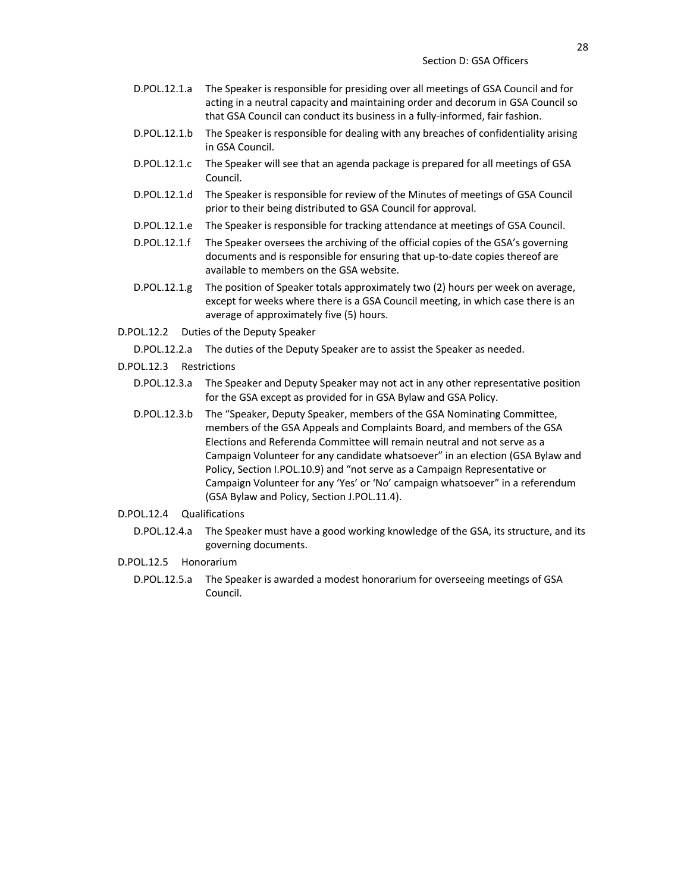- D.POL.12.1.a The Speaker is responsible for presiding over all meetings of GSA Council and for acting in a neutral capacity and maintaining order and decorum in GSA Council so that GSA Council can conduct its business in a fully-informed, fair fashion.
- D.POL.12.1.b The Speaker is responsible for dealing with any breaches of confidentiality arising in GSA Council.
- D.POL.12.1.c The Speaker will see that an agenda package is prepared for all meetings of GSA Council.
- D.POL.12.1.d The Speaker is responsible for review of the Minutes of meetings of GSA Council prior to their being distributed to GSA Council for approval.
- D.POL.12.1.e The Speaker is responsible for tracking attendance at meetings of GSA Council.
- D.POL.12.1.f The Speaker oversees the archiving of the official copies of the GSA's governing documents and is responsible for ensuring that up-to-date copies thereof are available to members on the GSA website.
- D.POL.12.1.g The position of Speaker totals approximately two (2) hours per week on average, except for weeks where there is a GSA Council meeting, in which case there is an average of approximately five (5) hours.
- D.POL.12.2 Duties of the Deputy Speaker
	- D.POL.12.2.a The duties of the Deputy Speaker are to assist the Speaker as needed.
- D.POL.12.3 Restrictions
	- D.POL.12.3.a The Speaker and Deputy Speaker may not act in any other representative position for the GSA except as provided for in GSA Bylaw and GSA Policy.
	- D.POL.12.3.b The "Speaker, Deputy Speaker, members of the GSA Nominating Committee, members of the GSA Appeals and Complaints Board, and members of the GSA Elections and Referenda Committee will remain neutral and not serve as a Campaign Volunteer for any candidate whatsoever" in an election (GSA Bylaw and Policy, Section I.POL.10.9) and "not serve as a Campaign Representative or Campaign Volunteer for any 'Yes' or 'No' campaign whatsoever" in a referendum (GSA Bylaw and Policy, Section J.POL.11.4).

#### D.POL.12.4 Qualifications

- D.POL.12.4.a The Speaker must have a good working knowledge of the GSA, its structure, and its governing documents.
- D.POL.12.5 Honorarium
	- D.POL.12.5.a The Speaker is awarded a modest honorarium for overseeing meetings of GSA Council.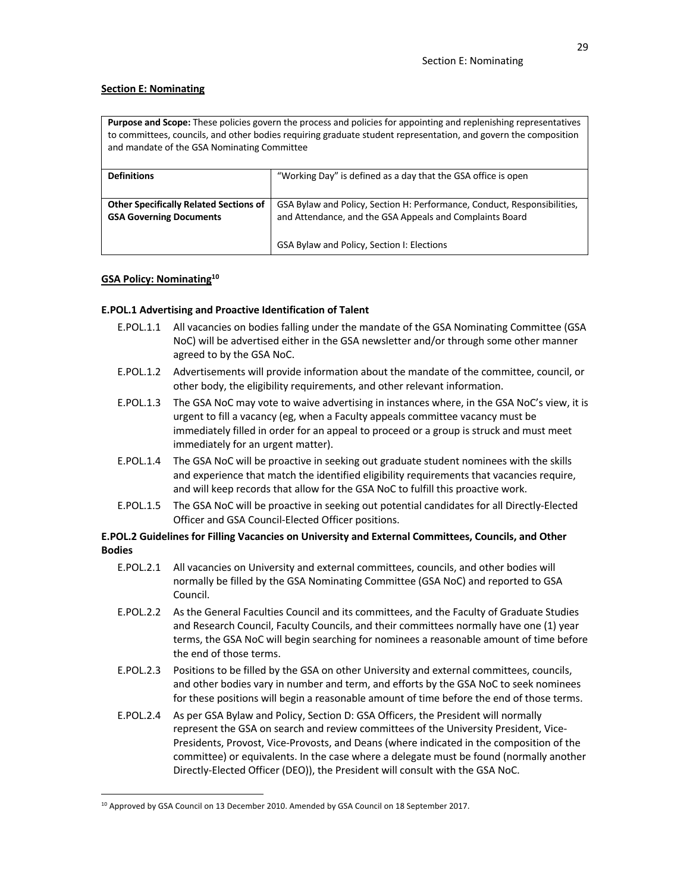## **Section E: Nominating**

**Purpose and Scope:** These policies govern the process and policies for appointing and replenishing representatives to committees, councils, and other bodies requiring graduate student representation, and govern the composition and mandate of the GSA Nominating Committee

| <b>Definitions</b>                                                              | "Working Day" is defined as a day that the GSA office is open                                                                        |
|---------------------------------------------------------------------------------|--------------------------------------------------------------------------------------------------------------------------------------|
| <b>Other Specifically Related Sections of</b><br><b>GSA Governing Documents</b> | GSA Bylaw and Policy, Section H: Performance, Conduct, Responsibilities,<br>and Attendance, and the GSA Appeals and Complaints Board |
|                                                                                 | GSA Bylaw and Policy, Section I: Elections                                                                                           |

## **GSA Policy: Nominating10**

## **E.POL.1 Advertising and Proactive Identification of Talent**

- E.POL.1.1 All vacancies on bodies falling under the mandate of the GSA Nominating Committee (GSA NoC) will be advertised either in the GSA newsletter and/or through some other manner agreed to by the GSA NoC.
- E.POL.1.2 Advertisements will provide information about the mandate of the committee, council, or other body, the eligibility requirements, and other relevant information.
- E.POL.1.3 The GSA NoC may vote to waive advertising in instances where, in the GSA NoC's view, it is urgent to fill a vacancy (eg, when a Faculty appeals committee vacancy must be immediately filled in order for an appeal to proceed or a group is struck and must meet immediately for an urgent matter).
- E.POL.1.4 The GSA NoC will be proactive in seeking out graduate student nominees with the skills and experience that match the identified eligibility requirements that vacancies require, and will keep records that allow for the GSA NoC to fulfill this proactive work.
- E.POL.1.5 The GSA NoC will be proactive in seeking out potential candidates for all Directly-Elected Officer and GSA Council-Elected Officer positions.

## **E.POL.2 Guidelines for Filling Vacancies on University and External Committees, Councils, and Other Bodies**

- E.POL.2.1 All vacancies on University and external committees, councils, and other bodies will normally be filled by the GSA Nominating Committee (GSA NoC) and reported to GSA Council.
- E.POL.2.2 As the General Faculties Council and its committees, and the Faculty of Graduate Studies and Research Council, Faculty Councils, and their committees normally have one (1) year terms, the GSA NoC will begin searching for nominees a reasonable amount of time before the end of those terms.
- E.POL.2.3 Positions to be filled by the GSA on other University and external committees, councils, and other bodies vary in number and term, and efforts by the GSA NoC to seek nominees for these positions will begin a reasonable amount of time before the end of those terms.
- E.POL.2.4 As per GSA Bylaw and Policy, Section D: GSA Officers, the President will normally represent the GSA on search and review committees of the University President, Vice-Presidents, Provost, Vice-Provosts, and Deans (where indicated in the composition of the committee) or equivalents. In the case where a delegate must be found (normally another Directly-Elected Officer (DEO)), the President will consult with the GSA NoC.

<sup>&</sup>lt;sup>10</sup> Approved by GSA Council on 13 December 2010. Amended by GSA Council on 18 September 2017.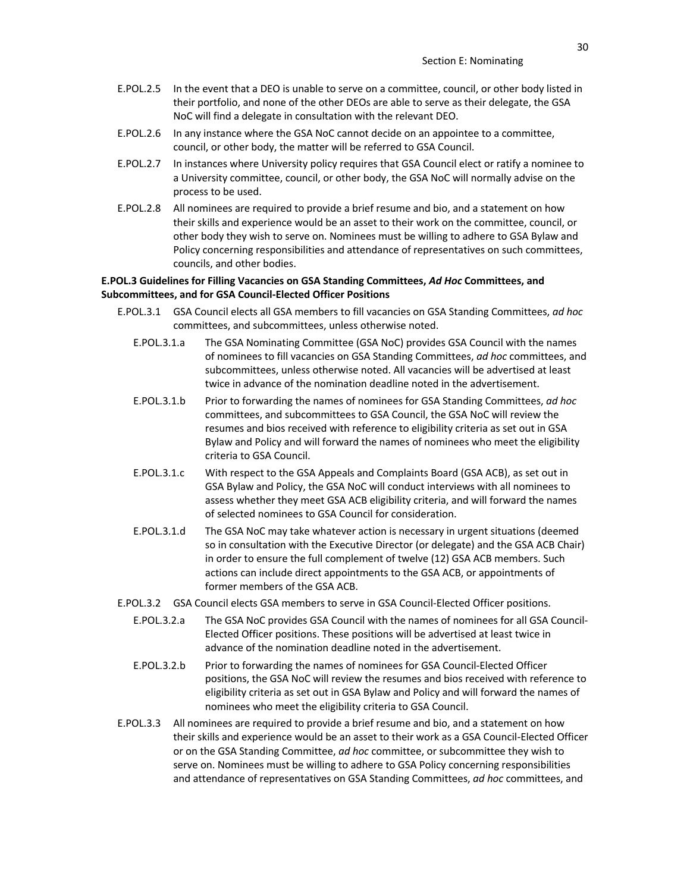- E.POL.2.5 In the event that a DEO is unable to serve on a committee, council, or other body listed in their portfolio, and none of the other DEOs are able to serve as their delegate, the GSA NoC will find a delegate in consultation with the relevant DEO.
- E.POL.2.6 In any instance where the GSA NoC cannot decide on an appointee to a committee, council, or other body, the matter will be referred to GSA Council.
- E.POL.2.7 In instances where University policy requires that GSA Council elect or ratify a nominee to a University committee, council, or other body, the GSA NoC will normally advise on the process to be used.
- E.POL.2.8 All nominees are required to provide a brief resume and bio, and a statement on how their skills and experience would be an asset to their work on the committee, council, or other body they wish to serve on. Nominees must be willing to adhere to GSA Bylaw and Policy concerning responsibilities and attendance of representatives on such committees, councils, and other bodies.

## **E.POL.3 Guidelines for Filling Vacancies on GSA Standing Committees,** *Ad Hoc* **Committees, and Subcommittees, and for GSA Council-Elected Officer Positions**

- E.POL.3.1 GSA Council elects all GSA members to fill vacancies on GSA Standing Committees, *ad hoc* committees, and subcommittees, unless otherwise noted.
	- E.POL.3.1.a The GSA Nominating Committee (GSA NoC) provides GSA Council with the names of nominees to fill vacancies on GSA Standing Committees, *ad hoc* committees, and subcommittees, unless otherwise noted. All vacancies will be advertised at least twice in advance of the nomination deadline noted in the advertisement.
	- E.POL.3.1.b Prior to forwarding the names of nominees for GSA Standing Committees, *ad hoc* committees, and subcommittees to GSA Council, the GSA NoC will review the resumes and bios received with reference to eligibility criteria as set out in GSA Bylaw and Policy and will forward the names of nominees who meet the eligibility criteria to GSA Council.
	- E.POL.3.1.c With respect to the GSA Appeals and Complaints Board (GSA ACB), as set out in GSA Bylaw and Policy, the GSA NoC will conduct interviews with all nominees to assess whether they meet GSA ACB eligibility criteria, and will forward the names of selected nominees to GSA Council for consideration.
	- E.POL.3.1.d The GSA NoC may take whatever action is necessary in urgent situations (deemed so in consultation with the Executive Director (or delegate) and the GSA ACB Chair) in order to ensure the full complement of twelve (12) GSA ACB members. Such actions can include direct appointments to the GSA ACB, or appointments of former members of the GSA ACB.
- E.POL.3.2 GSA Council elects GSA members to serve in GSA Council-Elected Officer positions.
	- E.POL.3.2.a The GSA NoC provides GSA Council with the names of nominees for all GSA Council-Elected Officer positions. These positions will be advertised at least twice in advance of the nomination deadline noted in the advertisement.
	- E.POL.3.2.b Prior to forwarding the names of nominees for GSA Council-Elected Officer positions, the GSA NoC will review the resumes and bios received with reference to eligibility criteria as set out in GSA Bylaw and Policy and will forward the names of nominees who meet the eligibility criteria to GSA Council.
- E.POL.3.3 All nominees are required to provide a brief resume and bio, and a statement on how their skills and experience would be an asset to their work as a GSA Council-Elected Officer or on the GSA Standing Committee, *ad hoc* committee, or subcommittee they wish to serve on. Nominees must be willing to adhere to GSA Policy concerning responsibilities and attendance of representatives on GSA Standing Committees, *ad hoc* committees, and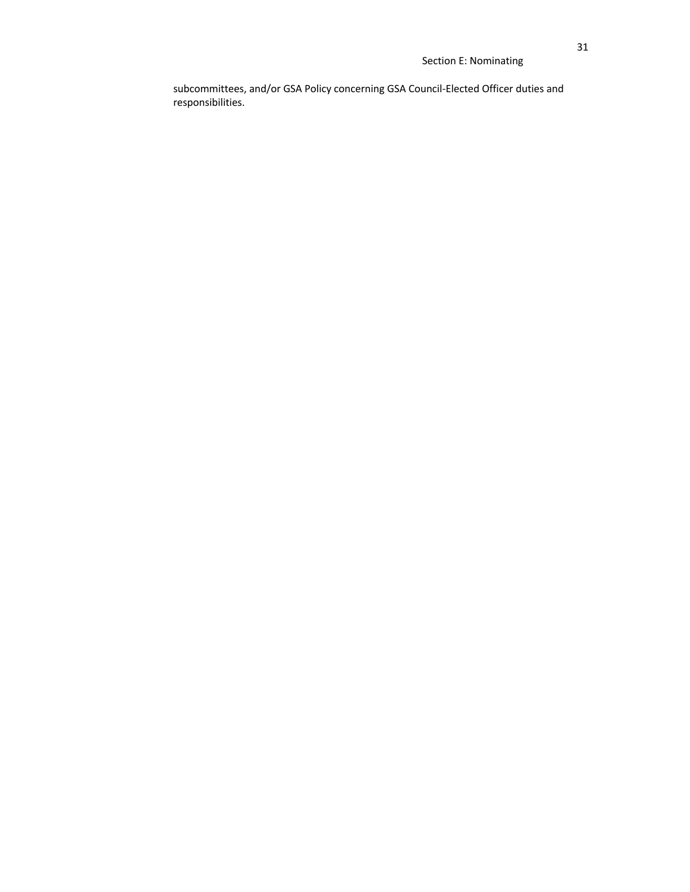# Section E: Nominating

subcommittees, and/or GSA Policy concerning GSA Council-Elected Officer duties and responsibilities.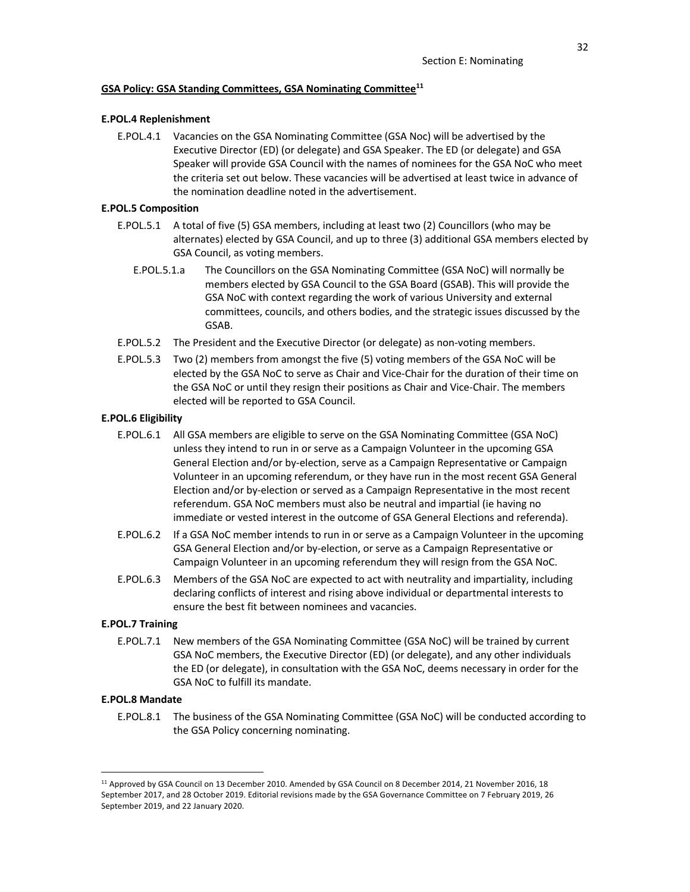#### **GSA Policy: GSA Standing Committees, GSA Nominating Committee11**

#### **E.POL.4 Replenishment**

E.POL.4.1 Vacancies on the GSA Nominating Committee (GSA Noc) will be advertised by the Executive Director (ED) (or delegate) and GSA Speaker. The ED (or delegate) and GSA Speaker will provide GSA Council with the names of nominees for the GSA NoC who meet the criteria set out below. These vacancies will be advertised at least twice in advance of the nomination deadline noted in the advertisement.

## **E.POL.5 Composition**

- E.POL.5.1 A total of five (5) GSA members, including at least two (2) Councillors (who may be alternates) elected by GSA Council, and up to three (3) additional GSA members elected by GSA Council, as voting members.
	- E.POL.5.1.a The Councillors on the GSA Nominating Committee (GSA NoC) will normally be members elected by GSA Council to the GSA Board (GSAB). This will provide the GSA NoC with context regarding the work of various University and external committees, councils, and others bodies, and the strategic issues discussed by the GSAB.
- E.POL.5.2 The President and the Executive Director (or delegate) as non-voting members.
- E.POL.5.3 Two (2) members from amongst the five (5) voting members of the GSA NoC will be elected by the GSA NoC to serve as Chair and Vice-Chair for the duration of their time on the GSA NoC or until they resign their positions as Chair and Vice-Chair. The members elected will be reported to GSA Council.

#### **E.POL.6 Eligibility**

- E.POL.6.1 All GSA members are eligible to serve on the GSA Nominating Committee (GSA NoC) unless they intend to run in or serve as a Campaign Volunteer in the upcoming GSA General Election and/or by-election, serve as a Campaign Representative or Campaign Volunteer in an upcoming referendum, or they have run in the most recent GSA General Election and/or by-election or served as a Campaign Representative in the most recent referendum. GSA NoC members must also be neutral and impartial (ie having no immediate or vested interest in the outcome of GSA General Elections and referenda).
- E.POL.6.2 If a GSA NoC member intends to run in or serve as a Campaign Volunteer in the upcoming GSA General Election and/or by-election, or serve as a Campaign Representative or Campaign Volunteer in an upcoming referendum they will resign from the GSA NoC.
- E.POL.6.3 Members of the GSA NoC are expected to act with neutrality and impartiality, including declaring conflicts of interest and rising above individual or departmental interests to ensure the best fit between nominees and vacancies.

#### **E.POL.7 Training**

E.POL.7.1 New members of the GSA Nominating Committee (GSA NoC) will be trained by current GSA NoC members, the Executive Director (ED) (or delegate), and any other individuals the ED (or delegate), in consultation with the GSA NoC, deems necessary in order for the GSA NoC to fulfill its mandate.

### **E.POL.8 Mandate**

E.POL.8.1 The business of the GSA Nominating Committee (GSA NoC) will be conducted according to the GSA Policy concerning nominating.

<sup>11</sup> Approved by GSA Council on 13 December 2010. Amended by GSA Council on 8 December 2014, 21 November 2016, 18 September 2017, and 28 October 2019. Editorial revisions made by the GSA Governance Committee on 7 February 2019, 26 September 2019, and 22 January 2020.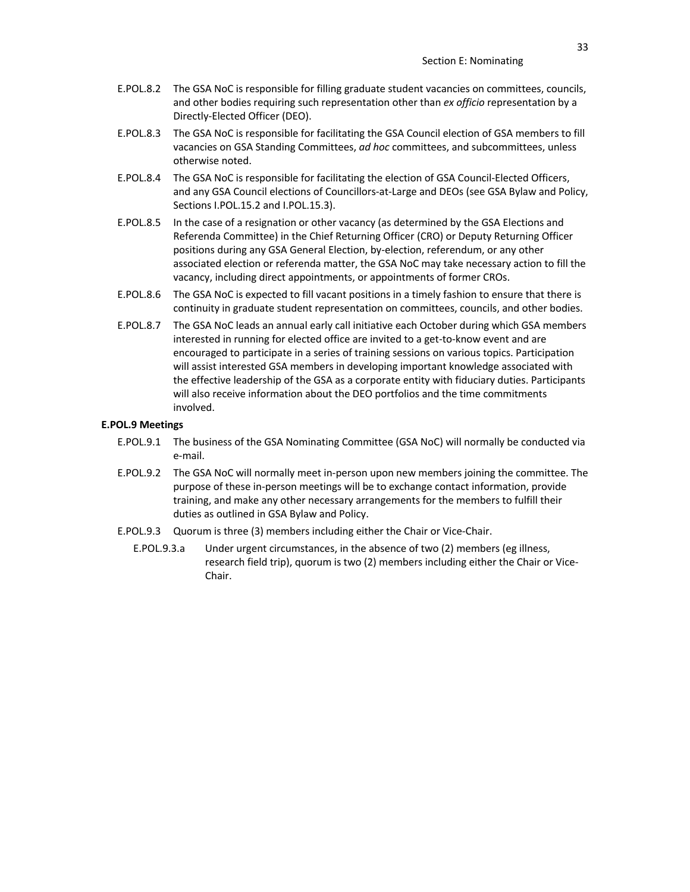- E.POL.8.2 The GSA NoC is responsible for filling graduate student vacancies on committees, councils, and other bodies requiring such representation other than *ex officio* representation by a Directly-Elected Officer (DEO).
- E.POL.8.3 The GSA NoC is responsible for facilitating the GSA Council election of GSA members to fill vacancies on GSA Standing Committees, *ad hoc* committees, and subcommittees, unless otherwise noted.
- E.POL.8.4 The GSA NoC is responsible for facilitating the election of GSA Council-Elected Officers, and any GSA Council elections of Councillors-at-Large and DEOs (see GSA Bylaw and Policy, Sections I.POL.15.2 and I.POL.15.3).
- E.POL.8.5 In the case of a resignation or other vacancy (as determined by the GSA Elections and Referenda Committee) in the Chief Returning Officer (CRO) or Deputy Returning Officer positions during any GSA General Election, by-election, referendum, or any other associated election or referenda matter, the GSA NoC may take necessary action to fill the vacancy, including direct appointments, or appointments of former CROs.
- E.POL.8.6 The GSA NoC is expected to fill vacant positions in a timely fashion to ensure that there is continuity in graduate student representation on committees, councils, and other bodies.
- E.POL.8.7 The GSA NoC leads an annual early call initiative each October during which GSA members interested in running for elected office are invited to a get-to-know event and are encouraged to participate in a series of training sessions on various topics. Participation will assist interested GSA members in developing important knowledge associated with the effective leadership of the GSA as a corporate entity with fiduciary duties. Participants will also receive information about the DEO portfolios and the time commitments involved.

### **E.POL.9 Meetings**

- E.POL.9.1 The business of the GSA Nominating Committee (GSA NoC) will normally be conducted via e-mail.
- E.POL.9.2 The GSA NoC will normally meet in-person upon new members joining the committee. The purpose of these in-person meetings will be to exchange contact information, provide training, and make any other necessary arrangements for the members to fulfill their duties as outlined in GSA Bylaw and Policy.
- E.POL.9.3 Quorum is three (3) members including either the Chair or Vice-Chair.
	- E.POL.9.3.a Under urgent circumstances, in the absence of two (2) members (eg illness, research field trip), quorum is two (2) members including either the Chair or Vice-Chair.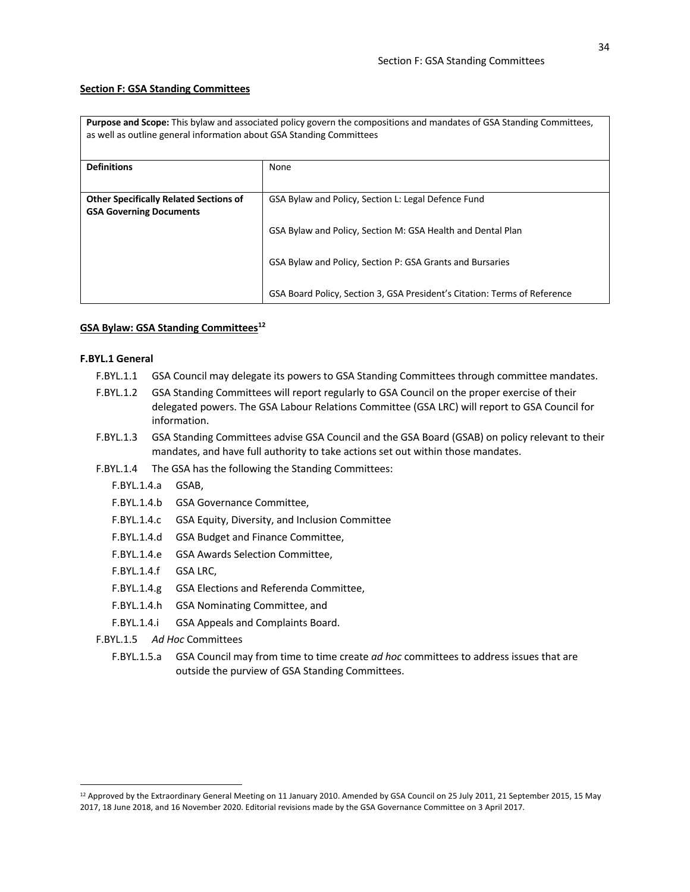#### **Section F: GSA Standing Committees**

**Purpose and Scope:** This bylaw and associated policy govern the compositions and mandates of GSA Standing Committees, as well as outline general information about GSA Standing Committees

| <b>Definitions</b>                            | None                                                                      |
|-----------------------------------------------|---------------------------------------------------------------------------|
|                                               |                                                                           |
| <b>Other Specifically Related Sections of</b> | GSA Bylaw and Policy, Section L: Legal Defence Fund                       |
| <b>GSA Governing Documents</b>                |                                                                           |
|                                               | GSA Bylaw and Policy, Section M: GSA Health and Dental Plan               |
|                                               |                                                                           |
|                                               | GSA Bylaw and Policy, Section P: GSA Grants and Bursaries                 |
|                                               |                                                                           |
|                                               | GSA Board Policy, Section 3, GSA President's Citation: Terms of Reference |

#### **GSA Bylaw: GSA Standing Committees12**

## **F.BYL.1 General**

- F.BYL.1.1 GSA Council may delegate its powers to GSA Standing Committees through committee mandates.
- F.BYL.1.2 GSA Standing Committees will report regularly to GSA Council on the proper exercise of their delegated powers. The GSA Labour Relations Committee (GSA LRC) will report to GSA Council for information.
- F.BYL.1.3 GSA Standing Committees advise GSA Council and the GSA Board (GSAB) on policy relevant to their mandates, and have full authority to take actions set out within those mandates.
- F.BYL.1.4 The GSA has the following the Standing Committees:
	- F.BYL.1.4.a GSAB,
	- F.BYL.1.4.b GSA Governance Committee,
	- F.BYL.1.4.c GSA Equity, Diversity, and Inclusion Committee
	- F.BYL.1.4.d GSA Budget and Finance Committee,
	- F.BYL.1.4.e GSA Awards Selection Committee,
	- F.BYL.1.4.f GSA LRC,
	- F.BYL.1.4.g GSA Elections and Referenda Committee,
	- F.BYL.1.4.h GSA Nominating Committee, and
	- F.BYL.1.4.i GSA Appeals and Complaints Board.
- F.BYL.1.5 *Ad Hoc* Committees
	- F.BYL.1.5.a GSA Council may from time to time create *ad hoc* committees to address issues that are outside the purview of GSA Standing Committees.

<sup>12</sup> Approved by the Extraordinary General Meeting on 11 January 2010. Amended by GSA Council on 25 July 2011, 21 September 2015, 15 May 2017, 18 June 2018, and 16 November 2020. Editorial revisions made by the GSA Governance Committee on 3 April 2017.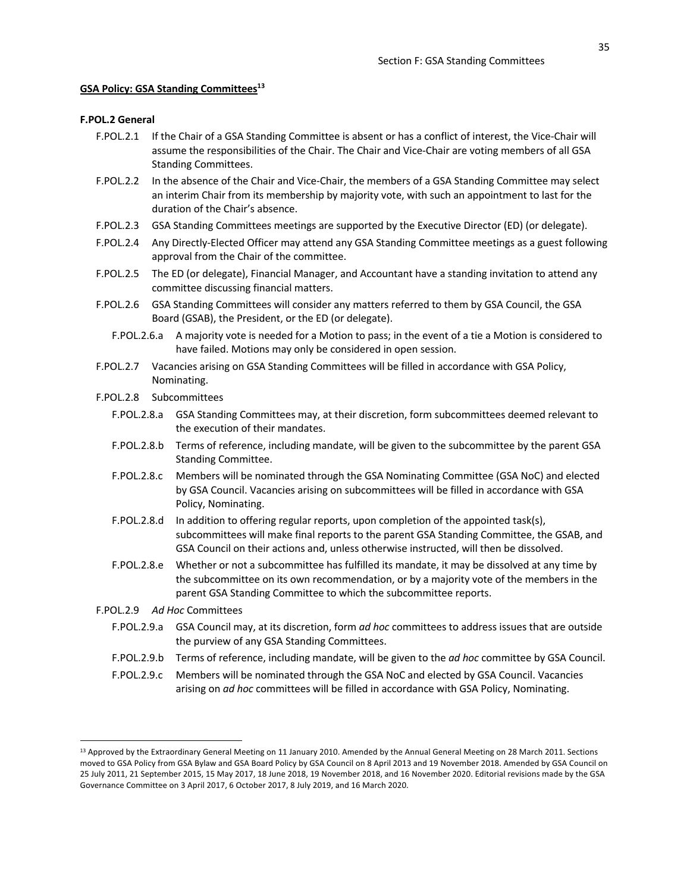#### **GSA Policy: GSA Standing Committees13**

#### **F.POL.2 General**

- F.POL.2.1 If the Chair of a GSA Standing Committee is absent or has a conflict of interest, the Vice-Chair will assume the responsibilities of the Chair. The Chair and Vice-Chair are voting members of all GSA Standing Committees.
- F.POL.2.2 In the absence of the Chair and Vice-Chair, the members of a GSA Standing Committee may select an interim Chair from its membership by majority vote, with such an appointment to last for the duration of the Chair's absence.
- F.POL.2.3 GSA Standing Committees meetings are supported by the Executive Director (ED) (or delegate).
- F.POL.2.4 Any Directly-Elected Officer may attend any GSA Standing Committee meetings as a guest following approval from the Chair of the committee.
- F.POL.2.5 The ED (or delegate), Financial Manager, and Accountant have a standing invitation to attend any committee discussing financial matters.
- F.POL.2.6 GSA Standing Committees will consider any matters referred to them by GSA Council, the GSA Board (GSAB), the President, or the ED (or delegate).
	- F.POL.2.6.a A majority vote is needed for a Motion to pass; in the event of a tie a Motion is considered to have failed. Motions may only be considered in open session.
- F.POL.2.7 Vacancies arising on GSA Standing Committees will be filled in accordance with GSA Policy, Nominating.
- F.POL.2.8 Subcommittees
	- F.POL.2.8.a GSA Standing Committees may, at their discretion, form subcommittees deemed relevant to the execution of their mandates.
	- F.POL.2.8.b Terms of reference, including mandate, will be given to the subcommittee by the parent GSA Standing Committee.
	- F.POL.2.8.c Members will be nominated through the GSA Nominating Committee (GSA NoC) and elected by GSA Council. Vacancies arising on subcommittees will be filled in accordance with GSA Policy, Nominating.
	- F.POL.2.8.d In addition to offering regular reports, upon completion of the appointed task(s), subcommittees will make final reports to the parent GSA Standing Committee, the GSAB, and GSA Council on their actions and, unless otherwise instructed, will then be dissolved.
	- F.POL.2.8.e Whether or not a subcommittee has fulfilled its mandate, it may be dissolved at any time by the subcommittee on its own recommendation, or by a majority vote of the members in the parent GSA Standing Committee to which the subcommittee reports.

F.POL.2.9 *Ad Hoc* Committees

- F.POL.2.9.a GSA Council may, at its discretion, form *ad hoc* committees to address issues that are outside the purview of any GSA Standing Committees.
- F.POL.2.9.b Terms of reference, including mandate, will be given to the *ad hoc* committee by GSA Council.
- F.POL.2.9.c Members will be nominated through the GSA NoC and elected by GSA Council. Vacancies arising on *ad hoc* committees will be filled in accordance with GSA Policy, Nominating.

<sup>&</sup>lt;sup>13</sup> Approved by the Extraordinary General Meeting on 11 January 2010. Amended by the Annual General Meeting on 28 March 2011. Sections moved to GSA Policy from GSA Bylaw and GSA Board Policy by GSA Council on 8 April 2013 and 19 November 2018. Amended by GSA Council on 25 July 2011, 21 September 2015, 15 May 2017, 18 June 2018, 19 November 2018, and 16 November 2020. Editorial revisions made by the GSA Governance Committee on 3 April 2017, 6 October 2017, 8 July 2019, and 16 March 2020.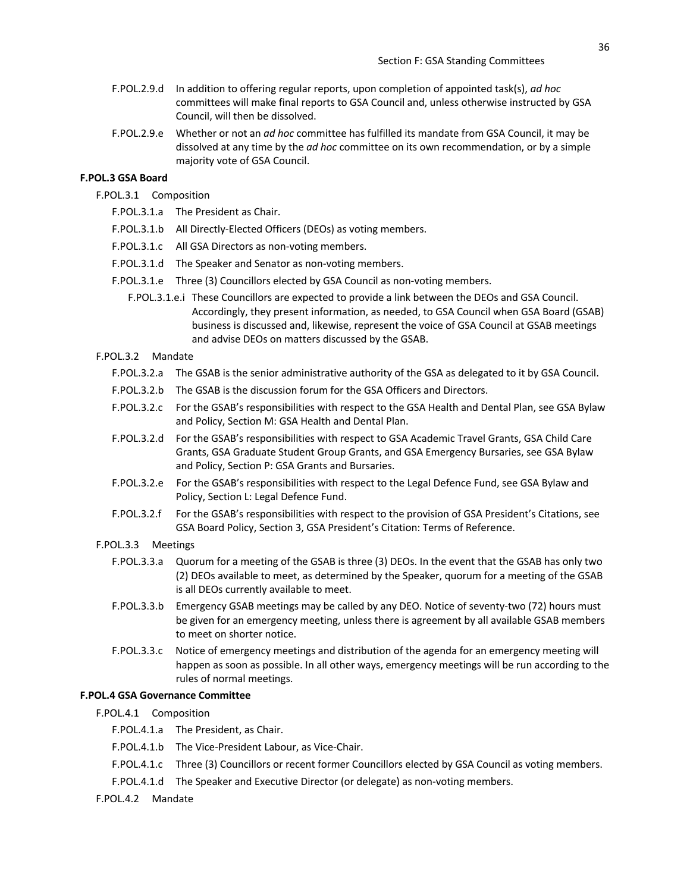- F.POL.2.9.d In addition to offering regular reports, upon completion of appointed task(s), *ad hoc* committees will make final reports to GSA Council and, unless otherwise instructed by GSA Council, will then be dissolved.
- F.POL.2.9.e Whether or not an *ad hoc* committee has fulfilled its mandate from GSA Council, it may be dissolved at any time by the *ad hoc* committee on its own recommendation, or by a simple majority vote of GSA Council.

### **F.POL.3 GSA Board**

F.POL.3.1 Composition

- F.POL.3.1.a The President as Chair.
- F.POL.3.1.b All Directly-Elected Officers (DEOs) as voting members.
- F.POL.3.1.c All GSA Directors as non-voting members.
- F.POL.3.1.d The Speaker and Senator as non-voting members.
- F.POL.3.1.e Three (3) Councillors elected by GSA Council as non-voting members.
	- F.POL.3.1.e.i These Councillors are expected to provide a link between the DEOs and GSA Council. Accordingly, they present information, as needed, to GSA Council when GSA Board (GSAB) business is discussed and, likewise, represent the voice of GSA Council at GSAB meetings and advise DEOs on matters discussed by the GSAB.

### F.POL.3.2 Mandate

- F.POL.3.2.a The GSAB is the senior administrative authority of the GSA as delegated to it by GSA Council.
- F.POL.3.2.b The GSAB is the discussion forum for the GSA Officers and Directors.
- F.POL.3.2.c For the GSAB's responsibilities with respect to the GSA Health and Dental Plan, see GSA Bylaw and Policy, Section M: GSA Health and Dental Plan.
- F.POL.3.2.d For the GSAB's responsibilities with respect to GSA Academic Travel Grants, GSA Child Care Grants, GSA Graduate Student Group Grants, and GSA Emergency Bursaries, see GSA Bylaw and Policy, Section P: GSA Grants and Bursaries.
- F.POL.3.2.e For the GSAB's responsibilities with respect to the Legal Defence Fund, see GSA Bylaw and Policy, Section L: Legal Defence Fund.
- F.POL.3.2.f For the GSAB's responsibilities with respect to the provision of GSA President's Citations, see GSA Board Policy, Section 3, GSA President's Citation: Terms of Reference.
- F.POL.3.3 Meetings
	- F.POL.3.3.a Quorum for a meeting of the GSAB is three (3) DEOs. In the event that the GSAB has only two (2) DEOs available to meet, as determined by the Speaker, quorum for a meeting of the GSAB is all DEOs currently available to meet.
	- F.POL.3.3.b Emergency GSAB meetings may be called by any DEO. Notice of seventy-two (72) hours must be given for an emergency meeting, unless there is agreement by all available GSAB members to meet on shorter notice.
	- F.POL.3.3.c Notice of emergency meetings and distribution of the agenda for an emergency meeting will happen as soon as possible. In all other ways, emergency meetings will be run according to the rules of normal meetings.

#### **F.POL.4 GSA Governance Committee**

- F.POL.4.1 Composition
	- F.POL.4.1.a The President, as Chair.
	- F.POL.4.1.b The Vice-President Labour, as Vice-Chair.
	- F.POL.4.1.c Three (3) Councillors or recent former Councillors elected by GSA Council as voting members.
	- F.POL.4.1.d The Speaker and Executive Director (or delegate) as non-voting members.
- F.POL.4.2 Mandate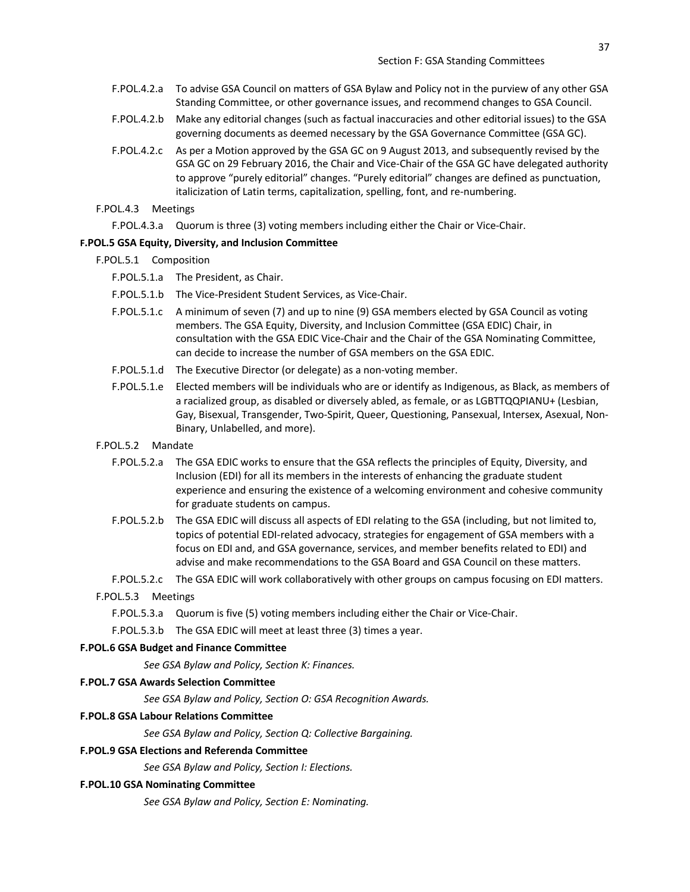- F.POL.4.2.a To advise GSA Council on matters of GSA Bylaw and Policy not in the purview of any other GSA Standing Committee, or other governance issues, and recommend changes to GSA Council.
- F.POL.4.2.b Make any editorial changes (such as factual inaccuracies and other editorial issues) to the GSA governing documents as deemed necessary by the GSA Governance Committee (GSA GC).
- F.POL.4.2.c As per a Motion approved by the GSA GC on 9 August 2013, and subsequently revised by the GSA GC on 29 February 2016, the Chair and Vice-Chair of the GSA GC have delegated authority to approve "purely editorial" changes. "Purely editorial" changes are defined as punctuation, italicization of Latin terms, capitalization, spelling, font, and re-numbering.
- F.POL.4.3 Meetings
	- F.POL.4.3.a Quorum is three (3) voting members including either the Chair or Vice-Chair.

## **F.POL.5 GSA Equity, Diversity, and Inclusion Committee**

- F.POL.5.1 Composition
	- F.POL.5.1.a The President, as Chair.
	- F.POL.5.1.b The Vice-President Student Services, as Vice-Chair.
	- F.POL.5.1.c A minimum of seven (7) and up to nine (9) GSA members elected by GSA Council as voting members. The GSA Equity, Diversity, and Inclusion Committee (GSA EDIC) Chair, in consultation with the GSA EDIC Vice-Chair and the Chair of the GSA Nominating Committee, can decide to increase the number of GSA members on the GSA EDIC.
	- F.POL.5.1.d The Executive Director (or delegate) as a non-voting member.
	- F.POL.5.1.e Elected members will be individuals who are or identify as Indigenous, as Black, as members of a racialized group, as disabled or diversely abled, as female, or as LGBTTQQPIANU+ (Lesbian, Gay, Bisexual, Transgender, Two-Spirit, Queer, Questioning, Pansexual, Intersex, Asexual, Non-Binary, Unlabelled, and more).
- F.POL.5.2 Mandate
	- F.POL.5.2.a The GSA EDIC works to ensure that the GSA reflects the principles of Equity, Diversity, and Inclusion (EDI) for all its members in the interests of enhancing the graduate student experience and ensuring the existence of a welcoming environment and cohesive community for graduate students on campus.
	- F.POL.5.2.b The GSA EDIC will discuss all aspects of EDI relating to the GSA (including, but not limited to, topics of potential EDI-related advocacy, strategies for engagement of GSA members with a focus on EDI and, and GSA governance, services, and member benefits related to EDI) and advise and make recommendations to the GSA Board and GSA Council on these matters.
	- F.POL.5.2.c The GSA EDIC will work collaboratively with other groups on campus focusing on EDI matters.
- F.POL.5.3 Meetings
	- F.POL.5.3.a Quorum is five (5) voting members including either the Chair or Vice-Chair.

F.POL.5.3.b The GSA EDIC will meet at least three (3) times a year.

#### **F.POL.6 GSA Budget and Finance Committee**

*See GSA Bylaw and Policy, Section K: Finances.*

#### **F.POL.7 GSA Awards Selection Committee**

*See GSA Bylaw and Policy, Section O: GSA Recognition Awards.*

#### **F.POL.8 GSA Labour Relations Committee**

*See GSA Bylaw and Policy, Section Q: Collective Bargaining.*

# **F.POL.9 GSA Elections and Referenda Committee**

*See GSA Bylaw and Policy, Section I: Elections.*

#### **F.POL.10 GSA Nominating Committee**

*See GSA Bylaw and Policy, Section E: Nominating.*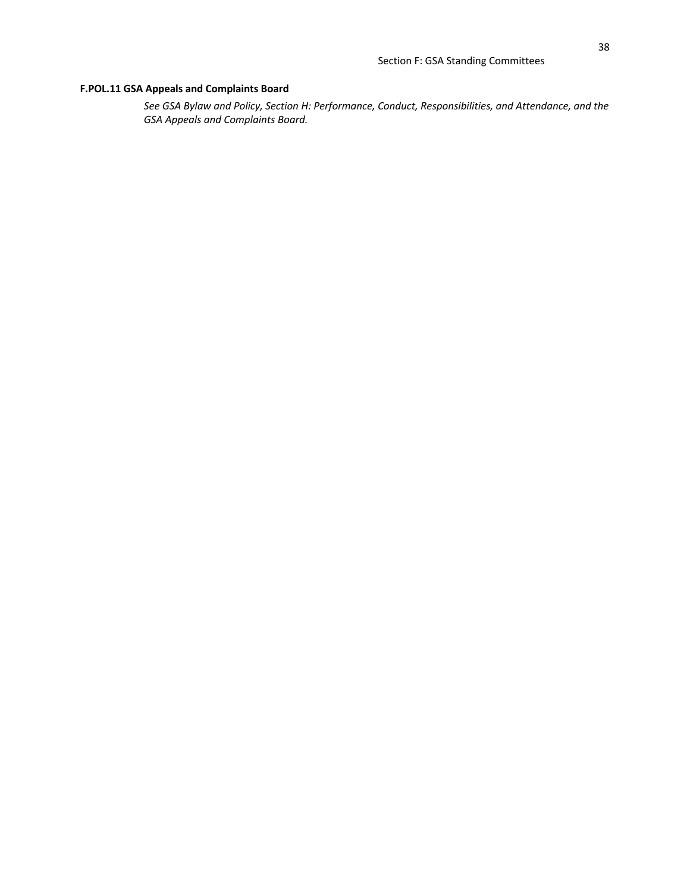# **F.POL.11 GSA Appeals and Complaints Board**

*See GSA Bylaw and Policy, Section H: Performance, Conduct, Responsibilities, and Attendance, and the GSA Appeals and Complaints Board.*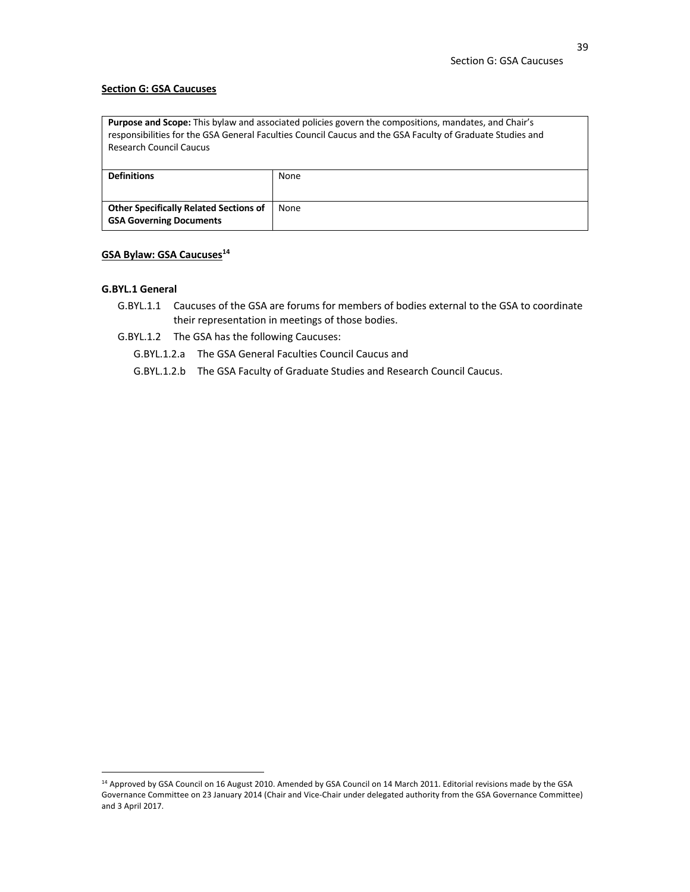#### **Section G: GSA Caucuses**

| <b>Purpose and Scope:</b> This bylaw and associated policies govern the compositions, mandates, and Chair's<br>responsibilities for the GSA General Faculties Council Caucus and the GSA Faculty of Graduate Studies and<br><b>Research Council Caucus</b> |      |  |
|------------------------------------------------------------------------------------------------------------------------------------------------------------------------------------------------------------------------------------------------------------|------|--|
| <b>Definitions</b>                                                                                                                                                                                                                                         | None |  |
| <b>Other Specifically Related Sections of</b>                                                                                                                                                                                                              | None |  |

# **GSA Bylaw: GSA Caucuses14**

**GSA Governing Documents**

## **G.BYL.1 General**

- G.BYL.1.1 Caucuses of the GSA are forums for members of bodies external to the GSA to coordinate their representation in meetings of those bodies.
- G.BYL.1.2 The GSA has the following Caucuses:
	- G.BYL.1.2.a The GSA General Faculties Council Caucus and
	- G.BYL.1.2.b The GSA Faculty of Graduate Studies and Research Council Caucus.

<sup>&</sup>lt;sup>14</sup> Approved by GSA Council on 16 August 2010. Amended by GSA Council on 14 March 2011. Editorial revisions made by the GSA Governance Committee on 23 January 2014 (Chair and Vice-Chair under delegated authority from the GSA Governance Committee) and 3 April 2017.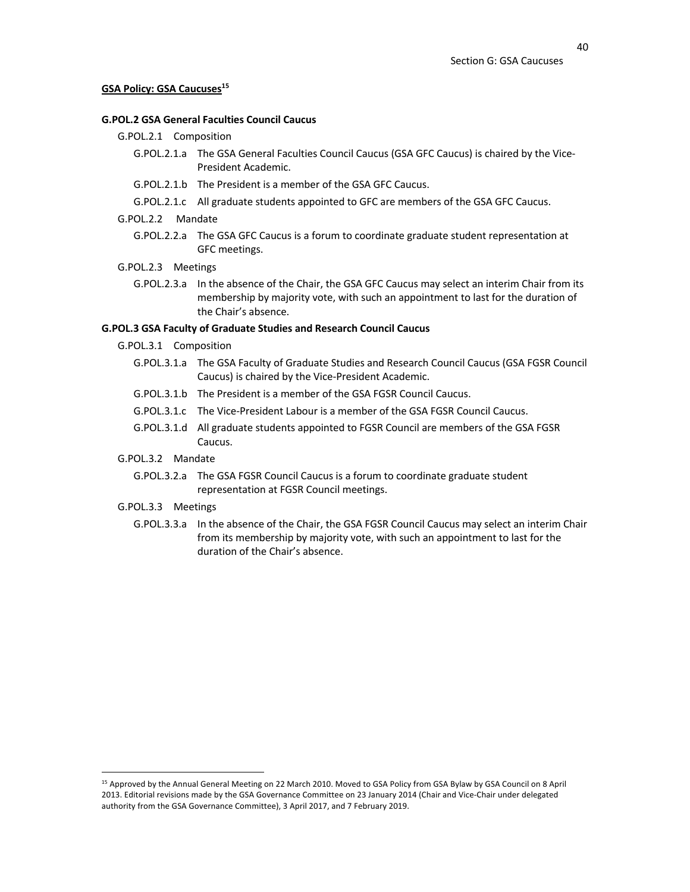#### **GSA Policy: GSA Caucuses<sup>15</sup>**

## **G.POL.2 GSA General Faculties Council Caucus**

- G.POL.2.1 Composition
	- G.POL.2.1.a The GSA General Faculties Council Caucus (GSA GFC Caucus) is chaired by the Vice-President Academic.
	- G.POL.2.1.b The President is a member of the GSA GFC Caucus.
	- G.POL.2.1.c All graduate students appointed to GFC are members of the GSA GFC Caucus.
- G.POL.2.2 Mandate
	- G.POL.2.2.a The GSA GFC Caucus is a forum to coordinate graduate student representation at GFC meetings.

#### G.POL.2.3 Meetings

G.POL.2.3.a In the absence of the Chair, the GSA GFC Caucus may select an interim Chair from its membership by majority vote, with such an appointment to last for the duration of the Chair's absence.

## **G.POL.3 GSA Faculty of Graduate Studies and Research Council Caucus**

- G.POL.3.1 Composition
	- G.POL.3.1.a The GSA Faculty of Graduate Studies and Research Council Caucus (GSA FGSR Council Caucus) is chaired by the Vice-President Academic.
	- G.POL.3.1.b The President is a member of the GSA FGSR Council Caucus.
	- G.POL.3.1.c The Vice-President Labour is a member of the GSA FGSR Council Caucus.
	- G.POL.3.1.d All graduate students appointed to FGSR Council are members of the GSA FGSR Caucus.
- G.POL.3.2 Mandate
	- G.POL.3.2.a The GSA FGSR Council Caucus is a forum to coordinate graduate student representation at FGSR Council meetings.

#### G.POL.3.3 Meetings

G.POL.3.3.a In the absence of the Chair, the GSA FGSR Council Caucus may select an interim Chair from its membership by majority vote, with such an appointment to last for the duration of the Chair's absence.

<sup>15</sup> Approved by the Annual General Meeting on 22 March 2010. Moved to GSA Policy from GSA Bylaw by GSA Council on 8 April 2013. Editorial revisions made by the GSA Governance Committee on 23 January 2014 (Chair and Vice-Chair under delegated authority from the GSA Governance Committee), 3 April 2017, and 7 February 2019.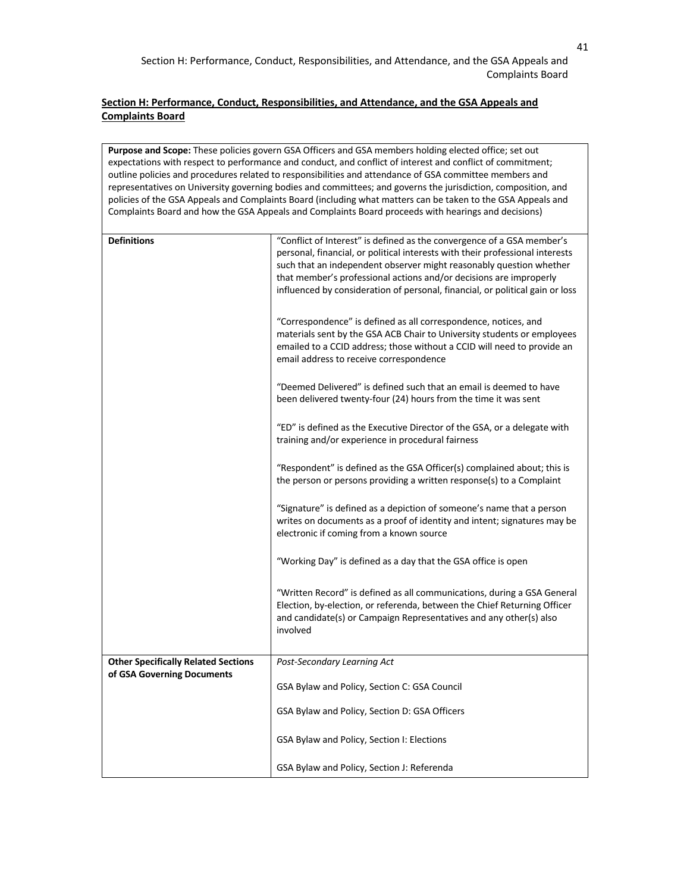**Purpose and Scope:** These policies govern GSA Officers and GSA members holding elected office; set out expectations with respect to performance and conduct, and conflict of interest and conflict of commitment; outline policies and procedures related to responsibilities and attendance of GSA committee members and representatives on University governing bodies and committees; and governs the jurisdiction, composition, and policies of the GSA Appeals and Complaints Board (including what matters can be taken to the GSA Appeals and Complaints Board and how the GSA Appeals and Complaints Board proceeds with hearings and decisions) **Definitions Example 2 Conflict of Interest**" is defined as the convergence of a GSA member's personal, financial, or political interests with their professional interests such that an independent observer might reasonably question whether that member's professional actions and/or decisions are improperly influenced by consideration of personal, financial, or political gain or loss "Correspondence" is defined as all correspondence, notices, and materials sent by the GSA ACB Chair to University students or employees emailed to a CCID address; those without a CCID will need to provide an email address to receive correspondence "Deemed Delivered" is defined such that an email is deemed to have been delivered twenty-four (24) hours from the time it was sent "ED" is defined as the Executive Director of the GSA, or a delegate with training and/or experience in procedural fairness "Respondent" is defined as the GSA Officer(s) complained about; this is the person or persons providing a written response(s) to a Complaint "Signature" is defined as a depiction of someone's name that a person writes on documents as a proof of identity and intent; signatures may be electronic if coming from a known source "Working Day" is defined as a day that the GSA office is open "Written Record" is defined as all communications, during a GSA General Election, by-election, or referenda, between the Chief Returning Officer and candidate(s) or Campaign Representatives and any other(s) also involved **Other Specifically Related Sections of GSA Governing Documents** *Post-Secondary Learning Act* GSA Bylaw and Policy, Section C: GSA Council GSA Bylaw and Policy, Section D: GSA Officers GSA Bylaw and Policy, Section I: Elections GSA Bylaw and Policy, Section J: Referenda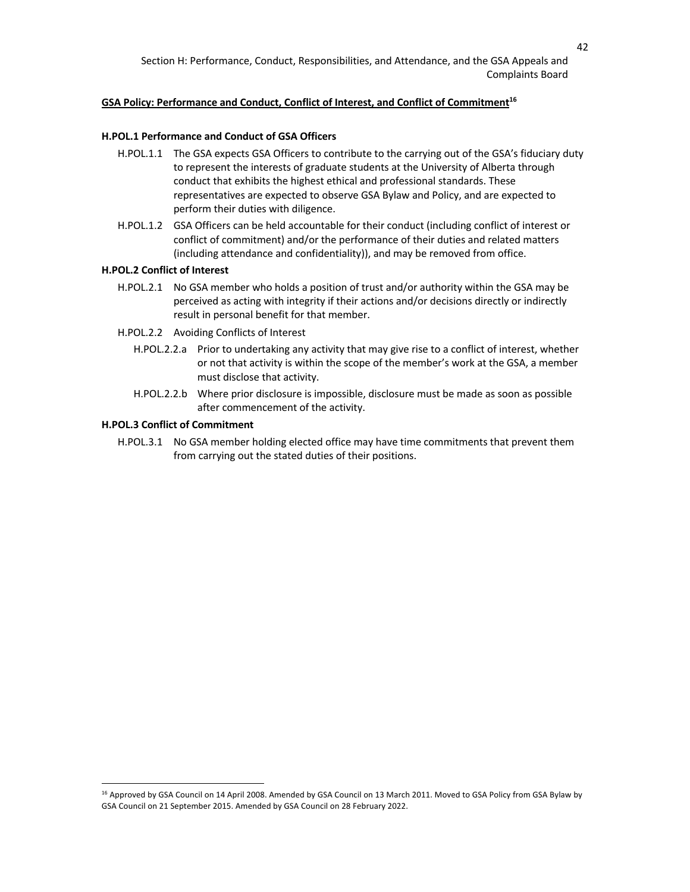# GSA Policy: Performance and Conduct, Conflict of Interest, and Conflict of Commitment<sup>16</sup>

## **H.POL.1 Performance and Conduct of GSA Officers**

- H.POL.1.1 The GSA expects GSA Officers to contribute to the carrying out of the GSA's fiduciary duty to represent the interests of graduate students at the University of Alberta through conduct that exhibits the highest ethical and professional standards. These representatives are expected to observe GSA Bylaw and Policy, and are expected to perform their duties with diligence.
- H.POL.1.2 GSA Officers can be held accountable for their conduct (including conflict of interest or conflict of commitment) and/or the performance of their duties and related matters (including attendance and confidentiality)), and may be removed from office.

# **H.POL.2 Conflict of Interest**

- H.POL.2.1 No GSA member who holds a position of trust and/or authority within the GSA may be perceived as acting with integrity if their actions and/or decisions directly or indirectly result in personal benefit for that member.
- H.POL.2.2 Avoiding Conflicts of Interest
	- H.POL.2.2.a Prior to undertaking any activity that may give rise to a conflict of interest, whether or not that activity is within the scope of the member's work at the GSA, a member must disclose that activity.
	- H.POL.2.2.b Where prior disclosure is impossible, disclosure must be made as soon as possible after commencement of the activity.

## **H.POL.3 Conflict of Commitment**

H.POL.3.1 No GSA member holding elected office may have time commitments that prevent them from carrying out the stated duties of their positions.

<sup>&</sup>lt;sup>16</sup> Approved by GSA Council on 14 April 2008. Amended by GSA Council on 13 March 2011. Moved to GSA Policy from GSA Bylaw by GSA Council on 21 September 2015. Amended by GSA Council on 28 February 2022.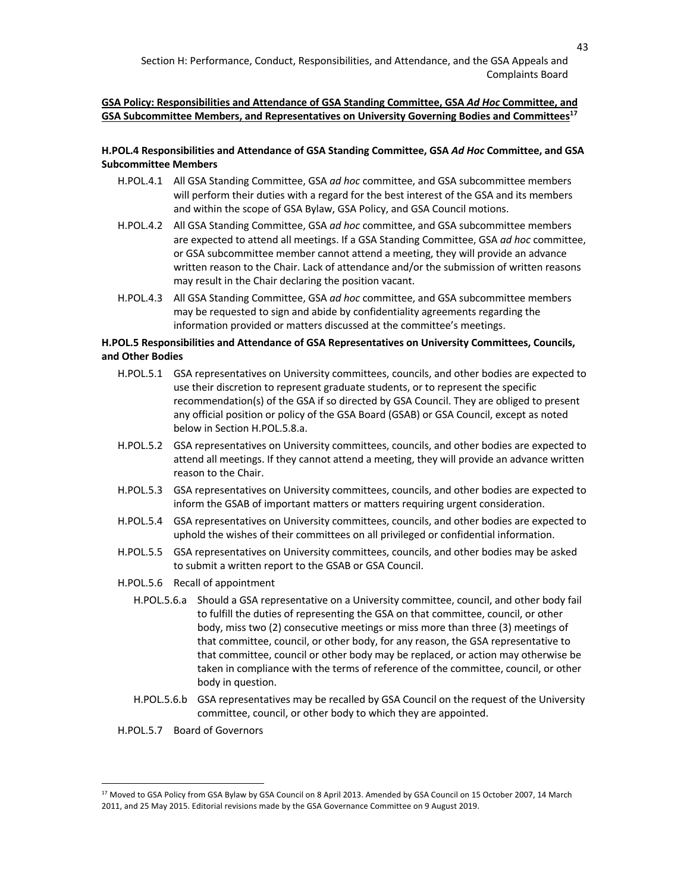# **GSA Policy: Responsibilities and Attendance of GSA Standing Committee, GSA** *Ad Hoc* **Committee, and GSA Subcommittee Members, and Representatives on University Governing Bodies and Committees17**

# **H.POL.4 Responsibilities and Attendance of GSA Standing Committee, GSA** *Ad Hoc* **Committee, and GSA Subcommittee Members**

- H.POL.4.1 All GSA Standing Committee, GSA *ad hoc* committee, and GSA subcommittee members will perform their duties with a regard for the best interest of the GSA and its members and within the scope of GSA Bylaw, GSA Policy, and GSA Council motions.
- H.POL.4.2 All GSA Standing Committee, GSA *ad hoc* committee, and GSA subcommittee members are expected to attend all meetings. If a GSA Standing Committee, GSA *ad hoc* committee, or GSA subcommittee member cannot attend a meeting, they will provide an advance written reason to the Chair. Lack of attendance and/or the submission of written reasons may result in the Chair declaring the position vacant.
- H.POL.4.3 All GSA Standing Committee, GSA *ad hoc* committee, and GSA subcommittee members may be requested to sign and abide by confidentiality agreements regarding the information provided or matters discussed at the committee's meetings.

# **H.POL.5 Responsibilities and Attendance of GSA Representatives on University Committees, Councils, and Other Bodies**

- H.POL.5.1 GSA representatives on University committees, councils, and other bodies are expected to use their discretion to represent graduate students, or to represent the specific recommendation(s) of the GSA if so directed by GSA Council. They are obliged to present any official position or policy of the GSA Board (GSAB) or GSA Council, except as noted below in Section H.POL.5.8.a.
- H.POL.5.2 GSA representatives on University committees, councils, and other bodies are expected to attend all meetings. If they cannot attend a meeting, they will provide an advance written reason to the Chair.
- H.POL.5.3 GSA representatives on University committees, councils, and other bodies are expected to inform the GSAB of important matters or matters requiring urgent consideration.
- H.POL.5.4 GSA representatives on University committees, councils, and other bodies are expected to uphold the wishes of their committees on all privileged or confidential information.
- H.POL.5.5 GSA representatives on University committees, councils, and other bodies may be asked to submit a written report to the GSAB or GSA Council.
- H.POL.5.6 Recall of appointment
	- H.POL.5.6.a Should a GSA representative on a University committee, council, and other body fail to fulfill the duties of representing the GSA on that committee, council, or other body, miss two (2) consecutive meetings or miss more than three (3) meetings of that committee, council, or other body, for any reason, the GSA representative to that committee, council or other body may be replaced, or action may otherwise be taken in compliance with the terms of reference of the committee, council, or other body in question.
	- H.POL.5.6.b GSA representatives may be recalled by GSA Council on the request of the University committee, council, or other body to which they are appointed.
- H.POL.5.7 Board of Governors

<sup>&</sup>lt;sup>17</sup> Moved to GSA Policy from GSA Bylaw by GSA Council on 8 April 2013. Amended by GSA Council on 15 October 2007, 14 March 2011, and 25 May 2015. Editorial revisions made by the GSA Governance Committee on 9 August 2019.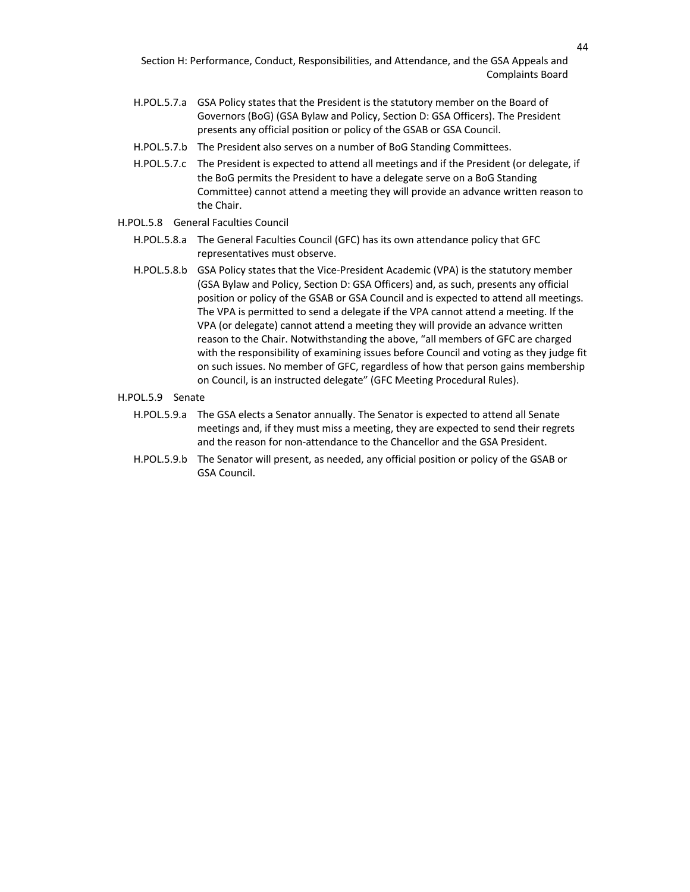- H.POL.5.7.a GSA Policy states that the President is the statutory member on the Board of Governors (BoG) (GSA Bylaw and Policy, Section D: GSA Officers). The President presents any official position or policy of the GSAB or GSA Council.
- H.POL.5.7.b The President also serves on a number of BoG Standing Committees.
- H.POL.5.7.c The President is expected to attend all meetings and if the President (or delegate, if the BoG permits the President to have a delegate serve on a BoG Standing Committee) cannot attend a meeting they will provide an advance written reason to the Chair.
- H.POL.5.8 General Faculties Council
	- H.POL.5.8.a The General Faculties Council (GFC) has its own attendance policy that GFC representatives must observe.
	- H.POL.5.8.b GSA Policy states that the Vice-President Academic (VPA) is the statutory member (GSA Bylaw and Policy, Section D: GSA Officers) and, as such, presents any official position or policy of the GSAB or GSA Council and is expected to attend all meetings. The VPA is permitted to send a delegate if the VPA cannot attend a meeting. If the VPA (or delegate) cannot attend a meeting they will provide an advance written reason to the Chair. Notwithstanding the above, "all members of GFC are charged with the responsibility of examining issues before Council and voting as they judge fit on such issues. No member of GFC, regardless of how that person gains membership on Council, is an instructed delegate" (GFC Meeting Procedural Rules).
- H.POL.5.9 Senate
	- H.POL.5.9.a The GSA elects a Senator annually. The Senator is expected to attend all Senate meetings and, if they must miss a meeting, they are expected to send their regrets and the reason for non-attendance to the Chancellor and the GSA President.
	- H.POL.5.9.b The Senator will present, as needed, any official position or policy of the GSAB or GSA Council.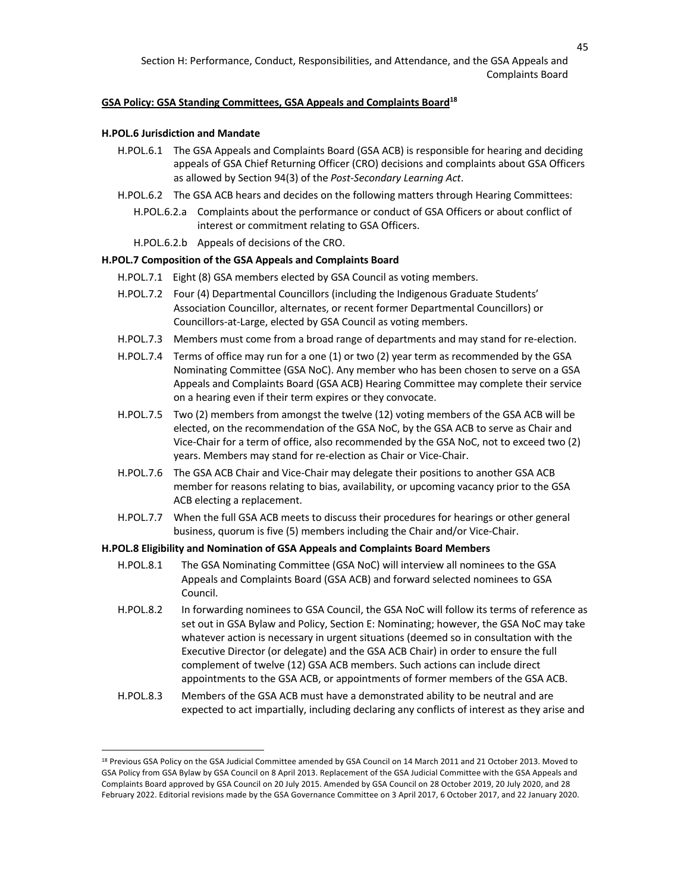#### GSA Policy: GSA Standing Committees, GSA Appeals and Complaints Board<sup>18</sup>

#### **H.POL.6 Jurisdiction and Mandate**

- H.POL.6.1 The GSA Appeals and Complaints Board (GSA ACB) is responsible for hearing and deciding appeals of GSA Chief Returning Officer (CRO) decisions and complaints about GSA Officers as allowed by Section 94(3) of the *Post-Secondary Learning Act*.
- H.POL.6.2 The GSA ACB hears and decides on the following matters through Hearing Committees:
	- H.POL.6.2.a Complaints about the performance or conduct of GSA Officers or about conflict of interest or commitment relating to GSA Officers.
	- H.POL.6.2.b Appeals of decisions of the CRO.

### **H.POL.7 Composition of the GSA Appeals and Complaints Board**

- H.POL.7.1 Eight (8) GSA members elected by GSA Council as voting members.
- H.POL.7.2 Four (4) Departmental Councillors (including the Indigenous Graduate Students' Association Councillor, alternates, or recent former Departmental Councillors) or Councillors-at-Large, elected by GSA Council as voting members.
- H.POL.7.3 Members must come from a broad range of departments and may stand for re-election.
- H.POL.7.4 Terms of office may run for a one (1) or two (2) year term as recommended by the GSA Nominating Committee (GSA NoC). Any member who has been chosen to serve on a GSA Appeals and Complaints Board (GSA ACB) Hearing Committee may complete their service on a hearing even if their term expires or they convocate.
- H.POL.7.5 Two (2) members from amongst the twelve (12) voting members of the GSA ACB will be elected, on the recommendation of the GSA NoC, by the GSA ACB to serve as Chair and Vice-Chair for a term of office, also recommended by the GSA NoC, not to exceed two (2) years. Members may stand for re-election as Chair or Vice-Chair.
- H.POL.7.6 The GSA ACB Chair and Vice-Chair may delegate their positions to another GSA ACB member for reasons relating to bias, availability, or upcoming vacancy prior to the GSA ACB electing a replacement.
- H.POL.7.7 When the full GSA ACB meets to discuss their procedures for hearings or other general business, quorum is five (5) members including the Chair and/or Vice-Chair.

#### **H.POL.8 Eligibility and Nomination of GSA Appeals and Complaints Board Members**

- H.POL.8.1 The GSA Nominating Committee (GSA NoC) will interview all nominees to the GSA Appeals and Complaints Board (GSA ACB) and forward selected nominees to GSA Council.
- H.POL.8.2 In forwarding nominees to GSA Council, the GSA NoC will follow its terms of reference as set out in GSA Bylaw and Policy, Section E: Nominating; however, the GSA NoC may take whatever action is necessary in urgent situations (deemed so in consultation with the Executive Director (or delegate) and the GSA ACB Chair) in order to ensure the full complement of twelve (12) GSA ACB members. Such actions can include direct appointments to the GSA ACB, or appointments of former members of the GSA ACB.
- H.POL.8.3 Members of the GSA ACB must have a demonstrated ability to be neutral and are expected to act impartially, including declaring any conflicts of interest as they arise and

<sup>&</sup>lt;sup>18</sup> Previous GSA Policy on the GSA Judicial Committee amended by GSA Council on 14 March 2011 and 21 October 2013. Moved to GSA Policy from GSA Bylaw by GSA Council on 8 April 2013. Replacement of the GSA Judicial Committee with the GSA Appeals and Complaints Board approved by GSA Council on 20 July 2015. Amended by GSA Council on 28 October 2019, 20 July 2020, and 28 February 2022. Editorial revisions made by the GSA Governance Committee on 3 April 2017, 6 October 2017, and 22 January 2020.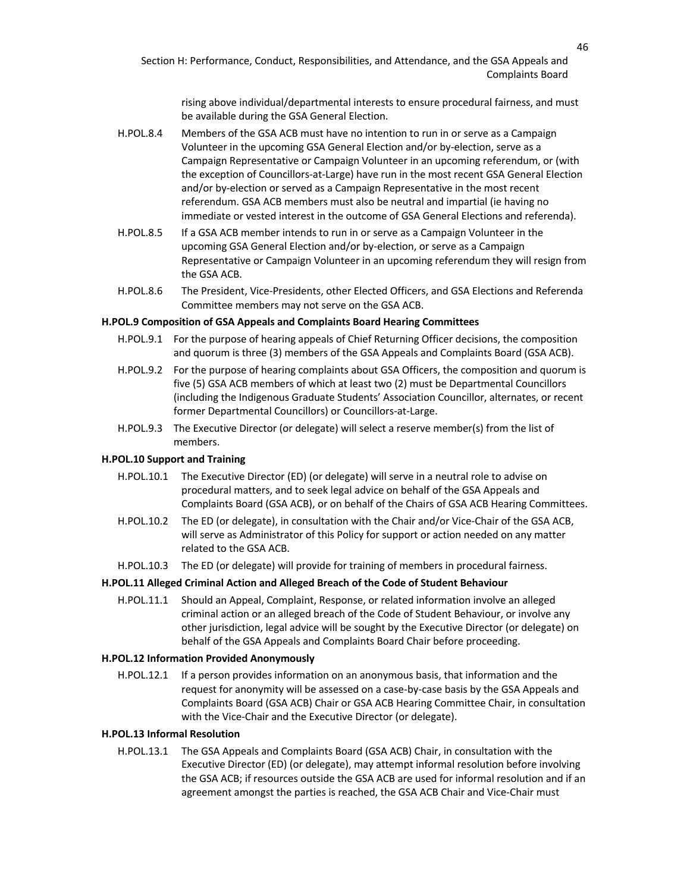rising above individual/departmental interests to ensure procedural fairness, and must be available during the GSA General Election.

- H.POL.8.4 Members of the GSA ACB must have no intention to run in or serve as a Campaign Volunteer in the upcoming GSA General Election and/or by-election, serve as a Campaign Representative or Campaign Volunteer in an upcoming referendum, or (with the exception of Councillors-at-Large) have run in the most recent GSA General Election and/or by-election or served as a Campaign Representative in the most recent referendum. GSA ACB members must also be neutral and impartial (ie having no immediate or vested interest in the outcome of GSA General Elections and referenda).
- H.POL.8.5 If a GSA ACB member intends to run in or serve as a Campaign Volunteer in the upcoming GSA General Election and/or by-election, or serve as a Campaign Representative or Campaign Volunteer in an upcoming referendum they will resign from the GSA ACB.
- H.POL.8.6 The President, Vice-Presidents, other Elected Officers, and GSA Elections and Referenda Committee members may not serve on the GSA ACB.

#### **H.POL.9 Composition of GSA Appeals and Complaints Board Hearing Committees**

- H.POL.9.1 For the purpose of hearing appeals of Chief Returning Officer decisions, the composition and quorum is three (3) members of the GSA Appeals and Complaints Board (GSA ACB).
- H.POL.9.2 For the purpose of hearing complaints about GSA Officers, the composition and quorum is five (5) GSA ACB members of which at least two (2) must be Departmental Councillors (including the Indigenous Graduate Students' Association Councillor, alternates, or recent former Departmental Councillors) or Councillors-at-Large.
- H.POL.9.3 The Executive Director (or delegate) will select a reserve member(s) from the list of members.

## **H.POL.10 Support and Training**

- H.POL.10.1 The Executive Director (ED) (or delegate) will serve in a neutral role to advise on procedural matters, and to seek legal advice on behalf of the GSA Appeals and Complaints Board (GSA ACB), or on behalf of the Chairs of GSA ACB Hearing Committees.
- H.POL.10.2 The ED (or delegate), in consultation with the Chair and/or Vice-Chair of the GSA ACB, will serve as Administrator of this Policy for support or action needed on any matter related to the GSA ACB.
- H.POL.10.3 The ED (or delegate) will provide for training of members in procedural fairness.

## **H.POL.11 Alleged Criminal Action and Alleged Breach of the Code of Student Behaviour**

H.POL.11.1 Should an Appeal, Complaint, Response, or related information involve an alleged criminal action or an alleged breach of the Code of Student Behaviour, or involve any other jurisdiction, legal advice will be sought by the Executive Director (or delegate) on behalf of the GSA Appeals and Complaints Board Chair before proceeding.

#### **H.POL.12 Information Provided Anonymously**

H.POL.12.1 If a person provides information on an anonymous basis, that information and the request for anonymity will be assessed on a case-by-case basis by the GSA Appeals and Complaints Board (GSA ACB) Chair or GSA ACB Hearing Committee Chair, in consultation with the Vice-Chair and the Executive Director (or delegate).

#### **H.POL.13 Informal Resolution**

H.POL.13.1 The GSA Appeals and Complaints Board (GSA ACB) Chair, in consultation with the Executive Director (ED) (or delegate), may attempt informal resolution before involving the GSA ACB; if resources outside the GSA ACB are used for informal resolution and if an agreement amongst the parties is reached, the GSA ACB Chair and Vice-Chair must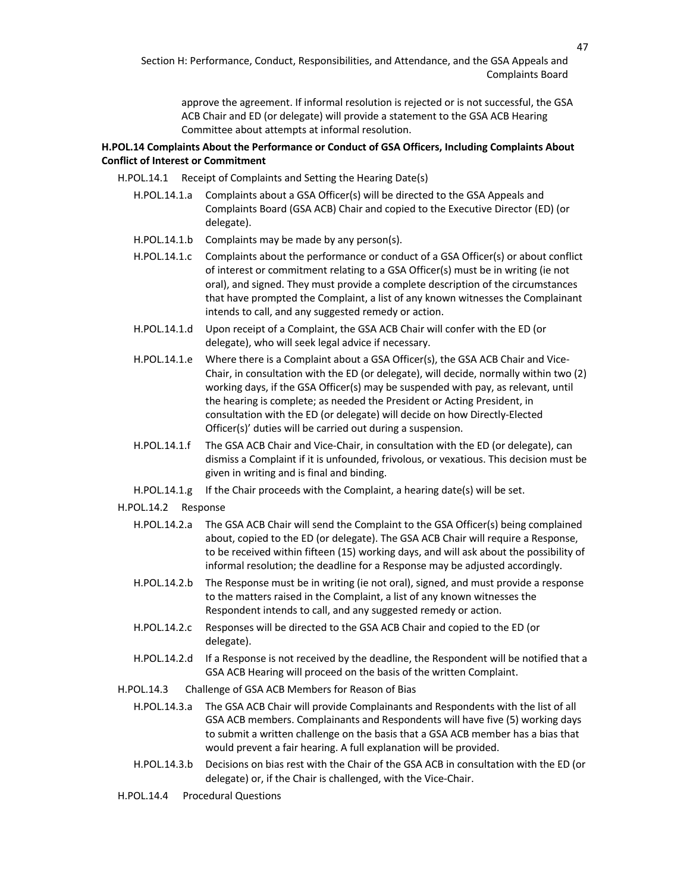approve the agreement. If informal resolution is rejected or is not successful, the GSA ACB Chair and ED (or delegate) will provide a statement to the GSA ACB Hearing Committee about attempts at informal resolution.

# **H.POL.14 Complaints About the Performance or Conduct of GSA Officers, Including Complaints About Conflict of Interest or Commitment**

- H.POL.14.1 Receipt of Complaints and Setting the Hearing Date(s)
	- H.POL.14.1.a Complaints about a GSA Officer(s) will be directed to the GSA Appeals and Complaints Board (GSA ACB) Chair and copied to the Executive Director (ED) (or delegate).
	- H.POL.14.1.b Complaints may be made by any person(s).
	- H.POL.14.1.c Complaints about the performance or conduct of a GSA Officer(s) or about conflict of interest or commitment relating to a GSA Officer(s) must be in writing (ie not oral), and signed. They must provide a complete description of the circumstances that have prompted the Complaint, a list of any known witnesses the Complainant intends to call, and any suggested remedy or action.
	- H.POL.14.1.d Upon receipt of a Complaint, the GSA ACB Chair will confer with the ED (or delegate), who will seek legal advice if necessary.
	- H.POL.14.1.e Where there is a Complaint about a GSA Officer(s), the GSA ACB Chair and Vice-Chair, in consultation with the ED (or delegate), will decide, normally within two (2) working days, if the GSA Officer(s) may be suspended with pay, as relevant, until the hearing is complete; as needed the President or Acting President, in consultation with the ED (or delegate) will decide on how Directly-Elected Officer(s)' duties will be carried out during a suspension.
	- H.POL.14.1.f The GSA ACB Chair and Vice-Chair, in consultation with the ED (or delegate), can dismiss a Complaint if it is unfounded, frivolous, or vexatious. This decision must be given in writing and is final and binding.
	- H.POL.14.1.g If the Chair proceeds with the Complaint, a hearing date(s) will be set.

#### H.POL.14.2 Response

- H.POL.14.2.a The GSA ACB Chair will send the Complaint to the GSA Officer(s) being complained about, copied to the ED (or delegate). The GSA ACB Chair will require a Response, to be received within fifteen (15) working days, and will ask about the possibility of informal resolution; the deadline for a Response may be adjusted accordingly.
- H.POL.14.2.b The Response must be in writing (ie not oral), signed, and must provide a response to the matters raised in the Complaint, a list of any known witnesses the Respondent intends to call, and any suggested remedy or action.
- H.POL.14.2.c Responses will be directed to the GSA ACB Chair and copied to the ED (or delegate).
- H.POL.14.2.d If a Response is not received by the deadline, the Respondent will be notified that a GSA ACB Hearing will proceed on the basis of the written Complaint.
- H.POL.14.3 Challenge of GSA ACB Members for Reason of Bias
	- H.POL.14.3.a The GSA ACB Chair will provide Complainants and Respondents with the list of all GSA ACB members. Complainants and Respondents will have five (5) working days to submit a written challenge on the basis that a GSA ACB member has a bias that would prevent a fair hearing. A full explanation will be provided.
	- H.POL.14.3.b Decisions on bias rest with the Chair of the GSA ACB in consultation with the ED (or delegate) or, if the Chair is challenged, with the Vice-Chair.
- H.POL.14.4 Procedural Questions

47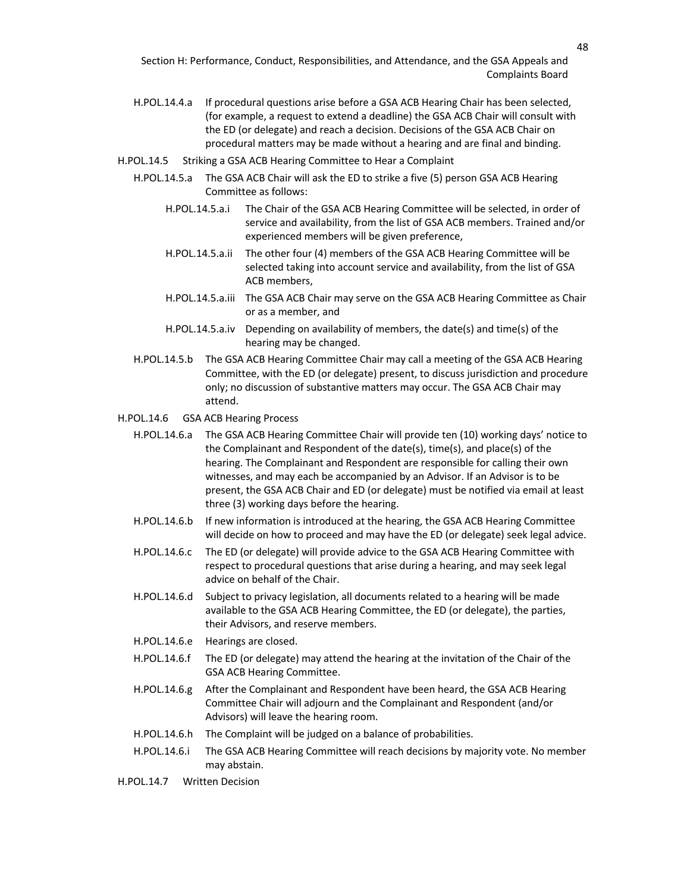- H.POL.14.4.a If procedural questions arise before a GSA ACB Hearing Chair has been selected, (for example, a request to extend a deadline) the GSA ACB Chair will consult with the ED (or delegate) and reach a decision. Decisions of the GSA ACB Chair on procedural matters may be made without a hearing and are final and binding.
- H.POL.14.5 Striking a GSA ACB Hearing Committee to Hear a Complaint
	- H.POL.14.5.a The GSA ACB Chair will ask the ED to strike a five (5) person GSA ACB Hearing Committee as follows:
		- H.POL.14.5.a.i The Chair of the GSA ACB Hearing Committee will be selected, in order of service and availability, from the list of GSA ACB members. Trained and/or experienced members will be given preference,
		- H.POL.14.5.a.ii The other four (4) members of the GSA ACB Hearing Committee will be selected taking into account service and availability, from the list of GSA ACB members,
		- H.POL.14.5.a.iii The GSA ACB Chair may serve on the GSA ACB Hearing Committee as Chair or as a member, and
		- H.POL.14.5.a.iv Depending on availability of members, the date(s) and time(s) of the hearing may be changed.
	- H.POL.14.5.b The GSA ACB Hearing Committee Chair may call a meeting of the GSA ACB Hearing Committee, with the ED (or delegate) present, to discuss jurisdiction and procedure only; no discussion of substantive matters may occur. The GSA ACB Chair may attend.

### H.POL.14.6 GSA ACB Hearing Process

- H.POL.14.6.a The GSA ACB Hearing Committee Chair will provide ten (10) working days' notice to the Complainant and Respondent of the date(s), time(s), and place(s) of the hearing. The Complainant and Respondent are responsible for calling their own witnesses, and may each be accompanied by an Advisor. If an Advisor is to be present, the GSA ACB Chair and ED (or delegate) must be notified via email at least three (3) working days before the hearing.
- H.POL.14.6.b If new information is introduced at the hearing, the GSA ACB Hearing Committee will decide on how to proceed and may have the ED (or delegate) seek legal advice.
- H.POL.14.6.c The ED (or delegate) will provide advice to the GSA ACB Hearing Committee with respect to procedural questions that arise during a hearing, and may seek legal advice on behalf of the Chair.
- H.POL.14.6.d Subject to privacy legislation, all documents related to a hearing will be made available to the GSA ACB Hearing Committee, the ED (or delegate), the parties, their Advisors, and reserve members.
- H.POL.14.6.e Hearings are closed.
- H.POL.14.6.f The ED (or delegate) may attend the hearing at the invitation of the Chair of the GSA ACB Hearing Committee.
- H.POL.14.6.g After the Complainant and Respondent have been heard, the GSA ACB Hearing Committee Chair will adjourn and the Complainant and Respondent (and/or Advisors) will leave the hearing room.
- H.POL.14.6.h The Complaint will be judged on a balance of probabilities.
- H.POL.14.6.i The GSA ACB Hearing Committee will reach decisions by majority vote. No member may abstain.
- H.POL.14.7 Written Decision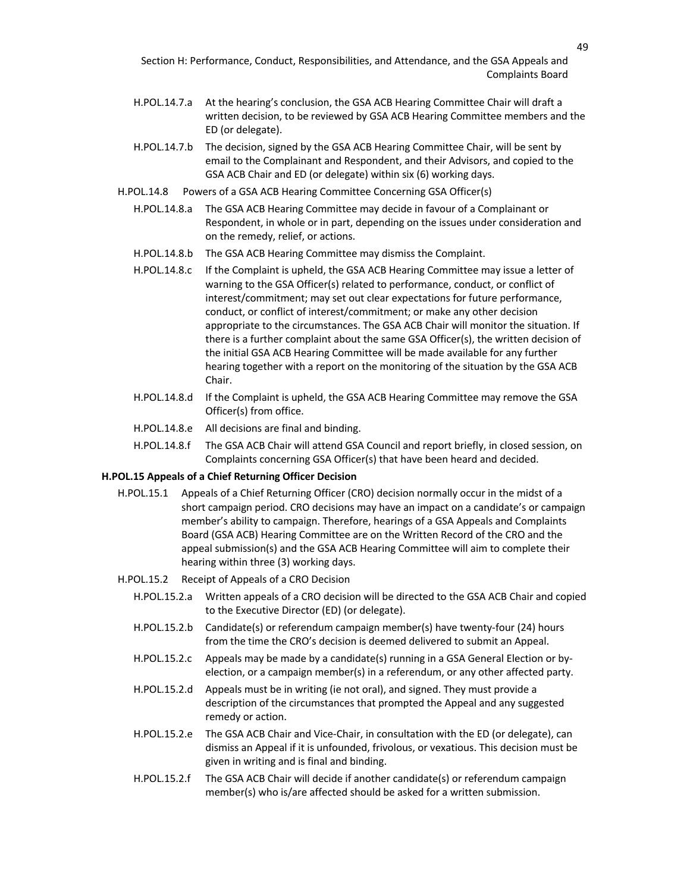- H.POL.14.7.a At the hearing's conclusion, the GSA ACB Hearing Committee Chair will draft a written decision, to be reviewed by GSA ACB Hearing Committee members and the ED (or delegate).
- H.POL.14.7.b The decision, signed by the GSA ACB Hearing Committee Chair, will be sent by email to the Complainant and Respondent, and their Advisors, and copied to the GSA ACB Chair and ED (or delegate) within six (6) working days.
- H.POL.14.8 Powers of a GSA ACB Hearing Committee Concerning GSA Officer(s)
	- H.POL.14.8.a The GSA ACB Hearing Committee may decide in favour of a Complainant or Respondent, in whole or in part, depending on the issues under consideration and on the remedy, relief, or actions.
	- H.POL.14.8.b The GSA ACB Hearing Committee may dismiss the Complaint.
	- H.POL.14.8.c If the Complaint is upheld, the GSA ACB Hearing Committee may issue a letter of warning to the GSA Officer(s) related to performance, conduct, or conflict of interest/commitment; may set out clear expectations for future performance, conduct, or conflict of interest/commitment; or make any other decision appropriate to the circumstances. The GSA ACB Chair will monitor the situation. If there is a further complaint about the same GSA Officer(s), the written decision of the initial GSA ACB Hearing Committee will be made available for any further hearing together with a report on the monitoring of the situation by the GSA ACB Chair.
	- H.POL.14.8.d If the Complaint is upheld, the GSA ACB Hearing Committee may remove the GSA Officer(s) from office.
	- H.POL.14.8.e All decisions are final and binding.
	- H.POL.14.8.f The GSA ACB Chair will attend GSA Council and report briefly, in closed session, on Complaints concerning GSA Officer(s) that have been heard and decided.

# **H.POL.15 Appeals of a Chief Returning Officer Decision**

- H.POL.15.1 Appeals of a Chief Returning Officer (CRO) decision normally occur in the midst of a short campaign period. CRO decisions may have an impact on a candidate's or campaign member's ability to campaign. Therefore, hearings of a GSA Appeals and Complaints Board (GSA ACB) Hearing Committee are on the Written Record of the CRO and the appeal submission(s) and the GSA ACB Hearing Committee will aim to complete their hearing within three (3) working days.
- H.POL.15.2 Receipt of Appeals of a CRO Decision
	- H.POL.15.2.a Written appeals of a CRO decision will be directed to the GSA ACB Chair and copied to the Executive Director (ED) (or delegate).
	- H.POL.15.2.b Candidate(s) or referendum campaign member(s) have twenty-four (24) hours from the time the CRO's decision is deemed delivered to submit an Appeal.
	- H.POL.15.2.c Appeals may be made by a candidate(s) running in a GSA General Election or byelection, or a campaign member(s) in a referendum, or any other affected party.
	- H.POL.15.2.d Appeals must be in writing (ie not oral), and signed. They must provide a description of the circumstances that prompted the Appeal and any suggested remedy or action.
	- H.POL.15.2.e The GSA ACB Chair and Vice-Chair, in consultation with the ED (or delegate), can dismiss an Appeal if it is unfounded, frivolous, or vexatious. This decision must be given in writing and is final and binding.
	- H.POL.15.2.f The GSA ACB Chair will decide if another candidate(s) or referendum campaign member(s) who is/are affected should be asked for a written submission.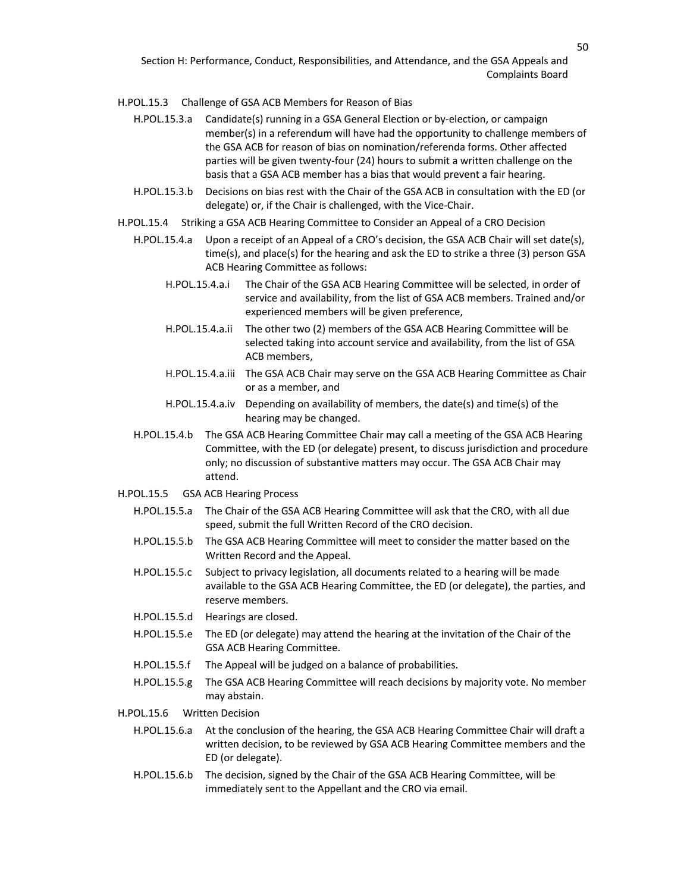#### H.POL.15.3 Challenge of GSA ACB Members for Reason of Bias

- H.POL.15.3.a Candidate(s) running in a GSA General Election or by-election, or campaign member(s) in a referendum will have had the opportunity to challenge members of the GSA ACB for reason of bias on nomination/referenda forms. Other affected parties will be given twenty-four (24) hours to submit a written challenge on the basis that a GSA ACB member has a bias that would prevent a fair hearing.
- H.POL.15.3.b Decisions on bias rest with the Chair of the GSA ACB in consultation with the ED (or delegate) or, if the Chair is challenged, with the Vice-Chair.
- H.POL.15.4 Striking a GSA ACB Hearing Committee to Consider an Appeal of a CRO Decision
	- H.POL.15.4.a Upon a receipt of an Appeal of a CRO's decision, the GSA ACB Chair will set date(s), time(s), and place(s) for the hearing and ask the ED to strike a three (3) person GSA ACB Hearing Committee as follows:
		- H.POL.15.4.a.i The Chair of the GSA ACB Hearing Committee will be selected, in order of service and availability, from the list of GSA ACB members. Trained and/or experienced members will be given preference,
		- H.POL.15.4.a.ii The other two (2) members of the GSA ACB Hearing Committee will be selected taking into account service and availability, from the list of GSA ACB members,
		- H.POL.15.4.a.iii The GSA ACB Chair may serve on the GSA ACB Hearing Committee as Chair or as a member, and
		- H.POL.15.4.a.iv Depending on availability of members, the date(s) and time(s) of the hearing may be changed.
	- H.POL.15.4.b The GSA ACB Hearing Committee Chair may call a meeting of the GSA ACB Hearing Committee, with the ED (or delegate) present, to discuss jurisdiction and procedure only; no discussion of substantive matters may occur. The GSA ACB Chair may attend.
- H.POL.15.5 GSA ACB Hearing Process
	- H.POL.15.5.a The Chair of the GSA ACB Hearing Committee will ask that the CRO, with all due speed, submit the full Written Record of the CRO decision.
	- H.POL.15.5.b The GSA ACB Hearing Committee will meet to consider the matter based on the Written Record and the Appeal.
	- H.POL.15.5.c Subject to privacy legislation, all documents related to a hearing will be made available to the GSA ACB Hearing Committee, the ED (or delegate), the parties, and reserve members.
	- H.POL.15.5.d Hearings are closed.
	- H.POL.15.5.e The ED (or delegate) may attend the hearing at the invitation of the Chair of the GSA ACB Hearing Committee.
	- H.POL.15.5.f The Appeal will be judged on a balance of probabilities.
	- H.POL.15.5.g The GSA ACB Hearing Committee will reach decisions by majority vote. No member may abstain.
- H.POL.15.6 Written Decision
	- H.POL.15.6.a At the conclusion of the hearing, the GSA ACB Hearing Committee Chair will draft a written decision, to be reviewed by GSA ACB Hearing Committee members and the ED (or delegate).
	- H.POL.15.6.b The decision, signed by the Chair of the GSA ACB Hearing Committee, will be immediately sent to the Appellant and the CRO via email.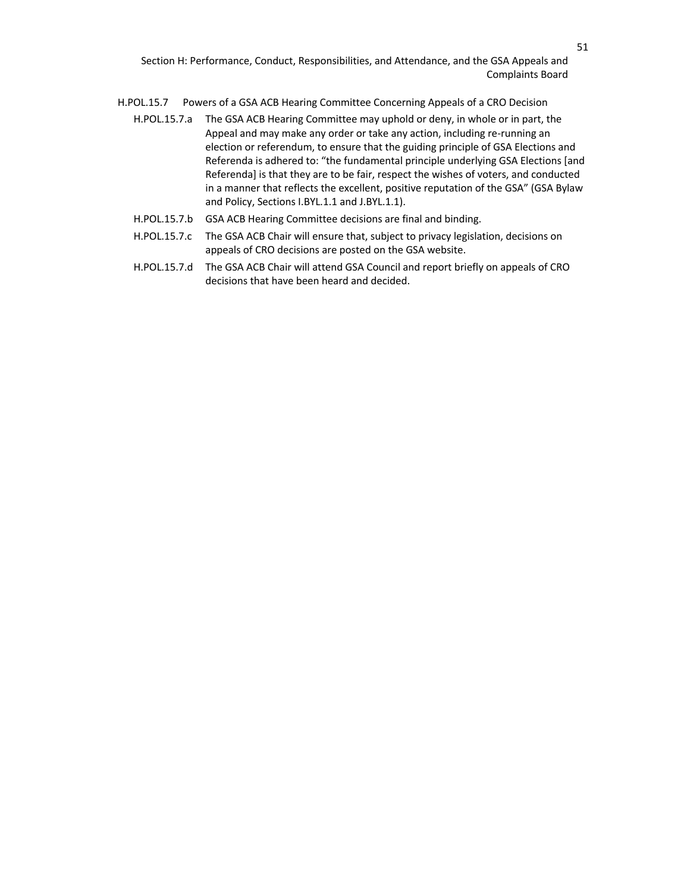- H.POL.15.7 Powers of a GSA ACB Hearing Committee Concerning Appeals of a CRO Decision
	- H.POL.15.7.a The GSA ACB Hearing Committee may uphold or deny, in whole or in part, the Appeal and may make any order or take any action, including re-running an election or referendum, to ensure that the guiding principle of GSA Elections and Referenda is adhered to: "the fundamental principle underlying GSA Elections [and Referenda] is that they are to be fair, respect the wishes of voters, and conducted in a manner that reflects the excellent, positive reputation of the GSA" (GSA Bylaw and Policy, Sections I.BYL.1.1 and J.BYL.1.1).
	- H.POL.15.7.b GSA ACB Hearing Committee decisions are final and binding.
	- H.POL.15.7.c The GSA ACB Chair will ensure that, subject to privacy legislation, decisions on appeals of CRO decisions are posted on the GSA website.
	- H.POL.15.7.d The GSA ACB Chair will attend GSA Council and report briefly on appeals of CRO decisions that have been heard and decided.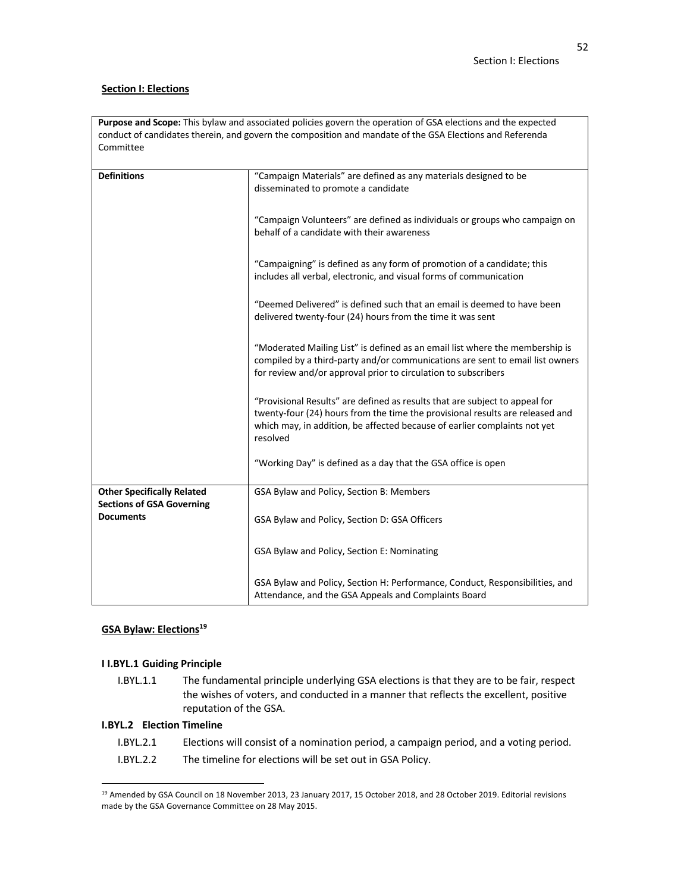# **Section I: Elections**

| <b>Purpose and Scope:</b> This bylaw and associated policies govern the operation of GSA elections and the expected |
|---------------------------------------------------------------------------------------------------------------------|
| conduct of candidates therein, and govern the composition and mandate of the GSA Elections and Referenda            |
| Committee                                                                                                           |

| <b>Definitions</b>                | "Campaign Materials" are defined as any materials designed to be<br>disseminated to promote a candidate                                                                                                                                               |
|-----------------------------------|-------------------------------------------------------------------------------------------------------------------------------------------------------------------------------------------------------------------------------------------------------|
|                                   | "Campaign Volunteers" are defined as individuals or groups who campaign on<br>behalf of a candidate with their awareness                                                                                                                              |
|                                   | "Campaigning" is defined as any form of promotion of a candidate; this<br>includes all verbal, electronic, and visual forms of communication                                                                                                          |
|                                   | "Deemed Delivered" is defined such that an email is deemed to have been<br>delivered twenty-four (24) hours from the time it was sent                                                                                                                 |
|                                   | "Moderated Mailing List" is defined as an email list where the membership is<br>compiled by a third-party and/or communications are sent to email list owners<br>for review and/or approval prior to circulation to subscribers                       |
|                                   | "Provisional Results" are defined as results that are subject to appeal for<br>twenty-four (24) hours from the time the provisional results are released and<br>which may, in addition, be affected because of earlier complaints not yet<br>resolved |
|                                   | "Working Day" is defined as a day that the GSA office is open                                                                                                                                                                                         |
| <b>Other Specifically Related</b> | GSA Bylaw and Policy, Section B: Members                                                                                                                                                                                                              |
| <b>Sections of GSA Governing</b>  |                                                                                                                                                                                                                                                       |
| <b>Documents</b>                  | GSA Bylaw and Policy, Section D: GSA Officers                                                                                                                                                                                                         |
|                                   |                                                                                                                                                                                                                                                       |
|                                   | GSA Bylaw and Policy, Section E: Nominating                                                                                                                                                                                                           |
|                                   | GSA Bylaw and Policy, Section H: Performance, Conduct, Responsibilities, and<br>Attendance, and the GSA Appeals and Complaints Board                                                                                                                  |

# **GSA Bylaw: Elections**<sup>19</sup>

# **I I.BYL.1 Guiding Principle**

I.BYL.1.1 The fundamental principle underlying GSA elections is that they are to be fair, respect the wishes of voters, and conducted in a manner that reflects the excellent, positive reputation of the GSA.

# **I.BYL.2 Election Timeline**

| I.BYL.2.1 | Elections will consist of a nomination period, a campaign period, and a voting period. |
|-----------|----------------------------------------------------------------------------------------|
| I.BYL.2.2 | The timeline for elections will be set out in GSA Policy.                              |

<sup>&</sup>lt;sup>19</sup> Amended by GSA Council on 18 November 2013, 23 January 2017, 15 October 2018, and 28 October 2019. Editorial revisions made by the GSA Governance Committee on 28 May 2015.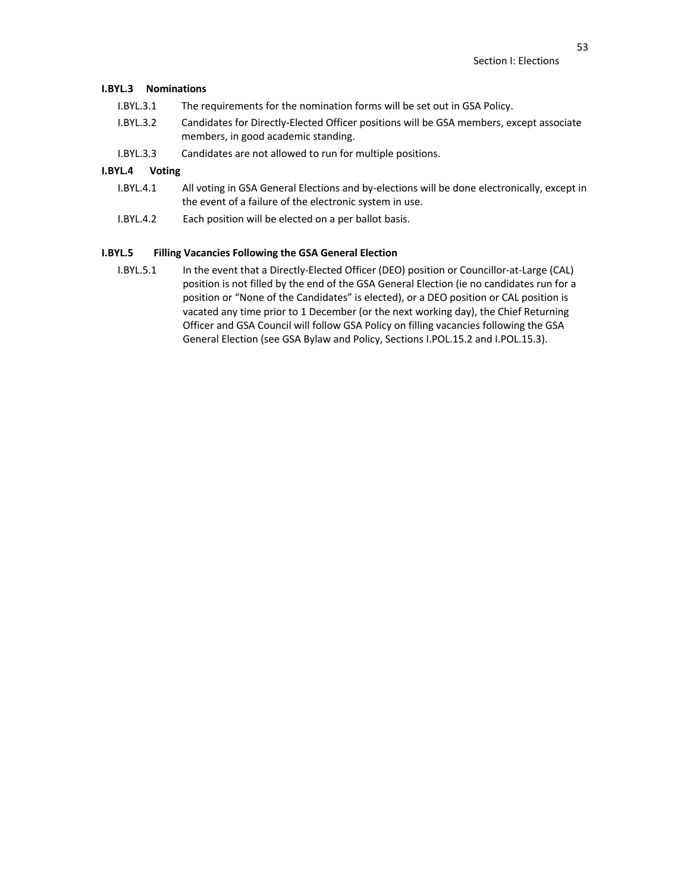### **I.BYL.3 Nominations**

- I.BYL.3.1 The requirements for the nomination forms will be set out in GSA Policy.
- I.BYL.3.2 Candidates for Directly-Elected Officer positions will be GSA members, except associate members, in good academic standing.
- I.BYL.3.3 Candidates are not allowed to run for multiple positions.

# **I.BYL.4 Voting**

- I.BYL.4.1 All voting in GSA General Elections and by-elections will be done electronically, except in the event of a failure of the electronic system in use.
- I.BYL.4.2 Each position will be elected on a per ballot basis.

# **I.BYL.5 Filling Vacancies Following the GSA General Election**

I.BYL.5.1 In the event that a Directly-Elected Officer (DEO) position or Councillor-at-Large (CAL) position is not filled by the end of the GSA General Election (ie no candidates run for a position or "None of the Candidates" is elected), or a DEO position or CAL position is vacated any time prior to 1 December (or the next working day), the Chief Returning Officer and GSA Council will follow GSA Policy on filling vacancies following the GSA General Election (see GSA Bylaw and Policy, Sections I.POL.15.2 and I.POL.15.3).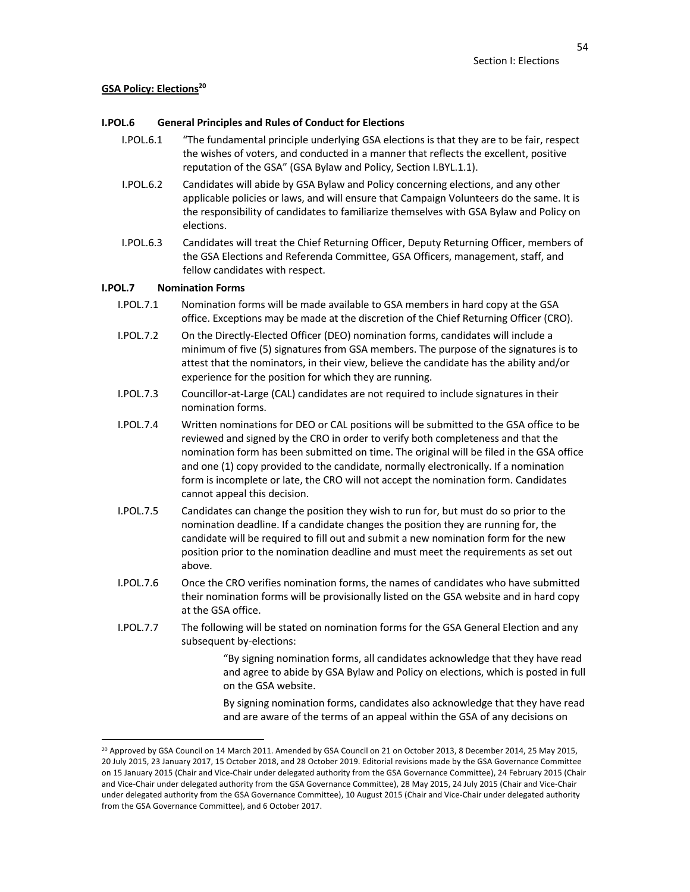# **GSA Policy: Elections20**

# **I.POL.6 General Principles and Rules of Conduct for Elections**

- I.POL.6.1 "The fundamental principle underlying GSA elections is that they are to be fair, respect the wishes of voters, and conducted in a manner that reflects the excellent, positive reputation of the GSA" (GSA Bylaw and Policy, Section I.BYL.1.1).
- I.POL.6.2 Candidates will abide by GSA Bylaw and Policy concerning elections, and any other applicable policies or laws, and will ensure that Campaign Volunteers do the same. It is the responsibility of candidates to familiarize themselves with GSA Bylaw and Policy on elections.
- I.POL.6.3 Candidates will treat the Chief Returning Officer, Deputy Returning Officer, members of the GSA Elections and Referenda Committee, GSA Officers, management, staff, and fellow candidates with respect.

# **I.POL.7 Nomination Forms**

- I.POL.7.1 Nomination forms will be made available to GSA members in hard copy at the GSA office. Exceptions may be made at the discretion of the Chief Returning Officer (CRO).
- I.POL.7.2 On the Directly-Elected Officer (DEO) nomination forms, candidates will include a minimum of five (5) signatures from GSA members. The purpose of the signatures is to attest that the nominators, in their view, believe the candidate has the ability and/or experience for the position for which they are running.
- I.POL.7.3 Councillor-at-Large (CAL) candidates are not required to include signatures in their nomination forms.
- I.POL.7.4 Written nominations for DEO or CAL positions will be submitted to the GSA office to be reviewed and signed by the CRO in order to verify both completeness and that the nomination form has been submitted on time. The original will be filed in the GSA office and one (1) copy provided to the candidate, normally electronically. If a nomination form is incomplete or late, the CRO will not accept the nomination form. Candidates cannot appeal this decision.
- I.POL.7.5 Candidates can change the position they wish to run for, but must do so prior to the nomination deadline. If a candidate changes the position they are running for, the candidate will be required to fill out and submit a new nomination form for the new position prior to the nomination deadline and must meet the requirements as set out above.
- I.POL.7.6 Once the CRO verifies nomination forms, the names of candidates who have submitted their nomination forms will be provisionally listed on the GSA website and in hard copy at the GSA office.
- I.POL.7.7 The following will be stated on nomination forms for the GSA General Election and any subsequent by-elections:

"By signing nomination forms, all candidates acknowledge that they have read and agree to abide by GSA Bylaw and Policy on elections, which is posted in full on the GSA website.

By signing nomination forms, candidates also acknowledge that they have read and are aware of the terms of an appeal within the GSA of any decisions on

<sup>&</sup>lt;sup>20</sup> Approved by GSA Council on 14 March 2011. Amended by GSA Council on 21 on October 2013, 8 December 2014, 25 May 2015, 20 July 2015, 23 January 2017, 15 October 2018, and 28 October 2019. Editorial revisions made by the GSA Governance Committee on 15 January 2015 (Chair and Vice-Chair under delegated authority from the GSA Governance Committee), 24 February 2015 (Chair and Vice-Chair under delegated authority from the GSA Governance Committee), 28 May 2015, 24 July 2015 (Chair and Vice-Chair under delegated authority from the GSA Governance Committee), 10 August 2015 (Chair and Vice-Chair under delegated authority from the GSA Governance Committee), and 6 October 2017.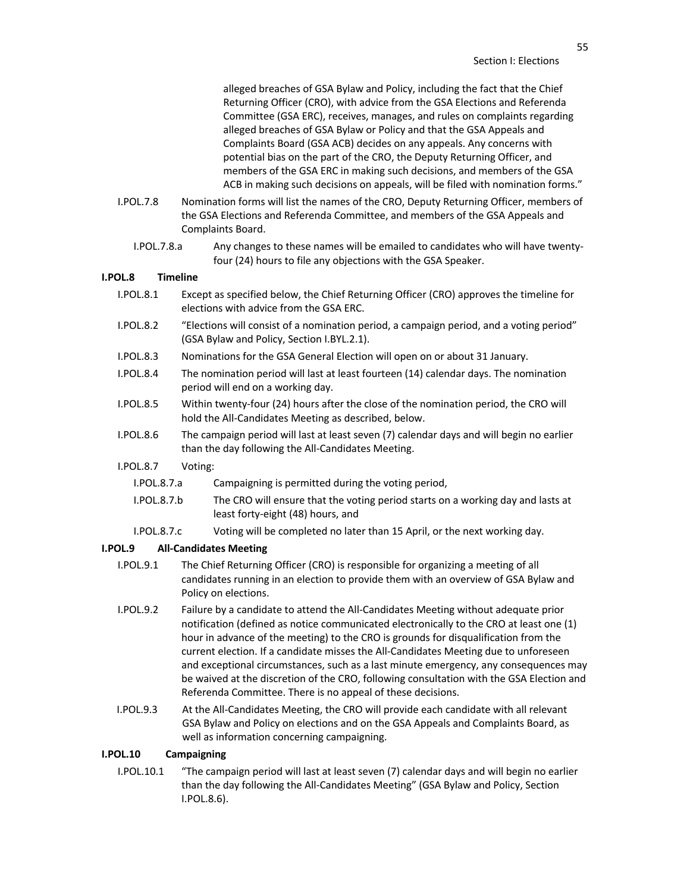alleged breaches of GSA Bylaw and Policy, including the fact that the Chief Returning Officer (CRO), with advice from the GSA Elections and Referenda Committee (GSA ERC), receives, manages, and rules on complaints regarding alleged breaches of GSA Bylaw or Policy and that the GSA Appeals and Complaints Board (GSA ACB) decides on any appeals. Any concerns with potential bias on the part of the CRO, the Deputy Returning Officer, and members of the GSA ERC in making such decisions, and members of the GSA ACB in making such decisions on appeals, will be filed with nomination forms."

- I.POL.7.8 Nomination forms will list the names of the CRO, Deputy Returning Officer, members of the GSA Elections and Referenda Committee, and members of the GSA Appeals and Complaints Board.
	- I.POL.7.8.a Any changes to these names will be emailed to candidates who will have twentyfour (24) hours to file any objections with the GSA Speaker.

# **I.POL.8 Timeline**

- I.POL.8.1 Except as specified below, the Chief Returning Officer (CRO) approves the timeline for elections with advice from the GSA ERC.
- I.POL.8.2 "Elections will consist of a nomination period, a campaign period, and a voting period" (GSA Bylaw and Policy, Section I.BYL.2.1).
- I.POL.8.3 Nominations for the GSA General Election will open on or about 31 January.
- I.POL.8.4 The nomination period will last at least fourteen (14) calendar days. The nomination period will end on a working day.
- I.POL.8.5 Within twenty-four (24) hours after the close of the nomination period, the CRO will hold the All-Candidates Meeting as described, below.
- I.POL.8.6 The campaign period will last at least seven (7) calendar days and will begin no earlier than the day following the All-Candidates Meeting.
- I.POL.8.7 Voting:
	- I.POL.8.7.a Campaigning is permitted during the voting period,
	- I.POL.8.7.b The CRO will ensure that the voting period starts on a working day and lasts at least forty-eight (48) hours, and
	- I.POL.8.7.c Voting will be completed no later than 15 April, or the next working day.

#### **I.POL.9 All-Candidates Meeting**

- I.POL.9.1 The Chief Returning Officer (CRO) is responsible for organizing a meeting of all candidates running in an election to provide them with an overview of GSA Bylaw and Policy on elections.
- I.POL.9.2 Failure by a candidate to attend the All-Candidates Meeting without adequate prior notification (defined as notice communicated electronically to the CRO at least one (1) hour in advance of the meeting) to the CRO is grounds for disqualification from the current election. If a candidate misses the All-Candidates Meeting due to unforeseen and exceptional circumstances, such as a last minute emergency, any consequences may be waived at the discretion of the CRO, following consultation with the GSA Election and Referenda Committee. There is no appeal of these decisions.
- I.POL.9.3 At the All-Candidates Meeting, the CRO will provide each candidate with all relevant GSA Bylaw and Policy on elections and on the GSA Appeals and Complaints Board, as well as information concerning campaigning.

#### **I.POL.10 Campaigning**

I.POL.10.1 "The campaign period will last at least seven (7) calendar days and will begin no earlier than the day following the All-Candidates Meeting" (GSA Bylaw and Policy, Section I.POL.8.6).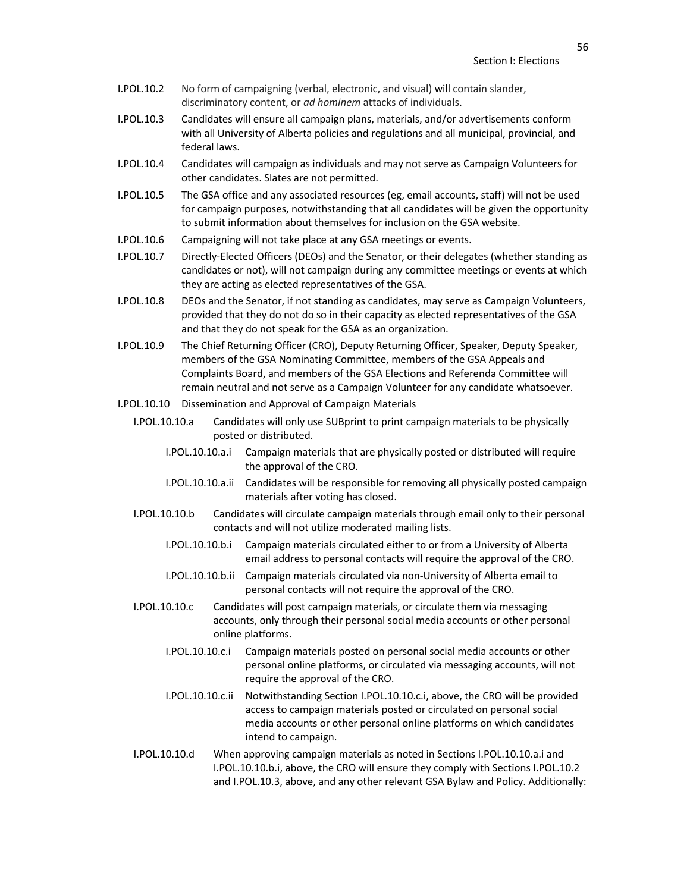- I.POL.10.2 No form of campaigning (verbal, electronic, and visual) will contain slander, discriminatory content, or *ad hominem* attacks of individuals.
- I.POL.10.3 Candidates will ensure all campaign plans, materials, and/or advertisements conform with all University of Alberta policies and regulations and all municipal, provincial, and federal laws.
- I.POL.10.4 Candidates will campaign as individuals and may not serve as Campaign Volunteers for other candidates. Slates are not permitted.
- I.POL.10.5 The GSA office and any associated resources (eg, email accounts, staff) will not be used for campaign purposes, notwithstanding that all candidates will be given the opportunity to submit information about themselves for inclusion on the GSA website.
- I.POL.10.6 Campaigning will not take place at any GSA meetings or events.
- I.POL.10.7 Directly-Elected Officers (DEOs) and the Senator, or their delegates (whether standing as candidates or not), will not campaign during any committee meetings or events at which they are acting as elected representatives of the GSA.
- I.POL.10.8 DEOs and the Senator, if not standing as candidates, may serve as Campaign Volunteers, provided that they do not do so in their capacity as elected representatives of the GSA and that they do not speak for the GSA as an organization.
- I.POL.10.9 The Chief Returning Officer (CRO), Deputy Returning Officer, Speaker, Deputy Speaker, members of the GSA Nominating Committee, members of the GSA Appeals and Complaints Board, and members of the GSA Elections and Referenda Committee will remain neutral and not serve as a Campaign Volunteer for any candidate whatsoever.
- I.POL.10.10 Dissemination and Approval of Campaign Materials
	- I.POL.10.10.a Candidates will only use SUBprint to print campaign materials to be physically posted or distributed.
		- I.POL.10.10.a.i Campaign materials that are physically posted or distributed will require the approval of the CRO.
		- I.POL.10.10.a.ii Candidates will be responsible for removing all physically posted campaign materials after voting has closed.
	- I.POL.10.10.b Candidates will circulate campaign materials through email only to their personal contacts and will not utilize moderated mailing lists.
		- I.POL.10.10.b.i Campaign materials circulated either to or from a University of Alberta email address to personal contacts will require the approval of the CRO.
		- I.POL.10.10.b.ii Campaign materials circulated via non-University of Alberta email to personal contacts will not require the approval of the CRO.
	- I.POL.10.10.c Candidates will post campaign materials, or circulate them via messaging accounts, only through their personal social media accounts or other personal online platforms.
		- I.POL.10.10.c.i Campaign materials posted on personal social media accounts or other personal online platforms, or circulated via messaging accounts, will not require the approval of the CRO.
		- I.POL.10.10.c.ii Notwithstanding Section I.POL.10.10.c.i, above, the CRO will be provided access to campaign materials posted or circulated on personal social media accounts or other personal online platforms on which candidates intend to campaign.
	- I.POL.10.10.d When approving campaign materials as noted in Sections I.POL.10.10.a.i and I.POL.10.10.b.i, above, the CRO will ensure they comply with Sections I.POL.10.2 and I.POL.10.3, above, and any other relevant GSA Bylaw and Policy. Additionally: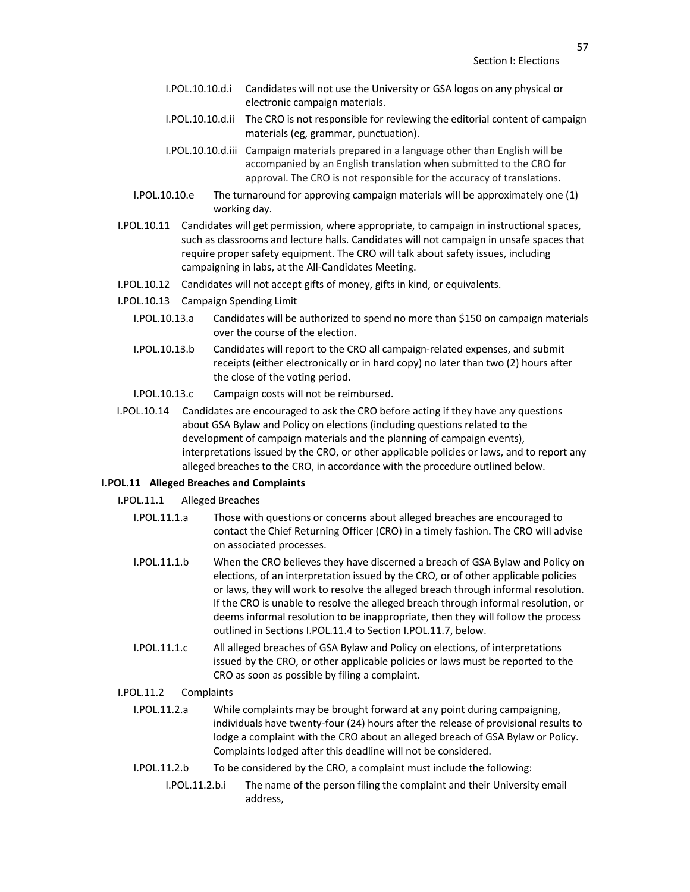- I.POL.10.10.d.i Candidates will not use the University or GSA logos on any physical or electronic campaign materials.
- I.POL.10.10.d.ii The CRO is not responsible for reviewing the editorial content of campaign materials (eg, grammar, punctuation).
- I.POL.10.10.d.iii Campaign materials prepared in a language other than English will be accompanied by an English translation when submitted to the CRO for approval. The CRO is not responsible for the accuracy of translations.
- I.POL.10.10.e The turnaround for approving campaign materials will be approximately one (1) working day.
- I.POL.10.11 Candidates will get permission, where appropriate, to campaign in instructional spaces, such as classrooms and lecture halls. Candidates will not campaign in unsafe spaces that require proper safety equipment. The CRO will talk about safety issues, including campaigning in labs, at the All-Candidates Meeting.
- I.POL.10.12 Candidates will not accept gifts of money, gifts in kind, or equivalents.
- I.POL.10.13 Campaign Spending Limit
	- I.POL.10.13.a Candidates will be authorized to spend no more than \$150 on campaign materials over the course of the election.
	- I.POL.10.13.b Candidates will report to the CRO all campaign-related expenses, and submit receipts (either electronically or in hard copy) no later than two (2) hours after the close of the voting period.
	- I.POL.10.13.c Campaign costs will not be reimbursed.
- I.POL.10.14 Candidates are encouraged to ask the CRO before acting if they have any questions about GSA Bylaw and Policy on elections (including questions related to the development of campaign materials and the planning of campaign events), interpretations issued by the CRO, or other applicable policies or laws, and to report any alleged breaches to the CRO, in accordance with the procedure outlined below.

# **I.POL.11 Alleged Breaches and Complaints**

- I.POL.11.1 Alleged Breaches
	- I.POL.11.1.a Those with questions or concerns about alleged breaches are encouraged to contact the Chief Returning Officer (CRO) in a timely fashion. The CRO will advise on associated processes.
	- I.POL.11.1.b When the CRO believes they have discerned a breach of GSA Bylaw and Policy on elections, of an interpretation issued by the CRO, or of other applicable policies or laws, they will work to resolve the alleged breach through informal resolution. If the CRO is unable to resolve the alleged breach through informal resolution, or deems informal resolution to be inappropriate, then they will follow the process outlined in Sections I.POL.11.4 to Section I.POL.11.7, below.
	- I.POL.11.1.c All alleged breaches of GSA Bylaw and Policy on elections, of interpretations issued by the CRO, or other applicable policies or laws must be reported to the CRO as soon as possible by filing a complaint.

# I.POL.11.2 Complaints

- I.POL.11.2.a While complaints may be brought forward at any point during campaigning, individuals have twenty-four (24) hours after the release of provisional results to lodge a complaint with the CRO about an alleged breach of GSA Bylaw or Policy. Complaints lodged after this deadline will not be considered.
- I.POL.11.2.b To be considered by the CRO, a complaint must include the following:
	- I.POL.11.2.b.i The name of the person filing the complaint and their University email address,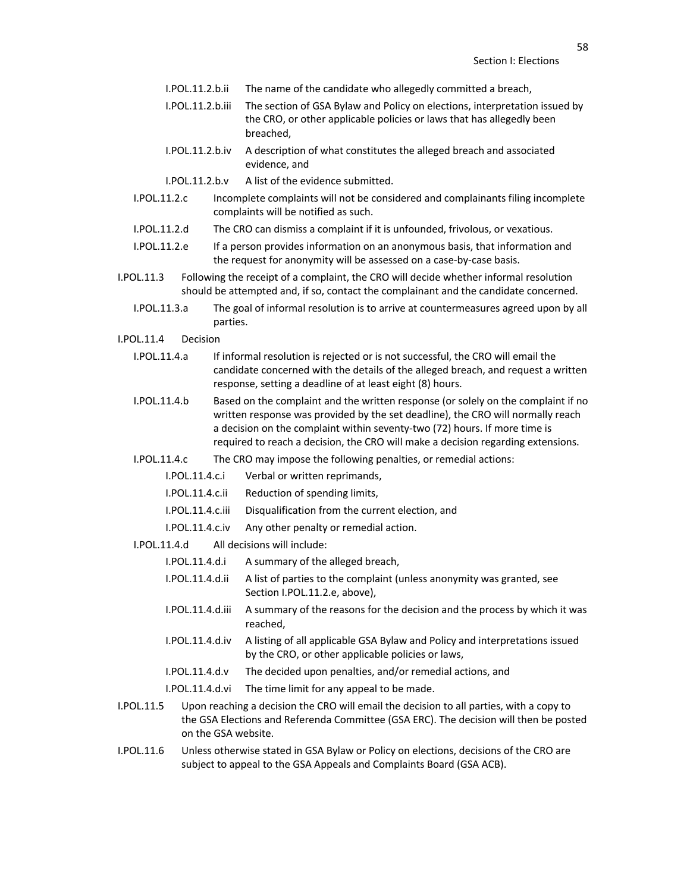- I.POL.11.2.b.ii The name of the candidate who allegedly committed a breach,
- I.POL.11.2.b.iii The section of GSA Bylaw and Policy on elections, interpretation issued by the CRO, or other applicable policies or laws that has allegedly been breached,
- I.POL.11.2.b.iv A description of what constitutes the alleged breach and associated evidence, and
- I.POL.11.2.b.v A list of the evidence submitted.
- I.POL.11.2.c Incomplete complaints will not be considered and complainants filing incomplete complaints will be notified as such.
- I.POL.11.2.d The CRO can dismiss a complaint if it is unfounded, frivolous, or vexatious.
- I.POL.11.2.e If a person provides information on an anonymous basis, that information and the request for anonymity will be assessed on a case-by-case basis.
- I.POL.11.3 Following the receipt of a complaint, the CRO will decide whether informal resolution should be attempted and, if so, contact the complainant and the candidate concerned.
	- I.POL.11.3.a The goal of informal resolution is to arrive at countermeasures agreed upon by all parties.
- I.POL.11.4 Decision
	- I.POL.11.4.a If informal resolution is rejected or is not successful, the CRO will email the candidate concerned with the details of the alleged breach, and request a written response, setting a deadline of at least eight (8) hours.
	- I.POL.11.4.b Based on the complaint and the written response (or solely on the complaint if no written response was provided by the set deadline), the CRO will normally reach a decision on the complaint within seventy-two (72) hours. If more time is required to reach a decision, the CRO will make a decision regarding extensions.
	- I.POL.11.4.c The CRO may impose the following penalties, or remedial actions:
		- I.POL.11.4.c.i Verbal or written reprimands,
		- I.POL.11.4.c.ii Reduction of spending limits,
		- I.POL.11.4.c.iii Disqualification from the current election, and
		- I.POL.11.4.c.iv Any other penalty or remedial action.
	- I.POL.11.4.d All decisions will include:
		- I.POL.11.4.d.i A summary of the alleged breach,
		- I.POL.11.4.d.ii A list of parties to the complaint (unless anonymity was granted, see Section I.POL.11.2.e, above),
		- I.POL.11.4.d.iii A summary of the reasons for the decision and the process by which it was reached,
		- I.POL.11.4.d.iv A listing of all applicable GSA Bylaw and Policy and interpretations issued by the CRO, or other applicable policies or laws,
		- I.POL.11.4.d.v The decided upon penalties, and/or remedial actions, and
		- I.POL.11.4.d.vi The time limit for any appeal to be made.
- I.POL.11.5 Upon reaching a decision the CRO will email the decision to all parties, with a copy to the GSA Elections and Referenda Committee (GSA ERC). The decision will then be posted on the GSA website.
- I.POL.11.6 Unless otherwise stated in GSA Bylaw or Policy on elections, decisions of the CRO are subject to appeal to the GSA Appeals and Complaints Board (GSA ACB).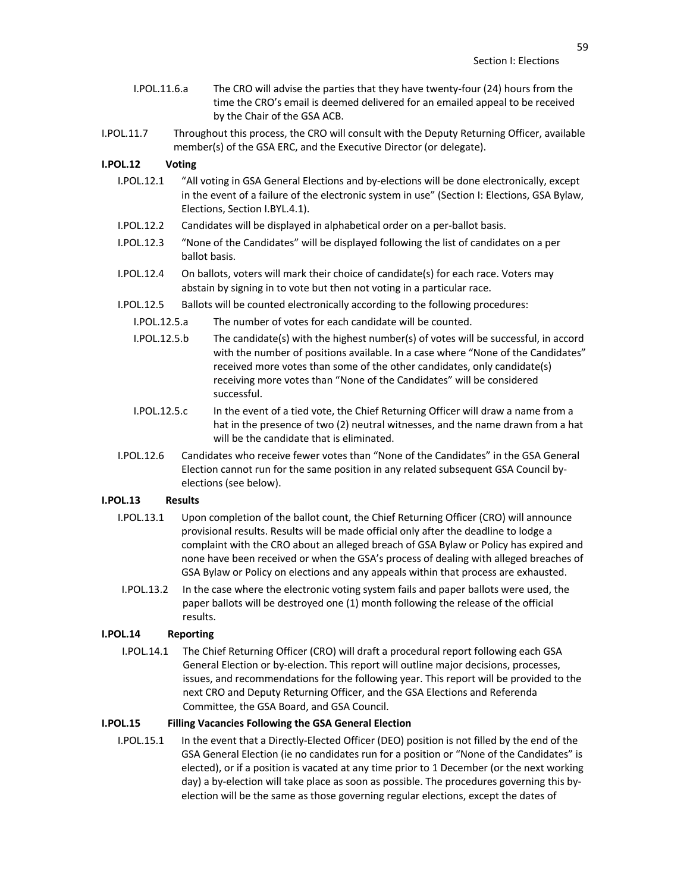- I.POL.11.6.a The CRO will advise the parties that they have twenty-four (24) hours from the time the CRO's email is deemed delivered for an emailed appeal to be received by the Chair of the GSA ACB.
- I.POL.11.7 Throughout this process, the CRO will consult with the Deputy Returning Officer, available member(s) of the GSA ERC, and the Executive Director (or delegate).

# **I.POL.12 Voting**

- I.POL.12.1 "All voting in GSA General Elections and by-elections will be done electronically, except in the event of a failure of the electronic system in use" (Section I: Elections, GSA Bylaw, Elections, Section I.BYL.4.1).
- I.POL.12.2 Candidates will be displayed in alphabetical order on a per-ballot basis.
- I.POL.12.3 "None of the Candidates" will be displayed following the list of candidates on a per ballot basis.
- I.POL.12.4 On ballots, voters will mark their choice of candidate(s) for each race. Voters may abstain by signing in to vote but then not voting in a particular race.
- I.POL.12.5 Ballots will be counted electronically according to the following procedures:
	- I.POL.12.5.a The number of votes for each candidate will be counted.
	- I.POL.12.5.b The candidate(s) with the highest number(s) of votes will be successful, in accord with the number of positions available. In a case where "None of the Candidates" received more votes than some of the other candidates, only candidate(s) receiving more votes than "None of the Candidates" will be considered successful.
	- I.POL.12.5.c In the event of a tied vote, the Chief Returning Officer will draw a name from a hat in the presence of two (2) neutral witnesses, and the name drawn from a hat will be the candidate that is eliminated.
- I.POL.12.6 Candidates who receive fewer votes than "None of the Candidates" in the GSA General Election cannot run for the same position in any related subsequent GSA Council byelections (see below).

# **I.POL.13 Results**

- I.POL.13.1 Upon completion of the ballot count, the Chief Returning Officer (CRO) will announce provisional results. Results will be made official only after the deadline to lodge a complaint with the CRO about an alleged breach of GSA Bylaw or Policy has expired and none have been received or when the GSA's process of dealing with alleged breaches of GSA Bylaw or Policy on elections and any appeals within that process are exhausted.
- I.POL.13.2 In the case where the electronic voting system fails and paper ballots were used, the paper ballots will be destroyed one (1) month following the release of the official results.

#### **I.POL.14 Reporting**

 I.POL.14.1 The Chief Returning Officer (CRO) will draft a procedural report following each GSA General Election or by-election. This report will outline major decisions, processes, issues, and recommendations for the following year. This report will be provided to the next CRO and Deputy Returning Officer, and the GSA Elections and Referenda Committee, the GSA Board, and GSA Council.

## **I.POL.15 Filling Vacancies Following the GSA General Election**

I.POL.15.1 In the event that a Directly-Elected Officer (DEO) position is not filled by the end of the GSA General Election (ie no candidates run for a position or "None of the Candidates" is elected), or if a position is vacated at any time prior to 1 December (or the next working day) a by-election will take place as soon as possible. The procedures governing this byelection will be the same as those governing regular elections, except the dates of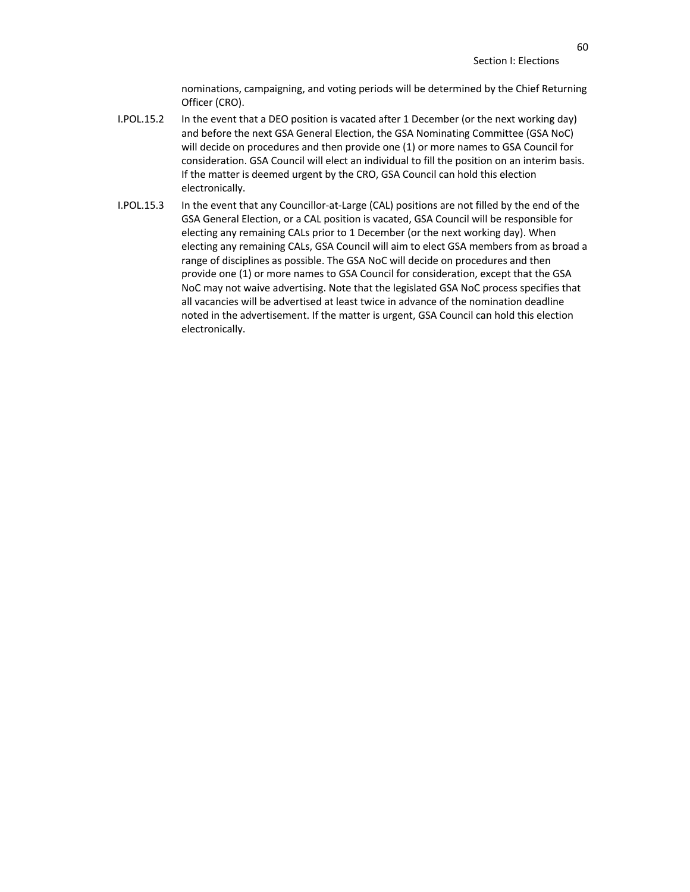nominations, campaigning, and voting periods will be determined by the Chief Returning Officer (CRO).

- I.POL.15.2 In the event that a DEO position is vacated after 1 December (or the next working day) and before the next GSA General Election, the GSA Nominating Committee (GSA NoC) will decide on procedures and then provide one (1) or more names to GSA Council for consideration. GSA Council will elect an individual to fill the position on an interim basis. If the matter is deemed urgent by the CRO, GSA Council can hold this election electronically.
- I.POL.15.3 In the event that any Councillor-at-Large (CAL) positions are not filled by the end of the GSA General Election, or a CAL position is vacated, GSA Council will be responsible for electing any remaining CALs prior to 1 December (or the next working day). When electing any remaining CALs, GSA Council will aim to elect GSA members from as broad a range of disciplines as possible. The GSA NoC will decide on procedures and then provide one (1) or more names to GSA Council for consideration, except that the GSA NoC may not waive advertising. Note that the legislated GSA NoC process specifies that all vacancies will be advertised at least twice in advance of the nomination deadline noted in the advertisement. If the matter is urgent, GSA Council can hold this election electronically.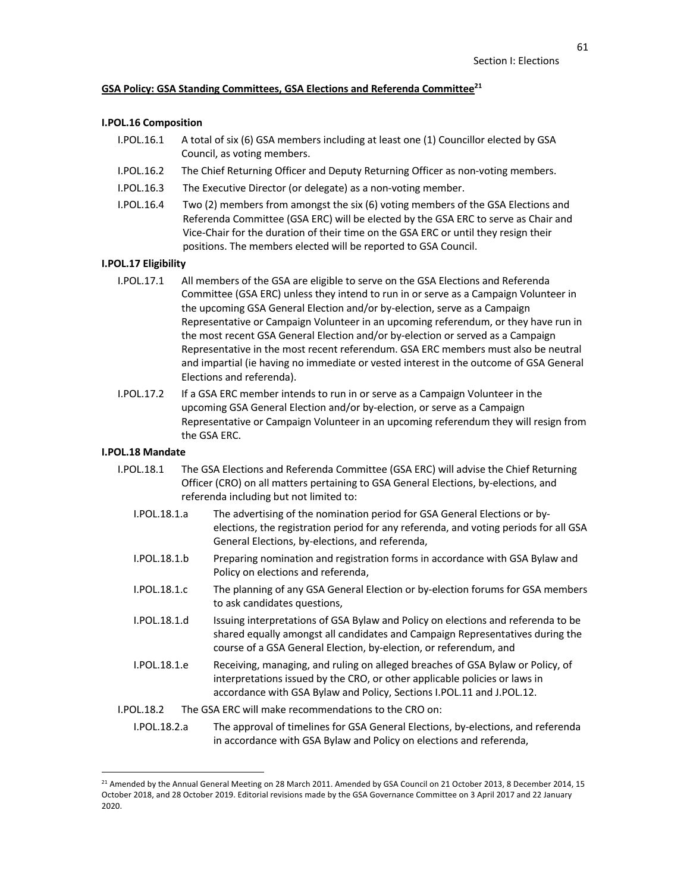# **GSA Policy: GSA Standing Committees, GSA Elections and Referenda Committee21**

#### **I.POL.16 Composition**

- I.POL.16.1 A total of six (6) GSA members including at least one (1) Councillor elected by GSA Council, as voting members.
- I.POL.16.2 The Chief Returning Officer and Deputy Returning Officer as non-voting members.
- I.POL.16.3 The Executive Director (or delegate) as a non-voting member.
- I.POL.16.4 Two (2) members from amongst the six (6) voting members of the GSA Elections and Referenda Committee (GSA ERC) will be elected by the GSA ERC to serve as Chair and Vice-Chair for the duration of their time on the GSA ERC or until they resign their positions. The members elected will be reported to GSA Council.

# **I.POL.17 Eligibility**

- I.POL.17.1 All members of the GSA are eligible to serve on the GSA Elections and Referenda Committee (GSA ERC) unless they intend to run in or serve as a Campaign Volunteer in the upcoming GSA General Election and/or by-election, serve as a Campaign Representative or Campaign Volunteer in an upcoming referendum, or they have run in the most recent GSA General Election and/or by-election or served as a Campaign Representative in the most recent referendum. GSA ERC members must also be neutral and impartial (ie having no immediate or vested interest in the outcome of GSA General Elections and referenda).
- I.POL.17.2 If a GSA ERC member intends to run in or serve as a Campaign Volunteer in the upcoming GSA General Election and/or by-election, or serve as a Campaign Representative or Campaign Volunteer in an upcoming referendum they will resign from the GSA ERC.

# **I.POL.18 Mandate**

- I.POL.18.1 The GSA Elections and Referenda Committee (GSA ERC) will advise the Chief Returning Officer (CRO) on all matters pertaining to GSA General Elections, by-elections, and referenda including but not limited to:
	- I.POL.18.1.a The advertising of the nomination period for GSA General Elections or byelections, the registration period for any referenda, and voting periods for all GSA General Elections, by-elections, and referenda,
	- I.POL.18.1.b Preparing nomination and registration forms in accordance with GSA Bylaw and Policy on elections and referenda,
	- I.POL.18.1.c The planning of any GSA General Election or by-election forums for GSA members to ask candidates questions,
	- I.POL.18.1.d Issuing interpretations of GSA Bylaw and Policy on elections and referenda to be shared equally amongst all candidates and Campaign Representatives during the course of a GSA General Election, by-election, or referendum, and
	- I.POL.18.1.e Receiving, managing, and ruling on alleged breaches of GSA Bylaw or Policy, of interpretations issued by the CRO, or other applicable policies or laws in accordance with GSA Bylaw and Policy, Sections I.POL.11 and J.POL.12.
- I.POL.18.2 The GSA ERC will make recommendations to the CRO on:
	- I.POL.18.2.a The approval of timelines for GSA General Elections, by-elections, and referenda in accordance with GSA Bylaw and Policy on elections and referenda,

<sup>&</sup>lt;sup>21</sup> Amended by the Annual General Meeting on 28 March 2011. Amended by GSA Council on 21 October 2013, 8 December 2014, 15 October 2018, and 28 October 2019. Editorial revisions made by the GSA Governance Committee on 3 April 2017 and 22 January 2020.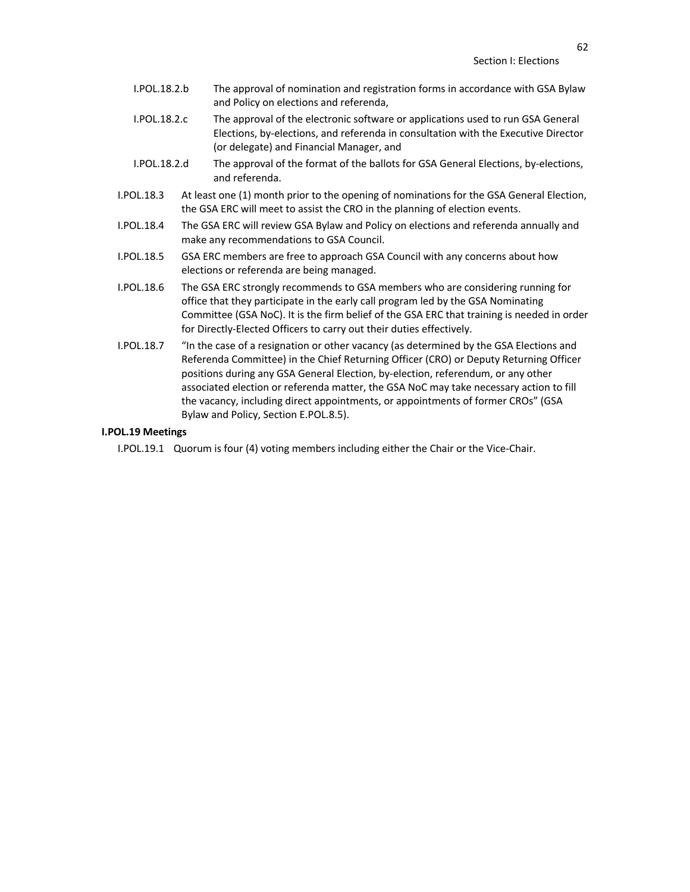- I.POL.18.2.b The approval of nomination and registration forms in accordance with GSA Bylaw and Policy on elections and referenda,
- I.POL.18.2.c The approval of the electronic software or applications used to run GSA General Elections, by-elections, and referenda in consultation with the Executive Director (or delegate) and Financial Manager, and
- I.POL.18.2.d The approval of the format of the ballots for GSA General Elections, by-elections, and referenda.
- I.POL.18.3 At least one (1) month prior to the opening of nominations for the GSA General Election, the GSA ERC will meet to assist the CRO in the planning of election events.
- I.POL.18.4 The GSA ERC will review GSA Bylaw and Policy on elections and referenda annually and make any recommendations to GSA Council.
- I.POL.18.5 GSA ERC members are free to approach GSA Council with any concerns about how elections or referenda are being managed.
- I.POL.18.6 The GSA ERC strongly recommends to GSA members who are considering running for office that they participate in the early call program led by the GSA Nominating Committee (GSA NoC). It is the firm belief of the GSA ERC that training is needed in order for Directly-Elected Officers to carry out their duties effectively.
- I.POL.18.7 "In the case of a resignation or other vacancy (as determined by the GSA Elections and Referenda Committee) in the Chief Returning Officer (CRO) or Deputy Returning Officer positions during any GSA General Election, by-election, referendum, or any other associated election or referenda matter, the GSA NoC may take necessary action to fill the vacancy, including direct appointments, or appointments of former CROs" (GSA Bylaw and Policy, Section E.POL.8.5).

### **I.POL.19 Meetings**

I.POL.19.1 Quorum is four (4) voting members including either the Chair or the Vice-Chair.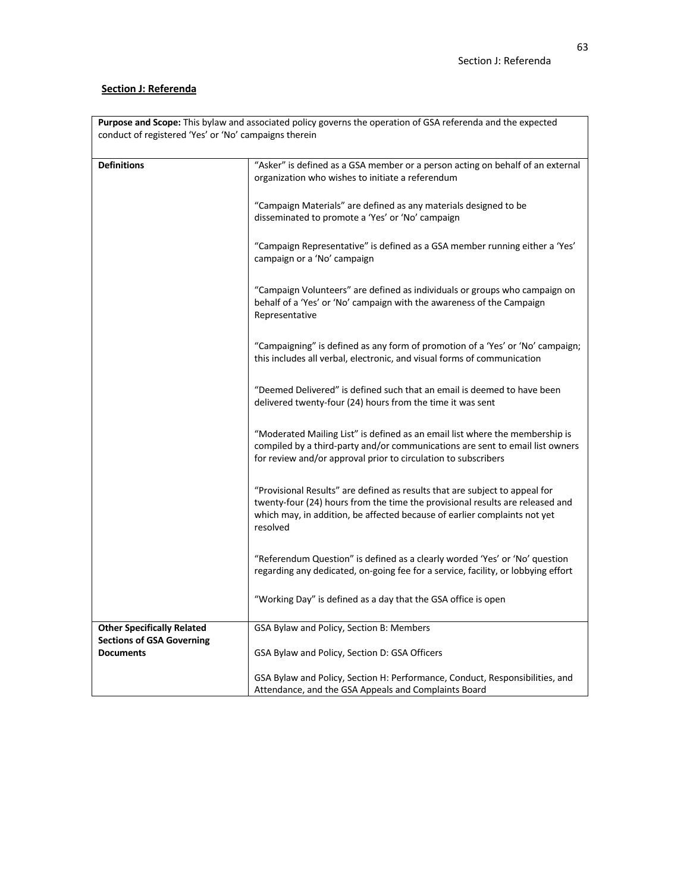# **Section J: Referenda**

| Purpose and Scope: This bylaw and associated policy governs the operation of GSA referenda and the expected |                                                                                                                                                                                                                                                       |  |  |
|-------------------------------------------------------------------------------------------------------------|-------------------------------------------------------------------------------------------------------------------------------------------------------------------------------------------------------------------------------------------------------|--|--|
| conduct of registered 'Yes' or 'No' campaigns therein                                                       |                                                                                                                                                                                                                                                       |  |  |
|                                                                                                             |                                                                                                                                                                                                                                                       |  |  |
| <b>Definitions</b>                                                                                          | "Asker" is defined as a GSA member or a person acting on behalf of an external<br>organization who wishes to initiate a referendum                                                                                                                    |  |  |
|                                                                                                             | "Campaign Materials" are defined as any materials designed to be<br>disseminated to promote a 'Yes' or 'No' campaign                                                                                                                                  |  |  |
|                                                                                                             | "Campaign Representative" is defined as a GSA member running either a 'Yes'<br>campaign or a 'No' campaign                                                                                                                                            |  |  |
|                                                                                                             | "Campaign Volunteers" are defined as individuals or groups who campaign on<br>behalf of a 'Yes' or 'No' campaign with the awareness of the Campaign<br>Representative                                                                                 |  |  |
|                                                                                                             | "Campaigning" is defined as any form of promotion of a 'Yes' or 'No' campaign;<br>this includes all verbal, electronic, and visual forms of communication                                                                                             |  |  |
|                                                                                                             | "Deemed Delivered" is defined such that an email is deemed to have been<br>delivered twenty-four (24) hours from the time it was sent                                                                                                                 |  |  |
|                                                                                                             | "Moderated Mailing List" is defined as an email list where the membership is<br>compiled by a third-party and/or communications are sent to email list owners<br>for review and/or approval prior to circulation to subscribers                       |  |  |
|                                                                                                             | "Provisional Results" are defined as results that are subject to appeal for<br>twenty-four (24) hours from the time the provisional results are released and<br>which may, in addition, be affected because of earlier complaints not yet<br>resolved |  |  |
|                                                                                                             | "Referendum Question" is defined as a clearly worded 'Yes' or 'No' question<br>regarding any dedicated, on-going fee for a service, facility, or lobbying effort                                                                                      |  |  |
|                                                                                                             | "Working Day" is defined as a day that the GSA office is open                                                                                                                                                                                         |  |  |
| <b>Other Specifically Related</b>                                                                           | GSA Bylaw and Policy, Section B: Members                                                                                                                                                                                                              |  |  |
| <b>Sections of GSA Governing</b><br><b>Documents</b>                                                        | GSA Bylaw and Policy, Section D: GSA Officers                                                                                                                                                                                                         |  |  |
|                                                                                                             | GSA Bylaw and Policy, Section H: Performance, Conduct, Responsibilities, and<br>Attendance, and the GSA Appeals and Complaints Board                                                                                                                  |  |  |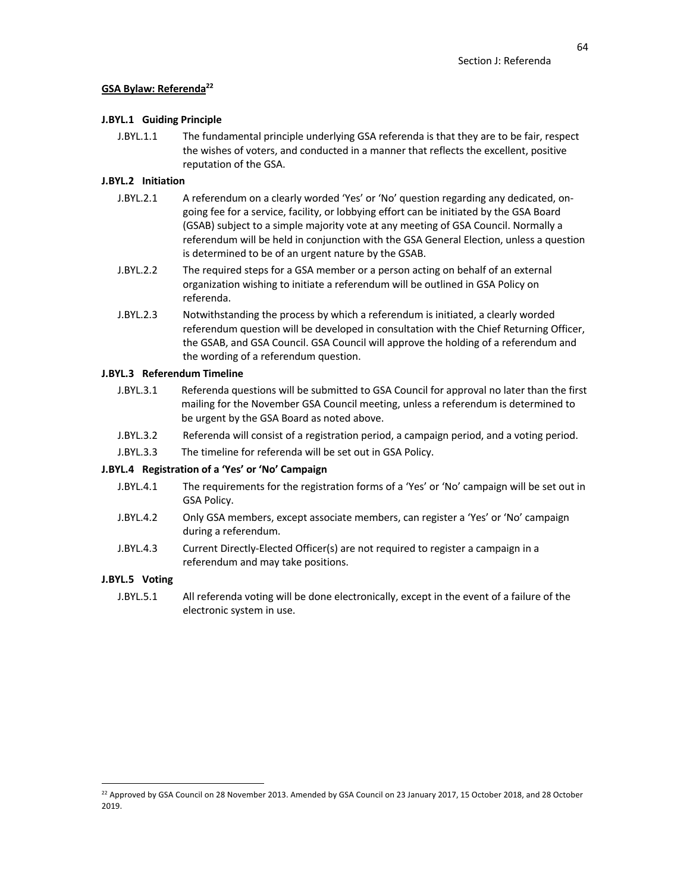# **GSA Bylaw: Referenda22**

# **J.BYL.1 Guiding Principle**

J.BYL.1.1 The fundamental principle underlying GSA referenda is that they are to be fair, respect the wishes of voters, and conducted in a manner that reflects the excellent, positive reputation of the GSA.

# **J.BYL.2 Initiation**

- J.BYL.2.1 A referendum on a clearly worded 'Yes' or 'No' question regarding any dedicated, ongoing fee for a service, facility, or lobbying effort can be initiated by the GSA Board (GSAB) subject to a simple majority vote at any meeting of GSA Council. Normally a referendum will be held in conjunction with the GSA General Election, unless a question is determined to be of an urgent nature by the GSAB.
- J.BYL.2.2 The required steps for a GSA member or a person acting on behalf of an external organization wishing to initiate a referendum will be outlined in GSA Policy on referenda.
- J.BYL.2.3 Notwithstanding the process by which a referendum is initiated, a clearly worded referendum question will be developed in consultation with the Chief Returning Officer, the GSAB, and GSA Council. GSA Council will approve the holding of a referendum and the wording of a referendum question.

# **J.BYL.3 Referendum Timeline**

- J.BYL.3.1 Referenda questions will be submitted to GSA Council for approval no later than the first mailing for the November GSA Council meeting, unless a referendum is determined to be urgent by the GSA Board as noted above.
- J.BYL.3.2 Referenda will consist of a registration period, a campaign period, and a voting period.
- J.BYL.3.3 The timeline for referenda will be set out in GSA Policy.

# **J.BYL.4 Registration of a 'Yes' or 'No' Campaign**

- J.BYL.4.1 The requirements for the registration forms of a 'Yes' or 'No' campaign will be set out in GSA Policy.
- J.BYL.4.2 Only GSA members, except associate members, can register a 'Yes' or 'No' campaign during a referendum.
- J.BYL.4.3 Current Directly-Elected Officer(s) are not required to register a campaign in a referendum and may take positions.

# **J.BYL.5 Voting**

J.BYL.5.1 All referenda voting will be done electronically, except in the event of a failure of the electronic system in use.

<sup>&</sup>lt;sup>22</sup> Approved by GSA Council on 28 November 2013. Amended by GSA Council on 23 January 2017, 15 October 2018, and 28 October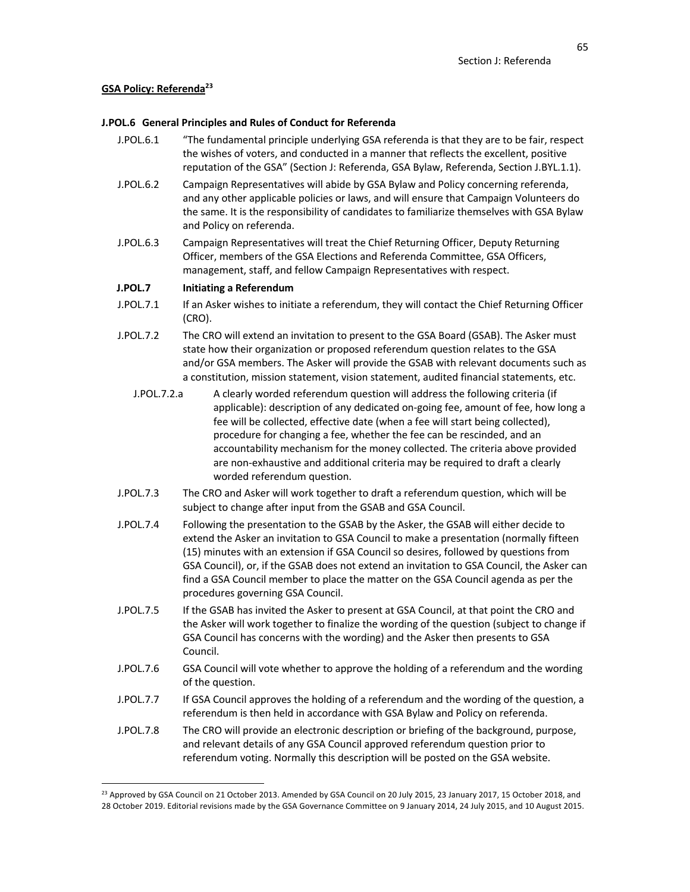# **GSA Policy: Referenda23**

## **J.POL.6 General Principles and Rules of Conduct for Referenda**

- J.POL.6.1 "The fundamental principle underlying GSA referenda is that they are to be fair, respect the wishes of voters, and conducted in a manner that reflects the excellent, positive reputation of the GSA" (Section J: Referenda, GSA Bylaw, Referenda, Section J.BYL.1.1).
- J.POL.6.2 Campaign Representatives will abide by GSA Bylaw and Policy concerning referenda, and any other applicable policies or laws, and will ensure that Campaign Volunteers do the same. It is the responsibility of candidates to familiarize themselves with GSA Bylaw and Policy on referenda.
- J.POL.6.3 Campaign Representatives will treat the Chief Returning Officer, Deputy Returning Officer, members of the GSA Elections and Referenda Committee, GSA Officers, management, staff, and fellow Campaign Representatives with respect.

# **J.POL.7 Initiating a Referendum**

- J.POL.7.1 If an Asker wishes to initiate a referendum, they will contact the Chief Returning Officer (CRO).
- J.POL.7.2 The CRO will extend an invitation to present to the GSA Board (GSAB). The Asker must state how their organization or proposed referendum question relates to the GSA and/or GSA members. The Asker will provide the GSAB with relevant documents such as a constitution, mission statement, vision statement, audited financial statements, etc.
	- J.POL.7.2.a A clearly worded referendum question will address the following criteria (if applicable): description of any dedicated on-going fee, amount of fee, how long a fee will be collected, effective date (when a fee will start being collected), procedure for changing a fee, whether the fee can be rescinded, and an accountability mechanism for the money collected. The criteria above provided are non-exhaustive and additional criteria may be required to draft a clearly worded referendum question.
- J.POL.7.3 The CRO and Asker will work together to draft a referendum question, which will be subject to change after input from the GSAB and GSA Council.
- J.POL.7.4 Following the presentation to the GSAB by the Asker, the GSAB will either decide to extend the Asker an invitation to GSA Council to make a presentation (normally fifteen (15) minutes with an extension if GSA Council so desires, followed by questions from GSA Council), or, if the GSAB does not extend an invitation to GSA Council, the Asker can find a GSA Council member to place the matter on the GSA Council agenda as per the procedures governing GSA Council.
- J.POL.7.5 If the GSAB has invited the Asker to present at GSA Council, at that point the CRO and the Asker will work together to finalize the wording of the question (subject to change if GSA Council has concerns with the wording) and the Asker then presents to GSA Council.
- J.POL.7.6 GSA Council will vote whether to approve the holding of a referendum and the wording of the question.
- J.POL.7.7 If GSA Council approves the holding of a referendum and the wording of the question, a referendum is then held in accordance with GSA Bylaw and Policy on referenda.
- J.POL.7.8 The CRO will provide an electronic description or briefing of the background, purpose, and relevant details of any GSA Council approved referendum question prior to referendum voting. Normally this description will be posted on the GSA website.

 $^{23}$  Approved by GSA Council on 21 October 2013. Amended by GSA Council on 20 July 2015, 23 January 2017, 15 October 2018, and 28 October 2019. Editorial revisions made by the GSA Governance Committee on 9 January 2014, 24 July 2015, and 10 August 2015.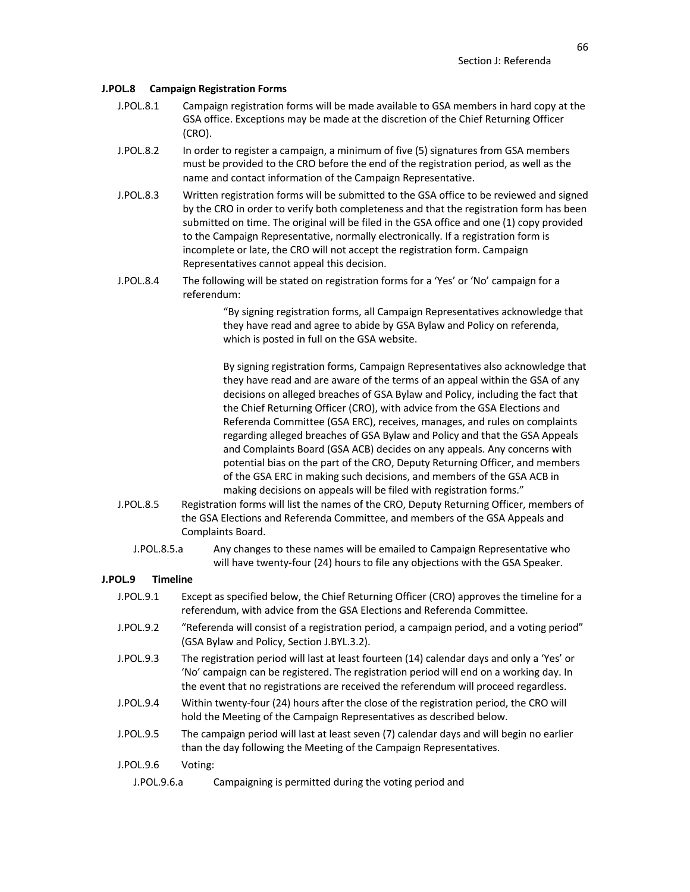#### **J.POL.8 Campaign Registration Forms**

- J.POL.8.1 Campaign registration forms will be made available to GSA members in hard copy at the GSA office. Exceptions may be made at the discretion of the Chief Returning Officer (CRO).
- J.POL.8.2 In order to register a campaign, a minimum of five (5) signatures from GSA members must be provided to the CRO before the end of the registration period, as well as the name and contact information of the Campaign Representative.
- J.POL.8.3 Written registration forms will be submitted to the GSA office to be reviewed and signed by the CRO in order to verify both completeness and that the registration form has been submitted on time. The original will be filed in the GSA office and one (1) copy provided to the Campaign Representative, normally electronically. If a registration form is incomplete or late, the CRO will not accept the registration form. Campaign Representatives cannot appeal this decision.
- J.POL.8.4 The following will be stated on registration forms for a 'Yes' or 'No' campaign for a referendum:

"By signing registration forms, all Campaign Representatives acknowledge that they have read and agree to abide by GSA Bylaw and Policy on referenda, which is posted in full on the GSA website.

By signing registration forms, Campaign Representatives also acknowledge that they have read and are aware of the terms of an appeal within the GSA of any decisions on alleged breaches of GSA Bylaw and Policy, including the fact that the Chief Returning Officer (CRO), with advice from the GSA Elections and Referenda Committee (GSA ERC), receives, manages, and rules on complaints regarding alleged breaches of GSA Bylaw and Policy and that the GSA Appeals and Complaints Board (GSA ACB) decides on any appeals. Any concerns with potential bias on the part of the CRO, Deputy Returning Officer, and members of the GSA ERC in making such decisions, and members of the GSA ACB in making decisions on appeals will be filed with registration forms."

- J.POL.8.5 Registration forms will list the names of the CRO, Deputy Returning Officer, members of the GSA Elections and Referenda Committee, and members of the GSA Appeals and Complaints Board.
	- J.POL.8.5.a Any changes to these names will be emailed to Campaign Representative who will have twenty-four (24) hours to file any objections with the GSA Speaker.

# **J.POL.9 Timeline**

- J.POL.9.1 Except as specified below, the Chief Returning Officer (CRO) approves the timeline for a referendum, with advice from the GSA Elections and Referenda Committee.
- J.POL.9.2 "Referenda will consist of a registration period, a campaign period, and a voting period" (GSA Bylaw and Policy, Section J.BYL.3.2).
- J.POL.9.3 The registration period will last at least fourteen (14) calendar days and only a 'Yes' or 'No' campaign can be registered. The registration period will end on a working day. In the event that no registrations are received the referendum will proceed regardless.
- J.POL.9.4 Within twenty-four (24) hours after the close of the registration period, the CRO will hold the Meeting of the Campaign Representatives as described below.
- J.POL.9.5 The campaign period will last at least seven (7) calendar days and will begin no earlier than the day following the Meeting of the Campaign Representatives.
- J.POL.9.6 Voting:
	- J.POL.9.6.a Campaigning is permitted during the voting period and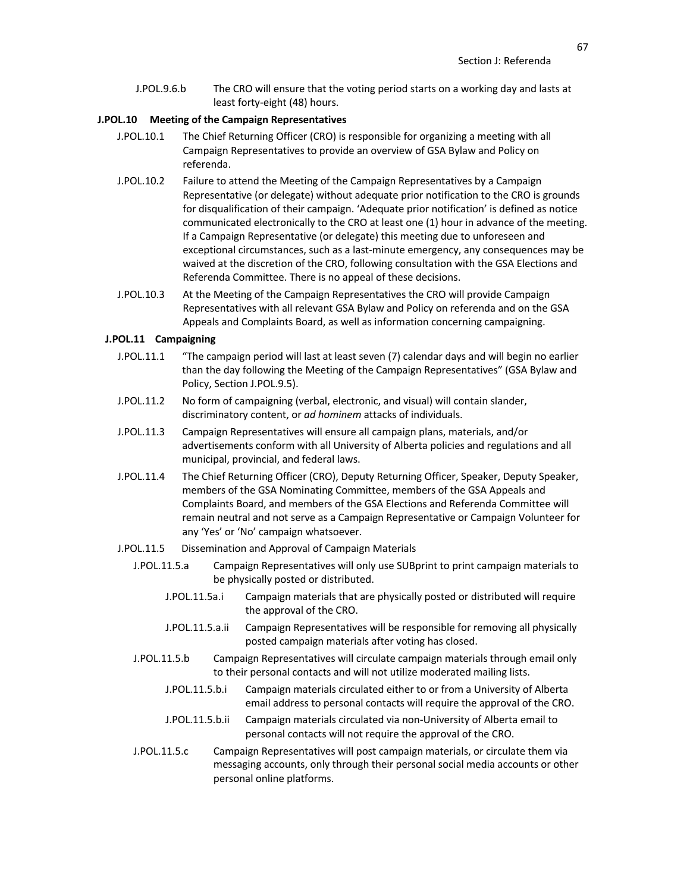J.POL.9.6.b The CRO will ensure that the voting period starts on a working day and lasts at least forty-eight (48) hours.

#### **J.POL.10 Meeting of the Campaign Representatives**

- J.POL.10.1 The Chief Returning Officer (CRO) is responsible for organizing a meeting with all Campaign Representatives to provide an overview of GSA Bylaw and Policy on referenda.
- J.POL.10.2 Failure to attend the Meeting of the Campaign Representatives by a Campaign Representative (or delegate) without adequate prior notification to the CRO is grounds for disqualification of their campaign. 'Adequate prior notification' is defined as notice communicated electronically to the CRO at least one (1) hour in advance of the meeting. If a Campaign Representative (or delegate) this meeting due to unforeseen and exceptional circumstances, such as a last-minute emergency, any consequences may be waived at the discretion of the CRO, following consultation with the GSA Elections and Referenda Committee. There is no appeal of these decisions.
- J.POL.10.3 At the Meeting of the Campaign Representatives the CRO will provide Campaign Representatives with all relevant GSA Bylaw and Policy on referenda and on the GSA Appeals and Complaints Board, as well as information concerning campaigning.

## **J.POL.11 Campaigning**

- J.POL.11.1 "The campaign period will last at least seven (7) calendar days and will begin no earlier than the day following the Meeting of the Campaign Representatives" (GSA Bylaw and Policy, Section J.POL.9.5).
- J.POL.11.2 No form of campaigning (verbal, electronic, and visual) will contain slander, discriminatory content, or *ad hominem* attacks of individuals.
- J.POL.11.3 Campaign Representatives will ensure all campaign plans, materials, and/or advertisements conform with all University of Alberta policies and regulations and all municipal, provincial, and federal laws.
- J.POL.11.4 The Chief Returning Officer (CRO), Deputy Returning Officer, Speaker, Deputy Speaker, members of the GSA Nominating Committee, members of the GSA Appeals and Complaints Board, and members of the GSA Elections and Referenda Committee will remain neutral and not serve as a Campaign Representative or Campaign Volunteer for any 'Yes' or 'No' campaign whatsoever.
- J.POL.11.5 Dissemination and Approval of Campaign Materials
	- J.POL.11.5.a Campaign Representatives will only use SUBprint to print campaign materials to be physically posted or distributed.
		- J.POL.11.5a.i Campaign materials that are physically posted or distributed will require the approval of the CRO.
		- J.POL.11.5.a.ii Campaign Representatives will be responsible for removing all physically posted campaign materials after voting has closed.
	- J.POL.11.5.b Campaign Representatives will circulate campaign materials through email only to their personal contacts and will not utilize moderated mailing lists.
		- J.POL.11.5.b.i Campaign materials circulated either to or from a University of Alberta email address to personal contacts will require the approval of the CRO.
		- J.POL.11.5.b.ii Campaign materials circulated via non-University of Alberta email to personal contacts will not require the approval of the CRO.
	- J.POL.11.5.c Campaign Representatives will post campaign materials, or circulate them via messaging accounts, only through their personal social media accounts or other personal online platforms.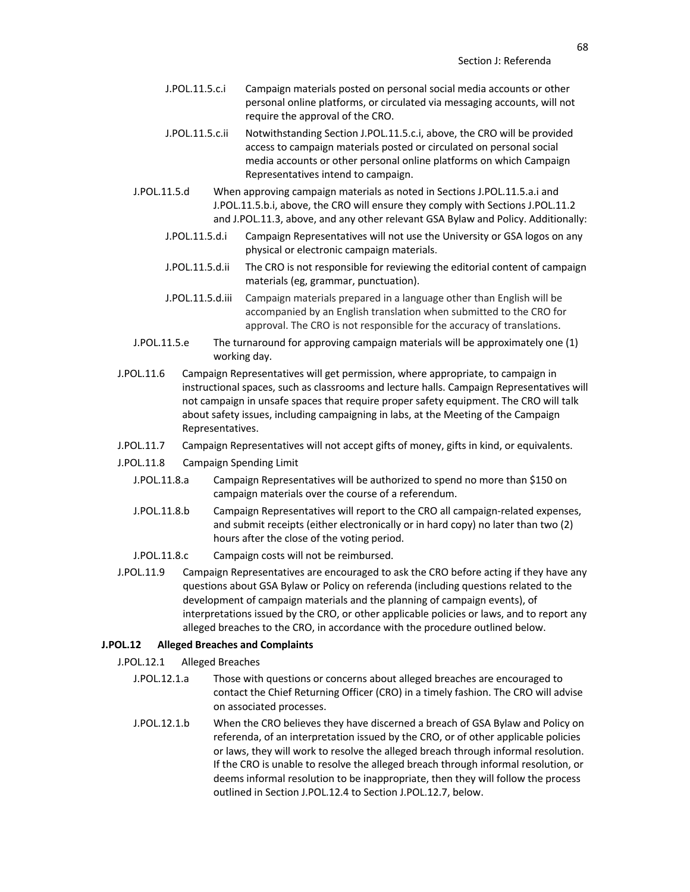- J.POL.11.5.c.i Campaign materials posted on personal social media accounts or other personal online platforms, or circulated via messaging accounts, will not require the approval of the CRO.
- J.POL.11.5.c.ii Notwithstanding Section J.POL.11.5.c.i, above, the CRO will be provided access to campaign materials posted or circulated on personal social media accounts or other personal online platforms on which Campaign Representatives intend to campaign.
- J.POL.11.5.d When approving campaign materials as noted in Sections J.POL.11.5.a.i and J.POL.11.5.b.i, above, the CRO will ensure they comply with Sections J.POL.11.2 and J.POL.11.3, above, and any other relevant GSA Bylaw and Policy. Additionally:
	- J.POL.11.5.d.i Campaign Representatives will not use the University or GSA logos on any physical or electronic campaign materials.
	- J.POL.11.5.d.ii The CRO is not responsible for reviewing the editorial content of campaign materials (eg, grammar, punctuation).
	- J.POL.11.5.d.iii Campaign materials prepared in a language other than English will be accompanied by an English translation when submitted to the CRO for approval. The CRO is not responsible for the accuracy of translations.
- J.POL.11.5.e The turnaround for approving campaign materials will be approximately one (1) working day.
- J.POL.11.6 Campaign Representatives will get permission, where appropriate, to campaign in instructional spaces, such as classrooms and lecture halls. Campaign Representatives will not campaign in unsafe spaces that require proper safety equipment. The CRO will talk about safety issues, including campaigning in labs, at the Meeting of the Campaign Representatives.
- J.POL.11.7 Campaign Representatives will not accept gifts of money, gifts in kind, or equivalents.
- J.POL.11.8 Campaign Spending Limit
	- J.POL.11.8.a Campaign Representatives will be authorized to spend no more than \$150 on campaign materials over the course of a referendum.
	- J.POL.11.8.b Campaign Representatives will report to the CRO all campaign-related expenses, and submit receipts (either electronically or in hard copy) no later than two (2) hours after the close of the voting period.
	- J.POL.11.8.c Campaign costs will not be reimbursed.
- J.POL.11.9 Campaign Representatives are encouraged to ask the CRO before acting if they have any questions about GSA Bylaw or Policy on referenda (including questions related to the development of campaign materials and the planning of campaign events), of interpretations issued by the CRO, or other applicable policies or laws, and to report any alleged breaches to the CRO, in accordance with the procedure outlined below.

#### **J.POL.12 Alleged Breaches and Complaints**

- J.POL.12.1 Alleged Breaches
	- J.POL.12.1.a Those with questions or concerns about alleged breaches are encouraged to contact the Chief Returning Officer (CRO) in a timely fashion. The CRO will advise on associated processes.
	- J.POL.12.1.b When the CRO believes they have discerned a breach of GSA Bylaw and Policy on referenda, of an interpretation issued by the CRO, or of other applicable policies or laws, they will work to resolve the alleged breach through informal resolution. If the CRO is unable to resolve the alleged breach through informal resolution, or deems informal resolution to be inappropriate, then they will follow the process outlined in Section J.POL.12.4 to Section J.POL.12.7, below.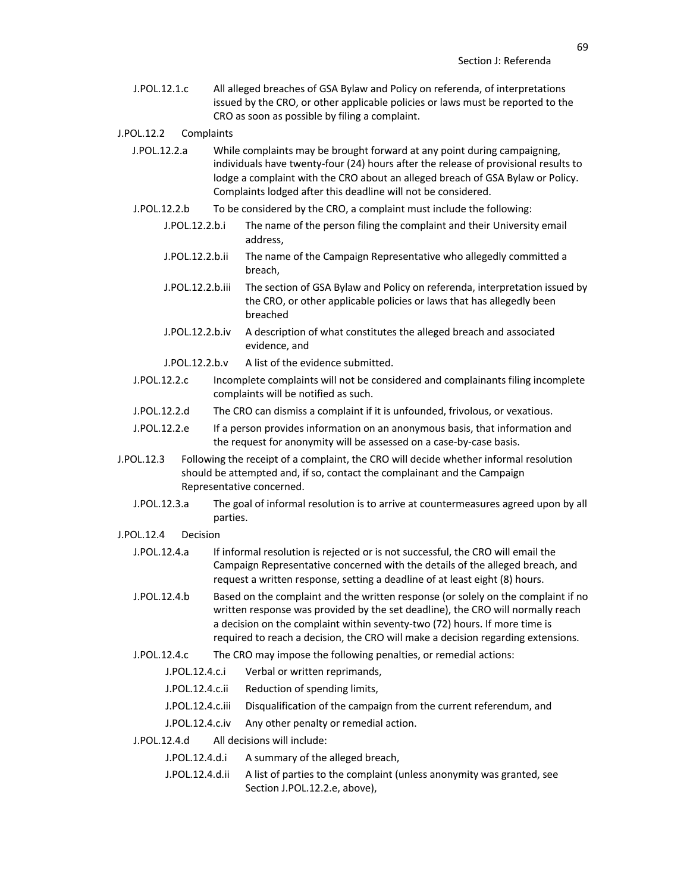J.POL.12.1.c All alleged breaches of GSA Bylaw and Policy on referenda, of interpretations issued by the CRO, or other applicable policies or laws must be reported to the CRO as soon as possible by filing a complaint.

#### J.POL.12.2 Complaints

- J.POL.12.2.a While complaints may be brought forward at any point during campaigning, individuals have twenty-four (24) hours after the release of provisional results to lodge a complaint with the CRO about an alleged breach of GSA Bylaw or Policy. Complaints lodged after this deadline will not be considered.
- J.POL.12.2.b To be considered by the CRO, a complaint must include the following:
	- J.POL.12.2.b.i The name of the person filing the complaint and their University email address,
	- J.POL.12.2.b.ii The name of the Campaign Representative who allegedly committed a breach,
	- J.POL.12.2.b.iii The section of GSA Bylaw and Policy on referenda, interpretation issued by the CRO, or other applicable policies or laws that has allegedly been breached
	- J.POL.12.2.b.iv A description of what constitutes the alleged breach and associated evidence, and
	- J.POL.12.2.b.v A list of the evidence submitted.
- J.POL.12.2.c Incomplete complaints will not be considered and complainants filing incomplete complaints will be notified as such.
- J.POL.12.2.d The CRO can dismiss a complaint if it is unfounded, frivolous, or vexatious.
- J.POL.12.2.e If a person provides information on an anonymous basis, that information and the request for anonymity will be assessed on a case-by-case basis.
- J.POL.12.3 Following the receipt of a complaint, the CRO will decide whether informal resolution should be attempted and, if so, contact the complainant and the Campaign Representative concerned.
	- J.POL.12.3.a The goal of informal resolution is to arrive at countermeasures agreed upon by all parties.
- J.POL.12.4 Decision
	- J.POL.12.4.a If informal resolution is rejected or is not successful, the CRO will email the Campaign Representative concerned with the details of the alleged breach, and request a written response, setting a deadline of at least eight (8) hours.
	- J.POL.12.4.b Based on the complaint and the written response (or solely on the complaint if no written response was provided by the set deadline), the CRO will normally reach a decision on the complaint within seventy-two (72) hours. If more time is required to reach a decision, the CRO will make a decision regarding extensions.
	- J.POL.12.4.c The CRO may impose the following penalties, or remedial actions:
		- J.POL.12.4.c.i Verbal or written reprimands,
		- J.POL.12.4.c.ii Reduction of spending limits,
		- J.POL.12.4.c.iii Disqualification of the campaign from the current referendum, and
		- J.POL.12.4.c.iv Any other penalty or remedial action.
	- J.POL.12.4.d All decisions will include:
		- J.POL.12.4.d.i A summary of the alleged breach,
		- J.POL.12.4.d.ii A list of parties to the complaint (unless anonymity was granted, see Section J.POL.12.2.e, above),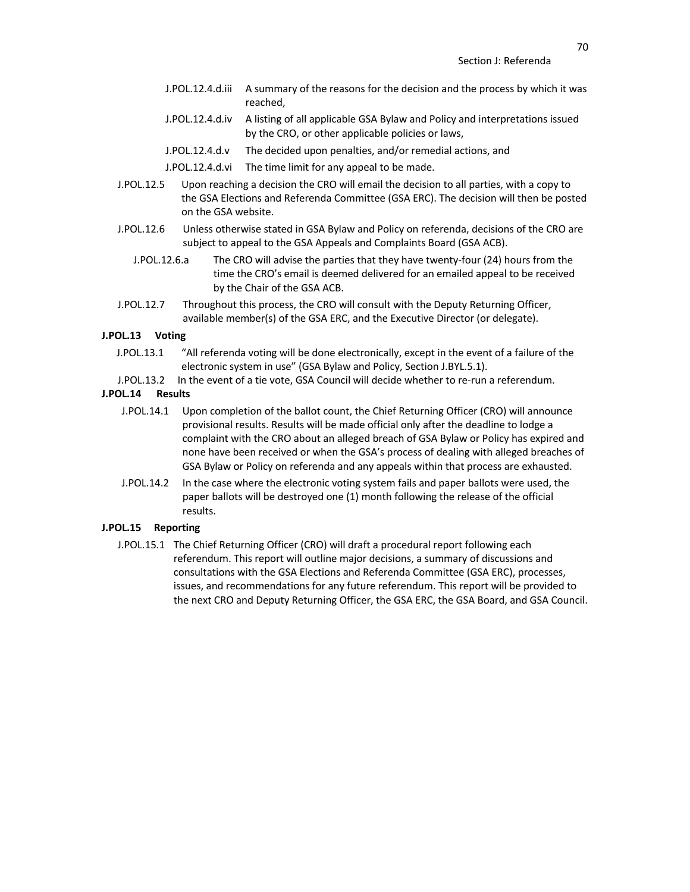- J.POL.12.4.d.iii A summary of the reasons for the decision and the process by which it was reached,
- J.POL.12.4.d.iv A listing of all applicable GSA Bylaw and Policy and interpretations issued by the CRO, or other applicable policies or laws,
- J.POL.12.4.d.v The decided upon penalties, and/or remedial actions, and
- J.POL.12.4.d.vi The time limit for any appeal to be made.
- J.POL.12.5 Upon reaching a decision the CRO will email the decision to all parties, with a copy to the GSA Elections and Referenda Committee (GSA ERC). The decision will then be posted on the GSA website.
- J.POL.12.6 Unless otherwise stated in GSA Bylaw and Policy on referenda, decisions of the CRO are subject to appeal to the GSA Appeals and Complaints Board (GSA ACB).
	- J.POL.12.6.a The CRO will advise the parties that they have twenty-four (24) hours from the time the CRO's email is deemed delivered for an emailed appeal to be received by the Chair of the GSA ACB.
- J.POL.12.7 Throughout this process, the CRO will consult with the Deputy Returning Officer, available member(s) of the GSA ERC, and the Executive Director (or delegate).

### **J.POL.13 Voting**

- J.POL.13.1 "All referenda voting will be done electronically, except in the event of a failure of the electronic system in use" (GSA Bylaw and Policy, Section J.BYL.5.1).
- J.POL.13.2 In the event of a tie vote, GSA Council will decide whether to re-run a referendum.

## **J.POL.14 Results**

- J.POL.14.1 Upon completion of the ballot count, the Chief Returning Officer (CRO) will announce provisional results. Results will be made official only after the deadline to lodge a complaint with the CRO about an alleged breach of GSA Bylaw or Policy has expired and none have been received or when the GSA's process of dealing with alleged breaches of GSA Bylaw or Policy on referenda and any appeals within that process are exhausted.
- J.POL.14.2 In the case where the electronic voting system fails and paper ballots were used, the paper ballots will be destroyed one (1) month following the release of the official results.

#### **J.POL.15 Reporting**

J.POL.15.1 The Chief Returning Officer (CRO) will draft a procedural report following each referendum. This report will outline major decisions, a summary of discussions and consultations with the GSA Elections and Referenda Committee (GSA ERC), processes, issues, and recommendations for any future referendum. This report will be provided to the next CRO and Deputy Returning Officer, the GSA ERC, the GSA Board, and GSA Council.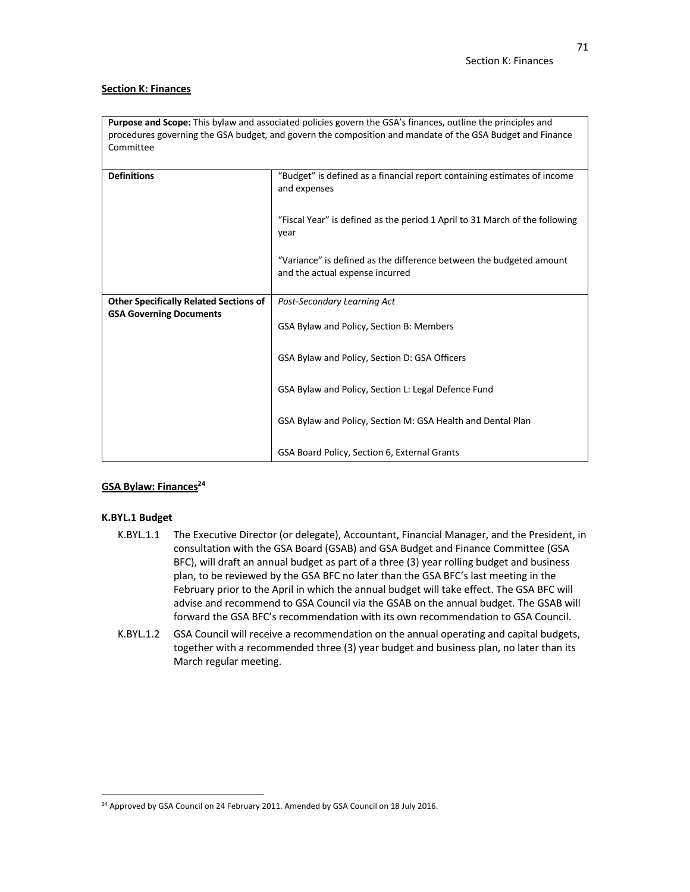### **Section K: Finances**

**Purpose and Scope:** This bylaw and associated policies govern the GSA's finances, outline the principles and procedures governing the GSA budget, and govern the composition and mandate of the GSA Budget and Finance Committee

| <b>Definitions</b>                            | "Budget" is defined as a financial report containing estimates of income<br>and expenses               |
|-----------------------------------------------|--------------------------------------------------------------------------------------------------------|
|                                               | "Fiscal Year" is defined as the period 1 April to 31 March of the following<br>year                    |
|                                               | "Variance" is defined as the difference between the budgeted amount<br>and the actual expense incurred |
| <b>Other Specifically Related Sections of</b> | Post-Secondary Learning Act                                                                            |
| <b>GSA Governing Documents</b>                |                                                                                                        |
|                                               | GSA Bylaw and Policy, Section B: Members                                                               |
|                                               |                                                                                                        |
|                                               | GSA Bylaw and Policy, Section D: GSA Officers                                                          |
|                                               | GSA Bylaw and Policy, Section L: Legal Defence Fund                                                    |
|                                               | GSA Bylaw and Policy, Section M: GSA Health and Dental Plan                                            |
|                                               | GSA Board Policy, Section 6, External Grants                                                           |

# **GSA Bylaw: Finances24**

# **K.BYL.1 Budget**

- K.BYL.1.1 The Executive Director (or delegate), Accountant, Financial Manager, and the President, in consultation with the GSA Board (GSAB) and GSA Budget and Finance Committee (GSA BFC), will draft an annual budget as part of a three (3) year rolling budget and business plan, to be reviewed by the GSA BFC no later than the GSA BFC's last meeting in the February prior to the April in which the annual budget will take effect. The GSA BFC will advise and recommend to GSA Council via the GSAB on the annual budget. The GSAB will forward the GSA BFC's recommendation with its own recommendation to GSA Council.
- K.BYL.1.2 GSA Council will receive a recommendation on the annual operating and capital budgets, together with a recommended three (3) year budget and business plan, no later than its March regular meeting.

<sup>&</sup>lt;sup>24</sup> Approved by GSA Council on 24 February 2011. Amended by GSA Council on 18 July 2016.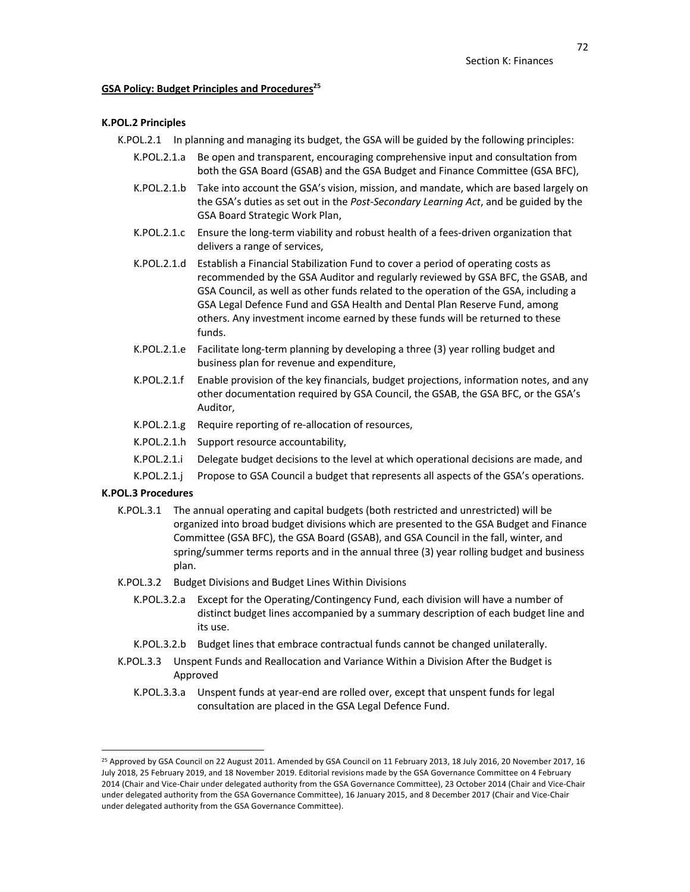#### **GSA Policy: Budget Principles and Procedures**<sup>25</sup>

## **K.POL.2 Principles**

K.POL.2.1 In planning and managing its budget, the GSA will be guided by the following principles:

- K.POL.2.1.a Be open and transparent, encouraging comprehensive input and consultation from both the GSA Board (GSAB) and the GSA Budget and Finance Committee (GSA BFC),
- K.POL.2.1.b Take into account the GSA's vision, mission, and mandate, which are based largely on the GSA's duties as set out in the *Post-Secondary Learning Act*, and be guided by the GSA Board Strategic Work Plan,
- K.POL.2.1.c Ensure the long-term viability and robust health of a fees-driven organization that delivers a range of services,
- K.POL.2.1.d Establish a Financial Stabilization Fund to cover a period of operating costs as recommended by the GSA Auditor and regularly reviewed by GSA BFC, the GSAB, and GSA Council, as well as other funds related to the operation of the GSA, including a GSA Legal Defence Fund and GSA Health and Dental Plan Reserve Fund, among others. Any investment income earned by these funds will be returned to these funds.
- K.POL.2.1.e Facilitate long-term planning by developing a three (3) year rolling budget and business plan for revenue and expenditure,
- K.POL.2.1.f Enable provision of the key financials, budget projections, information notes, and any other documentation required by GSA Council, the GSAB, the GSA BFC, or the GSA's Auditor,
- K.POL.2.1.g Require reporting of re-allocation of resources,
- K.POL.2.1.h Support resource accountability,
- K.POL.2.1.i Delegate budget decisions to the level at which operational decisions are made, and
- K.POL.2.1.j Propose to GSA Council a budget that represents all aspects of the GSA's operations.

# **K.POL.3 Procedures**

- K.POL.3.1 The annual operating and capital budgets (both restricted and unrestricted) will be organized into broad budget divisions which are presented to the GSA Budget and Finance Committee (GSA BFC), the GSA Board (GSAB), and GSA Council in the fall, winter, and spring/summer terms reports and in the annual three (3) year rolling budget and business plan.
- K.POL.3.2 Budget Divisions and Budget Lines Within Divisions
	- K.POL.3.2.a Except for the Operating/Contingency Fund, each division will have a number of distinct budget lines accompanied by a summary description of each budget line and its use.
	- K.POL.3.2.b Budget lines that embrace contractual funds cannot be changed unilaterally.
- K.POL.3.3 Unspent Funds and Reallocation and Variance Within a Division After the Budget is Approved
	- K.POL.3.3.a Unspent funds at year-end are rolled over, except that unspent funds for legal consultation are placed in the GSA Legal Defence Fund.

<sup>&</sup>lt;sup>25</sup> Approved by GSA Council on 22 August 2011. Amended by GSA Council on 11 February 2013, 18 July 2016, 20 November 2017, 16 July 2018, 25 February 2019, and 18 November 2019. Editorial revisions made by the GSA Governance Committee on 4 February 2014 (Chair and Vice-Chair under delegated authority from the GSA Governance Committee), 23 October 2014 (Chair and Vice-Chair under delegated authority from the GSA Governance Committee), 16 January 2015, and 8 December 2017 (Chair and Vice-Chair under delegated authority from the GSA Governance Committee).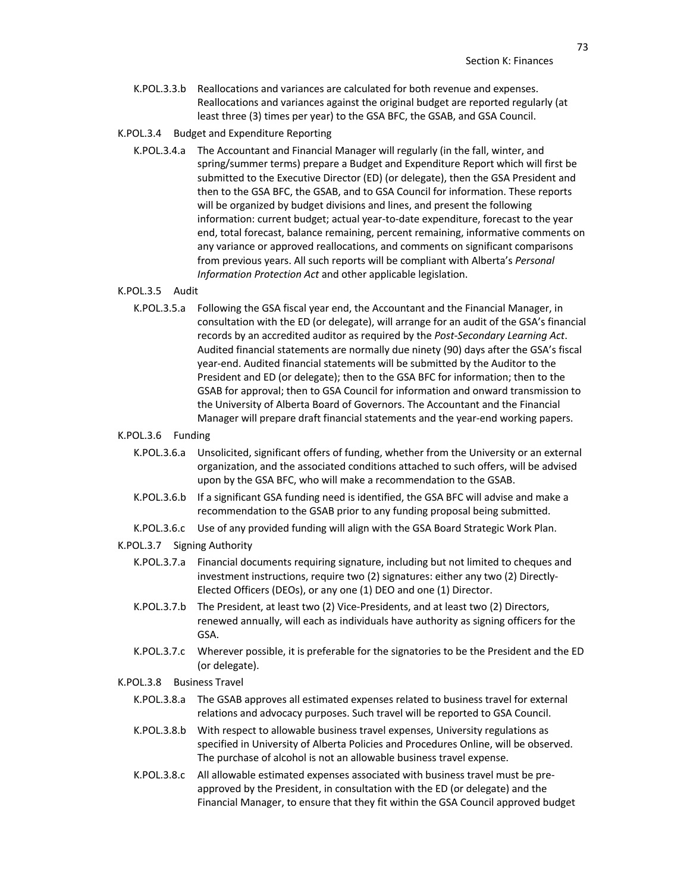- K.POL.3.3.b Reallocations and variances are calculated for both revenue and expenses. Reallocations and variances against the original budget are reported regularly (at least three (3) times per year) to the GSA BFC, the GSAB, and GSA Council.
- K.POL.3.4 Budget and Expenditure Reporting
	- K.POL.3.4.a The Accountant and Financial Manager will regularly (in the fall, winter, and spring/summer terms) prepare a Budget and Expenditure Report which will first be submitted to the Executive Director (ED) (or delegate), then the GSA President and then to the GSA BFC, the GSAB, and to GSA Council for information. These reports will be organized by budget divisions and lines, and present the following information: current budget; actual year-to-date expenditure, forecast to the year end, total forecast, balance remaining, percent remaining, informative comments on any variance or approved reallocations, and comments on significant comparisons from previous years. All such reports will be compliant with Alberta's *Personal Information Protection Act* and other applicable legislation.

# K.POL.3.5 Audit

K.POL.3.5.a Following the GSA fiscal year end, the Accountant and the Financial Manager, in consultation with the ED (or delegate), will arrange for an audit of the GSA's financial records by an accredited auditor as required by the *Post-Secondary Learning Act*. Audited financial statements are normally due ninety (90) days after the GSA's fiscal year-end. Audited financial statements will be submitted by the Auditor to the President and ED (or delegate); then to the GSA BFC for information; then to the GSAB for approval; then to GSA Council for information and onward transmission to the University of Alberta Board of Governors. The Accountant and the Financial Manager will prepare draft financial statements and the year-end working papers.

# K.POL.3.6 Funding

- K.POL.3.6.a Unsolicited, significant offers of funding, whether from the University or an external organization, and the associated conditions attached to such offers, will be advised upon by the GSA BFC, who will make a recommendation to the GSAB.
- K.POL.3.6.b If a significant GSA funding need is identified, the GSA BFC will advise and make a recommendation to the GSAB prior to any funding proposal being submitted.
- K.POL.3.6.c Use of any provided funding will align with the GSA Board Strategic Work Plan.

#### K.POL.3.7 Signing Authority

- K.POL.3.7.a Financial documents requiring signature, including but not limited to cheques and investment instructions, require two (2) signatures: either any two (2) Directly-Elected Officers (DEOs), or any one (1) DEO and one (1) Director.
- K.POL.3.7.b The President, at least two (2) Vice-Presidents, and at least two (2) Directors, renewed annually, will each as individuals have authority as signing officers for the GSA.
- K.POL.3.7.c Wherever possible, it is preferable for the signatories to be the President and the ED (or delegate).

# K.POL.3.8 Business Travel

- K.POL.3.8.a The GSAB approves all estimated expenses related to business travel for external relations and advocacy purposes. Such travel will be reported to GSA Council.
- K.POL.3.8.b With respect to allowable business travel expenses, University regulations as specified in University of Alberta Policies and Procedures Online, will be observed. The purchase of alcohol is not an allowable business travel expense.
- K.POL.3.8.c All allowable estimated expenses associated with business travel must be preapproved by the President, in consultation with the ED (or delegate) and the Financial Manager, to ensure that they fit within the GSA Council approved budget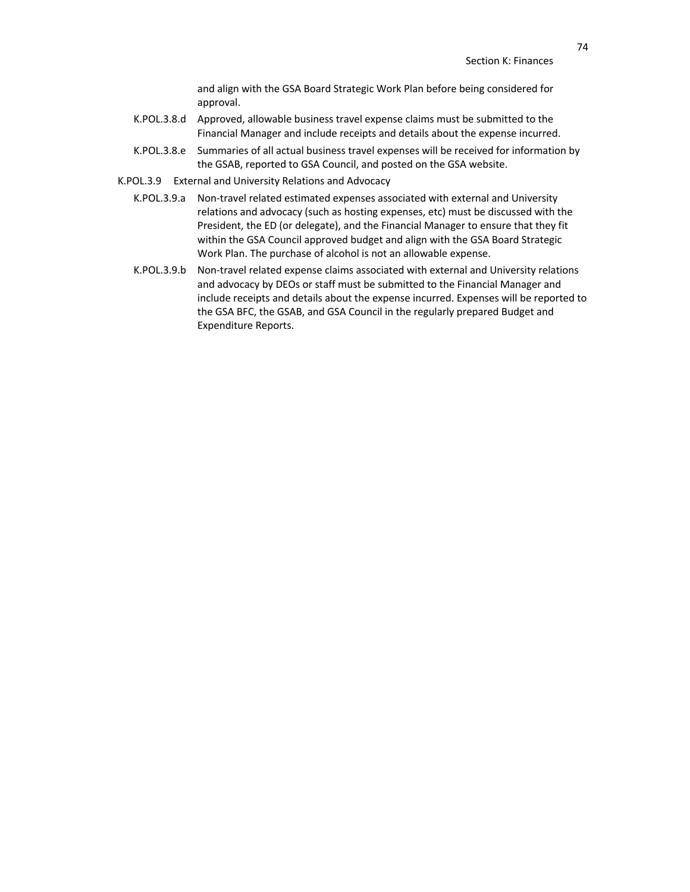and align with the GSA Board Strategic Work Plan before being considered for approval.

- K.POL.3.8.d Approved, allowable business travel expense claims must be submitted to the Financial Manager and include receipts and details about the expense incurred.
- K.POL.3.8.e Summaries of all actual business travel expenses will be received for information by the GSAB, reported to GSA Council, and posted on the GSA website.
- K.POL.3.9 External and University Relations and Advocacy
	- K.POL.3.9.a Non-travel related estimated expenses associated with external and University relations and advocacy (such as hosting expenses, etc) must be discussed with the President, the ED (or delegate), and the Financial Manager to ensure that they fit within the GSA Council approved budget and align with the GSA Board Strategic Work Plan. The purchase of alcohol is not an allowable expense.
	- K.POL.3.9.b Non-travel related expense claims associated with external and University relations and advocacy by DEOs or staff must be submitted to the Financial Manager and include receipts and details about the expense incurred. Expenses will be reported to the GSA BFC, the GSAB, and GSA Council in the regularly prepared Budget and Expenditure Reports.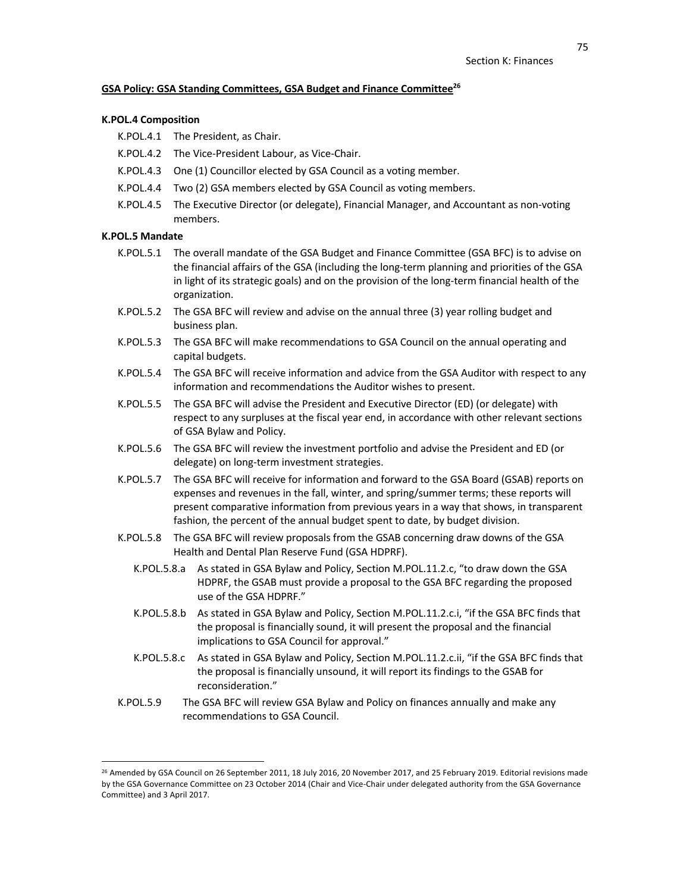## **GSA Policy: GSA Standing Committees, GSA Budget and Finance Committee26**

#### **K.POL.4 Composition**

- K.POL.4.1 The President, as Chair.
- K.POL.4.2 The Vice-President Labour, as Vice-Chair.
- K.POL.4.3 One (1) Councillor elected by GSA Council as a voting member.
- K.POL.4.4 Two (2) GSA members elected by GSA Council as voting members.
- K.POL.4.5 The Executive Director (or delegate), Financial Manager, and Accountant as non-voting members.

# **K.POL.5 Mandate**

- K.POL.5.1 The overall mandate of the GSA Budget and Finance Committee (GSA BFC) is to advise on the financial affairs of the GSA (including the long-term planning and priorities of the GSA in light of its strategic goals) and on the provision of the long-term financial health of the organization.
- K.POL.5.2 The GSA BFC will review and advise on the annual three (3) year rolling budget and business plan.
- K.POL.5.3 The GSA BFC will make recommendations to GSA Council on the annual operating and capital budgets.
- K.POL.5.4 The GSA BFC will receive information and advice from the GSA Auditor with respect to any information and recommendations the Auditor wishes to present.
- K.POL.5.5 The GSA BFC will advise the President and Executive Director (ED) (or delegate) with respect to any surpluses at the fiscal year end, in accordance with other relevant sections of GSA Bylaw and Policy.
- K.POL.5.6 The GSA BFC will review the investment portfolio and advise the President and ED (or delegate) on long-term investment strategies.
- K.POL.5.7 The GSA BFC will receive for information and forward to the GSA Board (GSAB) reports on expenses and revenues in the fall, winter, and spring/summer terms; these reports will present comparative information from previous years in a way that shows, in transparent fashion, the percent of the annual budget spent to date, by budget division.
- K.POL.5.8 The GSA BFC will review proposals from the GSAB concerning draw downs of the GSA Health and Dental Plan Reserve Fund (GSA HDPRF).
	- K.POL.5.8.a As stated in GSA Bylaw and Policy, Section M.POL.11.2.c, "to draw down the GSA HDPRF, the GSAB must provide a proposal to the GSA BFC regarding the proposed use of the GSA HDPRF."
	- K.POL.5.8.b As stated in GSA Bylaw and Policy, Section M.POL.11.2.c.i, "if the GSA BFC finds that the proposal is financially sound, it will present the proposal and the financial implications to GSA Council for approval."
	- K.POL.5.8.c As stated in GSA Bylaw and Policy, Section M.POL.11.2.c.ii, "if the GSA BFC finds that the proposal is financially unsound, it will report its findings to the GSAB for reconsideration."
- K.POL.5.9 The GSA BFC will review GSA Bylaw and Policy on finances annually and make any recommendations to GSA Council.

<sup>&</sup>lt;sup>26</sup> Amended by GSA Council on 26 September 2011, 18 July 2016, 20 November 2017, and 25 February 2019. Editorial revisions made by the GSA Governance Committee on 23 October 2014 (Chair and Vice-Chair under delegated authority from the GSA Governance Committee) and 3 April 2017.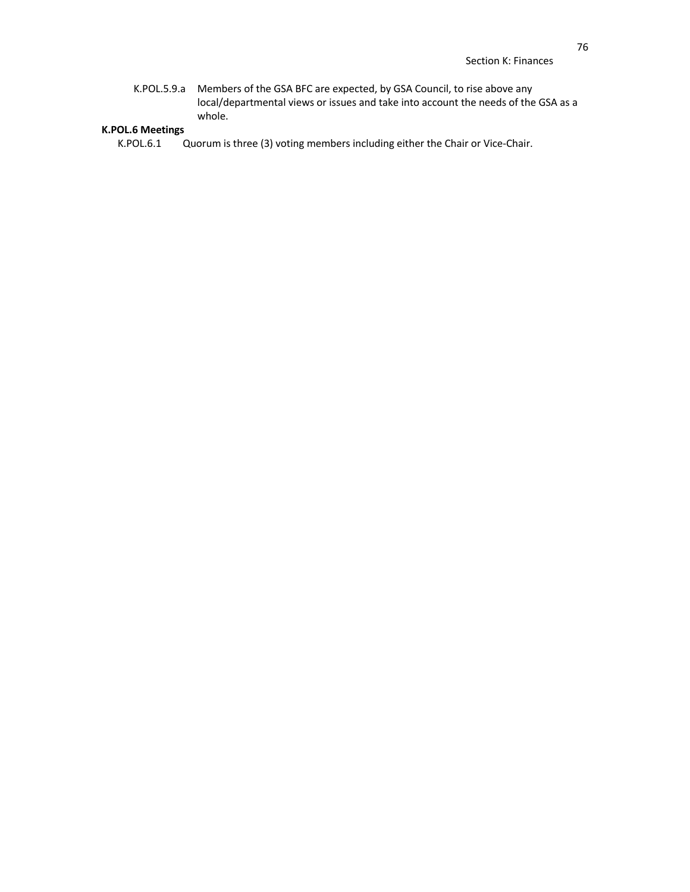K.POL.5.9.a Members of the GSA BFC are expected, by GSA Council, to rise above any local/departmental views or issues and take into account the needs of the GSA as a whole.

# **K.POL.6 Meetings**

Quorum is three (3) voting members including either the Chair or Vice-Chair.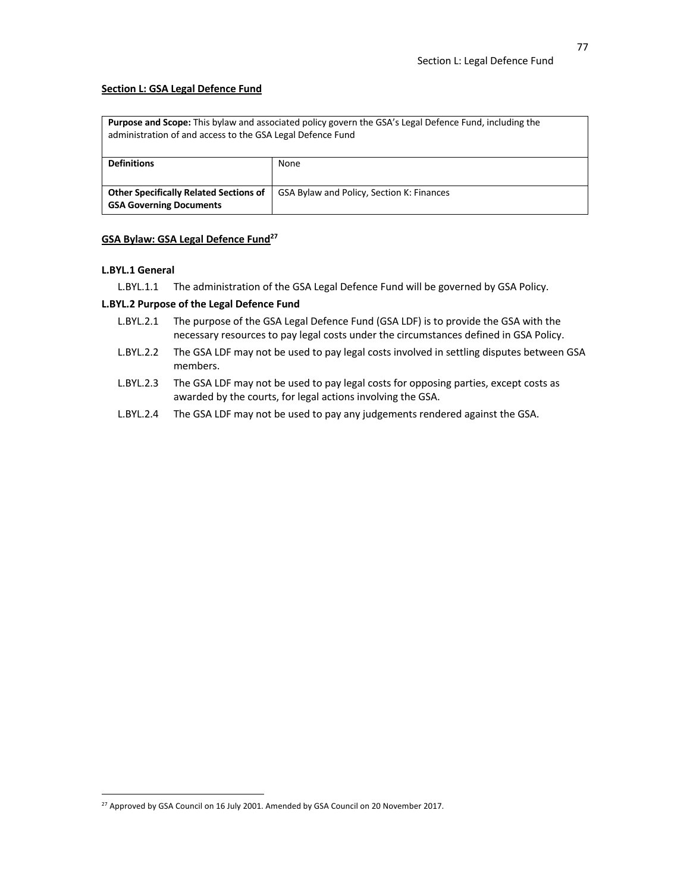## **Section L: GSA Legal Defence Fund**

| <b>Purpose and Scope:</b> This bylaw and associated policy govern the GSA's Legal Defence Fund, including the<br>administration of and access to the GSA Legal Defence Fund |                                           |
|-----------------------------------------------------------------------------------------------------------------------------------------------------------------------------|-------------------------------------------|
| <b>Definitions</b>                                                                                                                                                          | None                                      |
|                                                                                                                                                                             |                                           |
| <b>Other Specifically Related Sections of</b>                                                                                                                               | GSA Bylaw and Policy, Section K: Finances |
| <b>GSA Governing Documents</b>                                                                                                                                              |                                           |

# **GSA Bylaw: GSA Legal Defence Fund27**

#### **L.BYL.1 General**

L.BYL.1.1 The administration of the GSA Legal Defence Fund will be governed by GSA Policy.

# **L.BYL.2 Purpose of the Legal Defence Fund**

- L.BYL.2.1 The purpose of the GSA Legal Defence Fund (GSA LDF) is to provide the GSA with the necessary resources to pay legal costs under the circumstances defined in GSA Policy.
- L.BYL.2.2 The GSA LDF may not be used to pay legal costs involved in settling disputes between GSA members.
- L.BYL.2.3 The GSA LDF may not be used to pay legal costs for opposing parties, except costs as awarded by the courts, for legal actions involving the GSA.
- L.BYL.2.4 The GSA LDF may not be used to pay any judgements rendered against the GSA.

<sup>&</sup>lt;sup>27</sup> Approved by GSA Council on 16 July 2001. Amended by GSA Council on 20 November 2017.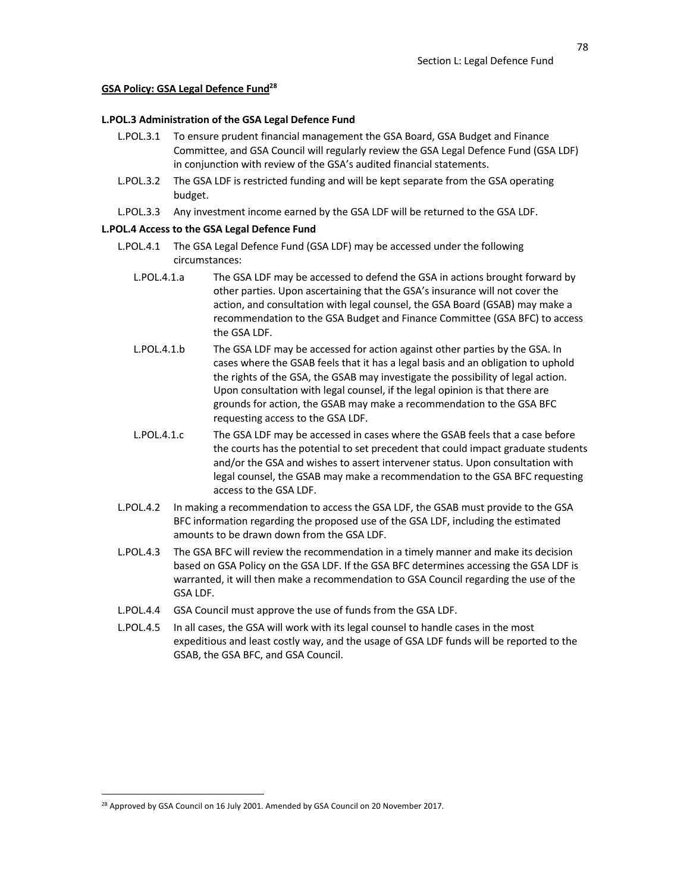## **GSA Policy: GSA Legal Defence Fund28**

## **L.POL.3 Administration of the GSA Legal Defence Fund**

- L.POL.3.1 To ensure prudent financial management the GSA Board, GSA Budget and Finance Committee, and GSA Council will regularly review the GSA Legal Defence Fund (GSA LDF) in conjunction with review of the GSA's audited financial statements.
- L.POL.3.2 The GSA LDF is restricted funding and will be kept separate from the GSA operating budget.
- L.POL.3.3 Any investment income earned by the GSA LDF will be returned to the GSA LDF.

# **L.POL.4 Access to the GSA Legal Defence Fund**

- L.POL.4.1 The GSA Legal Defence Fund (GSA LDF) may be accessed under the following circumstances:
	- L.POL.4.1.a The GSA LDF may be accessed to defend the GSA in actions brought forward by other parties. Upon ascertaining that the GSA's insurance will not cover the action, and consultation with legal counsel, the GSA Board (GSAB) may make a recommendation to the GSA Budget and Finance Committee (GSA BFC) to access the GSA LDF.
	- L.POL.4.1.b The GSA LDF may be accessed for action against other parties by the GSA. In cases where the GSAB feels that it has a legal basis and an obligation to uphold the rights of the GSA, the GSAB may investigate the possibility of legal action. Upon consultation with legal counsel, if the legal opinion is that there are grounds for action, the GSAB may make a recommendation to the GSA BFC requesting access to the GSA LDF.
	- L.POL.4.1.c The GSA LDF may be accessed in cases where the GSAB feels that a case before the courts has the potential to set precedent that could impact graduate students and/or the GSA and wishes to assert intervener status. Upon consultation with legal counsel, the GSAB may make a recommendation to the GSA BFC requesting access to the GSA LDF.
- L.POL.4.2 In making a recommendation to access the GSA LDF, the GSAB must provide to the GSA BFC information regarding the proposed use of the GSA LDF, including the estimated amounts to be drawn down from the GSA LDF.
- L.POL.4.3 The GSA BFC will review the recommendation in a timely manner and make its decision based on GSA Policy on the GSA LDF. If the GSA BFC determines accessing the GSA LDF is warranted, it will then make a recommendation to GSA Council regarding the use of the GSA LDF.
- L.POL.4.4 GSA Council must approve the use of funds from the GSA LDF.
- L.POL.4.5 In all cases, the GSA will work with its legal counsel to handle cases in the most expeditious and least costly way, and the usage of GSA LDF funds will be reported to the GSAB, the GSA BFC, and GSA Council.

<sup>&</sup>lt;sup>28</sup> Approved by GSA Council on 16 July 2001. Amended by GSA Council on 20 November 2017.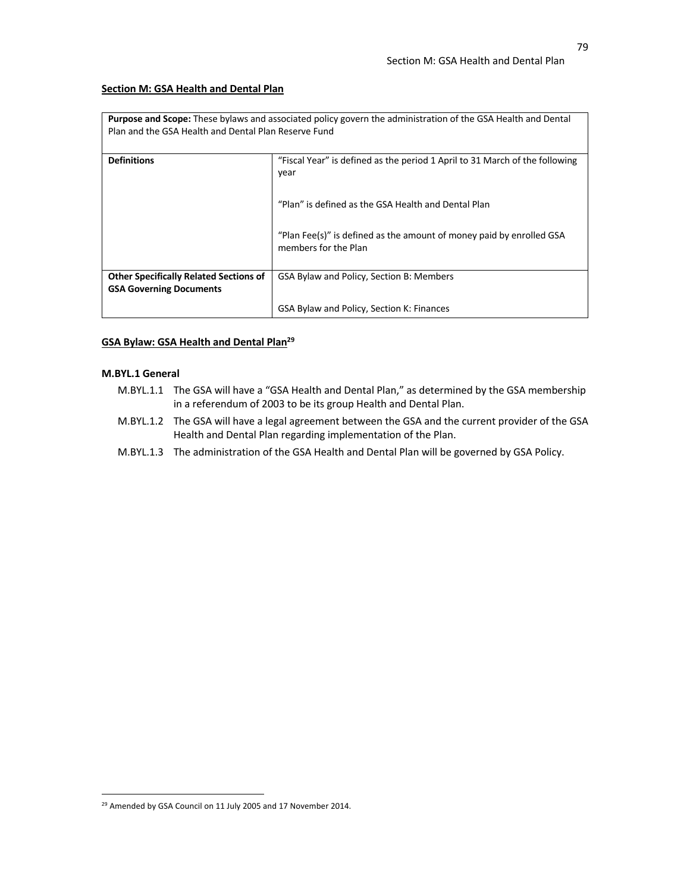## **Section M: GSA Health and Dental Plan**

| <b>Purpose and Scope:</b> These bylaws and associated policy govern the administration of the GSA Health and Dental<br>Plan and the GSA Health and Dental Plan Reserve Fund |                                                                                              |
|-----------------------------------------------------------------------------------------------------------------------------------------------------------------------------|----------------------------------------------------------------------------------------------|
| <b>Definitions</b>                                                                                                                                                          | "Fiscal Year" is defined as the period 1 April to 31 March of the following<br>year          |
|                                                                                                                                                                             | "Plan" is defined as the GSA Health and Dental Plan                                          |
|                                                                                                                                                                             | "Plan Fee(s)" is defined as the amount of money paid by enrolled GSA<br>members for the Plan |
| <b>Other Specifically Related Sections of</b>                                                                                                                               | GSA Bylaw and Policy, Section B: Members                                                     |
| <b>GSA Governing Documents</b>                                                                                                                                              |                                                                                              |
|                                                                                                                                                                             | GSA Bylaw and Policy, Section K: Finances                                                    |

# **GSA Bylaw: GSA Health and Dental Plan29**

# **M.BYL.1 General**

- M.BYL.1.1 The GSA will have a "GSA Health and Dental Plan," as determined by the GSA membership in a referendum of 2003 to be its group Health and Dental Plan.
- M.BYL.1.2 The GSA will have a legal agreement between the GSA and the current provider of the GSA Health and Dental Plan regarding implementation of the Plan.
- M.BYL.1.3 The administration of the GSA Health and Dental Plan will be governed by GSA Policy.

<sup>&</sup>lt;sup>29</sup> Amended by GSA Council on 11 July 2005 and 17 November 2014.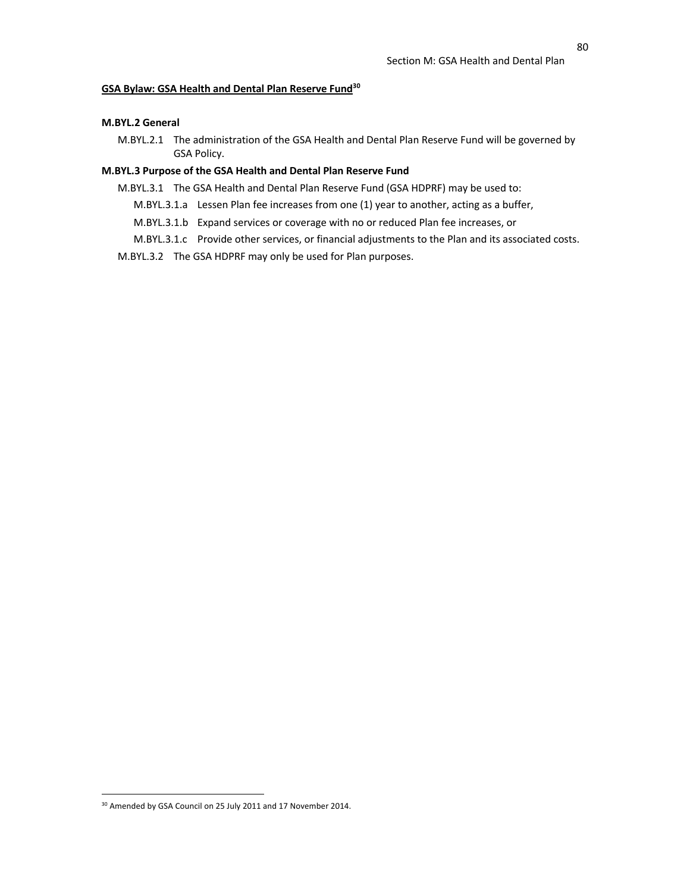# **GSA Bylaw: GSA Health and Dental Plan Reserve Fund30**

## **M.BYL.2 General**

M.BYL.2.1 The administration of the GSA Health and Dental Plan Reserve Fund will be governed by GSA Policy.

# **M.BYL.3 Purpose of the GSA Health and Dental Plan Reserve Fund**

- M.BYL.3.1 The GSA Health and Dental Plan Reserve Fund (GSA HDPRF) may be used to:
	- M.BYL.3.1.a Lessen Plan fee increases from one (1) year to another, acting as a buffer,
	- M.BYL.3.1.b Expand services or coverage with no or reduced Plan fee increases, or
	- M.BYL.3.1.c Provide other services, or financial adjustments to the Plan and its associated costs.
- M.BYL.3.2 The GSA HDPRF may only be used for Plan purposes.

<sup>&</sup>lt;sup>30</sup> Amended by GSA Council on 25 July 2011 and 17 November 2014.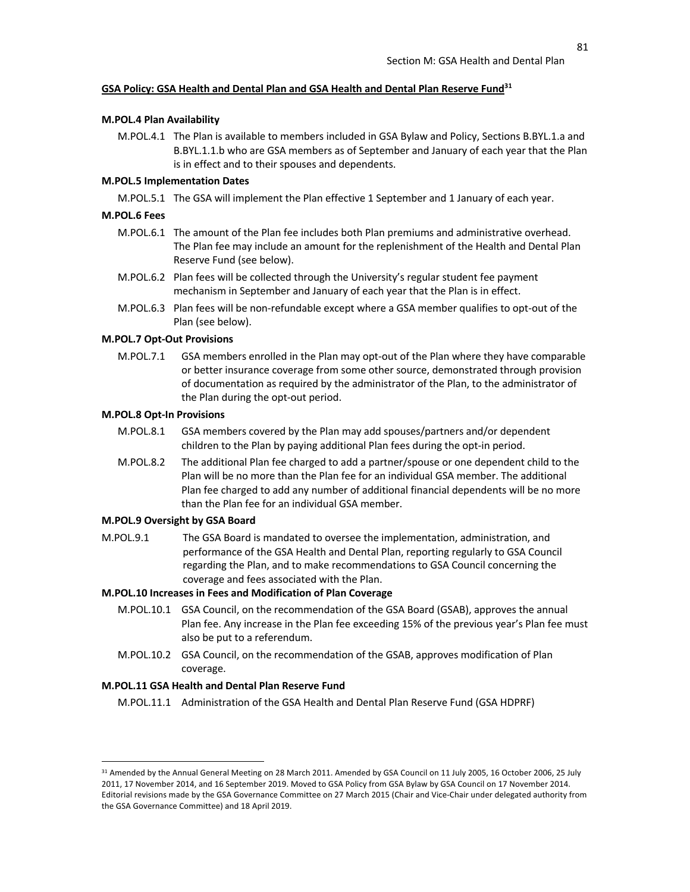## **GSA Policy: GSA Health and Dental Plan and GSA Health and Dental Plan Reserve Fund31**

#### **M.POL.4 Plan Availability**

M.POL.4.1 The Plan is available to members included in GSA Bylaw and Policy, Sections B.BYL.1.a and B.BYL.1.1.b who are GSA members as of September and January of each year that the Plan is in effect and to their spouses and dependents.

#### **M.POL.5 Implementation Dates**

M.POL.5.1 The GSA will implement the Plan effective 1 September and 1 January of each year.

## **M.POL.6 Fees**

- M.POL.6.1 The amount of the Plan fee includes both Plan premiums and administrative overhead. The Plan fee may include an amount for the replenishment of the Health and Dental Plan Reserve Fund (see below).
- M.POL.6.2 Plan fees will be collected through the University's regular student fee payment mechanism in September and January of each year that the Plan is in effect.
- M.POL.6.3 Plan fees will be non-refundable except where a GSA member qualifies to opt-out of the Plan (see below).

#### **M.POL.7 Opt-Out Provisions**

M.POL.7.1 GSA members enrolled in the Plan may opt-out of the Plan where they have comparable or better insurance coverage from some other source, demonstrated through provision of documentation as required by the administrator of the Plan, to the administrator of the Plan during the opt-out period.

# **M.POL.8 Opt-In Provisions**

- M.POL.8.1 GSA members covered by the Plan may add spouses/partners and/or dependent children to the Plan by paying additional Plan fees during the opt-in period.
- M.POL.8.2 The additional Plan fee charged to add a partner/spouse or one dependent child to the Plan will be no more than the Plan fee for an individual GSA member. The additional Plan fee charged to add any number of additional financial dependents will be no more than the Plan fee for an individual GSA member.

## **M.POL.9 Oversight by GSA Board**

M.POL.9.1 The GSA Board is mandated to oversee the implementation, administration, and performance of the GSA Health and Dental Plan, reporting regularly to GSA Council regarding the Plan, and to make recommendations to GSA Council concerning the coverage and fees associated with the Plan.

# **M.POL.10 Increases in Fees and Modification of Plan Coverage**

- M.POL.10.1 GSA Council, on the recommendation of the GSA Board (GSAB), approves the annual Plan fee. Any increase in the Plan fee exceeding 15% of the previous year's Plan fee must also be put to a referendum.
- M.POL.10.2 GSA Council, on the recommendation of the GSAB, approves modification of Plan coverage.

#### **M.POL.11 GSA Health and Dental Plan Reserve Fund**

M.POL.11.1 Administration of the GSA Health and Dental Plan Reserve Fund (GSA HDPRF)

<sup>&</sup>lt;sup>31</sup> Amended by the Annual General Meeting on 28 March 2011. Amended by GSA Council on 11 July 2005, 16 October 2006, 25 July 2011, 17 November 2014, and 16 September 2019. Moved to GSA Policy from GSA Bylaw by GSA Council on 17 November 2014. Editorial revisions made by the GSA Governance Committee on 27 March 2015 (Chair and Vice-Chair under delegated authority from the GSA Governance Committee) and 18 April 2019.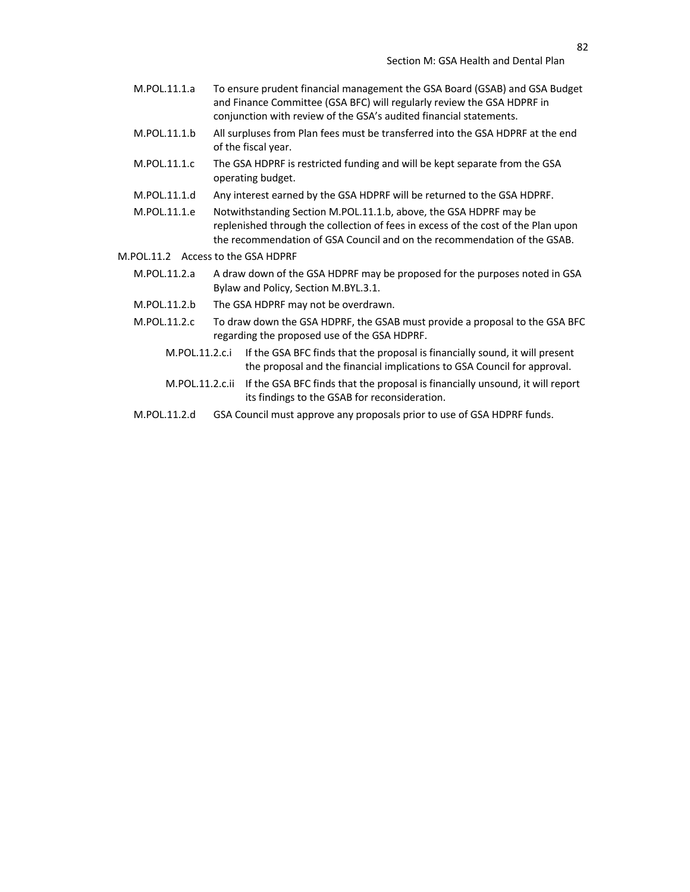- M.POL.11.1.a To ensure prudent financial management the GSA Board (GSAB) and GSA Budget and Finance Committee (GSA BFC) will regularly review the GSA HDPRF in conjunction with review of the GSA's audited financial statements.
- M.POL.11.1.b All surpluses from Plan fees must be transferred into the GSA HDPRF at the end of the fiscal year.
- M.POL.11.1.c The GSA HDPRF is restricted funding and will be kept separate from the GSA operating budget.
- M.POL.11.1.d Any interest earned by the GSA HDPRF will be returned to the GSA HDPRF.
- M.POL.11.1.e Notwithstanding Section M.POL.11.1.b, above, the GSA HDPRF may be replenished through the collection of fees in excess of the cost of the Plan upon the recommendation of GSA Council and on the recommendation of the GSAB.
- M.POL.11.2 Access to the GSA HDPRF
	- M.POL.11.2.a A draw down of the GSA HDPRF may be proposed for the purposes noted in GSA Bylaw and Policy, Section M.BYL.3.1.
	- M.POL.11.2.b The GSA HDPRF may not be overdrawn.
	- M.POL.11.2.c To draw down the GSA HDPRF, the GSAB must provide a proposal to the GSA BFC regarding the proposed use of the GSA HDPRF.
		- M.POL.11.2.c.i If the GSA BFC finds that the proposal is financially sound, it will present the proposal and the financial implications to GSA Council for approval.
		- M.POL.11.2.c.ii If the GSA BFC finds that the proposal is financially unsound, it will report its findings to the GSAB for reconsideration.
	- M.POL.11.2.d GSA Council must approve any proposals prior to use of GSA HDPRF funds.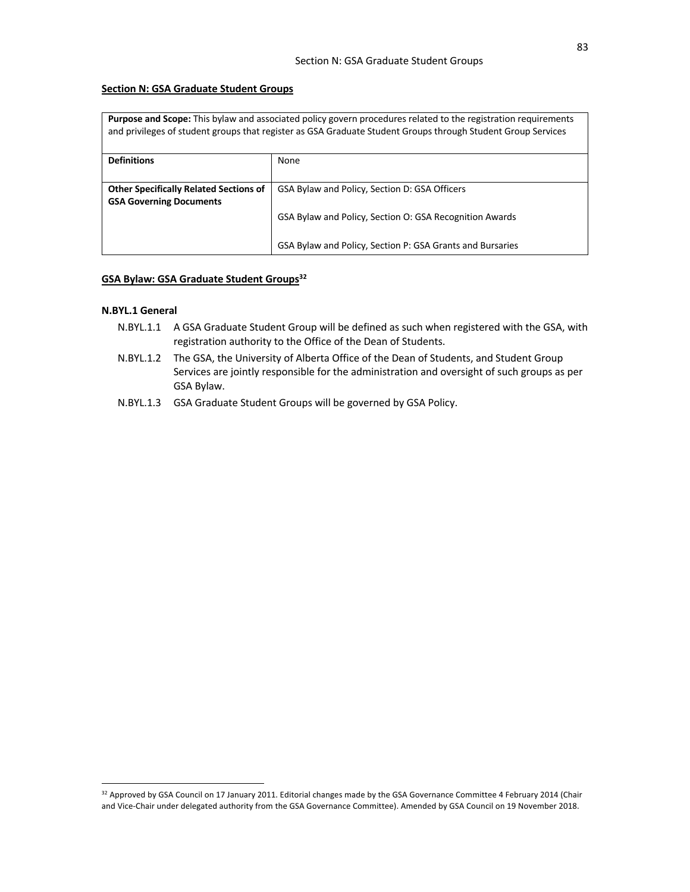# **Section N: GSA Graduate Student Groups**

| <b>Purpose and Scope:</b> This bylaw and associated policy govern procedures related to the registration requirements<br>and privileges of student groups that register as GSA Graduate Student Groups through Student Group Services |                                                           |
|---------------------------------------------------------------------------------------------------------------------------------------------------------------------------------------------------------------------------------------|-----------------------------------------------------------|
| <b>Definitions</b>                                                                                                                                                                                                                    | None                                                      |
| <b>Other Specifically Related Sections of</b><br><b>GSA Governing Documents</b>                                                                                                                                                       | GSA Bylaw and Policy, Section D: GSA Officers             |
|                                                                                                                                                                                                                                       | GSA Bylaw and Policy, Section O: GSA Recognition Awards   |
|                                                                                                                                                                                                                                       | GSA Bylaw and Policy, Section P: GSA Grants and Bursaries |

# **GSA Bylaw: GSA Graduate Student Groups**<sup>32</sup>

# **N.BYL.1 General**

- N.BYL.1.1 A GSA Graduate Student Group will be defined as such when registered with the GSA, with registration authority to the Office of the Dean of Students.
- N.BYL.1.2 The GSA, the University of Alberta Office of the Dean of Students, and Student Group Services are jointly responsible for the administration and oversight of such groups as per GSA Bylaw.
- N.BYL.1.3 GSA Graduate Student Groups will be governed by GSA Policy.

<sup>&</sup>lt;sup>32</sup> Approved by GSA Council on 17 January 2011. Editorial changes made by the GSA Governance Committee 4 February 2014 (Chair and Vice-Chair under delegated authority from the GSA Governance Committee). Amended by GSA Council on 19 November 2018.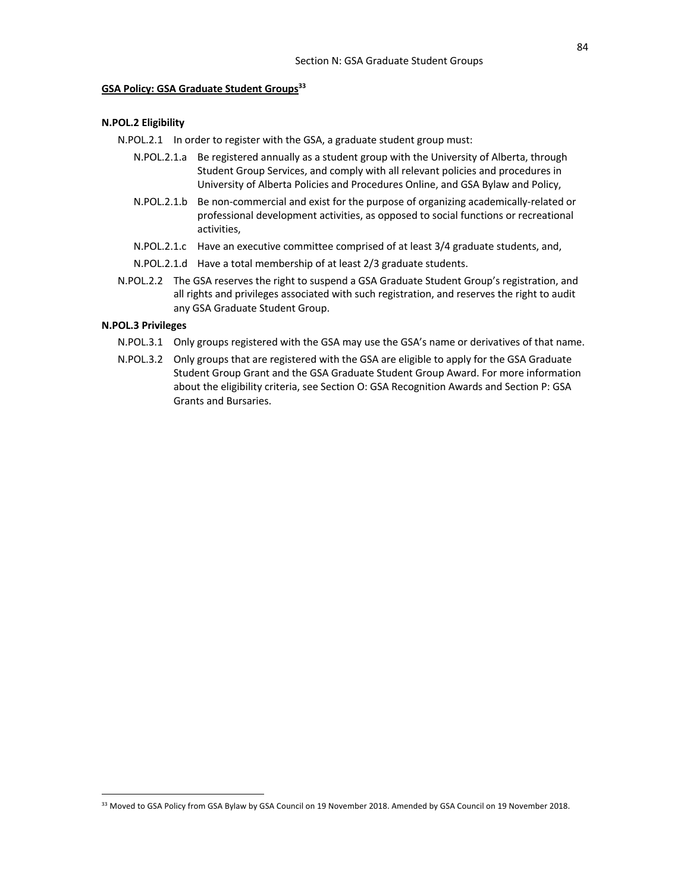# **GSA Policy: GSA Graduate Student Groups33**

## **N.POL.2 Eligibility**

N.POL.2.1 In order to register with the GSA, a graduate student group must:

- N.POL.2.1.a Be registered annually as a student group with the University of Alberta, through Student Group Services, and comply with all relevant policies and procedures in University of Alberta Policies and Procedures Online, and GSA Bylaw and Policy,
- N.POL.2.1.b Be non-commercial and exist for the purpose of organizing academically-related or professional development activities, as opposed to social functions or recreational activities,
- N.POL.2.1.c Have an executive committee comprised of at least 3/4 graduate students, and,
- N.POL.2.1.d Have a total membership of at least 2/3 graduate students.
- N.POL.2.2 The GSA reserves the right to suspend a GSA Graduate Student Group's registration, and all rights and privileges associated with such registration, and reserves the right to audit any GSA Graduate Student Group.

# **N.POL.3 Privileges**

- N.POL.3.1 Only groups registered with the GSA may use the GSA's name or derivatives of that name.
- N.POL.3.2 Only groups that are registered with the GSA are eligible to apply for the GSA Graduate Student Group Grant and the GSA Graduate Student Group Award. For more information about the eligibility criteria, see Section O: GSA Recognition Awards and Section P: GSA Grants and Bursaries.

<sup>&</sup>lt;sup>33</sup> Moved to GSA Policy from GSA Bylaw by GSA Council on 19 November 2018. Amended by GSA Council on 19 November 2018.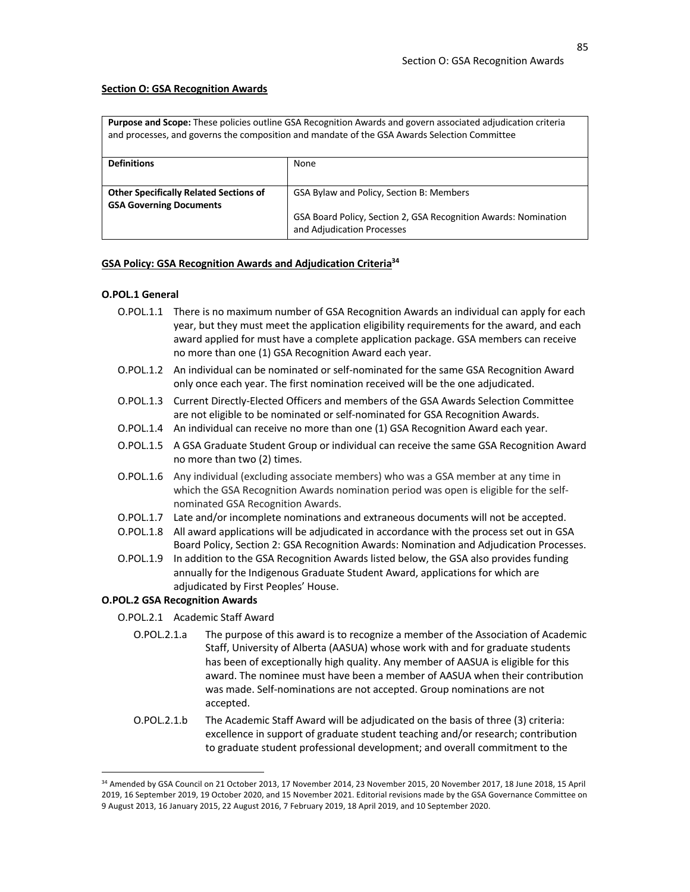#### **Section O: GSA Recognition Awards**

**Purpose and Scope:** These policies outline GSA Recognition Awards and govern associated adjudication criteria and processes, and governs the composition and mandate of the GSA Awards Selection Committee

| <b>Definitions</b>                            | None                                                            |
|-----------------------------------------------|-----------------------------------------------------------------|
|                                               |                                                                 |
| <b>Other Specifically Related Sections of</b> | GSA Bylaw and Policy, Section B: Members                        |
| <b>GSA Governing Documents</b>                |                                                                 |
|                                               | GSA Board Policy, Section 2, GSA Recognition Awards: Nomination |
|                                               | and Adjudication Processes                                      |

#### **GSA Policy: GSA Recognition Awards and Adjudication Criteria34**

#### **O.POL.1 General**

- O.POL.1.1 There is no maximum number of GSA Recognition Awards an individual can apply for each year, but they must meet the application eligibility requirements for the award, and each award applied for must have a complete application package. GSA members can receive no more than one (1) GSA Recognition Award each year.
- O.POL.1.2 An individual can be nominated or self-nominated for the same GSA Recognition Award only once each year. The first nomination received will be the one adjudicated.
- O.POL.1.3 Current Directly-Elected Officers and members of the GSA Awards Selection Committee are not eligible to be nominated or self-nominated for GSA Recognition Awards.
- O.POL.1.4 An individual can receive no more than one (1) GSA Recognition Award each year.
- O.POL.1.5 A GSA Graduate Student Group or individual can receive the same GSA Recognition Award no more than two (2) times.
- O.POL.1.6 Any individual (excluding associate members) who was a GSA member at any time in which the GSA Recognition Awards nomination period was open is eligible for the selfnominated GSA Recognition Awards.
- O.POL.1.7 Late and/or incomplete nominations and extraneous documents will not be accepted.
- O.POL.1.8 All award applications will be adjudicated in accordance with the process set out in GSA Board Policy, Section 2: GSA Recognition Awards: Nomination and Adjudication Processes.
- O.POL.1.9 In addition to the GSA Recognition Awards listed below, the GSA also provides funding annually for the Indigenous Graduate Student Award, applications for which are adjudicated by First Peoples' House.

## **O.POL.2 GSA Recognition Awards**

- O.POL.2.1 Academic Staff Award
	- O.POL.2.1.a The purpose of this award is to recognize a member of the Association of Academic Staff, University of Alberta (AASUA) whose work with and for graduate students has been of exceptionally high quality. Any member of AASUA is eligible for this award. The nominee must have been a member of AASUA when their contribution was made. Self-nominations are not accepted. Group nominations are not accepted.
	- O.POL.2.1.b The Academic Staff Award will be adjudicated on the basis of three (3) criteria: excellence in support of graduate student teaching and/or research; contribution to graduate student professional development; and overall commitment to the

<sup>34</sup> Amended by GSA Council on 21 October 2013, 17 November 2014, 23 November 2015, 20 November 2017, 18 June 2018, 15 April 2019, 16 September 2019, 19 October 2020, and 15 November 2021. Editorial revisions made by the GSA Governance Committee on 9 August 2013, 16 January 2015, 22 August 2016, 7 February 2019, 18 April 2019, and 10 September 2020.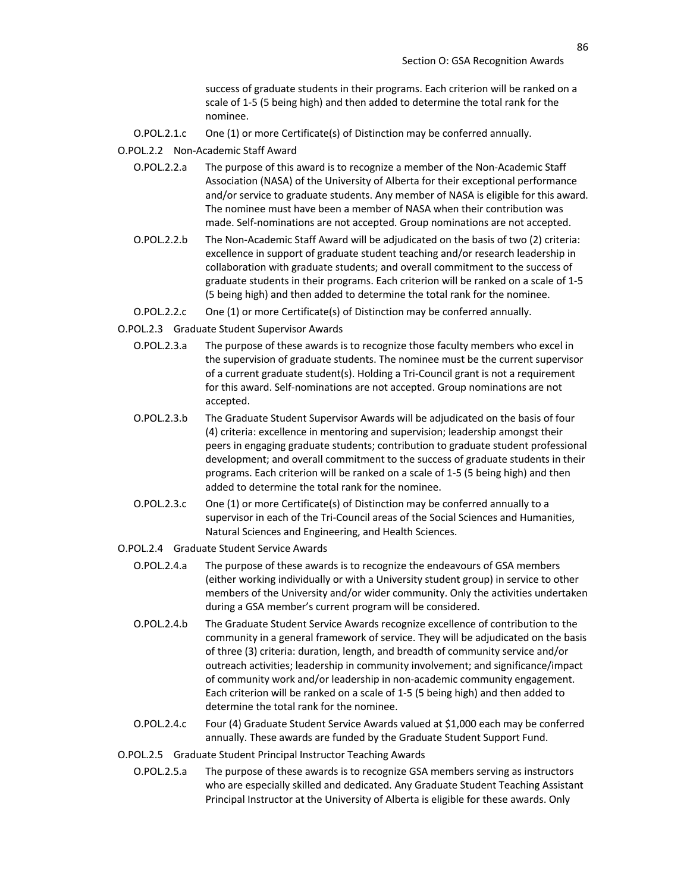success of graduate students in their programs. Each criterion will be ranked on a scale of 1-5 (5 being high) and then added to determine the total rank for the nominee.

- O.POL.2.1.c One (1) or more Certificate(s) of Distinction may be conferred annually.
- O.POL.2.2 Non-Academic Staff Award
	- O.POL.2.2.a The purpose of this award is to recognize a member of the Non-Academic Staff Association (NASA) of the University of Alberta for their exceptional performance and/or service to graduate students. Any member of NASA is eligible for this award. The nominee must have been a member of NASA when their contribution was made. Self-nominations are not accepted. Group nominations are not accepted.
	- O.POL.2.2.b The Non-Academic Staff Award will be adjudicated on the basis of two (2) criteria: excellence in support of graduate student teaching and/or research leadership in collaboration with graduate students; and overall commitment to the success of graduate students in their programs. Each criterion will be ranked on a scale of 1-5 (5 being high) and then added to determine the total rank for the nominee.
	- O.POL.2.2.c One (1) or more Certificate(s) of Distinction may be conferred annually.
- O.POL.2.3 Graduate Student Supervisor Awards
	- O.POL.2.3.a The purpose of these awards is to recognize those faculty members who excel in the supervision of graduate students. The nominee must be the current supervisor of a current graduate student(s). Holding a Tri-Council grant is not a requirement for this award. Self-nominations are not accepted. Group nominations are not accepted.
	- O.POL.2.3.b The Graduate Student Supervisor Awards will be adjudicated on the basis of four (4) criteria: excellence in mentoring and supervision; leadership amongst their peers in engaging graduate students; contribution to graduate student professional development; and overall commitment to the success of graduate students in their programs. Each criterion will be ranked on a scale of 1-5 (5 being high) and then added to determine the total rank for the nominee.
	- O.POL.2.3.c One (1) or more Certificate(s) of Distinction may be conferred annually to a supervisor in each of the Tri-Council areas of the Social Sciences and Humanities, Natural Sciences and Engineering, and Health Sciences.
- O.POL.2.4 Graduate Student Service Awards
	- O.POL.2.4.a The purpose of these awards is to recognize the endeavours of GSA members (either working individually or with a University student group) in service to other members of the University and/or wider community. Only the activities undertaken during a GSA member's current program will be considered.
	- O.POL.2.4.b The Graduate Student Service Awards recognize excellence of contribution to the community in a general framework of service. They will be adjudicated on the basis of three (3) criteria: duration, length, and breadth of community service and/or outreach activities; leadership in community involvement; and significance/impact of community work and/or leadership in non-academic community engagement. Each criterion will be ranked on a scale of 1-5 (5 being high) and then added to determine the total rank for the nominee.
	- O.POL.2.4.c Four (4) Graduate Student Service Awards valued at \$1,000 each may be conferred annually. These awards are funded by the Graduate Student Support Fund.
- O.POL.2.5 Graduate Student Principal Instructor Teaching Awards
	- O.POL.2.5.a The purpose of these awards is to recognize GSA members serving as instructors who are especially skilled and dedicated. Any Graduate Student Teaching Assistant Principal Instructor at the University of Alberta is eligible for these awards. Only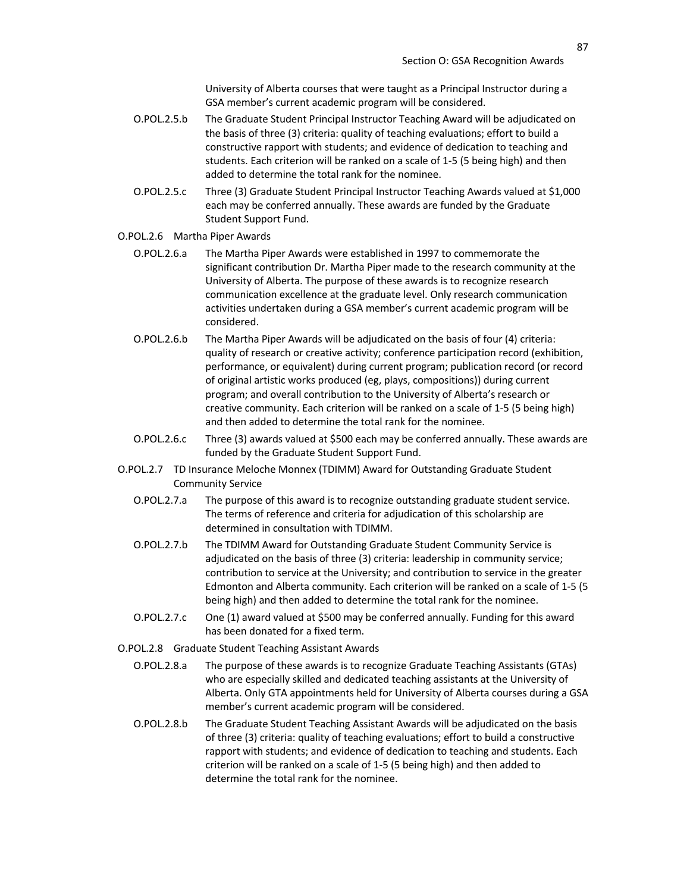University of Alberta courses that were taught as a Principal Instructor during a GSA member's current academic program will be considered.

- O.POL.2.5.b The Graduate Student Principal Instructor Teaching Award will be adjudicated on the basis of three (3) criteria: quality of teaching evaluations; effort to build a constructive rapport with students; and evidence of dedication to teaching and students. Each criterion will be ranked on a scale of 1-5 (5 being high) and then added to determine the total rank for the nominee.
- O.POL.2.5.c Three (3) Graduate Student Principal Instructor Teaching Awards valued at \$1,000 each may be conferred annually. These awards are funded by the Graduate Student Support Fund.

## O.POL.2.6 Martha Piper Awards

- O.POL.2.6.a The Martha Piper Awards were established in 1997 to commemorate the significant contribution Dr. Martha Piper made to the research community at the University of Alberta. The purpose of these awards is to recognize research communication excellence at the graduate level. Only research communication activities undertaken during a GSA member's current academic program will be considered.
- O.POL.2.6.b The Martha Piper Awards will be adjudicated on the basis of four (4) criteria: quality of research or creative activity; conference participation record (exhibition, performance, or equivalent) during current program; publication record (or record of original artistic works produced (eg, plays, compositions)) during current program; and overall contribution to the University of Alberta's research or creative community. Each criterion will be ranked on a scale of 1-5 (5 being high) and then added to determine the total rank for the nominee.
- O.POL.2.6.c Three (3) awards valued at \$500 each may be conferred annually. These awards are funded by the Graduate Student Support Fund.
- O.POL.2.7 TD Insurance Meloche Monnex (TDIMM) Award for Outstanding Graduate Student Community Service
	- O.POL.2.7.a The purpose of this award is to recognize outstanding graduate student service. The terms of reference and criteria for adjudication of this scholarship are determined in consultation with TDIMM.
	- O.POL.2.7.b The TDIMM Award for Outstanding Graduate Student Community Service is adjudicated on the basis of three (3) criteria: leadership in community service; contribution to service at the University; and contribution to service in the greater Edmonton and Alberta community. Each criterion will be ranked on a scale of 1-5 (5 being high) and then added to determine the total rank for the nominee.
	- O.POL.2.7.c One (1) award valued at \$500 may be conferred annually. Funding for this award has been donated for a fixed term.
- O.POL.2.8 Graduate Student Teaching Assistant Awards
	- O.POL.2.8.a The purpose of these awards is to recognize Graduate Teaching Assistants (GTAs) who are especially skilled and dedicated teaching assistants at the University of Alberta. Only GTA appointments held for University of Alberta courses during a GSA member's current academic program will be considered.
	- O.POL.2.8.b The Graduate Student Teaching Assistant Awards will be adjudicated on the basis of three (3) criteria: quality of teaching evaluations; effort to build a constructive rapport with students; and evidence of dedication to teaching and students. Each criterion will be ranked on a scale of 1-5 (5 being high) and then added to determine the total rank for the nominee.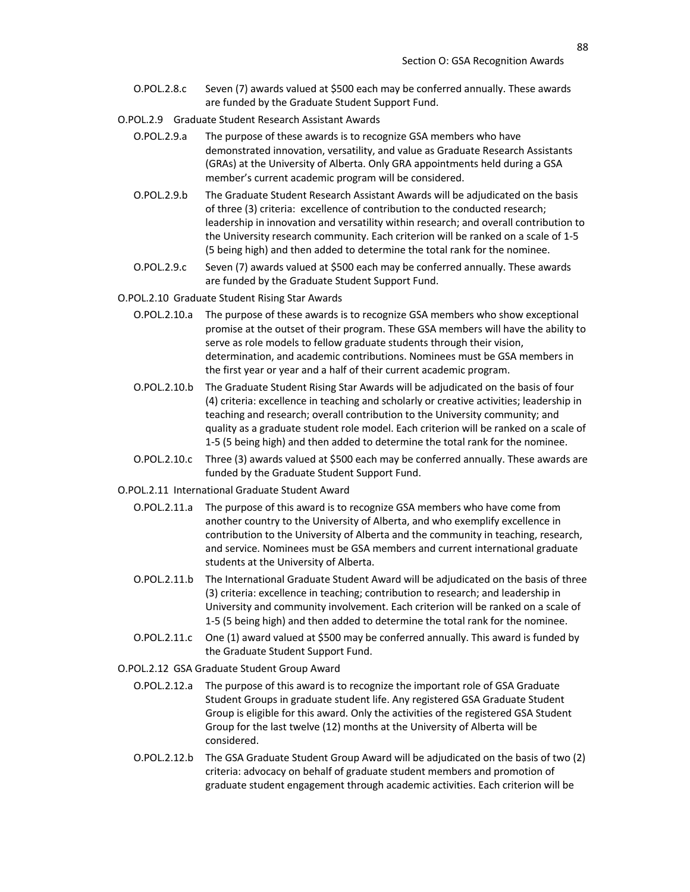- O.POL.2.8.c Seven (7) awards valued at \$500 each may be conferred annually. These awards are funded by the Graduate Student Support Fund.
- O.POL.2.9 Graduate Student Research Assistant Awards
	- O.POL.2.9.a The purpose of these awards is to recognize GSA members who have demonstrated innovation, versatility, and value as Graduate Research Assistants (GRAs) at the University of Alberta. Only GRA appointments held during a GSA member's current academic program will be considered.
	- O.POL.2.9.b The Graduate Student Research Assistant Awards will be adjudicated on the basis of three (3) criteria: excellence of contribution to the conducted research; leadership in innovation and versatility within research; and overall contribution to the University research community. Each criterion will be ranked on a scale of 1-5 (5 being high) and then added to determine the total rank for the nominee.
	- O.POL.2.9.c Seven (7) awards valued at \$500 each may be conferred annually. These awards are funded by the Graduate Student Support Fund.
- O.POL.2.10 Graduate Student Rising Star Awards
	- O.POL.2.10.a The purpose of these awards is to recognize GSA members who show exceptional promise at the outset of their program. These GSA members will have the ability to serve as role models to fellow graduate students through their vision, determination, and academic contributions. Nominees must be GSA members in the first year or year and a half of their current academic program.
	- O.POL.2.10.b The Graduate Student Rising Star Awards will be adjudicated on the basis of four (4) criteria: excellence in teaching and scholarly or creative activities; leadership in teaching and research; overall contribution to the University community; and quality as a graduate student role model. Each criterion will be ranked on a scale of 1-5 (5 being high) and then added to determine the total rank for the nominee.
	- O.POL.2.10.c Three (3) awards valued at \$500 each may be conferred annually. These awards are funded by the Graduate Student Support Fund.
- O.POL.2.11 International Graduate Student Award
	- O.POL.2.11.a The purpose of this award is to recognize GSA members who have come from another country to the University of Alberta, and who exemplify excellence in contribution to the University of Alberta and the community in teaching, research, and service. Nominees must be GSA members and current international graduate students at the University of Alberta.
	- O.POL.2.11.b The International Graduate Student Award will be adjudicated on the basis of three (3) criteria: excellence in teaching; contribution to research; and leadership in University and community involvement. Each criterion will be ranked on a scale of 1-5 (5 being high) and then added to determine the total rank for the nominee.
	- O.POL.2.11.c One (1) award valued at \$500 may be conferred annually. This award is funded by the Graduate Student Support Fund.
- O.POL.2.12 GSA Graduate Student Group Award
	- O.POL.2.12.a The purpose of this award is to recognize the important role of GSA Graduate Student Groups in graduate student life. Any registered GSA Graduate Student Group is eligible for this award. Only the activities of the registered GSA Student Group for the last twelve (12) months at the University of Alberta will be considered.
	- O.POL.2.12.b The GSA Graduate Student Group Award will be adjudicated on the basis of two (2) criteria: advocacy on behalf of graduate student members and promotion of graduate student engagement through academic activities. Each criterion will be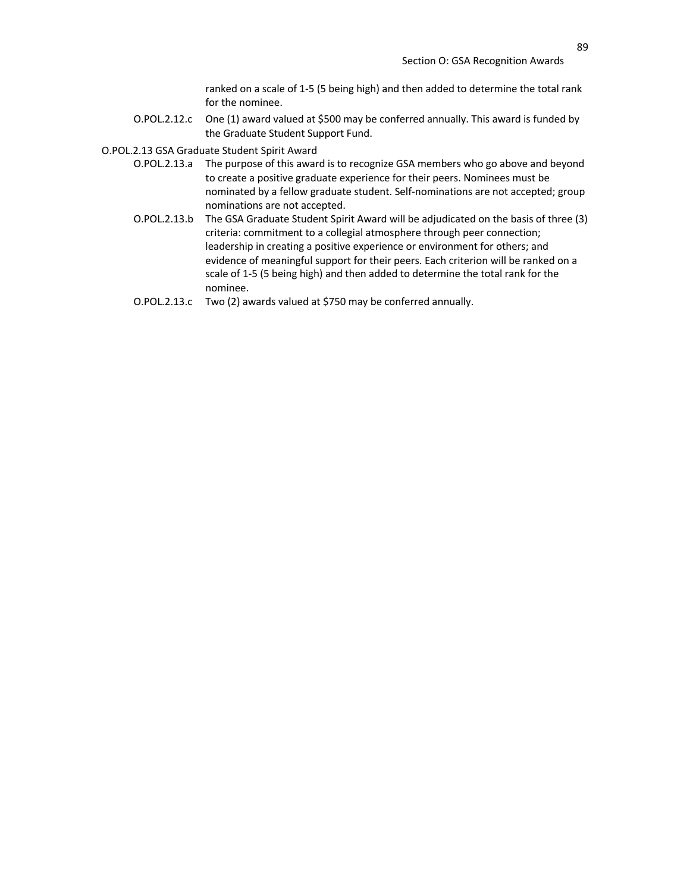ranked on a scale of 1-5 (5 being high) and then added to determine the total rank for the nominee.

O.POL.2.12.c One (1) award valued at \$500 may be conferred annually. This award is funded by the Graduate Student Support Fund.

O.POL.2.13 GSA Graduate Student Spirit Award

- O.POL.2.13.a The purpose of this award is to recognize GSA members who go above and beyond to create a positive graduate experience for their peers. Nominees must be nominated by a fellow graduate student. Self-nominations are not accepted; group nominations are not accepted.
- O.POL.2.13.b The GSA Graduate Student Spirit Award will be adjudicated on the basis of three (3) criteria: commitment to a collegial atmosphere through peer connection; leadership in creating a positive experience or environment for others; and evidence of meaningful support for their peers. Each criterion will be ranked on a scale of 1-5 (5 being high) and then added to determine the total rank for the nominee.
- O.POL.2.13.c Two (2) awards valued at \$750 may be conferred annually.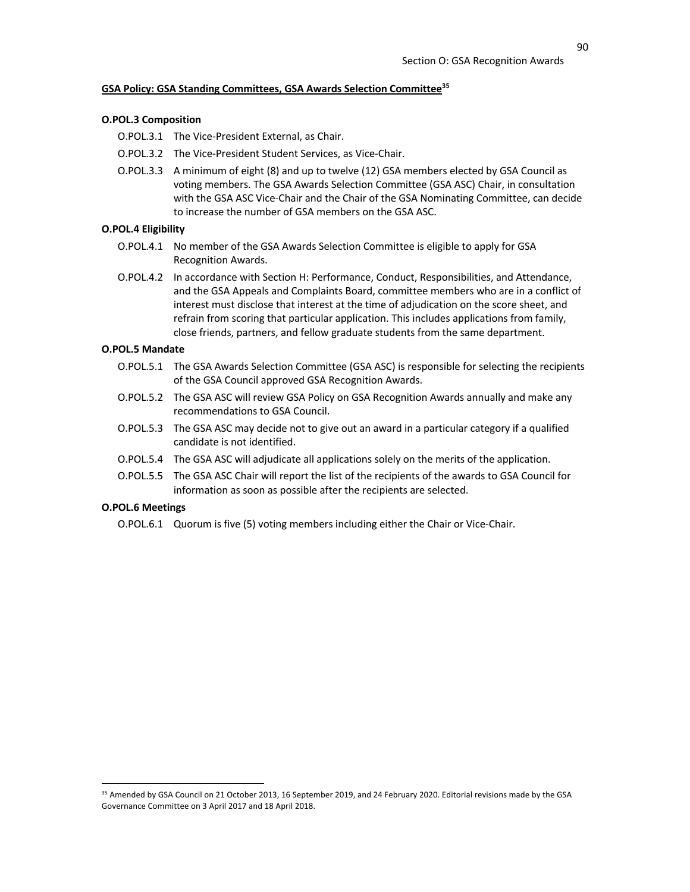# **GSA Policy: GSA Standing Committees, GSA Awards Selection Committee35**

#### **O.POL.3 Composition**

O.POL.3.1 The Vice-President External, as Chair.

- O.POL.3.2 The Vice-President Student Services, as Vice-Chair.
- O.POL.3.3 A minimum of eight (8) and up to twelve (12) GSA members elected by GSA Council as voting members. The GSA Awards Selection Committee (GSA ASC) Chair, in consultation with the GSA ASC Vice-Chair and the Chair of the GSA Nominating Committee, can decide to increase the number of GSA members on the GSA ASC.

## **O.POL.4 Eligibility**

- O.POL.4.1 No member of the GSA Awards Selection Committee is eligible to apply for GSA Recognition Awards.
- O.POL.4.2 In accordance with Section H: Performance, Conduct, Responsibilities, and Attendance, and the GSA Appeals and Complaints Board, committee members who are in a conflict of interest must disclose that interest at the time of adjudication on the score sheet, and refrain from scoring that particular application. This includes applications from family, close friends, partners, and fellow graduate students from the same department.

### **O.POL.5 Mandate**

- O.POL.5.1 The GSA Awards Selection Committee (GSA ASC) is responsible for selecting the recipients of the GSA Council approved GSA Recognition Awards.
- O.POL.5.2 The GSA ASC will review GSA Policy on GSA Recognition Awards annually and make any recommendations to GSA Council.
- O.POL.5.3 The GSA ASC may decide not to give out an award in a particular category if a qualified candidate is not identified.
- O.POL.5.4 The GSA ASC will adjudicate all applications solely on the merits of the application.
- O.POL.5.5 The GSA ASC Chair will report the list of the recipients of the awards to GSA Council for information as soon as possible after the recipients are selected.

## **O.POL.6 Meetings**

O.POL.6.1 Quorum is five (5) voting members including either the Chair or Vice-Chair.

<sup>&</sup>lt;sup>35</sup> Amended by GSA Council on 21 October 2013, 16 September 2019, and 24 February 2020. Editorial revisions made by the GSA Governance Committee on 3 April 2017 and 18 April 2018.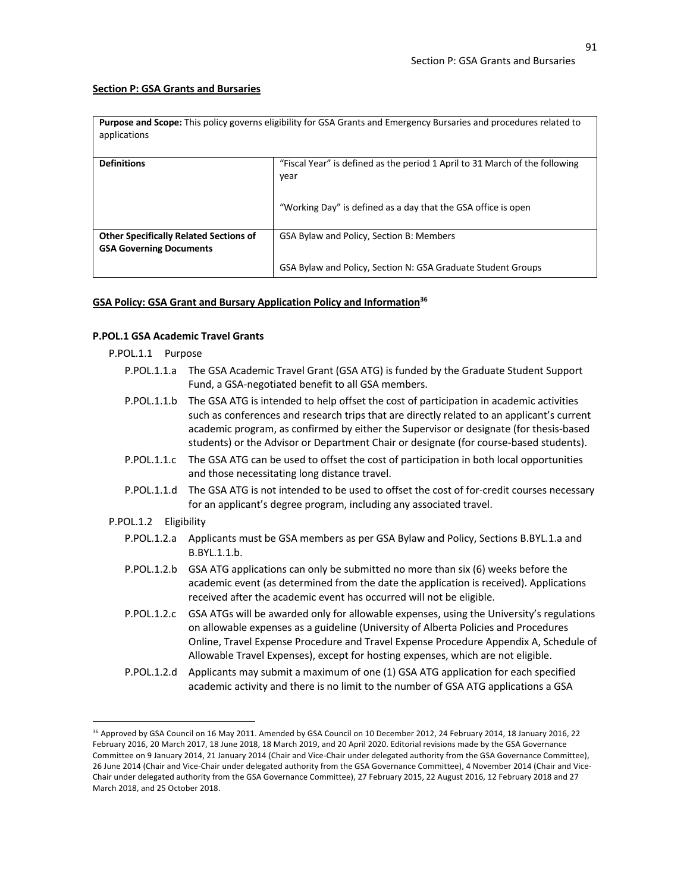## **Section P: GSA Grants and Bursaries**

| <b>Purpose and Scope:</b> This policy governs eligibility for GSA Grants and Emergency Bursaries and procedures related to |  |
|----------------------------------------------------------------------------------------------------------------------------|--|
| applications                                                                                                               |  |

| <b>Definitions</b>                                                              | "Fiscal Year" is defined as the period 1 April to 31 March of the following<br>year |
|---------------------------------------------------------------------------------|-------------------------------------------------------------------------------------|
|                                                                                 | "Working Day" is defined as a day that the GSA office is open                       |
| <b>Other Specifically Related Sections of</b><br><b>GSA Governing Documents</b> | GSA Bylaw and Policy, Section B: Members                                            |
|                                                                                 | GSA Bylaw and Policy, Section N: GSA Graduate Student Groups                        |

## **GSA Policy: GSA Grant and Bursary Application Policy and Information<sup>36</sup>**

#### **P.POL.1 GSA Academic Travel Grants**

P.POL.1.1 Purpose

| P.POL.1.1.a The GSA Academic Travel Grant (GSA ATG) is funded by the Graduate Student Support |
|-----------------------------------------------------------------------------------------------|
| Fund, a GSA-negotiated benefit to all GSA members.                                            |

- P.POL.1.1.b The GSA ATG is intended to help offset the cost of participation in academic activities such as conferences and research trips that are directly related to an applicant's current academic program, as confirmed by either the Supervisor or designate (for thesis-based students) or the Advisor or Department Chair or designate (for course-based students).
- P.POL.1.1.c The GSA ATG can be used to offset the cost of participation in both local opportunities and those necessitating long distance travel.
- P.POL.1.1.d The GSA ATG is not intended to be used to offset the cost of for-credit courses necessary for an applicant's degree program, including any associated travel.

## P.POL.1.2 Eligibility

- P.POL.1.2.a Applicants must be GSA members as per GSA Bylaw and Policy, Sections B.BYL.1.a and B.BYL.1.1.b.
- P.POL.1.2.b GSA ATG applications can only be submitted no more than six (6) weeks before the academic event (as determined from the date the application is received). Applications received after the academic event has occurred will not be eligible.
- P.POL.1.2.c GSA ATGs will be awarded only for allowable expenses, using the University's regulations on allowable expenses as a guideline (University of Alberta Policies and Procedures Online, Travel Expense Procedure and Travel Expense Procedure Appendix A, Schedule of Allowable Travel Expenses), except for hosting expenses, which are not eligible.
- P.POL.1.2.d Applicants may submit a maximum of one (1) GSA ATG application for each specified academic activity and there is no limit to the number of GSA ATG applications a GSA

<sup>36</sup> Approved by GSA Council on 16 May 2011. Amended by GSA Council on 10 December 2012, 24 February 2014, 18 January 2016, 22 February 2016, 20 March 2017, 18 June 2018, 18 March 2019, and 20 April 2020. Editorial revisions made by the GSA Governance Committee on 9 January 2014, 21 January 2014 (Chair and Vice-Chair under delegated authority from the GSA Governance Committee), 26 June 2014 (Chair and Vice-Chair under delegated authority from the GSA Governance Committee), 4 November 2014 (Chair and Vice-Chair under delegated authority from the GSA Governance Committee), 27 February 2015, 22 August 2016, 12 February 2018 and 27 March 2018, and 25 October 2018.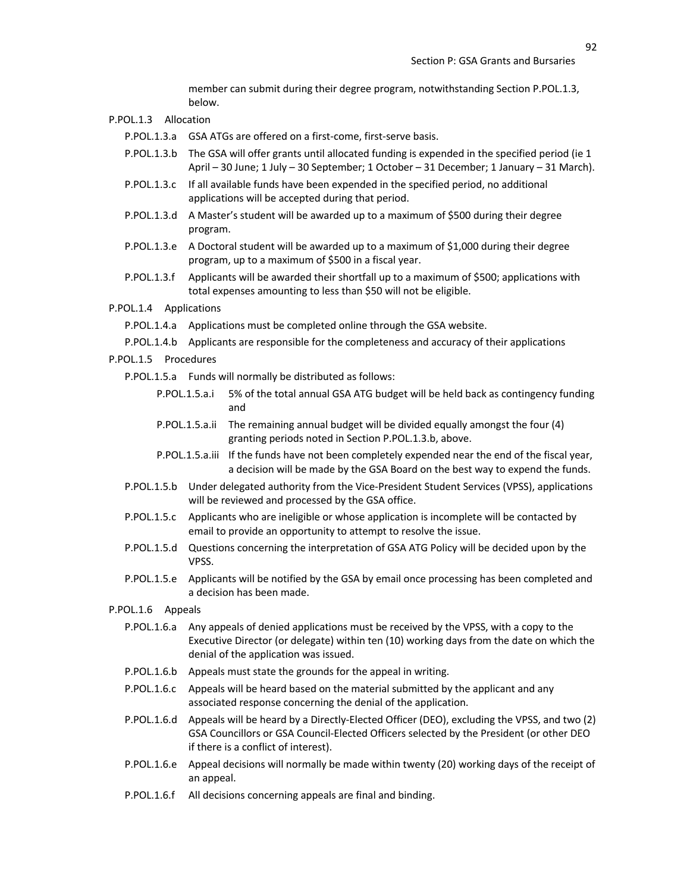member can submit during their degree program, notwithstanding Section P.POL.1.3, below.

#### P.POL.1.3 Allocation

P.POL.1.3.a GSA ATGs are offered on a first-come, first-serve basis.

- P.POL.1.3.b The GSA will offer grants until allocated funding is expended in the specified period (ie 1 April – 30 June; 1 July – 30 September; 1 October – 31 December; 1 January – 31 March).
- P.POL.1.3.c If all available funds have been expended in the specified period, no additional applications will be accepted during that period.
- P.POL.1.3.d A Master's student will be awarded up to a maximum of \$500 during their degree program.
- P.POL.1.3.e A Doctoral student will be awarded up to a maximum of \$1,000 during their degree program, up to a maximum of \$500 in a fiscal year.
- P.POL.1.3.f Applicants will be awarded their shortfall up to a maximum of \$500; applications with total expenses amounting to less than \$50 will not be eligible.
- P.POL.1.4 Applications

P.POL.1.4.a Applications must be completed online through the GSA website.

- P.POL.1.4.b Applicants are responsible for the completeness and accuracy of their applications
- P.POL.1.5 Procedures
	- P.POL.1.5.a Funds will normally be distributed as follows:
		- P.POL.1.5.a.i 5% of the total annual GSA ATG budget will be held back as contingency funding and
		- P.POL.1.5.a.ii The remaining annual budget will be divided equally amongst the four (4) granting periods noted in Section P.POL.1.3.b, above.
		- P.POL.1.5.a.iii If the funds have not been completely expended near the end of the fiscal year, a decision will be made by the GSA Board on the best way to expend the funds.
	- P.POL.1.5.b Under delegated authority from the Vice-President Student Services (VPSS), applications will be reviewed and processed by the GSA office.
	- P.POL.1.5.c Applicants who are ineligible or whose application is incomplete will be contacted by email to provide an opportunity to attempt to resolve the issue.
	- P.POL.1.5.d Questions concerning the interpretation of GSA ATG Policy will be decided upon by the VPSS.
	- P.POL.1.5.e Applicants will be notified by the GSA by email once processing has been completed and a decision has been made.
- P.POL.1.6 Appeals
	- P.POL.1.6.a Any appeals of denied applications must be received by the VPSS, with a copy to the Executive Director (or delegate) within ten (10) working days from the date on which the denial of the application was issued.
	- P.POL.1.6.b Appeals must state the grounds for the appeal in writing.
	- P.POL.1.6.c Appeals will be heard based on the material submitted by the applicant and any associated response concerning the denial of the application.
	- P.POL.1.6.d Appeals will be heard by a Directly-Elected Officer (DEO), excluding the VPSS, and two (2) GSA Councillors or GSA Council-Elected Officers selected by the President (or other DEO if there is a conflict of interest).
	- P.POL.1.6.e Appeal decisions will normally be made within twenty (20) working days of the receipt of an appeal.
	- P.POL.1.6.f All decisions concerning appeals are final and binding.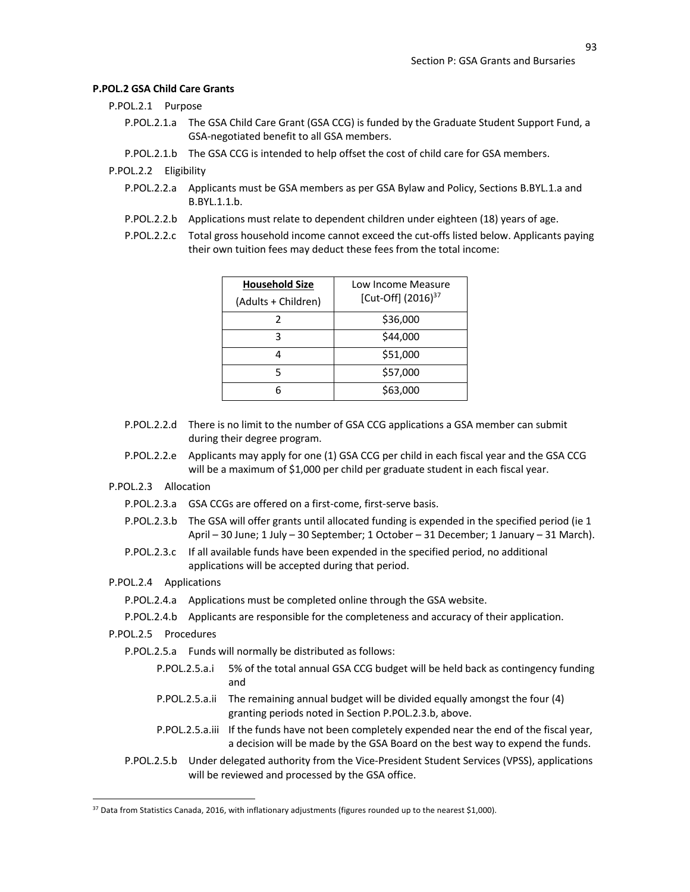#### **P.POL.2 GSA Child Care Grants**

- P.POL.2.1 Purpose
	- P.POL.2.1.a The GSA Child Care Grant (GSA CCG) is funded by the Graduate Student Support Fund, a GSA-negotiated benefit to all GSA members.
	- P.POL.2.1.b The GSA CCG is intended to help offset the cost of child care for GSA members.

P.POL.2.2 Eligibility

- P.POL.2.2.a Applicants must be GSA members as per GSA Bylaw and Policy, Sections B.BYL.1.a and B.BYL.1.1.b.
- P.POL.2.2.b Applications must relate to dependent children under eighteen (18) years of age.
- P.POL.2.2.c Total gross household income cannot exceed the cut-offs listed below. Applicants paying their own tuition fees may deduct these fees from the total income:

| <b>Household Size</b><br>(Adults + Children) | Low Income Measure<br>[Cut-Off] (2016) <sup>37</sup> |
|----------------------------------------------|------------------------------------------------------|
|                                              | \$36,000                                             |
| ς                                            | \$44,000                                             |
|                                              | \$51,000                                             |
| 5                                            | \$57,000                                             |
|                                              | \$63,000                                             |

- P.POL.2.2.d There is no limit to the number of GSA CCG applications a GSA member can submit during their degree program.
- P.POL.2.2.e Applicants may apply for one (1) GSA CCG per child in each fiscal year and the GSA CCG will be a maximum of \$1,000 per child per graduate student in each fiscal year.
- P.POL.2.3 Allocation
	- P.POL.2.3.a GSA CCGs are offered on a first-come, first-serve basis.
	- P.POL.2.3.b The GSA will offer grants until allocated funding is expended in the specified period (ie 1 April – 30 June; 1 July – 30 September; 1 October – 31 December; 1 January – 31 March).
	- P.POL.2.3.c If all available funds have been expended in the specified period, no additional applications will be accepted during that period.
- P.POL.2.4 Applications

```
P.POL.2.4.a Applications must be completed online through the GSA website.
```
- P.POL.2.4.b Applicants are responsible for the completeness and accuracy of their application.
- P.POL.2.5 Procedures
	- P.POL.2.5.a Funds will normally be distributed as follows:
		- P.POL.2.5.a.i 5% of the total annual GSA CCG budget will be held back as contingency funding and
		- P.POL.2.5.a.ii The remaining annual budget will be divided equally amongst the four (4) granting periods noted in Section P.POL.2.3.b, above.
		- P.POL.2.5.a.iii If the funds have not been completely expended near the end of the fiscal year, a decision will be made by the GSA Board on the best way to expend the funds.
	- P.POL.2.5.b Under delegated authority from the Vice-President Student Services (VPSS), applications will be reviewed and processed by the GSA office.

<sup>37</sup> Data from Statistics Canada, 2016, with inflationary adjustments (figures rounded up to the nearest \$1,000).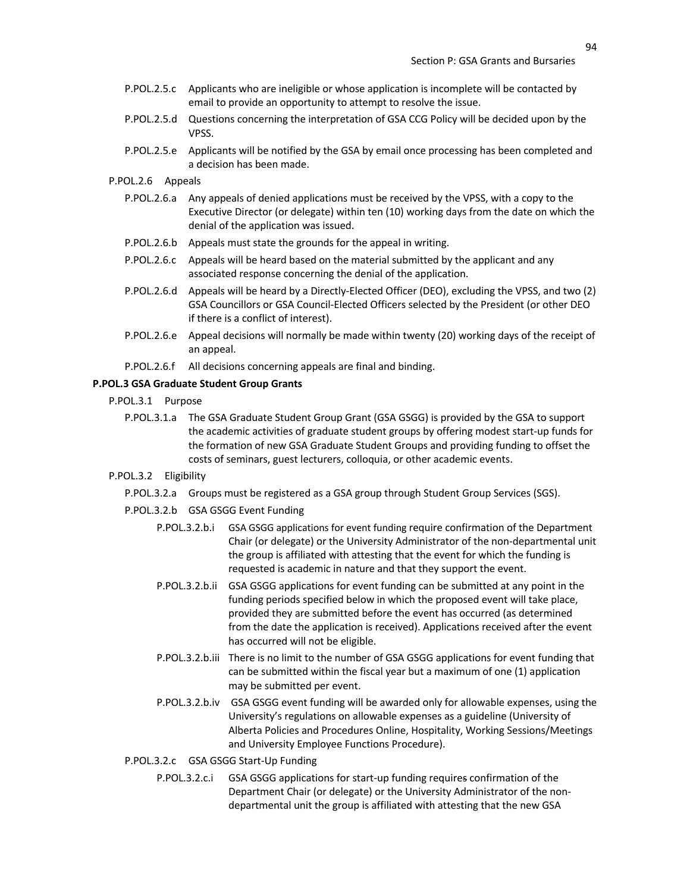- P.POL.2.5.c Applicants who are ineligible or whose application is incomplete will be contacted by email to provide an opportunity to attempt to resolve the issue.
- P.POL.2.5.d Questions concerning the interpretation of GSA CCG Policy will be decided upon by the VPSS.
- P.POL.2.5.e Applicants will be notified by the GSA by email once processing has been completed and a decision has been made.
- P.POL.2.6 Appeals
	- P.POL.2.6.a Any appeals of denied applications must be received by the VPSS, with a copy to the Executive Director (or delegate) within ten (10) working days from the date on which the denial of the application was issued.
	- P.POL.2.6.b Appeals must state the grounds for the appeal in writing.
	- P.POL.2.6.c Appeals will be heard based on the material submitted by the applicant and any associated response concerning the denial of the application.
	- P.POL.2.6.d Appeals will be heard by a Directly-Elected Officer (DEO), excluding the VPSS, and two (2) GSA Councillors or GSA Council-Elected Officers selected by the President (or other DEO if there is a conflict of interest).
	- P.POL.2.6.e Appeal decisions will normally be made within twenty (20) working days of the receipt of an appeal.
	- P.POL.2.6.f All decisions concerning appeals are final and binding.

#### **P.POL.3 GSA Graduate Student Group Grants**

- P.POL.3.1 Purpose
	- P.POL.3.1.a The GSA Graduate Student Group Grant (GSA GSGG) is provided by the GSA to support the academic activities of graduate student groups by offering modest start-up funds for the formation of new GSA Graduate Student Groups and providing funding to offset the costs of seminars, guest lecturers, colloquia, or other academic events.
- P.POL.3.2 Eligibility
	- P.POL.3.2.a Groups must be registered as a GSA group through Student Group Services (SGS).
	- P.POL.3.2.b GSA GSGG Event Funding
		- P.POL.3.2.b.i GSA GSGG applications for event funding require confirmation of the Department Chair (or delegate) or the University Administrator of the non-departmental unit the group is affiliated with attesting that the event for which the funding is requested is academic in nature and that they support the event.
		- P.POL.3.2.b.ii GSA GSGG applications for event funding can be submitted at any point in the funding periods specified below in which the proposed event will take place, provided they are submitted before the event has occurred (as determined from the date the application is received). Applications received after the event has occurred will not be eligible.
		- P.POL.3.2.b.iii There is no limit to the number of GSA GSGG applications for event funding that can be submitted within the fiscal year but a maximum of one (1) application may be submitted per event.
		- P.POL.3.2.b.iv GSA GSGG event funding will be awarded only for allowable expenses, using the University's regulations on allowable expenses as a guideline (University of Alberta Policies and Procedures Online, Hospitality, Working Sessions/Meetings and University Employee Functions Procedure).
	- P.POL.3.2.c GSA GSGG Start-Up Funding
		- P.POL.3.2.c.i GSA GSGG applications for start-up funding requires confirmation of the Department Chair (or delegate) or the University Administrator of the nondepartmental unit the group is affiliated with attesting that the new GSA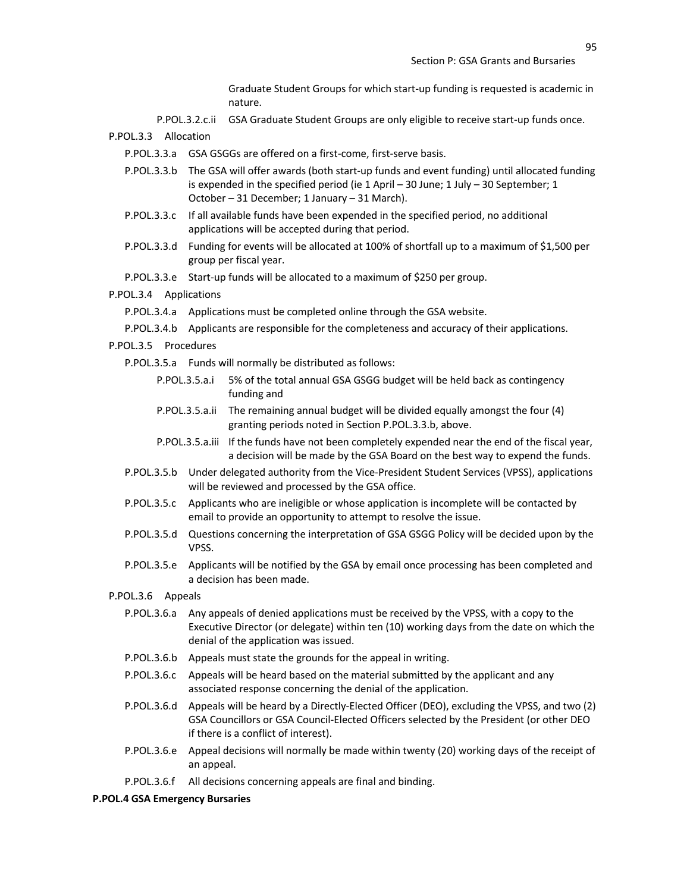Graduate Student Groups for which start-up funding is requested is academic in nature.

- P.POL.3.2.c.ii GSA Graduate Student Groups are only eligible to receive start-up funds once.
- P.POL.3.3 Allocation
	- P.POL.3.3.a GSA GSGGs are offered on a first-come, first-serve basis.
	- P.POL.3.3.b The GSA will offer awards (both start-up funds and event funding) until allocated funding is expended in the specified period (ie 1 April – 30 June; 1 July – 30 September; 1 October – 31 December; 1 January – 31 March).
	- P.POL.3.3.c If all available funds have been expended in the specified period, no additional applications will be accepted during that period.
	- P.POL.3.3.d Funding for events will be allocated at 100% of shortfall up to a maximum of \$1,500 per group per fiscal year.
	- P.POL.3.3.e Start-up funds will be allocated to a maximum of \$250 per group.
- P.POL.3.4 Applications
	- P.POL.3.4.a Applications must be completed online through the GSA website.
	- P.POL.3.4.b Applicants are responsible for the completeness and accuracy of their applications.
- P.POL.3.5 Procedures
	- P.POL.3.5.a Funds will normally be distributed as follows:
		- P.POL.3.5.a.i 5% of the total annual GSA GSGG budget will be held back as contingency funding and
		- P.POL.3.5.a.ii The remaining annual budget will be divided equally amongst the four (4) granting periods noted in Section P.POL.3.3.b, above.
		- P.POL.3.5.a.iii If the funds have not been completely expended near the end of the fiscal year, a decision will be made by the GSA Board on the best way to expend the funds.
	- P.POL.3.5.b Under delegated authority from the Vice-President Student Services (VPSS), applications will be reviewed and processed by the GSA office.
	- P.POL.3.5.c Applicants who are ineligible or whose application is incomplete will be contacted by email to provide an opportunity to attempt to resolve the issue.
	- P.POL.3.5.d Questions concerning the interpretation of GSA GSGG Policy will be decided upon by the VPSS.
	- P.POL.3.5.e Applicants will be notified by the GSA by email once processing has been completed and a decision has been made.
- P.POL.3.6 Appeals
	- P.POL.3.6.a Any appeals of denied applications must be received by the VPSS, with a copy to the Executive Director (or delegate) within ten (10) working days from the date on which the denial of the application was issued.
	- P.POL.3.6.b Appeals must state the grounds for the appeal in writing.
	- P.POL.3.6.c Appeals will be heard based on the material submitted by the applicant and any associated response concerning the denial of the application.
	- P.POL.3.6.d Appeals will be heard by a Directly-Elected Officer (DEO), excluding the VPSS, and two (2) GSA Councillors or GSA Council-Elected Officers selected by the President (or other DEO if there is a conflict of interest).
	- P.POL.3.6.e Appeal decisions will normally be made within twenty (20) working days of the receipt of an appeal.
	- P.POL.3.6.f All decisions concerning appeals are final and binding.

#### **P.POL.4 GSA Emergency Bursaries**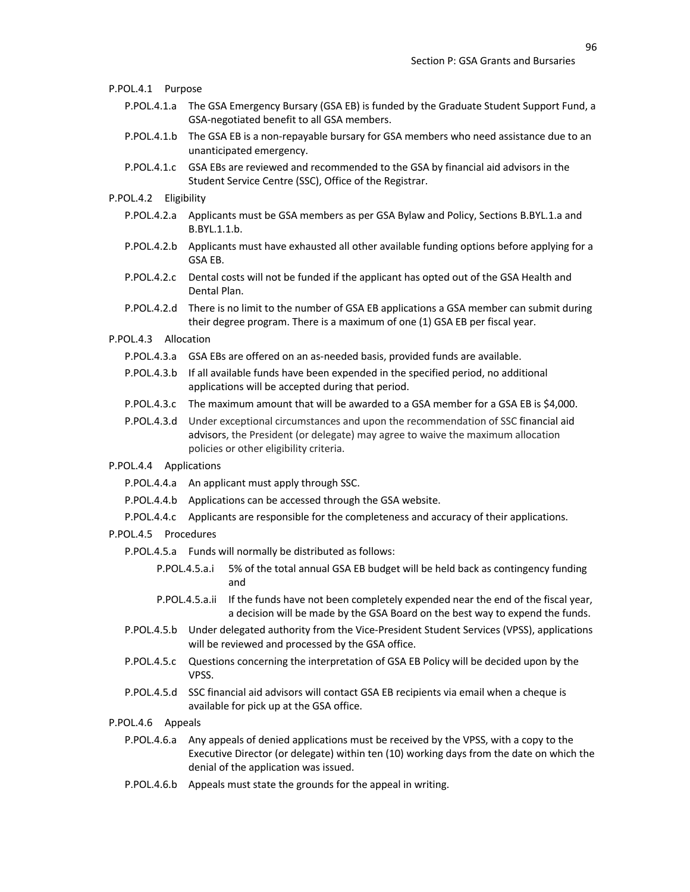| P.POL.4.1 Purpose      |                                                                                                                                                                                                                          |
|------------------------|--------------------------------------------------------------------------------------------------------------------------------------------------------------------------------------------------------------------------|
| P.POL.4.1.a            | The GSA Emergency Bursary (GSA EB) is funded by the Graduate Student Support Fund, a<br>GSA-negotiated benefit to all GSA members.                                                                                       |
| P.POL.4.1.b            | The GSA EB is a non-repayable bursary for GSA members who need assistance due to an<br>unanticipated emergency.                                                                                                          |
| P.POL.4.1.c            | GSA EBs are reviewed and recommended to the GSA by financial aid advisors in the<br>Student Service Centre (SSC), Office of the Registrar.                                                                               |
| P.POL.4.2              | Eligibility                                                                                                                                                                                                              |
| P.POL.4.2.a            | Applicants must be GSA members as per GSA Bylaw and Policy, Sections B.BYL.1.a and<br>B.BYL.1.1.b.                                                                                                                       |
| P.POL.4.2.b            | Applicants must have exhausted all other available funding options before applying for a<br>GSA EB.                                                                                                                      |
| P.POL.4.2.c            | Dental costs will not be funded if the applicant has opted out of the GSA Health and<br>Dental Plan.                                                                                                                     |
| P.POL.4.2.d            | There is no limit to the number of GSA EB applications a GSA member can submit during<br>their degree program. There is a maximum of one (1) GSA EB per fiscal year.                                                     |
| P.POL.4.3              | Allocation                                                                                                                                                                                                               |
|                        | P.POL.4.3.a GSA EBs are offered on an as-needed basis, provided funds are available.                                                                                                                                     |
| P.POL.4.3.b            | If all available funds have been expended in the specified period, no additional<br>applications will be accepted during that period.                                                                                    |
| P.POL.4.3.c            | The maximum amount that will be awarded to a GSA member for a GSA EB is \$4,000.                                                                                                                                         |
| P.POL.4.3.d            | Under exceptional circumstances and upon the recommendation of SSC financial aid<br>advisors, the President (or delegate) may agree to waive the maximum allocation<br>policies or other eligibility criteria.           |
| P.POL.4.4 Applications |                                                                                                                                                                                                                          |
| P.POL.4.4.a            | An applicant must apply through SSC.                                                                                                                                                                                     |
| P.POL.4.4.b            | Applications can be accessed through the GSA website.                                                                                                                                                                    |
| P.POL.4.4.c            | Applicants are responsible for the completeness and accuracy of their applications.                                                                                                                                      |
| P.POL.4.5 Procedures   |                                                                                                                                                                                                                          |
|                        | P.POL.4.5.a Funds will normally be distributed as follows:                                                                                                                                                               |
|                        | P.POL.4.5.a.i<br>5% of the total annual GSA EB budget will be held back as contingency funding<br>and                                                                                                                    |
|                        | If the funds have not been completely expended near the end of the fiscal year,<br>P.POL.4.5.a.ii<br>a decision will be made by the GSA Board on the best way to expend the funds.                                       |
| P.POL.4.5.b            | Under delegated authority from the Vice-President Student Services (VPSS), applications<br>will be reviewed and processed by the GSA office.                                                                             |
| P.POL.4.5.c            | Questions concerning the interpretation of GSA EB Policy will be decided upon by the<br>VPSS.                                                                                                                            |
| P.POL.4.5.d            | SSC financial aid advisors will contact GSA EB recipients via email when a cheque is<br>available for pick up at the GSA office.                                                                                         |
| P.POL.4.6<br>Appeals   |                                                                                                                                                                                                                          |
| P.POL.4.6.a            | Any appeals of denied applications must be received by the VPSS, with a copy to the<br>Executive Director (or delegate) within ten (10) working days from the date on which the<br>denial of the application was issued. |
|                        |                                                                                                                                                                                                                          |

P.POL.4.6.b Appeals must state the grounds for the appeal in writing.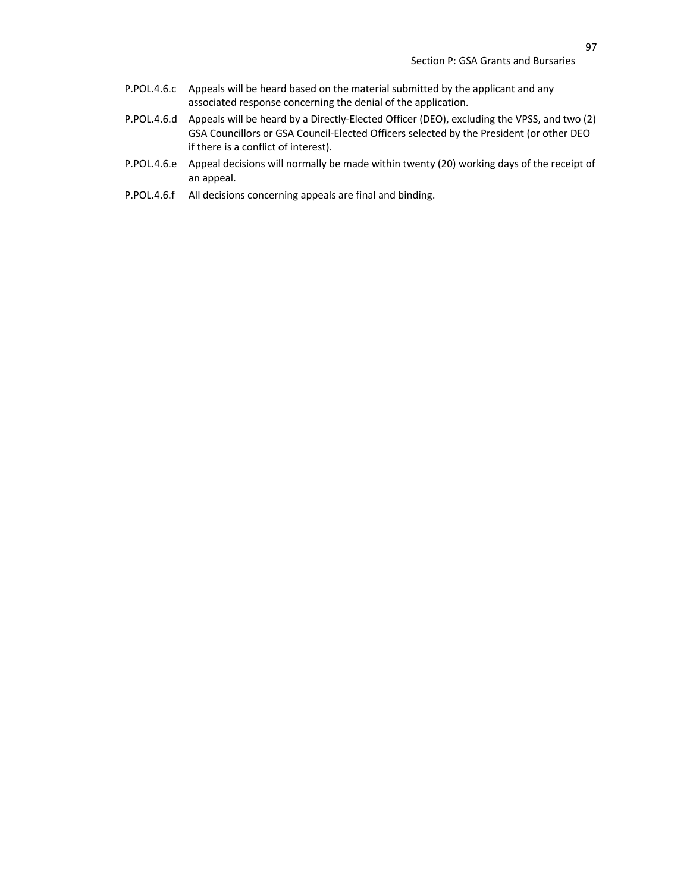- P.POL.4.6.c Appeals will be heard based on the material submitted by the applicant and any associated response concerning the denial of the application.
- P.POL.4.6.d Appeals will be heard by a Directly-Elected Officer (DEO), excluding the VPSS, and two (2) GSA Councillors or GSA Council-Elected Officers selected by the President (or other DEO if there is a conflict of interest).
- P.POL.4.6.e Appeal decisions will normally be made within twenty (20) working days of the receipt of an appeal.
- P.POL.4.6.f All decisions concerning appeals are final and binding.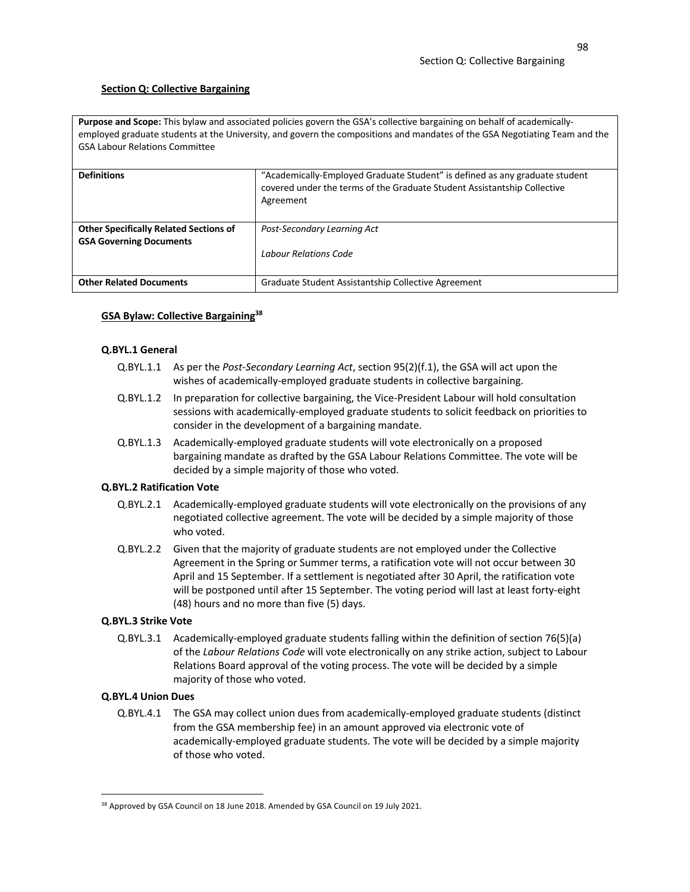# **Section Q: Collective Bargaining**

**Purpose and Scope:** This bylaw and associated policies govern the GSA's collective bargaining on behalf of academicallyemployed graduate students at the University, and govern the compositions and mandates of the GSA Negotiating Team and the GSA Labour Relations Committee

| <b>Definitions</b>                                                              | "Academically-Employed Graduate Student" is defined as any graduate student<br>covered under the terms of the Graduate Student Assistantship Collective<br>Agreement |
|---------------------------------------------------------------------------------|----------------------------------------------------------------------------------------------------------------------------------------------------------------------|
| <b>Other Specifically Related Sections of</b><br><b>GSA Governing Documents</b> | Post-Secondary Learning Act                                                                                                                                          |
|                                                                                 | Labour Relations Code                                                                                                                                                |
| <b>Other Related Documents</b>                                                  | Graduate Student Assistantship Collective Agreement                                                                                                                  |

# **GSA Bylaw: Collective Bargaining38**

## **Q.BYL.1 General**

- Q.BYL.1.1 As per the *Post-Secondary Learning Act*, section 95(2)(f.1), the GSA will act upon the wishes of academically-employed graduate students in collective bargaining.
- Q.BYL.1.2 In preparation for collective bargaining, the Vice-President Labour will hold consultation sessions with academically-employed graduate students to solicit feedback on priorities to consider in the development of a bargaining mandate.
- Q.BYL.1.3 Academically-employed graduate students will vote electronically on a proposed bargaining mandate as drafted by the GSA Labour Relations Committee. The vote will be decided by a simple majority of those who voted.

# **Q.BYL.2 Ratification Vote**

- Q.BYL.2.1 Academically-employed graduate students will vote electronically on the provisions of any negotiated collective agreement. The vote will be decided by a simple majority of those who voted.
- Q.BYL.2.2 Given that the majority of graduate students are not employed under the Collective Agreement in the Spring or Summer terms, a ratification vote will not occur between 30 April and 15 September. If a settlement is negotiated after 30 April, the ratification vote will be postponed until after 15 September. The voting period will last at least forty-eight (48) hours and no more than five (5) days.

# **Q.BYL.3 Strike Vote**

Q.BYL.3.1 Academically-employed graduate students falling within the definition of section 76(5)(a) of the *Labour Relations Code* will vote electronically on any strike action, subject to Labour Relations Board approval of the voting process. The vote will be decided by a simple majority of those who voted.

# **Q.BYL.4 Union Dues**

Q.BYL.4.1 The GSA may collect union dues from academically-employed graduate students (distinct from the GSA membership fee) in an amount approved via electronic vote of academically-employed graduate students. The vote will be decided by a simple majority of those who voted.

<sup>&</sup>lt;sup>38</sup> Approved by GSA Council on 18 June 2018. Amended by GSA Council on 19 July 2021.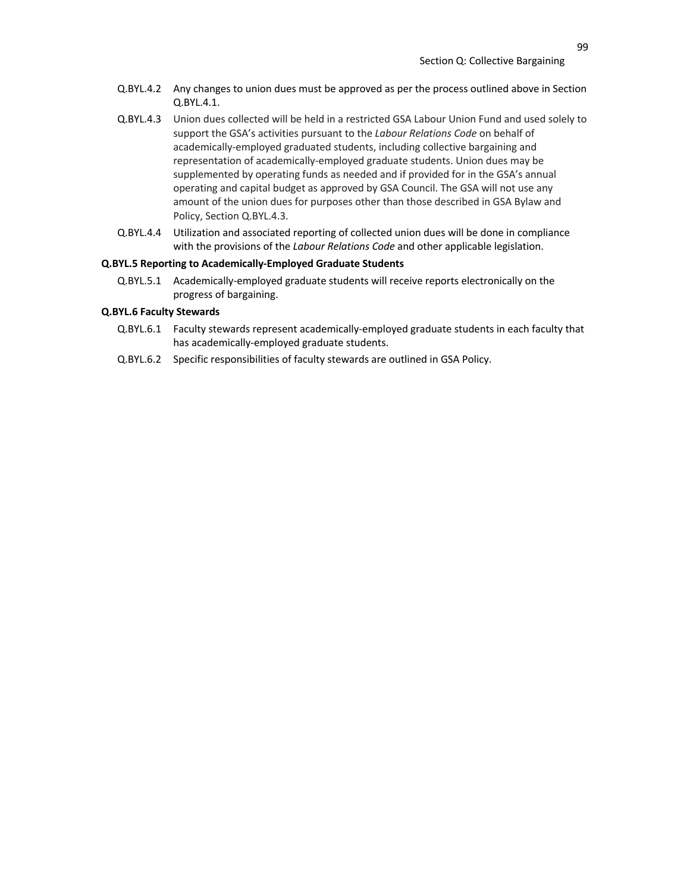- Q.BYL.4.2 Any changes to union dues must be approved as per the process outlined above in Section Q.BYL.4.1.
- Q.BYL.4.3 Union dues collected will be held in a restricted GSA Labour Union Fund and used solely to support the GSA's activities pursuant to the *Labour Relations Code* on behalf of academically-employed graduated students, including collective bargaining and representation of academically-employed graduate students. Union dues may be supplemented by operating funds as needed and if provided for in the GSA's annual operating and capital budget as approved by GSA Council. The GSA will not use any amount of the union dues for purposes other than those described in GSA Bylaw and Policy, Section Q.BYL.4.3.
- Q.BYL.4.4 Utilization and associated reporting of collected union dues will be done in compliance with the provisions of the *Labour Relations Code* and other applicable legislation.

## **Q.BYL.5 Reporting to Academically-Employed Graduate Students**

Q.BYL.5.1 Academically-employed graduate students will receive reports electronically on the progress of bargaining.

#### **Q.BYL.6 Faculty Stewards**

- Q.BYL.6.1 Faculty stewards represent academically-employed graduate students in each faculty that has academically-employed graduate students.
- Q.BYL.6.2 Specific responsibilities of faculty stewards are outlined in GSA Policy.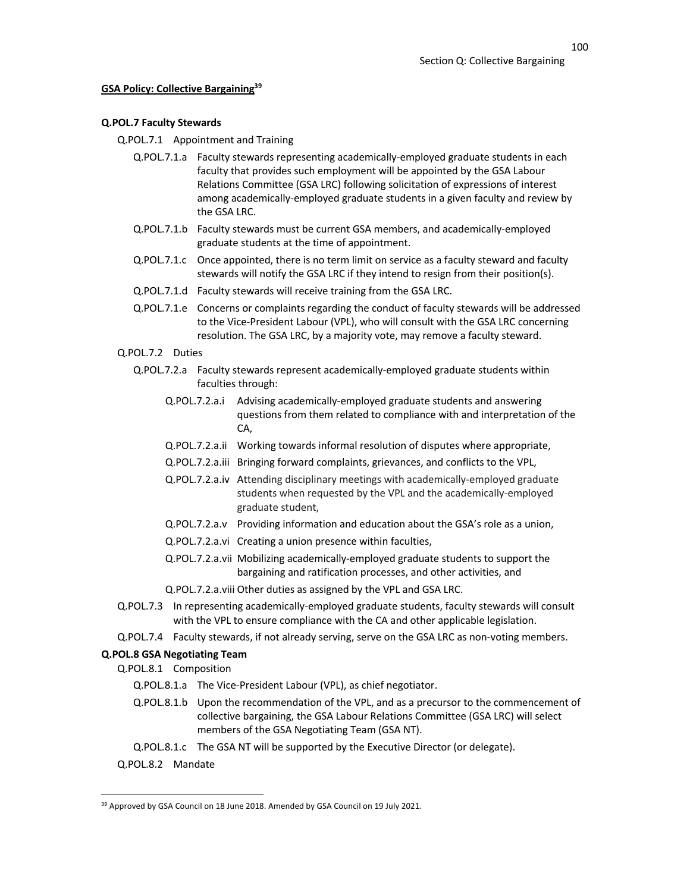100

# **GSA Policy: Collective Bargaining39**

## **Q.POL.7 Faculty Stewards**

Q.POL.7.1 Appointment and Training

- Q.POL.7.1.a Faculty stewards representing academically-employed graduate students in each faculty that provides such employment will be appointed by the GSA Labour Relations Committee (GSA LRC) following solicitation of expressions of interest among academically-employed graduate students in a given faculty and review by the GSA LRC.
- Q.POL.7.1.b Faculty stewards must be current GSA members, and academically-employed graduate students at the time of appointment.
- Q.POL.7.1.c Once appointed, there is no term limit on service as a faculty steward and faculty stewards will notify the GSA LRC if they intend to resign from their position(s).
- Q.POL.7.1.d Faculty stewards will receive training from the GSA LRC.
- Q.POL.7.1.e Concerns or complaints regarding the conduct of faculty stewards will be addressed to the Vice-President Labour (VPL), who will consult with the GSA LRC concerning resolution. The GSA LRC, by a majority vote, may remove a faculty steward.

# Q.POL.7.2 Duties

- Q.POL.7.2.a Faculty stewards represent academically-employed graduate students within faculties through:
	- Q.POL.7.2.a.i Advising academically-employed graduate students and answering questions from them related to compliance with and interpretation of the CA,
	- Q.POL.7.2.a.ii Working towards informal resolution of disputes where appropriate,
	- Q.POL.7.2.a.iii Bringing forward complaints, grievances, and conflicts to the VPL,
	- Q.POL.7.2.a.iv Attending disciplinary meetings with academically-employed graduate students when requested by the VPL and the academically-employed graduate student,
	- Q.POL.7.2.a.v Providing information and education about the GSA's role as a union,
	- Q.POL.7.2.a.vi Creating a union presence within faculties,
	- Q.POL.7.2.a.vii Mobilizing academically-employed graduate students to support the bargaining and ratification processes, and other activities, and
	- Q.POL.7.2.a.viii Other duties as assigned by the VPL and GSA LRC.
- Q.POL.7.3 In representing academically-employed graduate students, faculty stewards will consult with the VPL to ensure compliance with the CA and other applicable legislation.
- Q.POL.7.4 Faculty stewards, if not already serving, serve on the GSA LRC as non-voting members.

## **Q.POL.8 GSA Negotiating Team**

Q.POL.8.1 Composition

- Q.POL.8.1.a The Vice-President Labour (VPL), as chief negotiator.
- Q.POL.8.1.b Upon the recommendation of the VPL, and as a precursor to the commencement of collective bargaining, the GSA Labour Relations Committee (GSA LRC) will select members of the GSA Negotiating Team (GSA NT).
- Q.POL.8.1.c The GSA NT will be supported by the Executive Director (or delegate).
- Q.POL.8.2 Mandate

<sup>&</sup>lt;sup>39</sup> Approved by GSA Council on 18 June 2018. Amended by GSA Council on 19 July 2021.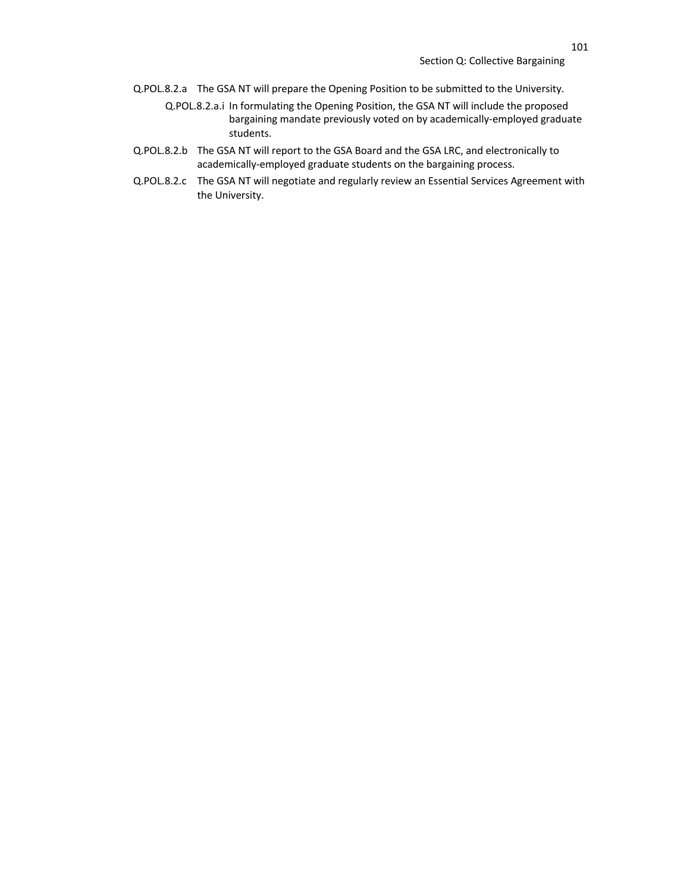- Q.POL.8.2.a The GSA NT will prepare the Opening Position to be submitted to the University.
	- Q.POL.8.2.a.i In formulating the Opening Position, the GSA NT will include the proposed bargaining mandate previously voted on by academically-employed graduate students.
- Q.POL.8.2.b The GSA NT will report to the GSA Board and the GSA LRC, and electronically to academically-employed graduate students on the bargaining process.
- Q.POL.8.2.c The GSA NT will negotiate and regularly review an Essential Services Agreement with the University.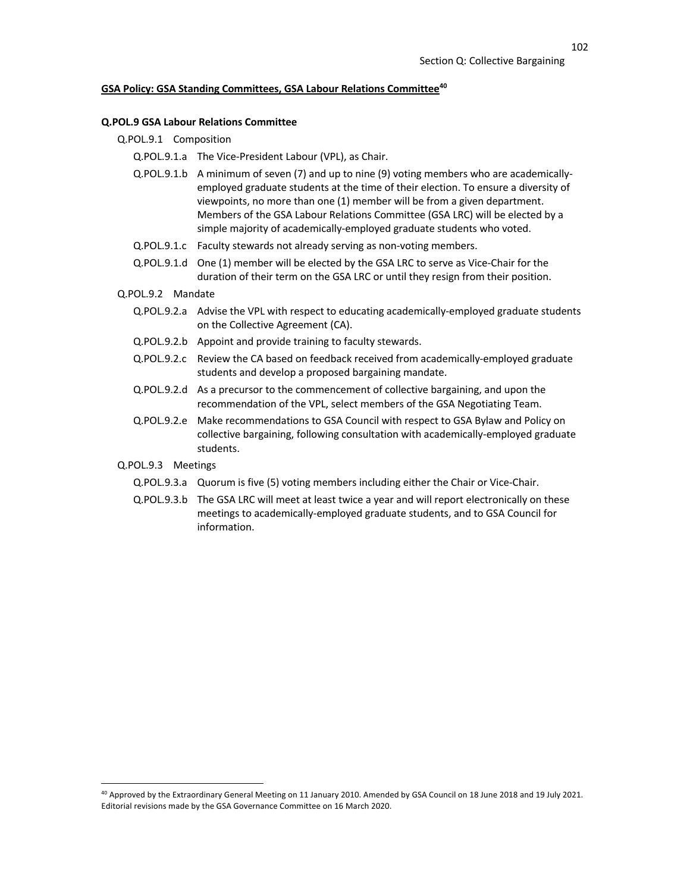## **GSA Policy: GSA Standing Committees, GSA Labour Relations Committee40**

#### **Q.POL.9 GSA Labour Relations Committee**

- Q.POL.9.1 Composition
	- Q.POL.9.1.a The Vice-President Labour (VPL), as Chair.
	- Q.POL.9.1.b A minimum of seven (7) and up to nine (9) voting members who are academicallyemployed graduate students at the time of their election. To ensure a diversity of viewpoints, no more than one (1) member will be from a given department. Members of the GSA Labour Relations Committee (GSA LRC) will be elected by a simple majority of academically-employed graduate students who voted.
	- Q.POL.9.1.c Faculty stewards not already serving as non-voting members.
	- Q.POL.9.1.d One (1) member will be elected by the GSA LRC to serve as Vice-Chair for the duration of their term on the GSA LRC or until they resign from their position.
- Q.POL.9.2 Mandate
	- Q.POL.9.2.a Advise the VPL with respect to educating academically-employed graduate students on the Collective Agreement (CA).
	- Q.POL.9.2.b Appoint and provide training to faculty stewards.
	- Q.POL.9.2.c Review the CA based on feedback received from academically-employed graduate students and develop a proposed bargaining mandate.
	- Q.POL.9.2.d As a precursor to the commencement of collective bargaining, and upon the recommendation of the VPL, select members of the GSA Negotiating Team.
	- Q.POL.9.2.e Make recommendations to GSA Council with respect to GSA Bylaw and Policy on collective bargaining, following consultation with academically-employed graduate students.
- Q.POL.9.3 Meetings
	- Q.POL.9.3.a Quorum is five (5) voting members including either the Chair or Vice-Chair.
	- Q.POL.9.3.b The GSA LRC will meet at least twice a year and will report electronically on these meetings to academically-employed graduate students, and to GSA Council for information.

<sup>40</sup> Approved by the Extraordinary General Meeting on 11 January 2010. Amended by GSA Council on 18 June 2018 and 19 July 2021. Editorial revisions made by the GSA Governance Committee on 16 March 2020.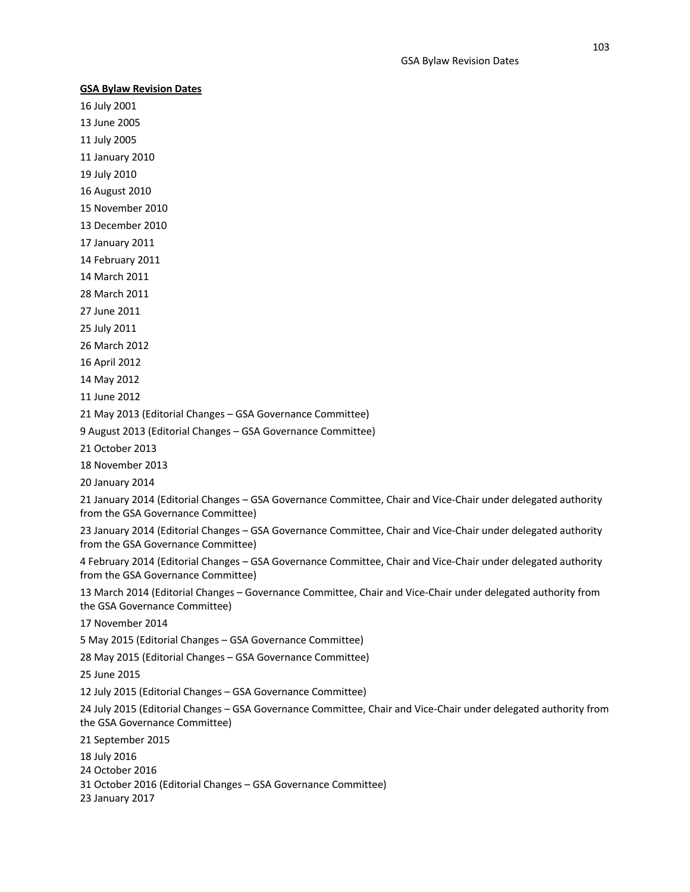## **GSA Bylaw Revision Dates**

16 July 2001 13 June 2005

11 July 2005

11 January 2010

19 July 2010

16 August 2010

15 November 2010

13 December 2010

17 January 2011

14 February 2011

14 March 2011

28 March 2011

27 June 2011

25 July 2011

26 March 2012

16 April 2012

14 May 2012

11 June 2012

21 May 2013 (Editorial Changes – GSA Governance Committee)

9 August 2013 (Editorial Changes – GSA Governance Committee)

21 October 2013

18 November 2013

20 January 2014

21 January 2014 (Editorial Changes – GSA Governance Committee, Chair and Vice-Chair under delegated authority from the GSA Governance Committee)

23 January 2014 (Editorial Changes – GSA Governance Committee, Chair and Vice-Chair under delegated authority from the GSA Governance Committee)

4 February 2014 (Editorial Changes – GSA Governance Committee, Chair and Vice-Chair under delegated authority from the GSA Governance Committee)

13 March 2014 (Editorial Changes – Governance Committee, Chair and Vice-Chair under delegated authority from the GSA Governance Committee)

17 November 2014

5 May 2015 (Editorial Changes – GSA Governance Committee)

28 May 2015 (Editorial Changes – GSA Governance Committee)

25 June 2015

12 July 2015 (Editorial Changes – GSA Governance Committee)

24 July 2015 (Editorial Changes – GSA Governance Committee, Chair and Vice-Chair under delegated authority from the GSA Governance Committee)

21 September 2015

18 July 2016

24 October 2016

31 October 2016 (Editorial Changes – GSA Governance Committee)

23 January 2017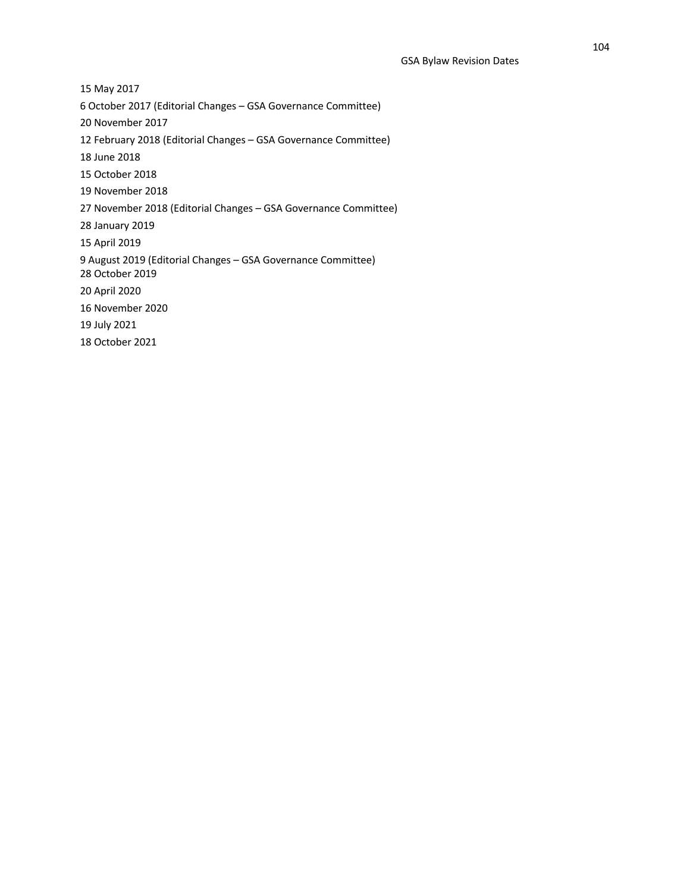15 May 2017 6 October 2017 (Editorial Changes – GSA Governance Committee) 20 November 2017 12 February 2018 (Editorial Changes – GSA Governance Committee) 18 June 2018 15 October 2018 19 November 2018 27 November 2018 (Editorial Changes – GSA Governance Committee) 28 January 2019 15 April 2019 9 August 2019 (Editorial Changes – GSA Governance Committee) 28 October 2019 20 April 2020 16 November 2020 19 July 2021 18 October 2021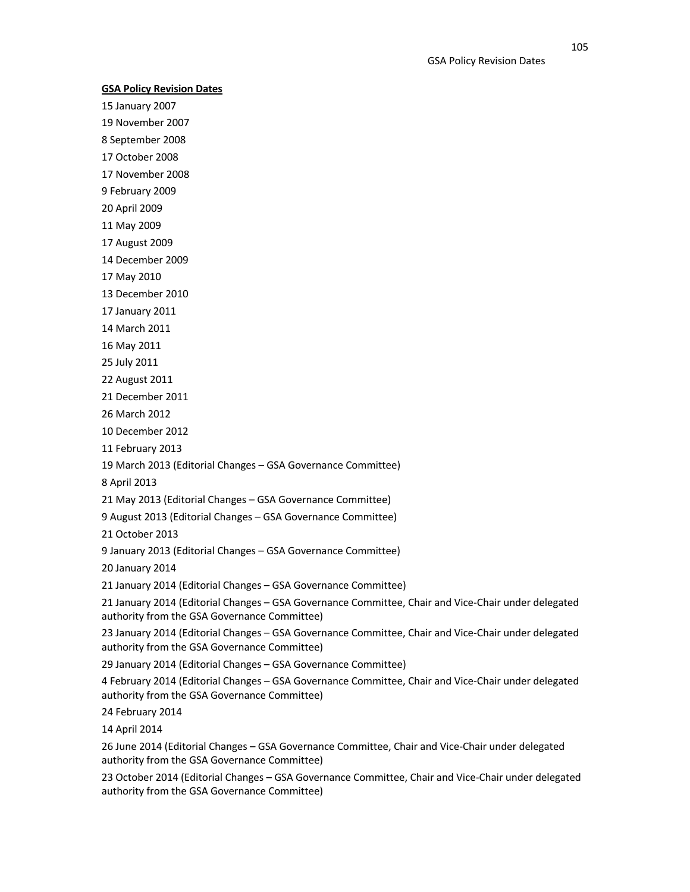# **GSA Policy Revision Dates**

15 January 2007

19 November 2007

8 September 2008

17 October 2008

17 November 2008

9 February 2009

20 April 2009

11 May 2009

17 August 2009

14 December 2009

17 May 2010

13 December 2010

17 January 2011

14 March 2011

16 May 2011

25 July 2011

22 August 2011

21 December 2011

26 March 2012

10 December 2012

11 February 2013

19 March 2013 (Editorial Changes – GSA Governance Committee)

8 April 2013

21 May 2013 (Editorial Changes – GSA Governance Committee)

9 August 2013 (Editorial Changes – GSA Governance Committee)

21 October 2013

9 January 2013 (Editorial Changes – GSA Governance Committee)

20 January 2014

21 January 2014 (Editorial Changes – GSA Governance Committee)

21 January 2014 (Editorial Changes – GSA Governance Committee, Chair and Vice-Chair under delegated authority from the GSA Governance Committee)

23 January 2014 (Editorial Changes – GSA Governance Committee, Chair and Vice-Chair under delegated authority from the GSA Governance Committee)

29 January 2014 (Editorial Changes – GSA Governance Committee)

4 February 2014 (Editorial Changes – GSA Governance Committee, Chair and Vice-Chair under delegated authority from the GSA Governance Committee)

24 February 2014

14 April 2014

26 June 2014 (Editorial Changes – GSA Governance Committee, Chair and Vice-Chair under delegated authority from the GSA Governance Committee)

23 October 2014 (Editorial Changes – GSA Governance Committee, Chair and Vice-Chair under delegated authority from the GSA Governance Committee)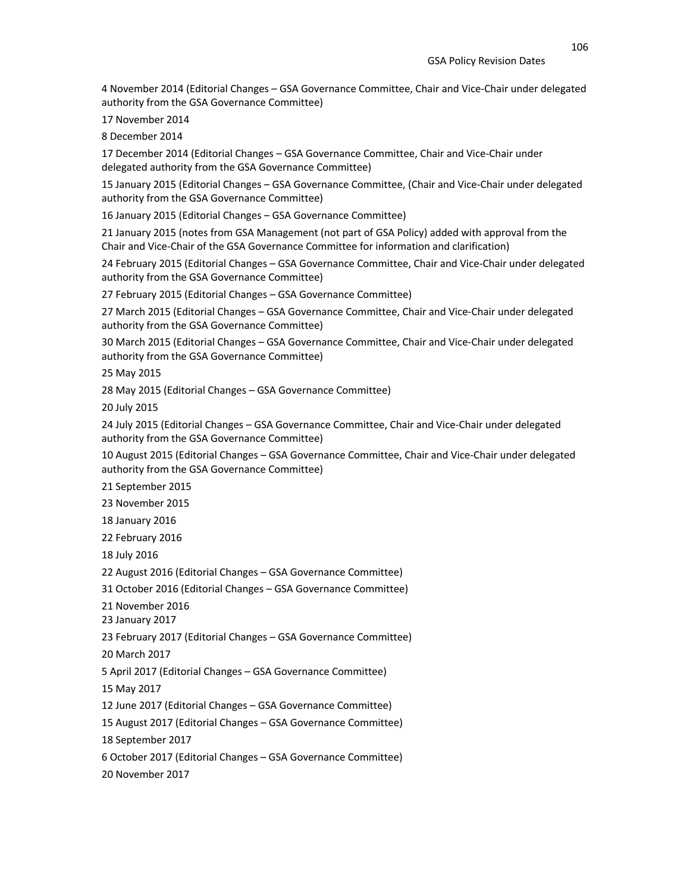4 November 2014 (Editorial Changes – GSA Governance Committee, Chair and Vice-Chair under delegated authority from the GSA Governance Committee)

17 November 2014

8 December 2014

17 December 2014 (Editorial Changes – GSA Governance Committee, Chair and Vice-Chair under delegated authority from the GSA Governance Committee)

15 January 2015 (Editorial Changes – GSA Governance Committee, (Chair and Vice-Chair under delegated authority from the GSA Governance Committee)

16 January 2015 (Editorial Changes – GSA Governance Committee)

21 January 2015 (notes from GSA Management (not part of GSA Policy) added with approval from the Chair and Vice-Chair of the GSA Governance Committee for information and clarification)

24 February 2015 (Editorial Changes – GSA Governance Committee, Chair and Vice-Chair under delegated authority from the GSA Governance Committee)

27 February 2015 (Editorial Changes – GSA Governance Committee)

27 March 2015 (Editorial Changes – GSA Governance Committee, Chair and Vice-Chair under delegated authority from the GSA Governance Committee)

30 March 2015 (Editorial Changes – GSA Governance Committee, Chair and Vice-Chair under delegated authority from the GSA Governance Committee)

25 May 2015

28 May 2015 (Editorial Changes – GSA Governance Committee)

20 July 2015

24 July 2015 (Editorial Changes – GSA Governance Committee, Chair and Vice-Chair under delegated authority from the GSA Governance Committee)

10 August 2015 (Editorial Changes – GSA Governance Committee, Chair and Vice-Chair under delegated authority from the GSA Governance Committee)

21 September 2015

23 November 2015

18 January 2016

22 February 2016

18 July 2016

22 August 2016 (Editorial Changes – GSA Governance Committee)

31 October 2016 (Editorial Changes – GSA Governance Committee)

21 November 2016

23 January 2017

23 February 2017 (Editorial Changes – GSA Governance Committee)

20 March 2017

5 April 2017 (Editorial Changes – GSA Governance Committee)

15 May 2017

12 June 2017 (Editorial Changes – GSA Governance Committee)

15 August 2017 (Editorial Changes – GSA Governance Committee)

18 September 2017

6 October 2017 (Editorial Changes – GSA Governance Committee)

20 November 2017